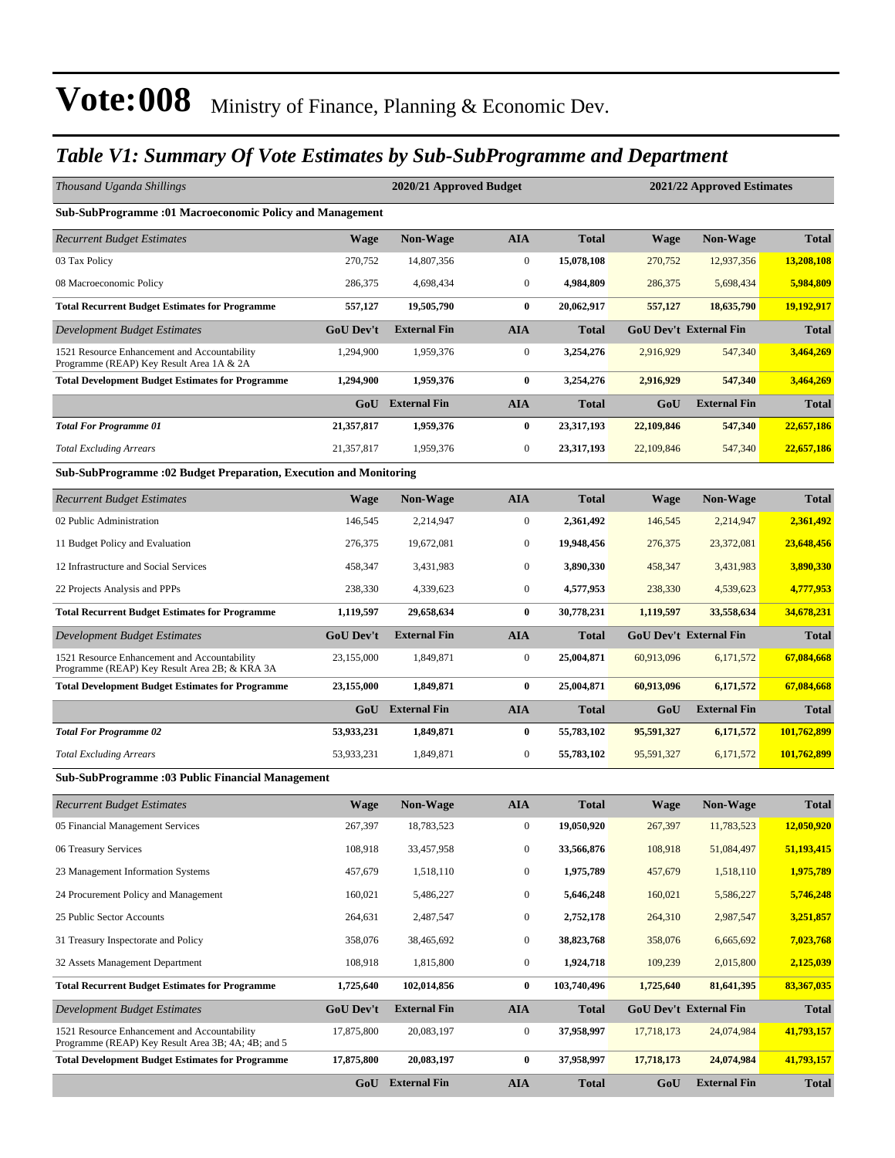#### *Table V1: Summary Of Vote Estimates by Sub-SubProgramme and Department*

| Thousand Uganda Shillings                                                                          |                  | 2020/21 Approved Budget |                  |              |             | 2021/22 Approved Estimates    |              |
|----------------------------------------------------------------------------------------------------|------------------|-------------------------|------------------|--------------|-------------|-------------------------------|--------------|
| Sub-SubProgramme :01 Macroeconomic Policy and Management                                           |                  |                         |                  |              |             |                               |              |
| <b>Recurrent Budget Estimates</b>                                                                  | <b>Wage</b>      | Non-Wage                | <b>AIA</b>       | <b>Total</b> | <b>Wage</b> | Non-Wage                      | <b>Total</b> |
| 03 Tax Policy                                                                                      | 270,752          | 14,807,356              | $\boldsymbol{0}$ | 15,078,108   | 270,752     | 12,937,356                    | 13,208,108   |
| 08 Macroeconomic Policy                                                                            | 286,375          | 4,698,434               | $\boldsymbol{0}$ | 4,984,809    | 286,375     | 5,698,434                     | 5,984,809    |
| <b>Total Recurrent Budget Estimates for Programme</b>                                              | 557,127          | 19,505,790              | $\bf{0}$         | 20,062,917   | 557,127     | 18,635,790                    | 19,192,917   |
| Development Budget Estimates                                                                       | <b>GoU</b> Dev't | <b>External Fin</b>     | <b>AIA</b>       | <b>Total</b> |             | <b>GoU Dev't External Fin</b> | <b>Total</b> |
| 1521 Resource Enhancement and Accountability<br>Programme (REAP) Key Result Area 1A & 2A           | 1,294,900        | 1,959,376               | $\boldsymbol{0}$ | 3,254,276    | 2,916,929   | 547,340                       | 3,464,269    |
| <b>Total Development Budget Estimates for Programme</b>                                            | 1,294,900        | 1,959,376               | $\bf{0}$         | 3,254,276    | 2,916,929   | 547,340                       | 3,464,269    |
|                                                                                                    | GoU              | <b>External Fin</b>     | <b>AIA</b>       | <b>Total</b> | GoU         | <b>External Fin</b>           | Total        |
| <b>Total For Programme 01</b>                                                                      | 21,357,817       | 1,959,376               | $\bf{0}$         | 23,317,193   | 22,109,846  | 547,340                       | 22,657,186   |
| <b>Total Excluding Arrears</b>                                                                     | 21,357,817       | 1,959,376               | $\boldsymbol{0}$ | 23,317,193   | 22,109,846  | 547,340                       | 22,657,186   |
| Sub-SubProgramme : 02 Budget Preparation, Execution and Monitoring                                 |                  |                         |                  |              |             |                               |              |
| <b>Recurrent Budget Estimates</b>                                                                  | <b>Wage</b>      | <b>Non-Wage</b>         | <b>AIA</b>       | <b>Total</b> | <b>Wage</b> | <b>Non-Wage</b>               | <b>Total</b> |
| 02 Public Administration                                                                           | 146,545          | 2,214,947               | $\boldsymbol{0}$ | 2,361,492    | 146,545     | 2,214,947                     | 2,361,492    |
| 11 Budget Policy and Evaluation                                                                    | 276,375          | 19,672,081              | $\boldsymbol{0}$ | 19,948,456   | 276,375     | 23,372,081                    | 23,648,456   |
| 12 Infrastructure and Social Services                                                              | 458,347          | 3,431,983               | $\boldsymbol{0}$ | 3,890,330    | 458,347     | 3,431,983                     | 3,890,330    |
| 22 Projects Analysis and PPPs                                                                      | 238,330          | 4,339,623               | $\boldsymbol{0}$ | 4,577,953    | 238,330     | 4,539,623                     | 4,777,953    |
| <b>Total Recurrent Budget Estimates for Programme</b>                                              | 1,119,597        | 29,658,634              | $\bf{0}$         | 30,778,231   | 1,119,597   | 33,558,634                    | 34,678,231   |
| Development Budget Estimates                                                                       | <b>GoU Dev't</b> | <b>External Fin</b>     | <b>AIA</b>       | <b>Total</b> |             | <b>GoU Dev't External Fin</b> | <b>Total</b> |
| 1521 Resource Enhancement and Accountability<br>Programme (REAP) Key Result Area 2B; & KRA 3A      | 23,155,000       | 1,849,871               | $\boldsymbol{0}$ | 25,004,871   | 60,913,096  | 6,171,572                     | 67,084,668   |
| <b>Total Development Budget Estimates for Programme</b>                                            | 23,155,000       | 1,849,871               | $\bf{0}$         | 25,004,871   | 60,913,096  | 6,171,572                     | 67,084,668   |
|                                                                                                    |                  | GoU External Fin        | <b>AIA</b>       | <b>Total</b> | GoU         | <b>External Fin</b>           | Total        |
| <b>Total For Programme 02</b>                                                                      | 53,933,231       | 1,849,871               | $\bf{0}$         | 55,783,102   | 95,591,327  | 6,171,572                     | 101,762,899  |
| <b>Total Excluding Arrears</b>                                                                     | 53,933,231       | 1,849,871               | $\boldsymbol{0}$ | 55,783,102   | 95,591,327  | 6,171,572                     | 101,762,899  |
| Sub-SubProgramme : 03 Public Financial Management                                                  |                  |                         |                  |              |             |                               |              |
| <b>Recurrent Budget Estimates</b>                                                                  | <b>Wage</b>      | Non-Wage                | <b>AIA</b>       | <b>Total</b> | <b>Wage</b> | <b>Non-Wage</b>               | <b>Total</b> |
| 05 Financial Management Services                                                                   | 267,397          | 18,783,523              | $\mathbf{0}$     | 19,050,920   | 267,397     | 11,783,523                    | 12,050,920   |
| 06 Treasury Services                                                                               | 108,918          | 33,457,958              | $\boldsymbol{0}$ | 33,566,876   | 108,918     | 51,084,497                    | 51,193,415   |
| 23 Management Information Systems                                                                  | 457,679          | 1,518,110               | $\boldsymbol{0}$ | 1,975,789    | 457,679     | 1,518,110                     | 1,975,789    |
| 24 Procurement Policy and Management                                                               | 160,021          | 5,486,227               | $\boldsymbol{0}$ | 5,646,248    | 160,021     | 5,586,227                     | 5,746,248    |
| 25 Public Sector Accounts                                                                          | 264,631          | 2,487,547               | $\boldsymbol{0}$ | 2,752,178    | 264,310     | 2,987,547                     | 3,251,857    |
| 31 Treasury Inspectorate and Policy                                                                | 358,076          | 38,465,692              | $\boldsymbol{0}$ | 38,823,768   | 358,076     | 6,665,692                     | 7,023,768    |
| 32 Assets Management Department                                                                    | 108,918          | 1,815,800               | $\bf{0}$         | 1,924,718    | 109,239     | 2,015,800                     | 2,125,039    |
| <b>Total Recurrent Budget Estimates for Programme</b>                                              | 1,725,640        | 102,014,856             | $\bf{0}$         | 103,740,496  | 1,725,640   | 81,641,395                    | 83,367,035   |
| Development Budget Estimates                                                                       | GoU Dev't        | <b>External Fin</b>     | <b>AIA</b>       | <b>Total</b> |             | <b>GoU Dev't External Fin</b> | <b>Total</b> |
| 1521 Resource Enhancement and Accountability<br>Programme (REAP) Key Result Area 3B; 4A; 4B; and 5 | 17,875,800       | 20,083,197              | 0                | 37,958,997   | 17,718,173  | 24,074,984                    | 41,793,157   |
| <b>Total Development Budget Estimates for Programme</b>                                            | 17,875,800       | 20,083,197              | $\bf{0}$         | 37,958,997   | 17,718,173  | 24,074,984                    | 41,793,157   |
|                                                                                                    |                  | GoU External Fin        | <b>AIA</b>       | <b>Total</b> | GoU         | <b>External Fin</b>           | <b>Total</b> |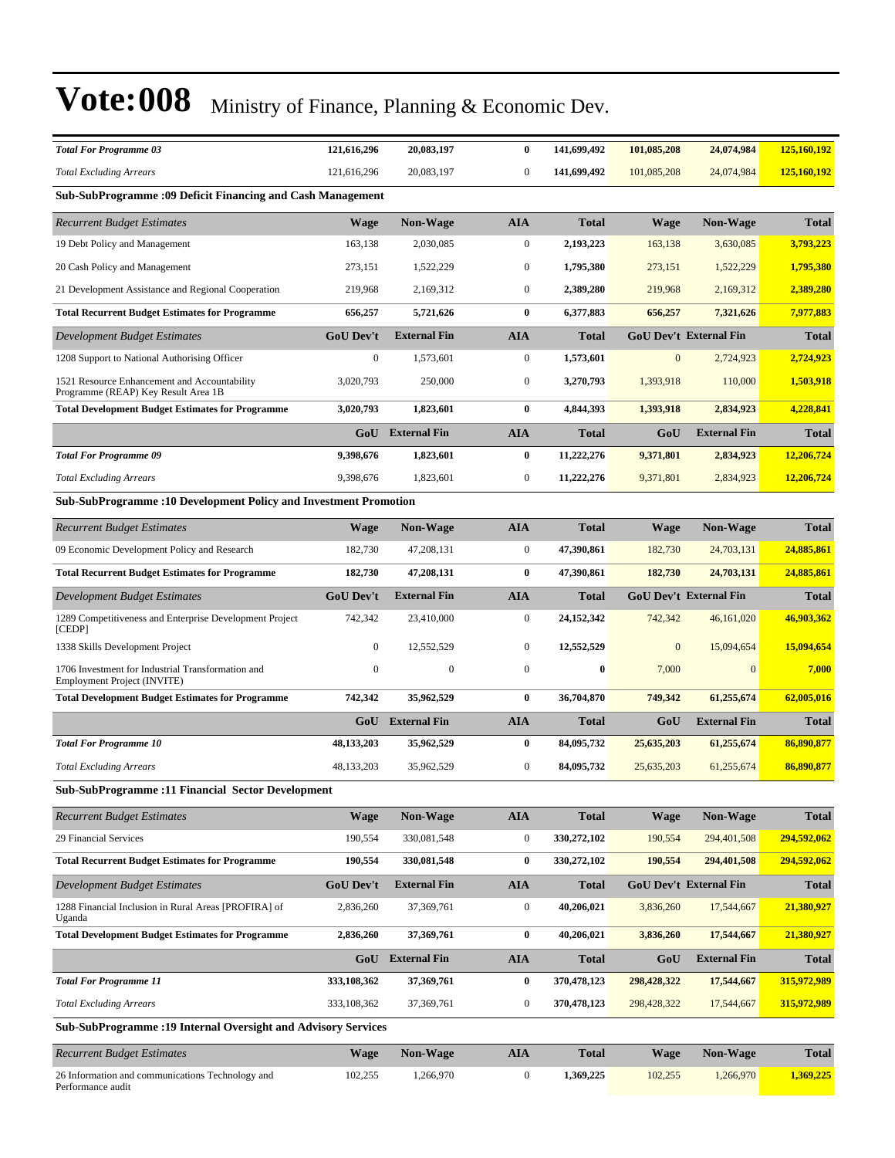| <b>Total For Programme 03</b>                                                       | 121,616,296      | 20,083,197          | $\bf{0}$         | 141,699,492  | 101,085,208  | 24,074,984                    | 125,160,192  |
|-------------------------------------------------------------------------------------|------------------|---------------------|------------------|--------------|--------------|-------------------------------|--------------|
| <b>Total Excluding Arrears</b>                                                      | 121,616,296      | 20,083,197          | $\boldsymbol{0}$ | 141,699,492  | 101,085,208  | 24,074,984                    | 125,160,192  |
| Sub-SubProgramme : 09 Deficit Financing and Cash Management                         |                  |                     |                  |              |              |                               |              |
| <b>Recurrent Budget Estimates</b>                                                   | <b>Wage</b>      | Non-Wage            | AIA              | Total        | Wage         | <b>Non-Wage</b>               | <b>Total</b> |
| 19 Debt Policy and Management                                                       | 163,138          | 2,030,085           | $\boldsymbol{0}$ | 2,193,223    | 163,138      | 3,630,085                     | 3,793,223    |
| 20 Cash Policy and Management                                                       | 273,151          | 1,522,229           | $\boldsymbol{0}$ | 1,795,380    | 273,151      | 1,522,229                     | 1,795,380    |
| 21 Development Assistance and Regional Cooperation                                  | 219,968          | 2,169,312           | $\boldsymbol{0}$ | 2,389,280    | 219,968      | 2,169,312                     | 2,389,280    |
| <b>Total Recurrent Budget Estimates for Programme</b>                               | 656,257          | 5,721,626           | $\bf{0}$         | 6,377,883    | 656,257      | 7,321,626                     | 7,977,883    |
| Development Budget Estimates                                                        | <b>GoU Dev't</b> | <b>External Fin</b> | AIA              | Total        |              | <b>GoU Dev't External Fin</b> | <b>Total</b> |
| 1208 Support to National Authorising Officer                                        | $\mathbf{0}$     | 1,573,601           | $\boldsymbol{0}$ | 1,573,601    | $\mathbf{0}$ | 2,724,923                     | 2,724,923    |
| 1521 Resource Enhancement and Accountability<br>Programme (REAP) Key Result Area 1B | 3,020,793        | 250,000             | $\boldsymbol{0}$ | 3,270,793    | 1,393,918    | 110,000                       | 1,503,918    |
| <b>Total Development Budget Estimates for Programme</b>                             | 3,020,793        | 1,823,601           | $\bf{0}$         | 4,844,393    | 1,393,918    | 2,834,923                     | 4,228,841    |
|                                                                                     | GoU              | <b>External Fin</b> | <b>AIA</b>       | Total        | GoU          | <b>External Fin</b>           | <b>Total</b> |
| <b>Total For Programme 09</b>                                                       | 9,398,676        | 1,823,601           | $\bf{0}$         | 11,222,276   | 9,371,801    | 2,834,923                     | 12,206,724   |
| <b>Total Excluding Arrears</b>                                                      | 9,398,676        | 1,823,601           | $\boldsymbol{0}$ | 11,222,276   | 9,371,801    | 2,834,923                     | 12,206,724   |
| <b>Sub-SubProgramme: 10 Development Policy and Investment Promotion</b>             |                  |                     |                  |              |              |                               |              |
| <b>Recurrent Budget Estimates</b>                                                   | <b>Wage</b>      | <b>Non-Wage</b>     | <b>AIA</b>       | <b>Total</b> | Wage         | <b>Non-Wage</b>               | <b>Total</b> |
| 09 Economic Development Policy and Research                                         | 182,730          | 47,208,131          | $\boldsymbol{0}$ | 47,390,861   | 182,730      | 24,703,131                    | 24,885,861   |
| <b>Total Recurrent Budget Estimates for Programme</b>                               | 182,730          | 47,208,131          | 0                | 47,390,861   | 182,730      | 24,703,131                    | 24,885,861   |
| Development Budget Estimates                                                        | <b>GoU Dev't</b> | <b>External Fin</b> | <b>AIA</b>       | <b>Total</b> |              | <b>GoU Dev't External Fin</b> | <b>Total</b> |
| 1289 Competitiveness and Enterprise Development Project<br>[CEDP]                   | 742,342          | 23,410,000          | 0                | 24,152,342   | 742,342      | 46,161,020                    | 46,903,362   |
| 1338 Skills Development Project                                                     | $\boldsymbol{0}$ | 12,552,529          | $\boldsymbol{0}$ | 12,552,529   | $\mathbf{0}$ | 15,094,654                    | 15,094,654   |
| 1706 Investment for Industrial Transformation and<br>Employment Project (INVITE)    | $\mathbf{0}$     | $\mathbf{0}$        | $\boldsymbol{0}$ | $\bf{0}$     | 7,000        | $\overline{0}$                | 7,000        |
| <b>Total Development Budget Estimates for Programme</b>                             | 742,342          | 35,962,529          | $\bf{0}$         | 36,704,870   | 749,342      | 61,255,674                    | 62,005,016   |
|                                                                                     | GoU              | <b>External Fin</b> | <b>AIA</b>       | Total        | GoU          | <b>External Fin</b>           | <b>Total</b> |
| <b>Total For Programme 10</b>                                                       | 48, 133, 203     | 35,962,529          | $\bf{0}$         | 84,095,732   | 25,635,203   | 61,255,674                    | 86,890,877   |
| <b>Total Excluding Arrears</b>                                                      | 48, 133, 203     | 35,962,529          | $\boldsymbol{0}$ | 84,095,732   | 25,635,203   | 61,255,674                    | 86,890,877   |
| Sub-SubProgramme : 11 Financial Sector Development                                  |                  |                     |                  |              |              |                               |              |
| <b>Recurrent Budget Estimates</b>                                                   | <b>Wage</b>      | <b>Non-Wage</b>     | <b>AIA</b>       | <b>Total</b> | Wage         | <b>Non-Wage</b>               | <b>Total</b> |
| 29 Financial Services                                                               | 190,554          | 330,081,548         | $\boldsymbol{0}$ | 330,272,102  | 190,554      | 294,401,508                   | 294,592,062  |
| <b>Total Recurrent Budget Estimates for Programme</b>                               | 190,554          | 330,081,548         | 0                | 330,272,102  | 190,554      | 294,401,508                   | 294,592,062  |
| <b>Development Budget Estimates</b>                                                 | <b>GoU Dev't</b> | <b>External Fin</b> | AIA              | <b>Total</b> |              | <b>GoU Dev't External Fin</b> | <b>Total</b> |
| 1288 Financial Inclusion in Rural Areas [PROFIRA] of<br>Uganda                      | 2,836,260        | 37,369,761          | $\boldsymbol{0}$ | 40,206,021   | 3,836,260    | 17,544,667                    | 21,380,927   |
| <b>Total Development Budget Estimates for Programme</b>                             | 2,836,260        | 37,369,761          | 0                | 40,206,021   | 3,836,260    | 17,544,667                    | 21,380,927   |
|                                                                                     | GoU              | <b>External Fin</b> | AIA              | Total        | GoU          | <b>External Fin</b>           | <b>Total</b> |
| <b>Total For Programme 11</b>                                                       | 333,108,362      | 37,369,761          | $\bf{0}$         | 370,478,123  | 298,428,322  | 17,544,667                    | 315,972,989  |
| <b>Total Excluding Arrears</b>                                                      | 333,108,362      | 37,369,761          | $\boldsymbol{0}$ | 370,478,123  | 298,428,322  | 17,544,667                    | 315,972,989  |
| <b>Sub-SubProgramme: 19 Internal Oversight and Advisory Services</b>                |                  |                     |                  |              |              |                               |              |
| <b>Recurrent Budget Estimates</b>                                                   | <b>Wage</b>      | Non-Wage            | AIA              | <b>Total</b> | Wage         | Non-Wage                      | <b>Total</b> |
| 26 Information and communications Technology and<br>Performance audit               | 102,255          | 1,266,970           | $\boldsymbol{0}$ | 1,369,225    | 102,255      | 1,266,970                     | 1,369,225    |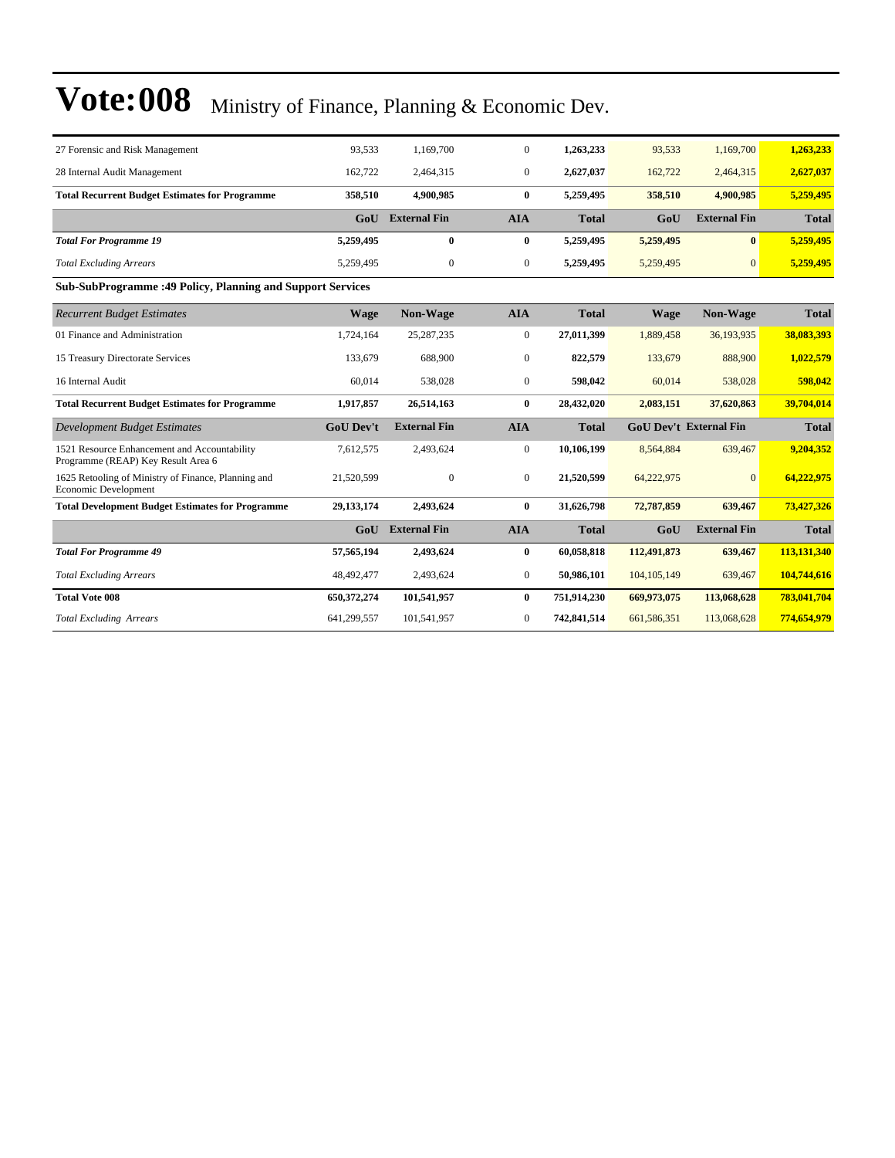| 27 Forensic and Risk Management                                                    | 93.533           | 1,169,700           | $\mathbf{0}$   | 1,263,233    | 93,533        | 1,169,700                     | 1,263,233    |
|------------------------------------------------------------------------------------|------------------|---------------------|----------------|--------------|---------------|-------------------------------|--------------|
| 28 Internal Audit Management                                                       | 162,722          | 2,464,315           | $\overline{0}$ | 2,627,037    | 162,722       | 2,464,315                     | 2,627,037    |
| <b>Total Recurrent Budget Estimates for Programme</b>                              | 358,510          | 4.900.985           | $\bf{0}$       | 5,259,495    | 358,510       | 4.900.985                     | 5,259,495    |
|                                                                                    | GoU              | <b>External Fin</b> | <b>AIA</b>     | <b>Total</b> | GoU           | <b>External Fin</b>           | <b>Total</b> |
| <b>Total For Programme 19</b>                                                      | 5,259,495        | $\bf{0}$            | $\bf{0}$       | 5,259,495    | 5,259,495     | $\mathbf{0}$                  | 5,259,495    |
| <b>Total Excluding Arrears</b>                                                     | 5,259,495        | $\mathbf{0}$        | $\mathbf{0}$   | 5,259,495    | 5,259,495     | $\mathbf{0}$                  | 5,259,495    |
| <b>Sub-SubProgramme:49 Policy, Planning and Support Services</b>                   |                  |                     |                |              |               |                               |              |
| <b>Recurrent Budget Estimates</b>                                                  | <b>Wage</b>      | <b>Non-Wage</b>     | <b>AIA</b>     | <b>Total</b> | Wage          | Non-Wage                      | <b>Total</b> |
| 01 Finance and Administration                                                      | 1,724,164        | 25, 287, 235        | $\mathbf{0}$   | 27,011,399   | 1.889,458     | 36,193,935                    | 38,083,393   |
| 15 Treasury Directorate Services                                                   | 133,679          | 688,900             | $\overline{0}$ | 822,579      | 133,679       | 888,900                       | 1,022,579    |
| 16 Internal Audit                                                                  | 60.014           | 538,028             | $\overline{0}$ | 598,042      | 60,014        | 538,028                       | 598,042      |
| <b>Total Recurrent Budget Estimates for Programme</b>                              | 1,917,857        | 26,514,163          | $\bf{0}$       | 28,432,020   | 2,083,151     | 37,620,863                    | 39,704,014   |
| <b>Development Budget Estimates</b>                                                | <b>GoU Dev't</b> | <b>External Fin</b> | <b>AIA</b>     | <b>Total</b> |               | <b>GoU Dev't External Fin</b> |              |
| 1521 Resource Enhancement and Accountability<br>Programme (REAP) Key Result Area 6 | 7,612,575        | 2,493,624           | $\overline{0}$ | 10,106,199   | 8,564,884     | 639,467                       | 9,204,352    |
| 1625 Retooling of Ministry of Finance, Planning and<br>Economic Development        | 21,520,599       | $\mathbf{0}$        | $\overline{0}$ | 21,520,599   | 64,222,975    | $\Omega$                      | 64,222,975   |
| <b>Total Development Budget Estimates for Programme</b>                            | 29, 133, 174     | 2,493,624           | $\mathbf{0}$   | 31,626,798   | 72,787,859    | 639,467                       | 73,427,326   |
|                                                                                    | GoU              | <b>External Fin</b> | <b>AIA</b>     | <b>Total</b> | GoU           | <b>External Fin</b>           | <b>Total</b> |
| <b>Total For Programme 49</b>                                                      | 57,565,194       | 2,493,624           | $\bf{0}$       | 60,058,818   | 112,491,873   | 639,467                       | 113,131,340  |
| <b>Total Excluding Arrears</b>                                                     | 48,492,477       | 2,493,624           | $\mathbf{0}$   | 50,986,101   | 104, 105, 149 | 639,467                       | 104,744,616  |
| <b>Total Vote 008</b>                                                              | 650,372,274      | 101,541,957         | $\bf{0}$       | 751,914,230  | 669,973,075   | 113,068,628                   | 783,041,704  |
| <b>Total Excluding Arrears</b>                                                     | 641,299,557      | 101,541,957         | $\overline{0}$ | 742,841,514  | 661,586,351   | 113,068,628                   | 774,654,979  |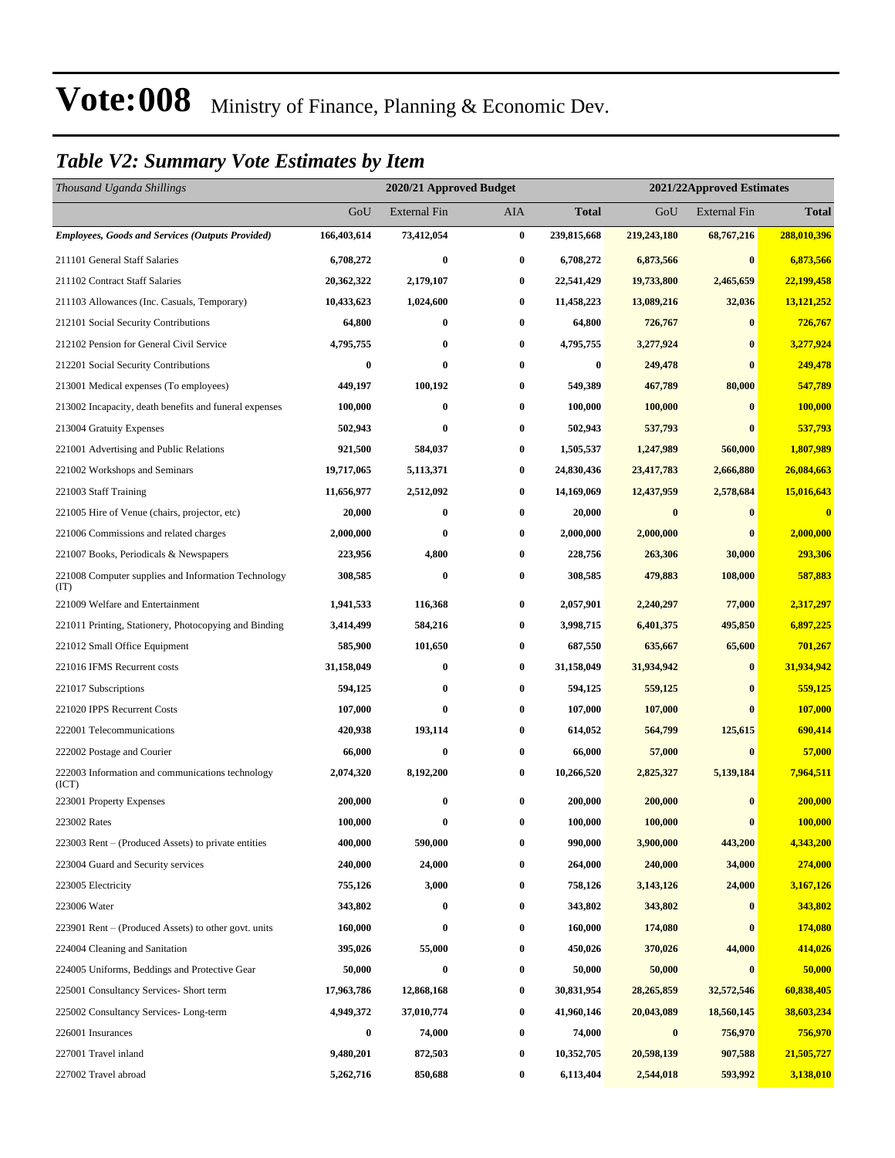#### *Table V2: Summary Vote Estimates by Item*

| Thousand Uganda Shillings                                   |             | 2020/21 Approved Budget |          |             | 2021/22Approved Estimates |                     |                         |
|-------------------------------------------------------------|-------------|-------------------------|----------|-------------|---------------------------|---------------------|-------------------------|
|                                                             | GoU         | <b>External Fin</b>     | AIA      | Total       | GoU                       | <b>External Fin</b> | <b>Total</b>            |
| <b>Employees, Goods and Services (Outputs Provided)</b>     | 166,403,614 | 73,412,054              | $\bf{0}$ | 239,815,668 | 219,243,180               | 68,767,216          | 288,010,396             |
| 211101 General Staff Salaries                               | 6,708,272   | $\bf{0}$                | $\bf{0}$ | 6,708,272   | 6,873,566                 | $\bf{0}$            | 6,873,566               |
| 211102 Contract Staff Salaries                              | 20,362,322  | 2,179,107               | $\bf{0}$ | 22,541,429  | 19,733,800                | 2,465,659           | 22,199,458              |
| 211103 Allowances (Inc. Casuals, Temporary)                 | 10,433,623  | 1,024,600               | $\bf{0}$ | 11,458,223  | 13,089,216                | 32,036              | 13,121,252              |
| 212101 Social Security Contributions                        | 64,800      | 0                       | $\bf{0}$ | 64,800      | 726,767                   | $\bf{0}$            | 726,767                 |
| 212102 Pension for General Civil Service                    | 4,795,755   | $\bf{0}$                | $\bf{0}$ | 4,795,755   | 3,277,924                 | $\bf{0}$            | 3,277,924               |
| 212201 Social Security Contributions                        | $\bf{0}$    | $\bf{0}$                | $\bf{0}$ | $\bf{0}$    | 249,478                   | $\bf{0}$            | 249,478                 |
| 213001 Medical expenses (To employees)                      | 449,197     | 100,192                 | $\bf{0}$ | 549,389     | 467,789                   | 80,000              | 547,789                 |
| 213002 Incapacity, death benefits and funeral expenses      | 100,000     | $\bf{0}$                | $\bf{0}$ | 100,000     | 100,000                   | $\bf{0}$            | 100,000                 |
| 213004 Gratuity Expenses                                    | 502,943     | $\bf{0}$                | $\bf{0}$ | 502,943     | 537,793                   | $\bf{0}$            | 537,793                 |
| 221001 Advertising and Public Relations                     | 921,500     | 584,037                 | $\bf{0}$ | 1,505,537   | 1,247,989                 | 560,000             | 1,807,989               |
| 221002 Workshops and Seminars                               | 19,717,065  | 5,113,371               | 0        | 24,830,436  | 23,417,783                | 2,666,880           | 26,084,663              |
| 221003 Staff Training                                       | 11,656,977  | 2,512,092               | $\bf{0}$ | 14,169,069  | 12,437,959                | 2,578,684           | 15,016,643              |
| 221005 Hire of Venue (chairs, projector, etc)               | 20,000      | $\bf{0}$                | $\bf{0}$ | 20,000      | $\bf{0}$                  | $\bf{0}$            | $\overline{\mathbf{0}}$ |
| 221006 Commissions and related charges                      | 2,000,000   | 0                       | $\bf{0}$ | 2,000,000   | 2,000,000                 | $\bf{0}$            | 2,000,000               |
| 221007 Books, Periodicals & Newspapers                      | 223,956     | 4,800                   | $\bf{0}$ | 228,756     | 263,306                   | 30,000              | 293,306                 |
| 221008 Computer supplies and Information Technology<br>(TT) | 308,585     | $\bf{0}$                | $\bf{0}$ | 308,585     | 479,883                   | 108,000             | 587,883                 |
| 221009 Welfare and Entertainment                            | 1,941,533   | 116,368                 | $\bf{0}$ | 2,057,901   | 2,240,297                 | 77,000              | 2,317,297               |
| 221011 Printing, Stationery, Photocopying and Binding       | 3,414,499   | 584,216                 | $\bf{0}$ | 3,998,715   | 6,401,375                 | 495,850             | 6,897,225               |
| 221012 Small Office Equipment                               | 585,900     | 101,650                 | $\bf{0}$ | 687,550     | 635,667                   | 65,600              | 701,267                 |
| 221016 IFMS Recurrent costs                                 | 31,158,049  | 0                       | $\bf{0}$ | 31,158,049  | 31,934,942                | $\bf{0}$            | 31,934,942              |
| 221017 Subscriptions                                        | 594,125     | 0                       | $\bf{0}$ | 594,125     | 559,125                   | $\bf{0}$            | 559,125                 |
| 221020 IPPS Recurrent Costs                                 | 107,000     | $\bf{0}$                | $\bf{0}$ | 107,000     | 107,000                   | $\bf{0}$            | 107,000                 |
| 222001 Telecommunications                                   | 420,938     | 193,114                 | $\bf{0}$ | 614,052     | 564,799                   | 125,615             | 690,414                 |
| 222002 Postage and Courier                                  | 66,000      | $\bf{0}$                | $\bf{0}$ | 66,000      | 57,000                    | $\bf{0}$            | 57,000                  |
| 222003 Information and communications technology<br>(ICT)   | 2,074,320   | 8,192,200               | $\bf{0}$ | 10,266,520  | 2,825,327                 | 5,139,184           | 7,964,511               |
| 223001 Property Expenses                                    | 200,000     | $\bf{0}$                | $\bf{0}$ | 200,000     | 200,000                   | $\bf{0}$            | 200,000                 |
| 223002 Rates                                                | 100,000     | $\bf{0}$                | $\bf{0}$ | 100,000     | 100,000                   | $\bf{0}$            | <b>100,000</b>          |
| 223003 Rent – (Produced Assets) to private entities         | 400,000     | 590,000                 | $\bf{0}$ | 990,000     | 3,900,000                 | 443,200             | 4,343,200               |
| 223004 Guard and Security services                          | 240,000     | 24,000                  | 0        | 264,000     | 240,000                   | 34,000              | 274,000                 |
| 223005 Electricity                                          | 755,126     | 3,000                   | $\bf{0}$ | 758,126     | 3,143,126                 | 24,000              | 3,167,126               |
| 223006 Water                                                | 343,802     | $\bf{0}$                | $\bf{0}$ | 343,802     | 343,802                   | $\bf{0}$            | 343,802                 |
| 223901 Rent – (Produced Assets) to other govt. units        | 160,000     | $\bf{0}$                | $\bf{0}$ | 160,000     | 174,080                   | $\bf{0}$            | 174,080                 |
| 224004 Cleaning and Sanitation                              | 395,026     | 55,000                  | $\bf{0}$ | 450,026     | 370,026                   | 44,000              | 414,026                 |
| 224005 Uniforms, Beddings and Protective Gear               | 50,000      | $\bf{0}$                | 0        | 50,000      | 50,000                    | $\bf{0}$            | 50,000                  |
| 225001 Consultancy Services- Short term                     | 17,963,786  | 12,868,168              | $\bf{0}$ | 30,831,954  | 28,265,859                | 32,572,546          | 60,838,405              |
| 225002 Consultancy Services-Long-term                       | 4,949,372   | 37,010,774              | $\bf{0}$ | 41,960,146  | 20,043,089                | 18,560,145          | 38,603,234              |
| 226001 Insurances                                           | 0           | 74,000                  | $\bf{0}$ | 74,000      | $\bf{0}$                  | 756,970             | 756,970                 |
| 227001 Travel inland                                        | 9,480,201   | 872,503                 | $\bf{0}$ | 10,352,705  | 20,598,139                | 907,588             | 21,505,727              |
| 227002 Travel abroad                                        | 5,262,716   | 850,688                 | $\bf{0}$ | 6,113,404   | 2,544,018                 | 593,992             | 3,138,010               |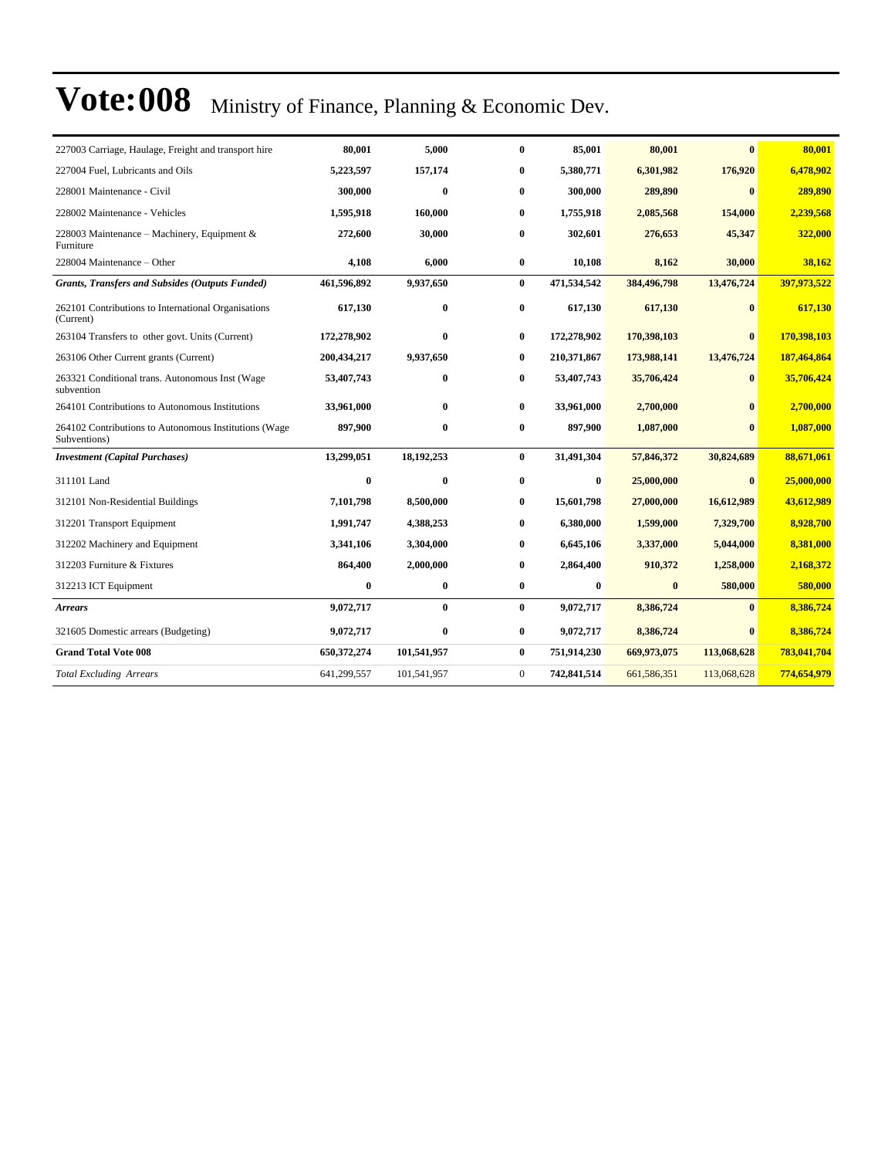| 227003 Carriage, Haulage, Freight and transport hire                  | 80,001      | 5,000        | $\bf{0}$       | 85,001      | 80,001      | $\mathbf{0}$ | 80,001      |
|-----------------------------------------------------------------------|-------------|--------------|----------------|-------------|-------------|--------------|-------------|
| 227004 Fuel, Lubricants and Oils                                      | 5,223,597   | 157,174      | $\bf{0}$       | 5,380,771   | 6,301,982   | 176,920      | 6.478.902   |
| 228001 Maintenance - Civil                                            | 300,000     | $\mathbf{0}$ | $\bf{0}$       | 300,000     | 289,890     | $\mathbf{0}$ | 289,890     |
| 228002 Maintenance - Vehicles                                         | 1,595,918   | 160,000      | 0              | 1,755,918   | 2,085,568   | 154,000      | 2,239,568   |
| 228003 Maintenance - Machinery, Equipment &<br>Furniture              | 272,600     | 30,000       | 0              | 302,601     | 276,653     | 45,347       | 322,000     |
| 228004 Maintenance - Other                                            | 4,108       | 6,000        | $\bf{0}$       | 10,108      | 8,162       | 30,000       | 38,162      |
| <b>Grants, Transfers and Subsides (Outputs Funded)</b>                | 461,596,892 | 9,937,650    | $\bf{0}$       | 471,534,542 | 384,496,798 | 13,476,724   | 397,973,522 |
| 262101 Contributions to International Organisations<br>(Current)      | 617,130     | $\bf{0}$     | $\bf{0}$       | 617,130     | 617,130     | $\mathbf{0}$ | 617,130     |
| 263104 Transfers to other govt. Units (Current)                       | 172,278,902 | $\bf{0}$     | $\bf{0}$       | 172,278,902 | 170,398,103 | $\mathbf{0}$ | 170,398,103 |
| 263106 Other Current grants (Current)                                 | 200,434,217 | 9,937,650    | $\bf{0}$       | 210,371,867 | 173,988,141 | 13,476,724   | 187,464,864 |
| 263321 Conditional trans. Autonomous Inst (Wage<br>subvention         | 53,407,743  | $\bf{0}$     | $\bf{0}$       | 53,407,743  | 35,706,424  | $\bf{0}$     | 35,706,424  |
| 264101 Contributions to Autonomous Institutions                       | 33,961,000  | $\bf{0}$     | $\bf{0}$       | 33,961,000  | 2,700,000   | $\mathbf{0}$ | 2,700,000   |
| 264102 Contributions to Autonomous Institutions (Wage<br>Subventions) | 897,900     | $\bf{0}$     | $\bf{0}$       | 897,900     | 1,087,000   | $\mathbf{0}$ | 1,087,000   |
| <b>Investment</b> (Capital Purchases)                                 | 13,299,051  | 18,192,253   | $\bf{0}$       | 31,491,304  | 57,846,372  | 30,824,689   | 88,671,061  |
| 311101 Land                                                           | $\bf{0}$    | $\bf{0}$     | $\bf{0}$       | $\bf{0}$    | 25,000,000  | $\bf{0}$     | 25,000,000  |
| 312101 Non-Residential Buildings                                      | 7.101.798   | 8,500,000    | $\bf{0}$       | 15,601,798  | 27,000,000  | 16,612,989   | 43,612,989  |
| 312201 Transport Equipment                                            | 1,991,747   | 4,388,253    | 0              | 6,380,000   | 1,599,000   | 7,329,700    | 8,928,700   |
| 312202 Machinery and Equipment                                        | 3,341,106   | 3,304,000    | 0              | 6,645,106   | 3,337,000   | 5,044,000    | 8,381,000   |
| 312203 Furniture & Fixtures                                           | 864,400     | 2,000,000    | 0              | 2,864,400   | 910,372     | 1,258,000    | 2,168,372   |
| 312213 ICT Equipment                                                  | $\bf{0}$    | $\bf{0}$     | $\bf{0}$       | $\bf{0}$    | $\bf{0}$    | 580,000      | 580,000     |
| Arrears                                                               | 9,072,717   | $\bf{0}$     | $\bf{0}$       | 9,072,717   | 8,386,724   | $\bf{0}$     | 8,386,724   |
| 321605 Domestic arrears (Budgeting)                                   | 9,072,717   | $\bf{0}$     | $\bf{0}$       | 9,072,717   | 8,386,724   | $\bf{0}$     | 8,386,724   |
| <b>Grand Total Vote 008</b>                                           | 650,372,274 | 101,541,957  | $\bf{0}$       | 751,914,230 | 669,973,075 | 113,068,628  | 783,041,704 |
| <b>Total Excluding Arrears</b>                                        | 641,299,557 | 101,541,957  | $\overline{0}$ | 742,841,514 | 661,586,351 | 113,068,628  | 774,654,979 |
|                                                                       |             |              |                |             |             |              |             |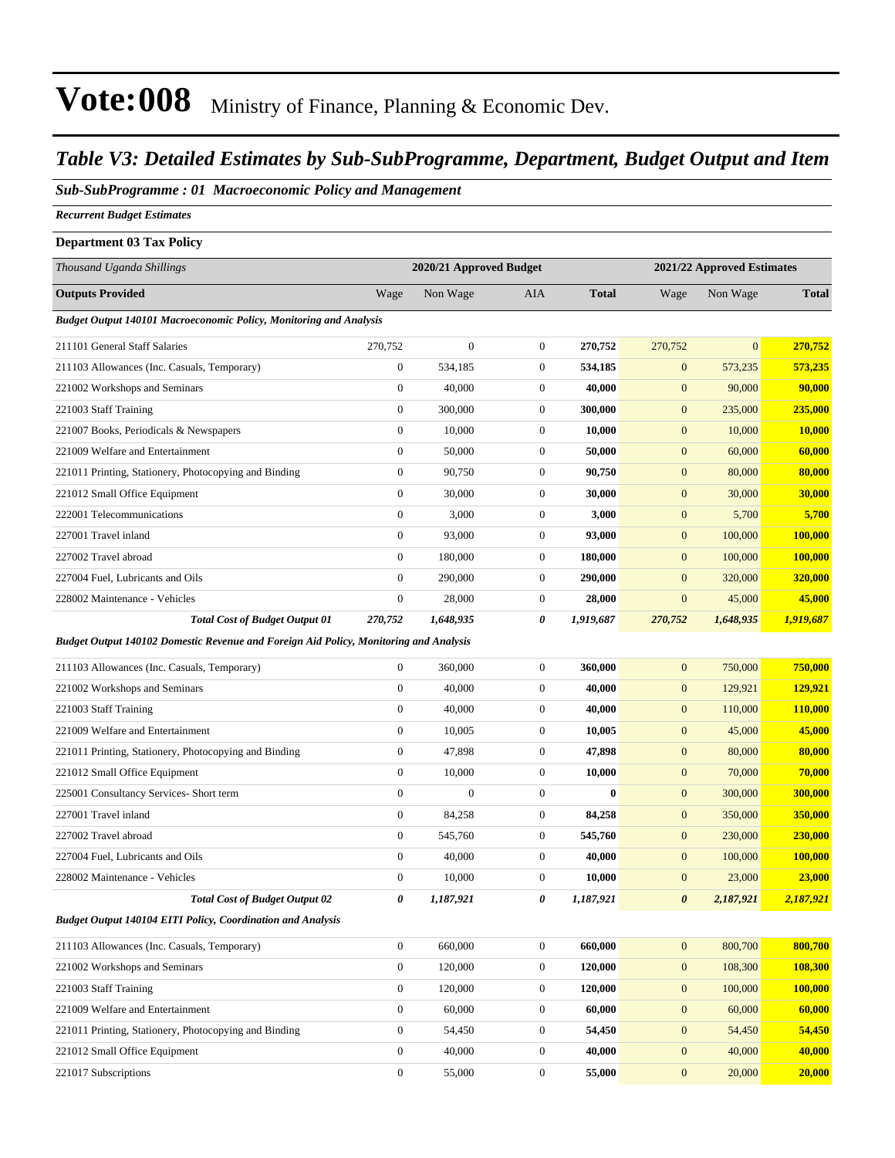#### *Table V3: Detailed Estimates by Sub-SubProgramme, Department, Budget Output and Item*

#### *Sub-SubProgramme : 01 Macroeconomic Policy and Management*

*Recurrent Budget Estimates*

#### **Department 03 Tax Policy**

| Thousand Uganda Shillings                                                                    |                  | 2020/21 Approved Budget |                  |              |                       | 2021/22 Approved Estimates |                |
|----------------------------------------------------------------------------------------------|------------------|-------------------------|------------------|--------------|-----------------------|----------------------------|----------------|
| <b>Outputs Provided</b>                                                                      | Wage             | Non Wage                | <b>AIA</b>       | <b>Total</b> | Wage                  | Non Wage                   | <b>Total</b>   |
| <b>Budget Output 140101 Macroeconomic Policy, Monitoring and Analysis</b>                    |                  |                         |                  |              |                       |                            |                |
| 211101 General Staff Salaries                                                                | 270,752          | $\boldsymbol{0}$        | $\mathbf{0}$     | 270,752      | 270,752               | $\overline{0}$             | 270,752        |
| 211103 Allowances (Inc. Casuals, Temporary)                                                  | $\boldsymbol{0}$ | 534,185                 | $\boldsymbol{0}$ | 534,185      | $\mathbf{0}$          | 573,235                    | 573,235        |
| 221002 Workshops and Seminars                                                                | $\boldsymbol{0}$ | 40,000                  | $\mathbf{0}$     | 40,000       | $\mathbf{0}$          | 90,000                     | 90,000         |
| 221003 Staff Training                                                                        | $\boldsymbol{0}$ | 300,000                 | $\mathbf{0}$     | 300,000      | $\mathbf{0}$          | 235,000                    | <b>235,000</b> |
| 221007 Books, Periodicals & Newspapers                                                       | $\boldsymbol{0}$ | 10,000                  | $\mathbf{0}$     | 10,000       | $\boldsymbol{0}$      | 10,000                     | 10,000         |
| 221009 Welfare and Entertainment                                                             | $\boldsymbol{0}$ | 50,000                  | $\mathbf{0}$     | 50,000       | $\mathbf{0}$          | 60,000                     | 60,000         |
| 221011 Printing, Stationery, Photocopying and Binding                                        | $\boldsymbol{0}$ | 90,750                  | $\mathbf{0}$     | 90,750       | $\mathbf{0}$          | 80,000                     | 80,000         |
| 221012 Small Office Equipment                                                                | $\boldsymbol{0}$ | 30,000                  | $\mathbf{0}$     | 30,000       | $\mathbf{0}$          | 30,000                     | 30,000         |
| 222001 Telecommunications                                                                    | $\boldsymbol{0}$ | 3,000                   | $\boldsymbol{0}$ | 3,000        | $\mathbf{0}$          | 5,700                      | 5,700          |
| 227001 Travel inland                                                                         | $\boldsymbol{0}$ | 93,000                  | $\mathbf{0}$     | 93,000       | $\boldsymbol{0}$      | 100,000                    | 100,000        |
| 227002 Travel abroad                                                                         | $\boldsymbol{0}$ | 180,000                 | $\mathbf{0}$     | 180,000      | $\mathbf{0}$          | 100,000                    | 100,000        |
| 227004 Fuel, Lubricants and Oils                                                             | $\boldsymbol{0}$ | 290,000                 | $\mathbf{0}$     | 290,000      | $\mathbf{0}$          | 320,000                    | 320,000        |
| 228002 Maintenance - Vehicles                                                                | $\boldsymbol{0}$ | 28,000                  | $\mathbf{0}$     | 28,000       | $\boldsymbol{0}$      | 45,000                     | 45,000         |
| <b>Total Cost of Budget Output 01</b>                                                        | 270,752          | 1,648,935               | 0                | 1,919,687    | 270,752               | 1,648,935                  | 1,919,687      |
| <b>Budget Output 140102 Domestic Revenue and Foreign Aid Policy, Monitoring and Analysis</b> |                  |                         |                  |              |                       |                            |                |
| 211103 Allowances (Inc. Casuals, Temporary)                                                  | $\boldsymbol{0}$ | 360,000                 | $\mathbf{0}$     | 360,000      | $\mathbf{0}$          | 750,000                    | 750,000        |
| 221002 Workshops and Seminars                                                                | $\boldsymbol{0}$ | 40,000                  | $\boldsymbol{0}$ | 40,000       | $\boldsymbol{0}$      | 129,921                    | 129,921        |
| 221003 Staff Training                                                                        | $\boldsymbol{0}$ | 40,000                  | $\boldsymbol{0}$ | 40,000       | $\mathbf{0}$          | 110,000                    | <b>110,000</b> |
| 221009 Welfare and Entertainment                                                             | $\boldsymbol{0}$ | 10,005                  | $\mathbf{0}$     | 10,005       | $\mathbf{0}$          | 45,000                     | 45,000         |
| 221011 Printing, Stationery, Photocopying and Binding                                        | $\boldsymbol{0}$ | 47,898                  | $\mathbf{0}$     | 47,898       | $\mathbf{0}$          | 80,000                     | 80,000         |
| 221012 Small Office Equipment                                                                | $\boldsymbol{0}$ | 10,000                  | $\mathbf{0}$     | 10,000       | $\boldsymbol{0}$      | 70,000                     | 70,000         |
| 225001 Consultancy Services- Short term                                                      | $\overline{0}$   | $\boldsymbol{0}$        | $\boldsymbol{0}$ | $\bf{0}$     | $\boldsymbol{0}$      | 300,000                    | 300,000        |
| 227001 Travel inland                                                                         | $\boldsymbol{0}$ | 84,258                  | $\mathbf{0}$     | 84,258       | $\mathbf{0}$          | 350,000                    | <b>350,000</b> |
| 227002 Travel abroad                                                                         | $\boldsymbol{0}$ | 545,760                 | $\mathbf{0}$     | 545,760      | $\boldsymbol{0}$      | 230,000                    | 230,000        |
| 227004 Fuel, Lubricants and Oils                                                             | $\boldsymbol{0}$ | 40,000                  | $\mathbf{0}$     | 40,000       | $\mathbf{0}$          | 100,000                    | 100,000        |
| 228002 Maintenance - Vehicles                                                                | $\boldsymbol{0}$ | 10,000                  | $\mathbf{0}$     | 10,000       | $\mathbf{0}$          | 23,000                     | 23,000         |
| <b>Total Cost of Budget Output 02</b>                                                        | 0                | 1,187,921               | 0                | 1,187,921    | $\boldsymbol{\theta}$ | 2,187,921                  | 2,187,921      |
| Budget Output 140104 EITI Policy, Coordination and Analysis                                  |                  |                         |                  |              |                       |                            |                |
| 211103 Allowances (Inc. Casuals, Temporary)                                                  | $\boldsymbol{0}$ | 660,000                 | $\boldsymbol{0}$ | 660,000      | $\mathbf{0}$          | 800,700                    | 800,700        |
| 221002 Workshops and Seminars                                                                | $\boldsymbol{0}$ | 120,000                 | $\boldsymbol{0}$ | 120,000      | $\boldsymbol{0}$      | 108,300                    | 108,300        |
| 221003 Staff Training                                                                        | $\mathbf{0}$     | 120,000                 | $\boldsymbol{0}$ | 120,000      | $\mathbf{0}$          | 100,000                    | 100,000        |
| 221009 Welfare and Entertainment                                                             | $\boldsymbol{0}$ | 60,000                  | $\boldsymbol{0}$ | 60,000       | $\boldsymbol{0}$      | 60,000                     | 60,000         |
| 221011 Printing, Stationery, Photocopying and Binding                                        | $\boldsymbol{0}$ | 54,450                  | $\boldsymbol{0}$ | 54,450       | $\mathbf{0}$          | 54,450                     | 54,450         |
| 221012 Small Office Equipment                                                                | $\boldsymbol{0}$ | 40,000                  | $\boldsymbol{0}$ | 40,000       | $\mathbf{0}$          | 40,000                     | 40,000         |
| 221017 Subscriptions                                                                         | $\boldsymbol{0}$ | 55,000                  | $\boldsymbol{0}$ | 55,000       | $\boldsymbol{0}$      | 20,000                     | 20,000         |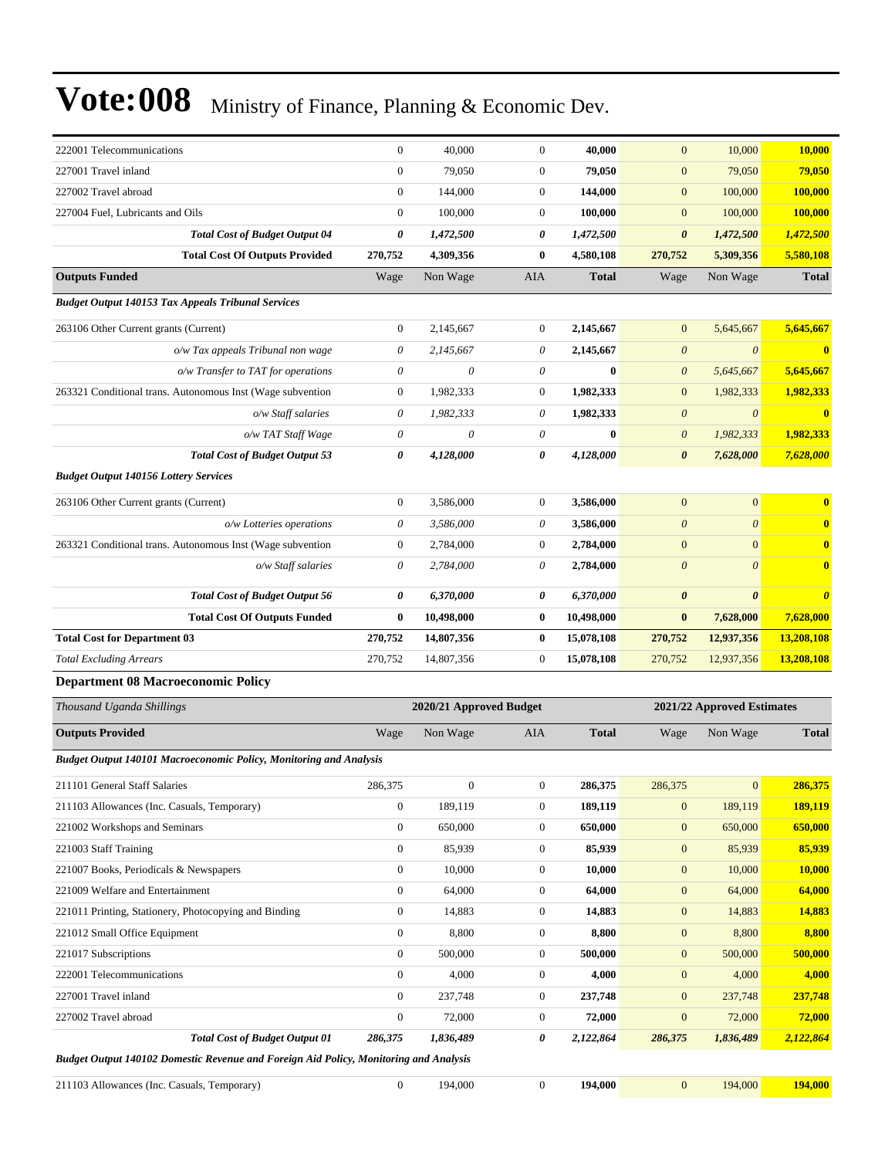| 222001 Telecommunications                                                                    | $\boldsymbol{0}$                     | 40,000                    | $\boldsymbol{0}$                     | 40,000           | $\mathbf{0}$                         | 10,000                     | 10,000                |
|----------------------------------------------------------------------------------------------|--------------------------------------|---------------------------|--------------------------------------|------------------|--------------------------------------|----------------------------|-----------------------|
| 227001 Travel inland                                                                         | $\boldsymbol{0}$                     | 79,050                    | $\mathbf{0}$                         | 79,050           | $\boldsymbol{0}$                     | 79,050                     | 79,050                |
| 227002 Travel abroad                                                                         | $\boldsymbol{0}$                     | 144,000                   | $\boldsymbol{0}$                     | 144,000          | $\boldsymbol{0}$                     | 100,000                    | 100,000               |
| 227004 Fuel, Lubricants and Oils                                                             | $\boldsymbol{0}$                     | 100,000                   | $\mathbf{0}$                         | 100,000          | $\boldsymbol{0}$                     | 100,000                    | 100,000               |
| <b>Total Cost of Budget Output 04</b>                                                        | 0                                    | 1,472,500                 | 0                                    | 1,472,500        | $\pmb{\theta}$                       | 1,472,500                  | 1,472,500             |
| <b>Total Cost Of Outputs Provided</b>                                                        | 270,752                              | 4,309,356                 | $\bf{0}$                             | 4,580,108        | 270,752                              | 5,309,356                  | 5,580,108             |
| <b>Outputs Funded</b>                                                                        | Wage                                 | Non Wage                  | AIA                                  | <b>Total</b>     | Wage                                 | Non Wage                   | <b>Total</b>          |
| <b>Budget Output 140153 Tax Appeals Tribunal Services</b>                                    |                                      |                           |                                      |                  |                                      |                            |                       |
| 263106 Other Current grants (Current)                                                        | $\boldsymbol{0}$                     | 2,145,667                 | $\boldsymbol{0}$                     | 2,145,667        | $\mathbf{0}$                         | 5,645,667                  | 5,645,667             |
| o/w Tax appeals Tribunal non wage                                                            | $\theta$                             | 2,145,667                 | 0                                    | 2,145,667        | $\boldsymbol{\theta}$                | $\boldsymbol{\theta}$      | $\bf{0}$              |
| o/w Transfer to TAT for operations                                                           | $\theta$                             | $\theta$                  | 0                                    | $\bf{0}$         | $\boldsymbol{\theta}$                | 5,645,667                  | 5,645,667             |
| 263321 Conditional trans. Autonomous Inst (Wage subvention                                   | $\boldsymbol{0}$                     | 1,982,333                 | $\boldsymbol{0}$                     | 1,982,333        | $\boldsymbol{0}$                     | 1,982,333                  | 1,982,333             |
| o/w Staff salaries                                                                           | $\theta$                             | 1,982,333                 | 0                                    | 1,982,333        | $\boldsymbol{\theta}$                | $\boldsymbol{0}$           | $\bf{0}$              |
| o/w TAT Staff Wage                                                                           | $\boldsymbol{\mathit{0}}$            | $\boldsymbol{\mathit{0}}$ | 0                                    | $\bf{0}$         | $\boldsymbol{\theta}$                | 1,982,333                  | 1,982,333             |
| <b>Total Cost of Budget Output 53</b>                                                        | 0                                    | 4,128,000                 | 0                                    | 4,128,000        | $\boldsymbol{\theta}$                | 7,628,000                  | 7,628,000             |
| <b>Budget Output 140156 Lottery Services</b>                                                 |                                      |                           |                                      |                  |                                      |                            |                       |
| 263106 Other Current grants (Current)                                                        | $\boldsymbol{0}$                     | 3,586,000                 | $\mathbf{0}$                         | 3,586,000        | $\boldsymbol{0}$                     | $\boldsymbol{0}$           | $\bf{0}$              |
| o/w Lotteries operations                                                                     | $\theta$                             | 3,586,000                 | 0                                    | 3,586,000        | $\boldsymbol{\theta}$                | $\boldsymbol{\theta}$      | $\bf{0}$              |
| 263321 Conditional trans. Autonomous Inst (Wage subvention                                   | $\boldsymbol{0}$                     | 2,784,000                 | $\boldsymbol{0}$                     | 2,784,000        | $\mathbf{0}$                         | $\mathbf{0}$               | $\bf{0}$              |
| o/w Staff salaries                                                                           | $\theta$                             | 2,784,000                 | 0                                    | 2,784,000        | $\boldsymbol{\theta}$                | $\boldsymbol{\theta}$      | $\bf{0}$              |
| <b>Total Cost of Budget Output 56</b>                                                        | 0                                    | 6,370,000                 | 0                                    | 6,370,000        | $\pmb{\theta}$                       | $\boldsymbol{\theta}$      | $\boldsymbol{\theta}$ |
| <b>Total Cost Of Outputs Funded</b>                                                          | $\bf{0}$                             | 10,498,000                | $\bf{0}$                             | 10,498,000       | $\bf{0}$                             | 7,628,000                  | 7,628,000             |
| <b>Total Cost for Department 03</b>                                                          | 270,752                              | 14,807,356                | $\bf{0}$                             | 15,078,108       | 270,752                              | 12,937,356                 | 13,208,108            |
| <b>Total Excluding Arrears</b>                                                               | 270,752                              | 14,807,356                | $\boldsymbol{0}$                     | 15,078,108       | 270,752                              | 12,937,356                 | 13,208,108            |
| <b>Department 08 Macroeconomic Policy</b>                                                    |                                      |                           |                                      |                  |                                      |                            |                       |
| Thousand Uganda Shillings                                                                    |                                      | 2020/21 Approved Budget   |                                      |                  |                                      | 2021/22 Approved Estimates |                       |
| <b>Outputs Provided</b>                                                                      | Wage                                 | Non Wage                  | AIA                                  | <b>Total</b>     | Wage                                 | Non Wage                   | <b>Total</b>          |
| <b>Budget Output 140101 Macroeconomic Policy, Monitoring and Analysis</b>                    |                                      |                           |                                      |                  |                                      |                            |                       |
|                                                                                              |                                      |                           |                                      |                  |                                      |                            |                       |
| 211101 General Staff Salaries                                                                | 286,375                              | $\mathbf{0}$              | $\boldsymbol{0}$                     | 286,375          | 286,375                              | $\mathbf{0}$               | 286,375               |
| 211103 Allowances (Inc. Casuals, Temporary)                                                  | $\boldsymbol{0}$                     | 189,119                   | $\boldsymbol{0}$                     | 189,119          | $\boldsymbol{0}$                     | 189,119                    | 189,119               |
| 221002 Workshops and Seminars                                                                | $\boldsymbol{0}$                     | 650,000                   | $\boldsymbol{0}$                     | 650,000          | $\boldsymbol{0}$                     | 650,000                    | 650,000               |
| 221003 Staff Training                                                                        | $\boldsymbol{0}$                     | 85,939                    | $\boldsymbol{0}$                     | 85,939           | $\boldsymbol{0}$                     | 85,939                     | 85,939                |
| 221007 Books, Periodicals & Newspapers                                                       | $\boldsymbol{0}$                     | 10,000                    | $\boldsymbol{0}$                     | 10,000           | $\boldsymbol{0}$                     | 10,000                     | 10,000                |
| 221009 Welfare and Entertainment                                                             | $\boldsymbol{0}$                     | 64,000                    | $\boldsymbol{0}$                     | 64,000           | $\boldsymbol{0}$                     | 64,000                     | 64,000                |
| 221011 Printing, Stationery, Photocopying and Binding                                        | $\boldsymbol{0}$                     | 14,883                    | $\boldsymbol{0}$                     | 14,883           | $\boldsymbol{0}$                     | 14,883                     | 14,883                |
| 221012 Small Office Equipment                                                                | $\boldsymbol{0}$                     | 8,800                     | $\boldsymbol{0}$                     | 8,800            | $\boldsymbol{0}$                     | 8,800                      | 8,800                 |
| 221017 Subscriptions                                                                         | $\boldsymbol{0}$<br>$\boldsymbol{0}$ | 500,000                   | $\boldsymbol{0}$                     | 500,000          | $\boldsymbol{0}$                     | 500,000                    | 500,000               |
| 222001 Telecommunications<br>227001 Travel inland                                            | $\boldsymbol{0}$                     | 4,000<br>237,748          | $\boldsymbol{0}$<br>$\boldsymbol{0}$ | 4,000<br>237,748 | $\boldsymbol{0}$<br>$\boldsymbol{0}$ | 4,000<br>237,748           | 4,000<br>237,748      |
| 227002 Travel abroad                                                                         | $\boldsymbol{0}$                     | 72,000                    | $\boldsymbol{0}$                     | 72,000           | $\boldsymbol{0}$                     | 72,000                     | 72,000                |
| <b>Total Cost of Budget Output 01</b>                                                        | 286,375                              | 1,836,489                 | 0                                    | 2,122,864        | 286,375                              | 1,836,489                  | 2,122,864             |
| <b>Budget Output 140102 Domestic Revenue and Foreign Aid Policy, Monitoring and Analysis</b> |                                      |                           |                                      |                  |                                      |                            |                       |
| 211103 Allowances (Inc. Casuals, Temporary)                                                  |                                      | 194,000                   | $\boldsymbol{0}$                     | 194,000          | $\mathbf{0}$                         | 194,000                    | 194,000               |
|                                                                                              | $\overline{0}$                       |                           |                                      |                  |                                      |                            |                       |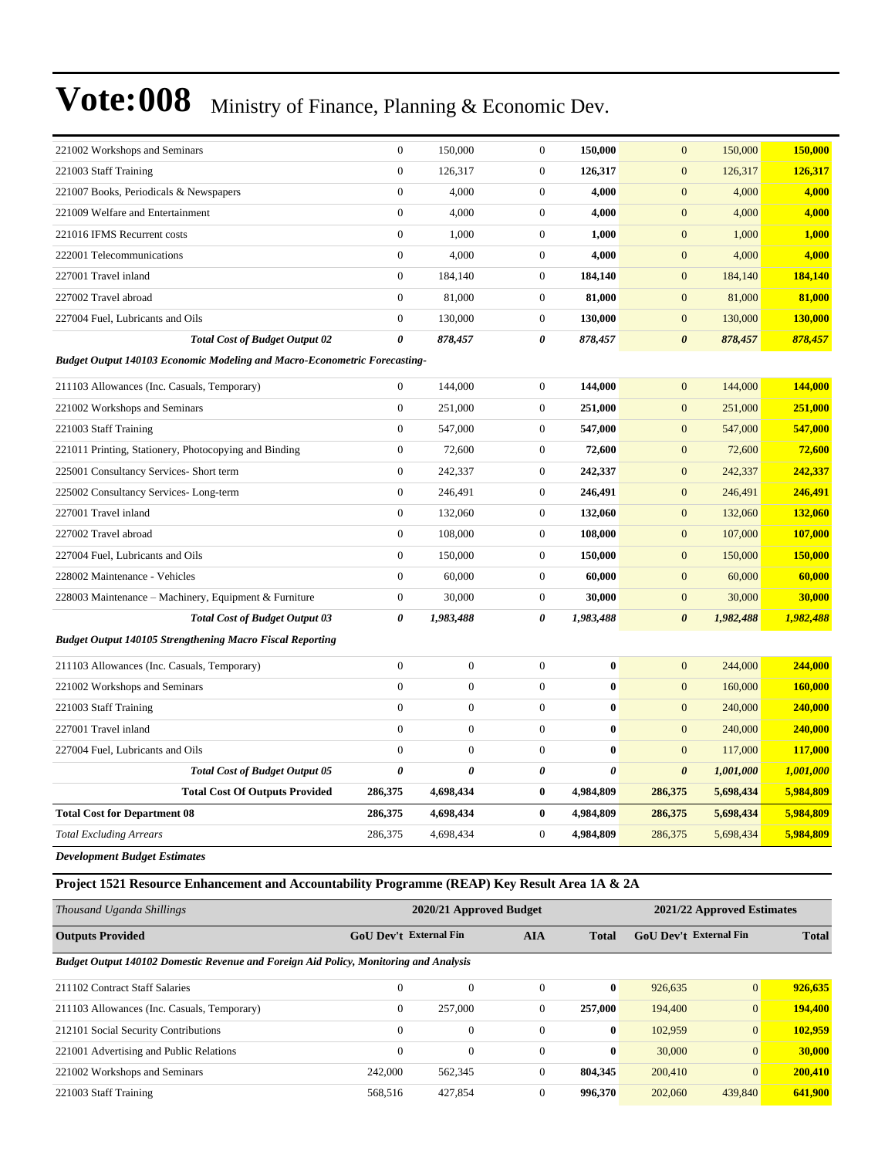| 221002 Workshops and Seminars                                                    | $\overline{0}$   | 150,000               | $\boldsymbol{0}$ | 150,000               | $\boldsymbol{0}$      | 150,000   | 150,000   |
|----------------------------------------------------------------------------------|------------------|-----------------------|------------------|-----------------------|-----------------------|-----------|-----------|
| 221003 Staff Training                                                            | $\overline{0}$   | 126,317               | $\boldsymbol{0}$ | 126,317               | $\mathbf{0}$          | 126,317   | 126,317   |
| 221007 Books, Periodicals & Newspapers                                           | $\overline{0}$   | 4,000                 | $\boldsymbol{0}$ | 4,000                 | $\mathbf{0}$          | 4,000     | 4,000     |
| 221009 Welfare and Entertainment                                                 | $\boldsymbol{0}$ | 4,000                 | $\boldsymbol{0}$ | 4,000                 | $\mathbf{0}$          | 4,000     | 4,000     |
| 221016 IFMS Recurrent costs                                                      | $\boldsymbol{0}$ | 1,000                 | $\boldsymbol{0}$ | 1,000                 | $\mathbf{0}$          | 1,000     | 1,000     |
| 222001 Telecommunications                                                        | $\overline{0}$   | 4,000                 | $\boldsymbol{0}$ | 4,000                 | $\mathbf{0}$          | 4,000     | 4,000     |
| 227001 Travel inland                                                             | $\overline{0}$   | 184,140               | $\boldsymbol{0}$ | 184,140               | $\mathbf{0}$          | 184,140   | 184,140   |
| 227002 Travel abroad                                                             | $\overline{0}$   | 81,000                | $\boldsymbol{0}$ | 81,000                | $\mathbf{0}$          | 81,000    | 81,000    |
| 227004 Fuel, Lubricants and Oils                                                 | $\overline{0}$   | 130,000               | $\boldsymbol{0}$ | 130,000               | $\mathbf{0}$          | 130,000   | 130,000   |
| <b>Total Cost of Budget Output 02</b>                                            | $\theta$         | 878,457               | $\pmb{\theta}$   | 878,457               | $\boldsymbol{\theta}$ | 878,457   | 878,457   |
| <b>Budget Output 140103 Economic Modeling and Macro-Econometric Forecasting-</b> |                  |                       |                  |                       |                       |           |           |
| 211103 Allowances (Inc. Casuals, Temporary)                                      | $\overline{0}$   | 144,000               | $\boldsymbol{0}$ | 144,000               | $\mathbf{0}$          | 144,000   | 144,000   |
| 221002 Workshops and Seminars                                                    | $\boldsymbol{0}$ | 251,000               | $\boldsymbol{0}$ | 251,000               | $\mathbf{0}$          | 251,000   | 251,000   |
| 221003 Staff Training                                                            | $\boldsymbol{0}$ | 547,000               | $\boldsymbol{0}$ | 547,000               | $\overline{0}$        | 547,000   | 547,000   |
| 221011 Printing, Stationery, Photocopying and Binding                            | $\overline{0}$   | 72,600                | $\boldsymbol{0}$ | 72,600                | $\boldsymbol{0}$      | 72,600    | 72,600    |
| 225001 Consultancy Services- Short term                                          | $\boldsymbol{0}$ | 242,337               | $\boldsymbol{0}$ | 242,337               | $\mathbf{0}$          | 242,337   | 242,337   |
| 225002 Consultancy Services-Long-term                                            | $\boldsymbol{0}$ | 246,491               | $\boldsymbol{0}$ | 246,491               | $\mathbf{0}$          | 246,491   | 246,491   |
| 227001 Travel inland                                                             | $\overline{0}$   | 132,060               | $\boldsymbol{0}$ | 132,060               | $\boldsymbol{0}$      | 132,060   | 132,060   |
| 227002 Travel abroad                                                             | $\boldsymbol{0}$ | 108,000               | $\boldsymbol{0}$ | 108,000               | $\mathbf{0}$          | 107,000   | 107,000   |
| 227004 Fuel, Lubricants and Oils                                                 | $\boldsymbol{0}$ | 150,000               | $\boldsymbol{0}$ | 150,000               | $\mathbf{0}$          | 150,000   | 150,000   |
| 228002 Maintenance - Vehicles                                                    | $\overline{0}$   | 60,000                | $\boldsymbol{0}$ | 60,000                | $\boldsymbol{0}$      | 60,000    | 60,000    |
| 228003 Maintenance – Machinery, Equipment & Furniture                            | $\boldsymbol{0}$ | 30,000                | $\boldsymbol{0}$ | 30,000                | $\mathbf{0}$          | 30,000    | 30,000    |
| <b>Total Cost of Budget Output 03</b>                                            | 0                | 1,983,488             | $\pmb{\theta}$   | 1,983,488             | $\boldsymbol{\theta}$ | 1,982,488 | 1,982,488 |
| <b>Budget Output 140105 Strengthening Macro Fiscal Reporting</b>                 |                  |                       |                  |                       |                       |           |           |
| 211103 Allowances (Inc. Casuals, Temporary)                                      | $\overline{0}$   | $\overline{0}$        | $\boldsymbol{0}$ | $\bf{0}$              | $\mathbf{0}$          | 244,000   | 244,000   |
| 221002 Workshops and Seminars                                                    | $\overline{0}$   | $\boldsymbol{0}$      | $\boldsymbol{0}$ | $\bf{0}$              | $\mathbf{0}$          | 160,000   | 160,000   |
| 221003 Staff Training                                                            | $\overline{0}$   | $\mathbf{0}$          | $\boldsymbol{0}$ | $\bf{0}$              | $\mathbf{0}$          | 240,000   | 240,000   |
| 227001 Travel inland                                                             | $\overline{0}$   | $\overline{0}$        | $\boldsymbol{0}$ | $\bf{0}$              | $\mathbf{0}$          | 240,000   | 240,000   |
| 227004 Fuel, Lubricants and Oils                                                 | $\boldsymbol{0}$ | $\boldsymbol{0}$      | $\boldsymbol{0}$ | $\bf{0}$              | $\mathbf{0}$          | 117,000   | 117,000   |
| <b>Total Cost of Budget Output 05</b>                                            | 0                | $\boldsymbol{\theta}$ | $\pmb{\theta}$   | $\boldsymbol{\theta}$ | $\pmb{\theta}$        | 1,001,000 | 1,001,000 |
| <b>Total Cost Of Outputs Provided</b>                                            | 286,375          | 4,698,434             | $\bf{0}$         | 4,984,809             | 286,375               | 5,698,434 | 5,984,809 |
| <b>Total Cost for Department 08</b>                                              | 286,375          | 4,698,434             | $\pmb{0}$        | 4,984,809             | 286,375               | 5,698,434 | 5,984,809 |
| <b>Total Excluding Arrears</b>                                                   | 286,375          | 4,698,434             | $\mathbf{0}$     | 4,984,809             | 286,375               | 5,698,434 | 5,984,809 |
|                                                                                  |                  |                       |                  |                       |                       |           |           |

*Development Budget Estimates*

**Project 1521 Resource Enhancement and Accountability Programme (REAP) Key Result Area 1A & 2A**

| Thousand Uganda Shillings                                                             |                                                             | 2020/21 Approved Budget |          |              |                               | 2021/22 Approved Estimates |         |  |  |
|---------------------------------------------------------------------------------------|-------------------------------------------------------------|-------------------------|----------|--------------|-------------------------------|----------------------------|---------|--|--|
| <b>Outputs Provided</b>                                                               | <b>GoU Dev't External Fin</b><br><b>AIA</b><br><b>Total</b> |                         |          |              | <b>GoU Dev't External Fin</b> |                            |         |  |  |
| Budget Output 140102 Domestic Revenue and Foreign Aid Policy, Monitoring and Analysis |                                                             |                         |          |              |                               |                            |         |  |  |
| 211102 Contract Staff Salaries                                                        | $\Omega$                                                    | $\overline{0}$          | $\Omega$ | $\mathbf{0}$ | 926.635                       | $\overline{0}$             | 926,635 |  |  |
| 211103 Allowances (Inc. Casuals, Temporary)                                           | $\mathbf{0}$                                                | 257,000                 | $\Omega$ | 257,000      | 194,400                       | $\overline{0}$             | 194,400 |  |  |
| 212101 Social Security Contributions                                                  | $\Omega$                                                    | $\mathbf{0}$            | $\Omega$ | $\bf{0}$     | 102.959                       | $\overline{0}$             | 102.959 |  |  |
| 221001 Advertising and Public Relations                                               | $\mathbf{0}$                                                | $\overline{0}$          | $\Omega$ | $\mathbf{0}$ | 30,000                        | $\mathbf{0}$               | 30,000  |  |  |
| 221002 Workshops and Seminars                                                         | 242,000                                                     | 562,345                 | $\Omega$ | 804.345      | 200,410                       | $\overline{0}$             | 200,410 |  |  |
| 221003 Staff Training                                                                 | 568.516                                                     | 427,854                 | $\Omega$ | 996.370      | 202,060                       | 439,840                    | 641,900 |  |  |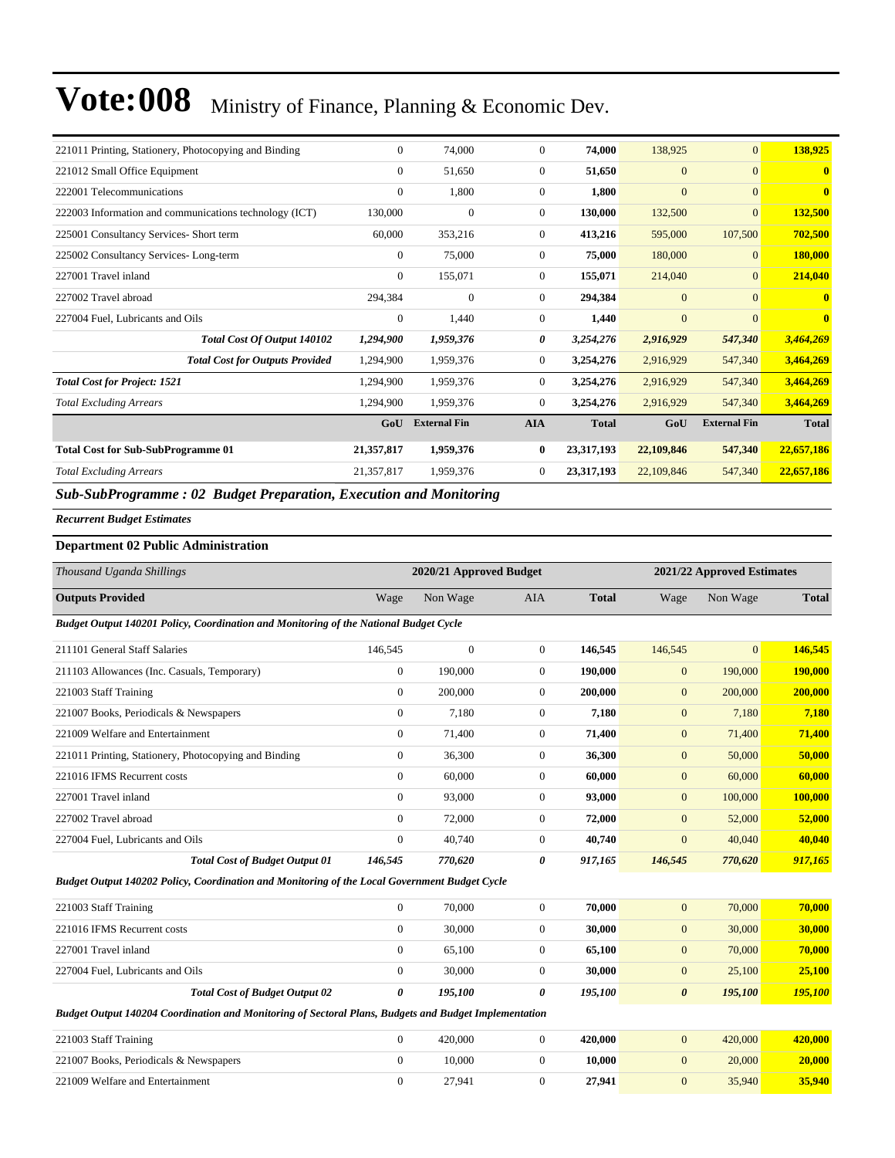| 221011 Printing, Stationery, Photocopying and Binding                         | $\theta$     | 74,000              | $\mathbf{0}$     | 74,000       | 138,925        | $\mathbf{0}$        | 138,925      |
|-------------------------------------------------------------------------------|--------------|---------------------|------------------|--------------|----------------|---------------------|--------------|
| 221012 Small Office Equipment                                                 | $\Omega$     | 51,650              | $\mathbf{0}$     | 51,650       | $\mathbf{0}$   | $\Omega$            | $\mathbf{0}$ |
| 222001 Telecommunications                                                     | $\Omega$     | 1,800               | $\boldsymbol{0}$ | 1,800        | $\mathbf{0}$   | $\mathbf{0}$        | $\mathbf{0}$ |
| 222003 Information and communications technology (ICT)                        | 130,000      | $\theta$            | $\mathbf{0}$     | 130,000      | 132,500        | $\Omega$            | 132,500      |
| 225001 Consultancy Services- Short term                                       | 60,000       | 353,216             | $\boldsymbol{0}$ | 413,216      | 595,000        | 107,500             | 702,500      |
| 225002 Consultancy Services-Long-term                                         | $\mathbf{0}$ | 75,000              | $\boldsymbol{0}$ | 75,000       | 180,000        | $\mathbf{0}$        | 180,000      |
| 227001 Travel inland                                                          | $\mathbf{0}$ | 155,071             | $\boldsymbol{0}$ | 155,071      | 214,040        | $\Omega$            | 214,040      |
| 227002 Travel abroad                                                          | 294,384      | $\mathbf{0}$        | $\boldsymbol{0}$ | 294,384      | $\overline{0}$ | $\Omega$            | $\mathbf{0}$ |
| 227004 Fuel, Lubricants and Oils                                              | $\Omega$     | 1,440               | $\boldsymbol{0}$ | 1,440        | $\overline{0}$ | $\Omega$            |              |
| Total Cost Of Output 140102                                                   | 1,294,900    | 1,959,376           | 0                | 3,254,276    | 2,916,929      | 547,340             | 3,464,269    |
| <b>Total Cost for Outputs Provided</b>                                        | 1,294,900    | 1,959,376           | $\boldsymbol{0}$ | 3,254,276    | 2,916,929      | 547,340             | 3,464,269    |
| <b>Total Cost for Project: 1521</b>                                           | 1,294,900    | 1,959,376           | $\mathbf{0}$     | 3,254,276    | 2,916,929      | 547,340             | 3,464,269    |
| <b>Total Excluding Arrears</b>                                                | 1,294,900    | 1,959,376           | $\mathbf{0}$     | 3,254,276    | 2,916,929      | 547,340             | 3,464,269    |
|                                                                               | GoU          | <b>External Fin</b> | <b>AIA</b>       | <b>Total</b> | GoU            | <b>External Fin</b> | <b>Total</b> |
| <b>Total Cost for Sub-SubProgramme 01</b>                                     | 21,357,817   | 1,959,376           | $\bf{0}$         | 23,317,193   | 22,109,846     | 547,340             | 22,657,186   |
| <b>Total Excluding Arrears</b>                                                | 21,357,817   | 1,959,376           | $\mathbf{0}$     | 23,317,193   | 22,109,846     | 547,340             | 22,657,186   |
| $\alpha$ i $\alpha$ in<br>$\mathbf{a}$ $\mathbf{b}$ $\mathbf{c}$ $\mathbf{c}$ |              | .                   |                  |              |                |                     |              |

*Sub-SubProgramme : 02 Budget Preparation, Execution and Monitoring*

*Recurrent Budget Estimates*

#### **Department 02 Public Administration**

| Thousand Uganda Shillings                                                                             |                | 2020/21 Approved Budget |                |              |                       | 2021/22 Approved Estimates |              |
|-------------------------------------------------------------------------------------------------------|----------------|-------------------------|----------------|--------------|-----------------------|----------------------------|--------------|
| <b>Outputs Provided</b>                                                                               | Wage           | Non Wage                | <b>AIA</b>     | <b>Total</b> | Wage                  | Non Wage                   | <b>Total</b> |
| Budget Output 140201 Policy, Coordination and Monitoring of the National Budget Cycle                 |                |                         |                |              |                       |                            |              |
| 211101 General Staff Salaries                                                                         | 146,545        | $\overline{0}$          | $\overline{0}$ | 146,545      | 146,545               | $\overline{0}$             | 146,545      |
| 211103 Allowances (Inc. Casuals, Temporary)                                                           | $\overline{0}$ | 190,000                 | $\overline{0}$ | 190.000      | $\mathbf{0}$          | 190,000                    | 190,000      |
| 221003 Staff Training                                                                                 | $\overline{0}$ | 200,000                 | $\mathbf{0}$   | 200,000      | $\mathbf{0}$          | 200,000                    | 200,000      |
| 221007 Books, Periodicals & Newspapers                                                                | $\overline{0}$ | 7,180                   | $\mathbf{0}$   | 7,180        | $\mathbf{0}$          | 7,180                      | 7,180        |
| 221009 Welfare and Entertainment                                                                      | $\mathbf{0}$   | 71,400                  | $\mathbf{0}$   | 71,400       | $\overline{0}$        | 71,400                     | 71,400       |
| 221011 Printing, Stationery, Photocopying and Binding                                                 | $\overline{0}$ | 36,300                  | $\overline{0}$ | 36,300       | $\mathbf{0}$          | 50,000                     | 50,000       |
| 221016 IFMS Recurrent costs                                                                           | $\mathbf{0}$   | 60,000                  | $\overline{0}$ | 60,000       | $\mathbf{0}$          | 60,000                     | 60,000       |
| 227001 Travel inland                                                                                  | $\Omega$       | 93,000                  | $\overline{0}$ | 93,000       | $\mathbf{0}$          | 100,000                    | 100,000      |
| 227002 Travel abroad                                                                                  | $\mathbf{0}$   | 72,000                  | $\overline{0}$ | 72,000       | $\mathbf{0}$          | 52,000                     | 52,000       |
| 227004 Fuel, Lubricants and Oils                                                                      | $\mathbf{0}$   | 40,740                  | $\overline{0}$ | 40,740       | $\overline{0}$        | 40,040                     | 40,040       |
| <b>Total Cost of Budget Output 01</b>                                                                 | 146,545        | 770,620                 | 0              | 917,165      | 146,545               | 770,620                    | 917,165      |
| Budget Output 140202 Policy, Coordination and Monitoring of the Local Government Budget Cycle         |                |                         |                |              |                       |                            |              |
| 221003 Staff Training                                                                                 | $\overline{0}$ | 70,000                  | $\overline{0}$ | 70,000       | $\overline{0}$        | 70,000                     | 70,000       |
| 221016 IFMS Recurrent costs                                                                           | $\Omega$       | 30,000                  | $\overline{0}$ | 30,000       | $\mathbf{0}$          | 30,000                     | 30,000       |
| 227001 Travel inland                                                                                  | $\Omega$       | 65,100                  | $\overline{0}$ | 65,100       | $\mathbf{0}$          | 70,000                     | 70,000       |
| 227004 Fuel, Lubricants and Oils                                                                      | $\Omega$       | 30,000                  | $\overline{0}$ | 30,000       | $\mathbf{0}$          | 25,100                     | 25,100       |
| <b>Total Cost of Budget Output 02</b>                                                                 | 0              | 195,100                 | 0              | 195,100      | $\boldsymbol{\theta}$ | 195,100                    | 195,100      |
| Budget Output 140204 Coordination and Monitoring of Sectoral Plans, Budgets and Budget Implementation |                |                         |                |              |                       |                            |              |
| 221003 Staff Training                                                                                 | $\overline{0}$ | 420,000                 | $\overline{0}$ | 420,000      | $\mathbf{0}$          | 420,000                    | 420,000      |
| 221007 Books, Periodicals & Newspapers                                                                | $\mathbf{0}$   | 10,000                  | $\overline{0}$ | 10,000       | $\mathbf{0}$          | 20,000                     | 20,000       |
| 221009 Welfare and Entertainment                                                                      | $\mathbf{0}$   | 27,941                  | $\mathbf{0}$   | 27,941       | $\overline{0}$        | 35,940                     | 35,940       |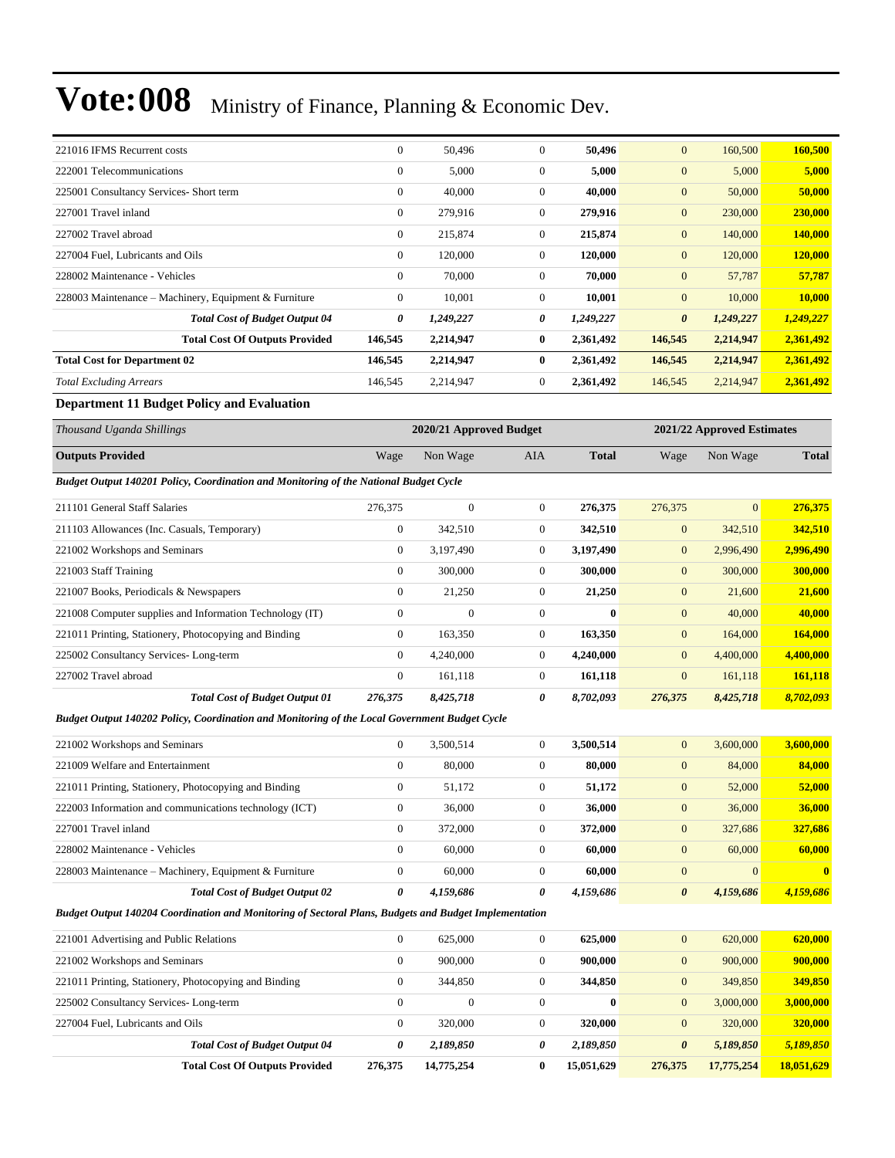| 221016 IFMS Recurrent costs                           | $\overline{0}$ | 50,496    | $\mathbf{0}$   | 50,496    | $\mathbf{0}$          | 160,500   | 160,500   |
|-------------------------------------------------------|----------------|-----------|----------------|-----------|-----------------------|-----------|-----------|
| 222001 Telecommunications                             | $\theta$       | 5,000     | $\mathbf{0}$   | 5,000     | $\mathbf{0}$          | 5,000     | 5,000     |
| 225001 Consultancy Services- Short term               | $\mathbf{0}$   | 40,000    | $\mathbf{0}$   | 40,000    | $\mathbf{0}$          | 50,000    | 50,000    |
| 227001 Travel inland                                  | $\mathbf{0}$   | 279,916   | $\overline{0}$ | 279,916   | $\mathbf{0}$          | 230,000   | 230,000   |
| 227002 Travel abroad                                  | $\mathbf{0}$   | 215,874   | $\overline{0}$ | 215,874   | $\mathbf{0}$          | 140,000   | 140,000   |
| 227004 Fuel, Lubricants and Oils                      | $\mathbf{0}$   | 120,000   | $\overline{0}$ | 120,000   | $\mathbf{0}$          | 120,000   | 120,000   |
| 228002 Maintenance - Vehicles                         | $\mathbf{0}$   | 70,000    | $\mathbf{0}$   | 70,000    | $\mathbf{0}$          | 57,787    | 57,787    |
| 228003 Maintenance – Machinery, Equipment & Furniture | $\mathbf{0}$   | 10,001    | $\overline{0}$ | 10,001    | $\mathbf{0}$          | 10,000    | 10,000    |
| <b>Total Cost of Budget Output 04</b>                 | 0              | 1,249,227 | 0              | 1,249,227 | $\boldsymbol{\theta}$ | 1,249,227 | 1,249,227 |
| <b>Total Cost Of Outputs Provided</b>                 | 146,545        | 2,214,947 | $\bf{0}$       | 2,361,492 | 146,545               | 2,214,947 | 2,361,492 |
| <b>Total Cost for Department 02</b>                   | 146,545        | 2,214,947 | 0              | 2,361,492 | 146,545               | 2,214,947 | 2,361,492 |
| <b>Total Excluding Arrears</b>                        | 146,545        | 2,214,947 | $\overline{0}$ | 2,361,492 | 146,545               | 2,214,947 | 2,361,492 |

#### **Department 11 Budget Policy and Evaluation**

| Thousand Uganda Shillings                                                             | 2020/21 Approved Budget |              |                |              | 2021/22 Approved Estimates |                |              |
|---------------------------------------------------------------------------------------|-------------------------|--------------|----------------|--------------|----------------------------|----------------|--------------|
| <b>Outputs Provided</b>                                                               | Wage                    | Non Wage     | <b>AIA</b>     | <b>Total</b> | Wage                       | Non Wage       | <b>Total</b> |
| Budget Output 140201 Policy, Coordination and Monitoring of the National Budget Cycle |                         |              |                |              |                            |                |              |
| 211101 General Staff Salaries                                                         | 276,375                 | $\mathbf{0}$ | $\Omega$       | 276,375      | 276,375                    | $\overline{0}$ | 276,375      |
| 211103 Allowances (Inc. Casuals, Temporary)                                           | $\mathbf{0}$            | 342,510      | $\Omega$       | 342,510      | $\mathbf{0}$               | 342,510        | 342,510      |
| 221002 Workshops and Seminars                                                         | $\mathbf{0}$            | 3,197,490    | $\mathbf{0}$   | 3,197,490    | $\mathbf{0}$               | 2,996,490      | 2,996,490    |
| 221003 Staff Training                                                                 | $\mathbf{0}$            | 300,000      | $\Omega$       | 300,000      | $\mathbf{0}$               | 300,000        | 300,000      |
| 221007 Books, Periodicals & Newspapers                                                | $\overline{0}$          | 21,250       | $\mathbf{0}$   | 21,250       | $\overline{0}$             | 21,600         | 21,600       |
| 221008 Computer supplies and Information Technology (IT)                              | $\boldsymbol{0}$        | $\bf{0}$     | $\mathbf{0}$   | $\bf{0}$     | $\overline{0}$             | 40,000         | 40,000       |
| 221011 Printing, Stationery, Photocopying and Binding                                 | $\overline{0}$          | 163,350      | $\Omega$       | 163,350      | $\mathbf{0}$               | 164,000        | 164,000      |
| 225002 Consultancy Services-Long-term                                                 | $\overline{0}$          | 4,240,000    | $\Omega$       | 4,240,000    | $\overline{0}$             | 4,400,000      | 4,400,000    |
| 227002 Travel abroad                                                                  | $\mathbf{0}$            | 161,118      | $\overline{0}$ | 161,118      | $\mathbf{0}$               | 161,118        | 161,118      |
| <b>Total Cost of Budget Output 01</b>                                                 | 276,375                 | 8,425,718    | 0              | 8,702,093    | 276,375                    | 8,425,718      | 8,702,093    |

*Budget Output 140202 Policy, Coordination and Monitoring of the Local Government Budget Cycle*

| 221002 Workshops and Seminars                          |   | 3.500.514 |          | 3.500.514 | $\mathbf{0}$          | 3,600,000 | 3,600,000    |
|--------------------------------------------------------|---|-----------|----------|-----------|-----------------------|-----------|--------------|
| 221009 Welfare and Entertainment                       |   | 80,000    | $^{(1)}$ | 80.000    | $\Omega$              | 84,000    | 84,000       |
| 221011 Printing, Stationery, Photocopying and Binding  |   | 51,172    | 0        | 51,172    | $\mathbf{0}$          | 52,000    | 52,000       |
| 222003 Information and communications technology (ICT) |   | 36,000    | 0        | 36,000    | $\mathbf{0}$          | 36,000    | 36,000       |
| 227001 Travel inland                                   |   | 372,000   |          | 372,000   | $\overline{0}$        | 327,686   | 327,686      |
| 228002 Maintenance - Vehicles                          |   | 60,000    |          | 60.000    | $\Omega$              | 60,000    | 60.000       |
| 228003 Maintenance – Machinery, Equipment & Furniture  |   | 60,000    |          | 60.000    | $\Omega$              | $\Omega$  | $\mathbf{0}$ |
| <b>Total Cost of Budget Output 02</b>                  | 0 | 4.159.686 | 0        | 4.159.686 | $\boldsymbol{\theta}$ | 4.159.686 | 4.159.686    |

*Budget Output 140204 Coordination and Monitoring of Sectoral Plans, Budgets and Budget Implementation*

| 221001 Advertising and Public Relations               |                                       | $\Omega$     | 625,000    |   | 625,000    | $\mathbf{0}$          | 620,000    | 620,000    |
|-------------------------------------------------------|---------------------------------------|--------------|------------|---|------------|-----------------------|------------|------------|
| 221002 Workshops and Seminars                         |                                       | $\mathbf{0}$ | 900,000    |   | 900.000    | $\mathbf{0}$          | 900,000    | 900,000    |
| 221011 Printing, Stationery, Photocopying and Binding |                                       | $\Omega$     | 344,850    |   | 344,850    | $\mathbf{0}$          | 349,850    | 349,850    |
| 225002 Consultancy Services-Long-term                 |                                       | $\Omega$     |            |   | $\bf{0}$   | $\mathbf{0}$          | 3,000,000  | 3,000,000  |
| 227004 Fuel, Lubricants and Oils                      |                                       | $\Omega$     | 320,000    |   | 320,000    | $\mathbf{0}$          | 320,000    | 320,000    |
|                                                       | <b>Total Cost of Budget Output 04</b> | 0            | 2,189,850  |   | 2,189,850  | $\boldsymbol{\theta}$ | 5,189,850  | 5,189,850  |
|                                                       | <b>Total Cost Of Outputs Provided</b> | 276,375      | 14,775,254 | 0 | 15,051,629 | 276,375               | 17,775,254 | 18,051,629 |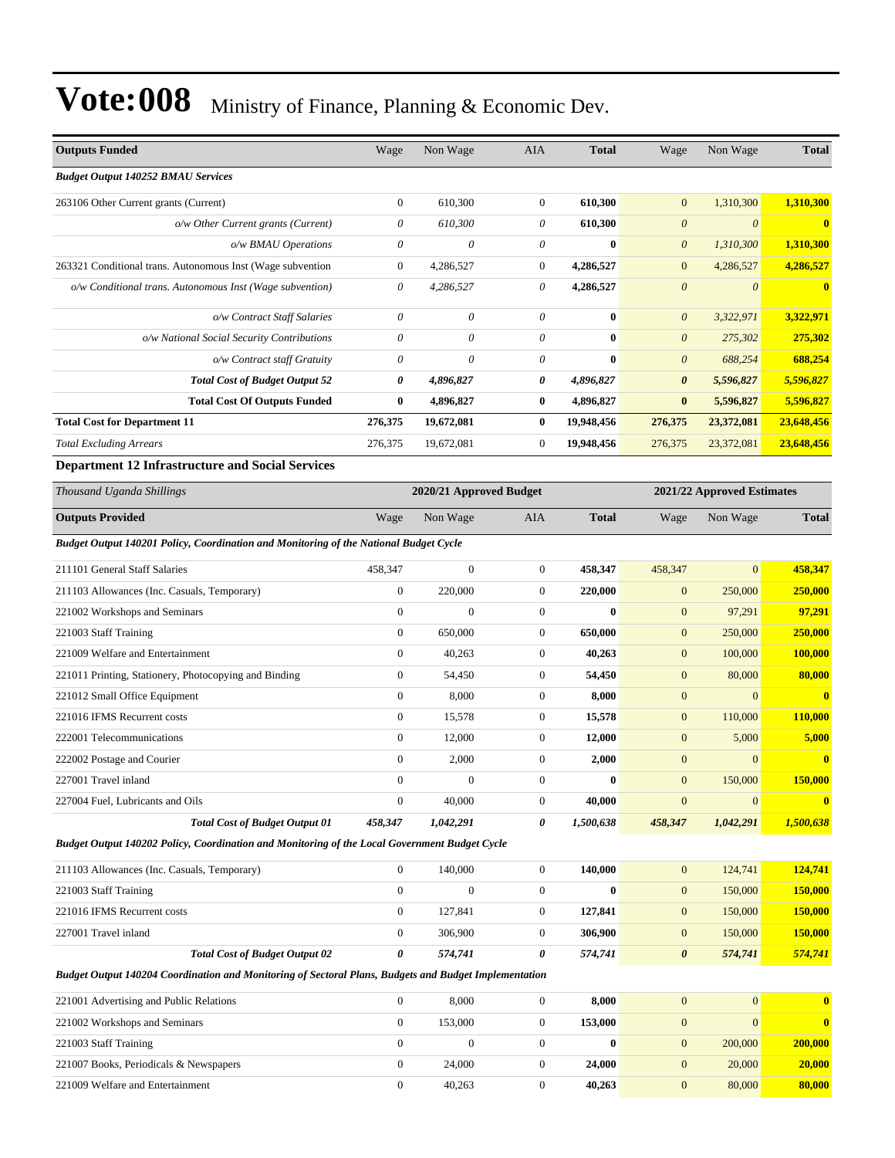| <b>Outputs Funded</b>                                                                                 | Wage             | Non Wage                | <b>AIA</b>       | <b>Total</b> | Wage                  | Non Wage                   | <b>Total</b> |
|-------------------------------------------------------------------------------------------------------|------------------|-------------------------|------------------|--------------|-----------------------|----------------------------|--------------|
| <b>Budget Output 140252 BMAU Services</b>                                                             |                  |                         |                  |              |                       |                            |              |
| 263106 Other Current grants (Current)                                                                 | $\boldsymbol{0}$ | 610,300                 | $\mathbf{0}$     | 610,300      | $\mathbf{0}$          | 1,310,300                  | 1,310,300    |
| o/w Other Current grants (Current)                                                                    | 0                | 610,300                 | $\theta$         | 610,300      | $\boldsymbol{\theta}$ | $\boldsymbol{\theta}$      | $\bf{0}$     |
| o/w BMAU Operations                                                                                   | 0                | $\theta$                | $\theta$         | $\bf{0}$     | $\boldsymbol{\theta}$ | 1,310,300                  | 1,310,300    |
| 263321 Conditional trans. Autonomous Inst (Wage subvention                                            | $\boldsymbol{0}$ | 4,286,527               | $\boldsymbol{0}$ | 4,286,527    | $\mathbf{0}$          | 4,286,527                  | 4,286,527    |
| o/w Conditional trans. Autonomous Inst (Wage subvention)                                              | 0                | 4,286,527               | 0                | 4,286,527    | $\boldsymbol{\theta}$ | $\theta$                   | $\bf{0}$     |
| o/w Contract Staff Salaries                                                                           | $\theta$         | $\theta$                | $\theta$         | $\bf{0}$     | $\boldsymbol{\theta}$ | 3,322,971                  | 3,322,971    |
| o/w National Social Security Contributions                                                            | 0                | $\theta$                | $\theta$         | $\bf{0}$     | $\boldsymbol{\theta}$ | 275,302                    | 275,302      |
| o/w Contract staff Gratuity                                                                           | 0                | $\boldsymbol{\theta}$   | $\theta$         | $\bf{0}$     | $\theta$              | 688,254                    | 688,254      |
| <b>Total Cost of Budget Output 52</b>                                                                 | 0                | 4,896,827               | 0                | 4,896,827    | $\pmb{\theta}$        | 5,596,827                  | 5,596,827    |
| <b>Total Cost Of Outputs Funded</b>                                                                   | $\bf{0}$         | 4,896,827               | $\bf{0}$         | 4,896,827    | $\bf{0}$              | 5,596,827                  | 5,596,827    |
| <b>Total Cost for Department 11</b>                                                                   | 276,375          | 19,672,081              | $\bf{0}$         | 19,948,456   | 276,375               | 23,372,081                 | 23,648,456   |
| <b>Total Excluding Arrears</b>                                                                        | 276,375          | 19,672,081              | $\boldsymbol{0}$ | 19,948,456   | 276,375               | 23,372,081                 | 23,648,456   |
| <b>Department 12 Infrastructure and Social Services</b>                                               |                  |                         |                  |              |                       |                            |              |
| Thousand Uganda Shillings                                                                             |                  | 2020/21 Approved Budget |                  |              |                       | 2021/22 Approved Estimates |              |
| <b>Outputs Provided</b>                                                                               | Wage             | Non Wage                | AIA              | <b>Total</b> | Wage                  | Non Wage                   | <b>Total</b> |
| Budget Output 140201 Policy, Coordination and Monitoring of the National Budget Cycle                 |                  |                         |                  |              |                       |                            |              |
| 211101 General Staff Salaries                                                                         | 458,347          | $\boldsymbol{0}$        | $\boldsymbol{0}$ | 458,347      | 458,347               | $\mathbf{0}$               | 458,347      |
| 211103 Allowances (Inc. Casuals, Temporary)                                                           | $\boldsymbol{0}$ | 220,000                 | $\boldsymbol{0}$ | 220,000      | $\boldsymbol{0}$      | 250,000                    | 250,000      |
| 221002 Workshops and Seminars                                                                         | $\mathbf{0}$     | $\Omega$                | $\boldsymbol{0}$ | $\bf{0}$     | $\mathbf{0}$          | 97,291                     | 97,291       |
| 221003 Staff Training                                                                                 | $\boldsymbol{0}$ | 650,000                 | $\boldsymbol{0}$ | 650,000      | $\mathbf{0}$          | 250,000                    | 250,000      |
| 221009 Welfare and Entertainment                                                                      | $\boldsymbol{0}$ | 40,263                  | $\boldsymbol{0}$ | 40,263       | $\mathbf{0}$          | 100,000                    | 100,000      |
| 221011 Printing, Stationery, Photocopying and Binding                                                 | $\boldsymbol{0}$ | 54,450                  | $\boldsymbol{0}$ | 54,450       | $\mathbf{0}$          | 80,000                     | 80,000       |
| 221012 Small Office Equipment                                                                         | $\boldsymbol{0}$ | 8,000                   | $\boldsymbol{0}$ | 8,000        | $\boldsymbol{0}$      | $\mathbf{0}$               | $\mathbf{0}$ |
| 221016 IFMS Recurrent costs                                                                           | $\mathbf{0}$     | 15,578                  | $\boldsymbol{0}$ | 15,578       | $\mathbf{0}$          | 110,000                    | 110,000      |
| 222001 Telecommunications                                                                             | $\boldsymbol{0}$ | 12,000                  | $\boldsymbol{0}$ | 12,000       | $\mathbf{0}$          | 5,000                      | 5,000        |
| 222002 Postage and Courier                                                                            | $\boldsymbol{0}$ | 2,000                   | $\boldsymbol{0}$ | 2,000        | $\bf{0}$              | $\Omega$                   | $\bf{0}$     |
| 227001 Travel inland                                                                                  | $\mathbf{0}$     | $\theta$                | $\theta$         | $\bf{0}$     | $\mathbf{0}$          | 150,000                    | 150,000      |
| 227004 Fuel, Lubricants and Oils                                                                      | $\boldsymbol{0}$ | 40,000                  | $\boldsymbol{0}$ | 40,000       | $\mathbf{0}$          | $\mathbf{0}$               | $\bf{0}$     |
| <b>Total Cost of Budget Output 01</b>                                                                 | 458,347          | 1,042,291               | 0                | 1,500,638    | 458,347               | 1,042,291                  | 1,500,638    |
| Budget Output 140202 Policy, Coordination and Monitoring of the Local Government Budget Cycle         |                  |                         |                  |              |                       |                            |              |
| 211103 Allowances (Inc. Casuals, Temporary)                                                           | $\boldsymbol{0}$ | 140,000                 | $\boldsymbol{0}$ | 140,000      | $\boldsymbol{0}$      | 124,741                    | 124,741      |
| 221003 Staff Training                                                                                 | $\overline{0}$   | $\mathbf{0}$            | $\boldsymbol{0}$ | $\bf{0}$     | $\mathbf{0}$          | 150,000                    | 150,000      |
| 221016 IFMS Recurrent costs                                                                           | $\boldsymbol{0}$ | 127,841                 | $\boldsymbol{0}$ | 127,841      | $\mathbf{0}$          | 150,000                    | 150,000      |
| 227001 Travel inland                                                                                  | $\boldsymbol{0}$ | 306,900                 | $\boldsymbol{0}$ | 306,900      | $\mathbf{0}$          | 150,000                    | 150,000      |
| <b>Total Cost of Budget Output 02</b>                                                                 | 0                | 574,741                 | 0                | 574,741      | $\boldsymbol{\theta}$ | 574,741                    | 574,741      |
| Budget Output 140204 Coordination and Monitoring of Sectoral Plans, Budgets and Budget Implementation |                  |                         |                  |              |                       |                            |              |
| 221001 Advertising and Public Relations                                                               | $\boldsymbol{0}$ | 8,000                   | $\boldsymbol{0}$ | 8,000        | $\mathbf{0}$          | $\mathbf{0}$               | $\bf{0}$     |
| 221002 Workshops and Seminars                                                                         | $\boldsymbol{0}$ | 153,000                 | $\boldsymbol{0}$ | 153,000      | $\boldsymbol{0}$      | $\mathbf{0}$               | $\mathbf{0}$ |
| 221003 Staff Training                                                                                 | $\mathbf{0}$     | $\theta$                | $\boldsymbol{0}$ | $\bf{0}$     | $\mathbf{0}$          | 200,000                    | 200,000      |
| 221007 Books, Periodicals & Newspapers                                                                | $\boldsymbol{0}$ | 24,000                  | $\boldsymbol{0}$ | 24,000       | $\mathbf{0}$          | 20,000                     | 20,000       |
| 221009 Welfare and Entertainment                                                                      | $\mathbf{0}$     | 40,263                  | $\boldsymbol{0}$ | 40,263       | $\mathbf{0}$          | 80,000                     | 80,000       |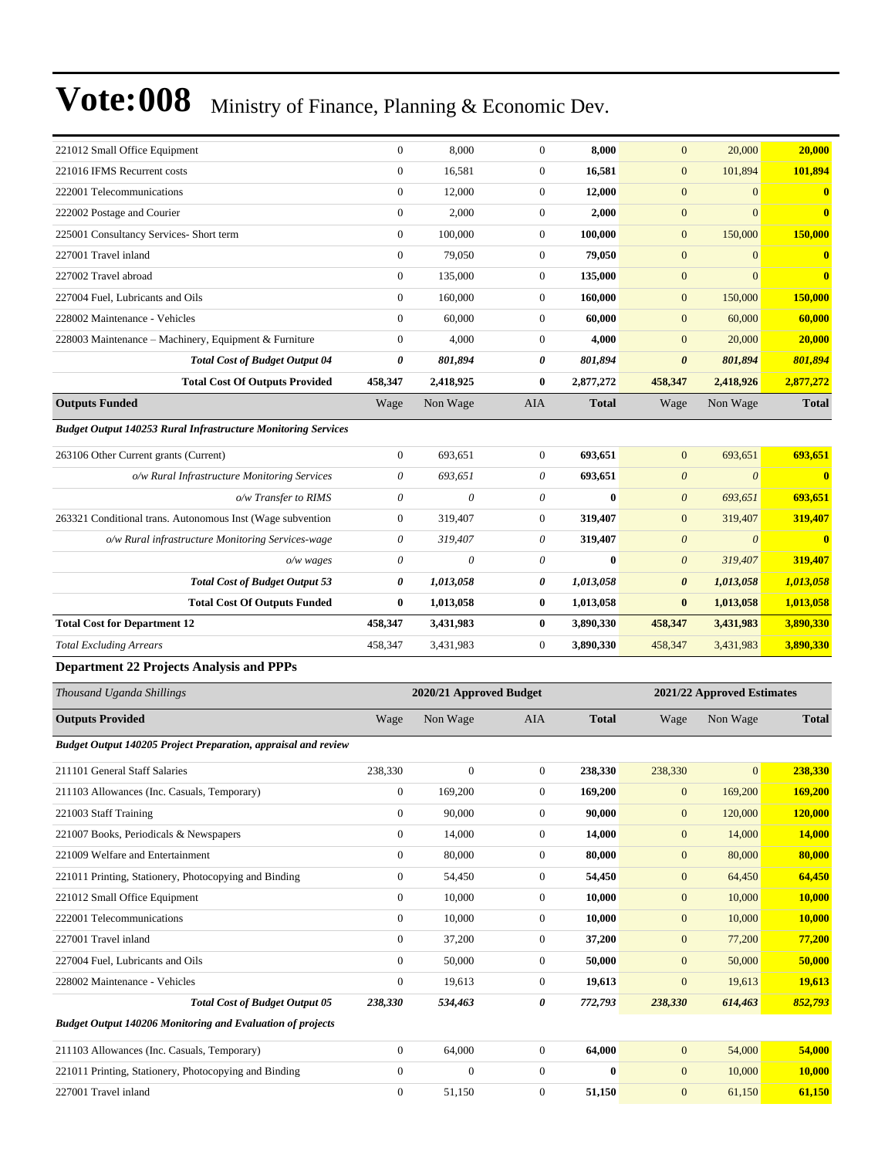| 221012 Small Office Equipment                                         | $\boldsymbol{0}$      | 8,000                   | $\boldsymbol{0}$ | 8,000             | $\mathbf{0}$          | 20,000                     | 20,000             |
|-----------------------------------------------------------------------|-----------------------|-------------------------|------------------|-------------------|-----------------------|----------------------------|--------------------|
| 221016 IFMS Recurrent costs                                           | $\boldsymbol{0}$      | 16,581                  | 0                | 16,581            | $\mathbf{0}$          | 101,894                    | 101,894            |
| 222001 Telecommunications                                             | $\mathbf{0}$          | 12,000                  | $\boldsymbol{0}$ | 12,000            | $\mathbf{0}$          | $\overline{0}$             | $\bf{0}$           |
| 222002 Postage and Courier                                            | $\mathbf{0}$          | 2,000                   | 0                | 2,000             | $\mathbf{0}$          | $\overline{0}$             | $\bf{0}$           |
| 225001 Consultancy Services- Short term                               | $\boldsymbol{0}$      | 100,000                 | $\mathbf{0}$     | 100,000           | $\mathbf{0}$          | 150,000                    | 150,000            |
| 227001 Travel inland                                                  | $\boldsymbol{0}$      | 79,050                  | $\boldsymbol{0}$ | 79,050            | $\mathbf{0}$          | $\overline{0}$             | $\bf{0}$           |
| 227002 Travel abroad                                                  | $\boldsymbol{0}$      | 135,000                 | 0                | 135,000           | $\mathbf{0}$          | $\overline{0}$             | $\bf{0}$           |
| 227004 Fuel, Lubricants and Oils                                      | $\mathbf{0}$          | 160,000                 | $\boldsymbol{0}$ | 160,000           | $\mathbf{0}$          | 150,000                    | 150,000            |
| 228002 Maintenance - Vehicles                                         | $\mathbf{0}$          | 60,000                  | 0                | 60,000            | $\mathbf{0}$          | 60,000                     | 60,000             |
| 228003 Maintenance – Machinery, Equipment & Furniture                 | $\boldsymbol{0}$      | 4,000                   | $\mathbf{0}$     | 4,000             | $\mathbf{0}$          | 20,000                     | 20,000             |
| <b>Total Cost of Budget Output 04</b>                                 | 0                     | 801,894                 | 0                | 801,894           | $\boldsymbol{\theta}$ | 801,894                    | 801,894            |
| <b>Total Cost Of Outputs Provided</b>                                 | 458,347               | 2,418,925               | 0                | 2,877,272         | 458,347               | 2,418,926                  | 2,877,272          |
| <b>Outputs Funded</b>                                                 | Wage                  | Non Wage                | AIA              | <b>Total</b>      | Wage                  | Non Wage                   | <b>Total</b>       |
| <b>Budget Output 140253 Rural Infrastructure Monitoring Services</b>  |                       |                         |                  |                   |                       |                            |                    |
| 263106 Other Current grants (Current)                                 | $\boldsymbol{0}$      | 693,651                 | $\mathbf{0}$     | 693,651           | $\mathbf{0}$          | 693,651                    | 693,651            |
| o/w Rural Infrastructure Monitoring Services                          | $\boldsymbol{\theta}$ | 693,651                 | 0                | 693,651           | $\boldsymbol{0}$      | $\boldsymbol{\theta}$      | $\bf{0}$           |
| o/w Transfer to RIMS                                                  | $\boldsymbol{\theta}$ | 0                       | 0                | $\bf{0}$          | $\boldsymbol{0}$      | 693,651                    | 693,651            |
| 263321 Conditional trans. Autonomous Inst (Wage subvention            | $\boldsymbol{0}$      | 319,407                 | 0                | 319,407           | $\mathbf{0}$          | 319,407                    | 319,407            |
| o/w Rural infrastructure Monitoring Services-wage                     | $\boldsymbol{\theta}$ | 319,407                 | 0                | 319,407           | $\boldsymbol{\theta}$ | $\boldsymbol{\theta}$      | $\bf{0}$           |
| $o/w$ wages                                                           | $\boldsymbol{\theta}$ | 0                       | 0                | $\bf{0}$          | $\boldsymbol{\theta}$ | 319,407                    | 319,407            |
| <b>Total Cost of Budget Output 53</b>                                 | 0                     | 1,013,058               | 0                | 1,013,058         | $\boldsymbol{\theta}$ | 1,013,058                  | 1,013,058          |
| <b>Total Cost Of Outputs Funded</b>                                   | $\bf{0}$              | 1,013,058               | $\bf{0}$         | 1,013,058         | $\bf{0}$              | 1,013,058                  | 1,013,058          |
| <b>Total Cost for Department 12</b>                                   | 458,347               | 3,431,983               | 0                | 3,890,330         | 458,347               | 3,431,983                  | 3,890,330          |
|                                                                       |                       |                         |                  |                   |                       |                            |                    |
| <b>Total Excluding Arrears</b>                                        | 458,347               | 3,431,983               | $\boldsymbol{0}$ | 3,890,330         | 458,347               | 3,431,983                  | 3,890,330          |
| <b>Department 22 Projects Analysis and PPPs</b>                       |                       |                         |                  |                   |                       |                            |                    |
| Thousand Uganda Shillings                                             |                       | 2020/21 Approved Budget |                  |                   |                       | 2021/22 Approved Estimates |                    |
| <b>Outputs Provided</b>                                               | Wage                  | Non Wage                | AIA              | <b>Total</b>      | Wage                  | Non Wage                   | <b>Total</b>       |
| <b>Budget Output 140205 Project Preparation, appraisal and review</b> |                       |                         |                  |                   |                       |                            |                    |
| 211101 General Staff Salaries                                         | 238,330               | $\boldsymbol{0}$        | $\mathbf{0}$     | 238,330           | 238,330               | $\overline{0}$             | 238,330            |
| 211103 Allowances (Inc. Casuals, Temporary)                           | $\boldsymbol{0}$      |                         | 0                |                   | $\mathbf{0}$          |                            |                    |
| 221003 Staff Training                                                 | $\boldsymbol{0}$      | 169,200<br>90,000       | $\boldsymbol{0}$ | 169,200<br>90,000 | $\mathbf{0}$          | 169,200<br>120,000         | 169,200<br>120,000 |
| 221007 Books, Periodicals & Newspapers                                | $\boldsymbol{0}$      | 14,000                  | $\mathbf{0}$     | 14,000            | $\mathbf{0}$          | 14,000                     | <b>14,000</b>      |
| 221009 Welfare and Entertainment                                      | $\boldsymbol{0}$      | 80,000                  | $\boldsymbol{0}$ | 80,000            | $\mathbf{0}$          | 80,000                     | 80,000             |
| 221011 Printing, Stationery, Photocopying and Binding                 | $\boldsymbol{0}$      | 54,450                  | $\boldsymbol{0}$ | 54,450            | $\mathbf{0}$          | 64,450                     | 64,450             |
| 221012 Small Office Equipment                                         | $\boldsymbol{0}$      | 10,000                  | 0                | 10,000            | $\mathbf{0}$          | 10,000                     | 10,000             |
| 222001 Telecommunications                                             | $\boldsymbol{0}$      | 10,000                  | $\boldsymbol{0}$ | 10,000            | $\boldsymbol{0}$      | 10,000                     | <b>10,000</b>      |
| 227001 Travel inland                                                  | $\boldsymbol{0}$      | 37,200                  | 0                | 37,200            | $\mathbf{0}$          | 77,200                     | 77,200             |
| 227004 Fuel, Lubricants and Oils                                      | $\boldsymbol{0}$      | 50,000                  | 0                | 50,000            | $\mathbf{0}$          | 50,000                     | 50,000             |
| 228002 Maintenance - Vehicles                                         | $\mathbf{0}$          | 19,613                  | $\boldsymbol{0}$ | 19,613            | $\boldsymbol{0}$      | 19,613                     | 19,613             |
| <b>Total Cost of Budget Output 05</b>                                 | 238,330               | 534,463                 | 0                | 772,793           | 238,330               | 614,463                    | 852,793            |
| <b>Budget Output 140206 Monitoring and Evaluation of projects</b>     |                       |                         |                  |                   |                       |                            |                    |
| 211103 Allowances (Inc. Casuals, Temporary)                           | $\boldsymbol{0}$      | 64,000                  | $\boldsymbol{0}$ | 64,000            | $\mathbf{0}$          | 54,000                     | 54,000             |
| 221011 Printing, Stationery, Photocopying and Binding                 | $\bf{0}$              | $\overline{0}$          | 0                | $\bf{0}$          | $\mathbf{0}$          | 10,000                     | <b>10,000</b>      |
| 227001 Travel inland                                                  | $\boldsymbol{0}$      | 51,150                  | $\boldsymbol{0}$ | 51,150            | $\boldsymbol{0}$      | 61,150                     | 61,150             |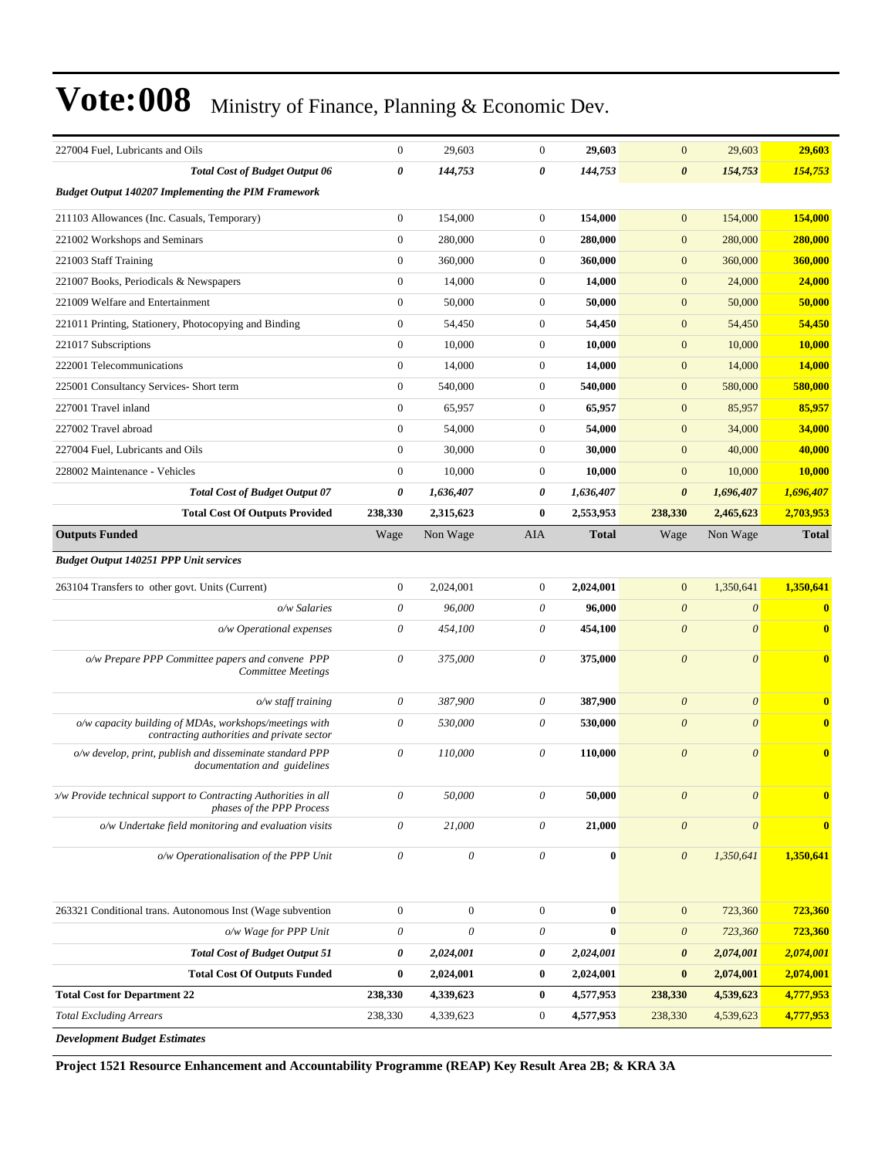| 227004 Fuel, Lubricants and Oils                                                                     | $\mathbf{0}$          | 29,603                    | $\theta$              | 29,603       | $\mathbf{0}$          | 29,603                | 29,603        |
|------------------------------------------------------------------------------------------------------|-----------------------|---------------------------|-----------------------|--------------|-----------------------|-----------------------|---------------|
| <b>Total Cost of Budget Output 06</b>                                                                | 0                     | 144,753                   | 0                     | 144,753      | $\boldsymbol{\theta}$ | 154,753               | 154,753       |
| <b>Budget Output 140207 Implementing the PIM Framework</b>                                           |                       |                           |                       |              |                       |                       |               |
| 211103 Allowances (Inc. Casuals, Temporary)                                                          | $\boldsymbol{0}$      | 154,000                   | $\boldsymbol{0}$      | 154,000      | $\mathbf{0}$          | 154,000               | 154,000       |
| 221002 Workshops and Seminars                                                                        | $\boldsymbol{0}$      | 280,000                   | $\boldsymbol{0}$      | 280,000      | $\mathbf{0}$          | 280,000               | 280,000       |
| 221003 Staff Training                                                                                | $\mathbf{0}$          | 360,000                   | $\boldsymbol{0}$      | 360,000      | $\mathbf{0}$          | 360,000               | 360,000       |
| 221007 Books, Periodicals & Newspapers                                                               | $\boldsymbol{0}$      | 14,000                    | $\boldsymbol{0}$      | 14,000       | $\mathbf{0}$          | 24,000                | 24,000        |
| 221009 Welfare and Entertainment                                                                     | $\mathbf{0}$          | 50,000                    | $\boldsymbol{0}$      | 50,000       | $\mathbf{0}$          | 50,000                | 50,000        |
| 221011 Printing, Stationery, Photocopying and Binding                                                | $\boldsymbol{0}$      | 54,450                    | $\boldsymbol{0}$      | 54,450       | $\mathbf{0}$          | 54,450                | 54,450        |
| 221017 Subscriptions                                                                                 | $\boldsymbol{0}$      | 10,000                    | $\boldsymbol{0}$      | 10,000       | $\mathbf{0}$          | 10,000                | 10,000        |
| 222001 Telecommunications                                                                            | $\mathbf{0}$          | 14,000                    | $\boldsymbol{0}$      | 14,000       | $\mathbf{0}$          | 14,000                | 14,000        |
| 225001 Consultancy Services- Short term                                                              | $\boldsymbol{0}$      | 540,000                   | $\boldsymbol{0}$      | 540,000      | $\mathbf{0}$          | 580,000               | 580,000       |
| 227001 Travel inland                                                                                 | $\boldsymbol{0}$      | 65,957                    | $\boldsymbol{0}$      | 65,957       | $\mathbf{0}$          | 85,957                | 85,957        |
| 227002 Travel abroad                                                                                 | $\boldsymbol{0}$      | 54,000                    | $\boldsymbol{0}$      | 54,000       | $\mathbf{0}$          | 34,000                | 34,000        |
| 227004 Fuel, Lubricants and Oils                                                                     | $\boldsymbol{0}$      | 30,000                    | $\boldsymbol{0}$      | 30,000       | $\mathbf{0}$          | 40,000                | 40,000        |
| 228002 Maintenance - Vehicles                                                                        | $\mathbf{0}$          | 10,000                    | $\boldsymbol{0}$      | 10,000       | $\boldsymbol{0}$      | 10,000                | <b>10,000</b> |
| <b>Total Cost of Budget Output 07</b>                                                                | 0                     | 1,636,407                 | 0                     | 1,636,407    | $\boldsymbol{\theta}$ | 1,696,407             | 1,696,407     |
| <b>Total Cost Of Outputs Provided</b>                                                                | 238,330               | 2,315,623                 | $\bf{0}$              | 2,553,953    | 238,330               | 2,465,623             | 2,703,953     |
| <b>Outputs Funded</b>                                                                                | Wage                  | Non Wage                  | AIA                   | <b>Total</b> | Wage                  | Non Wage              | <b>Total</b>  |
| <b>Budget Output 140251 PPP Unit services</b>                                                        |                       |                           |                       |              |                       |                       |               |
| 263104 Transfers to other govt. Units (Current)                                                      | $\mathbf{0}$          | 2,024,001                 | $\mathbf{0}$          | 2,024,001    | $\mathbf{0}$          | 1,350,641             | 1,350,641     |
| o/w Salaries                                                                                         | 0                     | 96,000                    | $\theta$              | 96,000       | $\boldsymbol{\theta}$ | $\boldsymbol{\theta}$ | $\bf{0}$      |
| o/w Operational expenses                                                                             | 0                     | 454,100                   | $\theta$              | 454,100      | $\boldsymbol{\theta}$ | $\theta$              | $\bf{0}$      |
| o/w Prepare PPP Committee papers and convene PPP<br><b>Committee Meetings</b>                        | 0                     | 375,000                   | $\theta$              | 375,000      | $\boldsymbol{\theta}$ | $\theta$              | $\bf{0}$      |
| $o/w$ staff training                                                                                 | 0                     | 387,900                   | $\theta$              | 387,900      | $\boldsymbol{\theta}$ | $\boldsymbol{\theta}$ | $\mathbf{0}$  |
| o/w capacity building of MDAs, workshops/meetings with<br>contracting authorities and private sector | $\theta$              | 530,000                   | $\theta$              | 530,000      | $\boldsymbol{\theta}$ | $\theta$              | $\bf{0}$      |
| o/w develop, print, publish and disseminate standard PPP<br>documentation and guidelines             | $\theta$              | 110,000                   | 0                     | 110,000      | $\theta$              | $\theta$              | $\mathbf{0}$  |
| >/w Provide technical support to Contracting Authorities in all<br>phases of the PPP Process         | $\theta$              | $50,\!000$                | $\theta$              | 50,000       | $\boldsymbol{\theta}$ | $\boldsymbol{\theta}$ | $\mathbf{0}$  |
| o/w Undertake field monitoring and evaluation visits                                                 | $\boldsymbol{\theta}$ | 21,000                    | $\boldsymbol{\theta}$ | 21,000       | $\theta$              | $\boldsymbol{\theta}$ | $\bf{0}$      |
| o/w Operationalisation of the PPP Unit                                                               | $\boldsymbol{\theta}$ | $\boldsymbol{\mathit{0}}$ | $\boldsymbol{\theta}$ | $\bf{0}$     | $\boldsymbol{\theta}$ | 1,350,641             | 1,350,641     |
| 263321 Conditional trans. Autonomous Inst (Wage subvention                                           | $\boldsymbol{0}$      | $\boldsymbol{0}$          | $\boldsymbol{0}$      | $\bf{0}$     | $\mathbf{0}$          | 723,360               | 723,360       |
| o/w Wage for PPP Unit                                                                                | 0                     | 0                         | $\theta$              | $\bf{0}$     | $\boldsymbol{\theta}$ | 723,360               | 723,360       |
| <b>Total Cost of Budget Output 51</b>                                                                | 0                     | 2,024,001                 | 0                     | 2,024,001    | $\boldsymbol{\theta}$ | 2,074,001             | 2,074,001     |
| <b>Total Cost Of Outputs Funded</b>                                                                  | $\boldsymbol{0}$      | 2,024,001                 | $\bf{0}$              | 2,024,001    | $\bf{0}$              | 2,074,001             | 2,074,001     |
| <b>Total Cost for Department 22</b>                                                                  | 238,330               | 4,339,623                 | $\bf{0}$              | 4,577,953    | 238,330               | 4,539,623             | 4,777,953     |
| <b>Total Excluding Arrears</b>                                                                       | 238,330               | 4,339,623                 | $\boldsymbol{0}$      | 4,577,953    | 238,330               | 4,539,623             | 4,777,953     |
| Development Rudget Estimates                                                                         |                       |                           |                       |              |                       |                       |               |

*Development Budget Estimates*

**Project 1521 Resource Enhancement and Accountability Programme (REAP) Key Result Area 2B; & KRA 3A**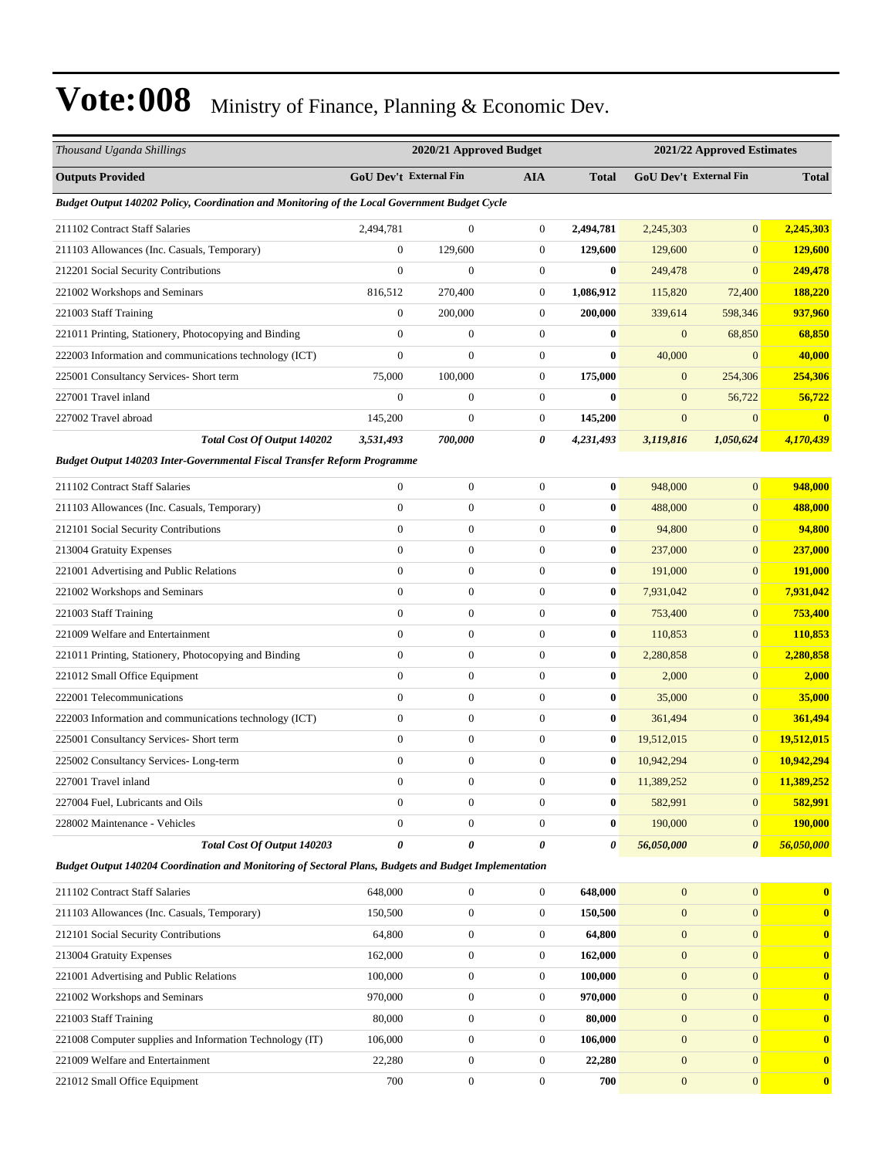| Thousand Uganda Shillings                                                                             |                  | 2020/21 Approved Budget |                  |                  |                        | 2021/22 Approved Estimates |                  |
|-------------------------------------------------------------------------------------------------------|------------------|-------------------------|------------------|------------------|------------------------|----------------------------|------------------|
| <b>Outputs Provided</b>                                                                               |                  | GoU Dev't External Fin  | <b>AIA</b>       | <b>Total</b>     | GoU Dev't External Fin |                            | <b>Total</b>     |
| Budget Output 140202 Policy, Coordination and Monitoring of the Local Government Budget Cycle         |                  |                         |                  |                  |                        |                            |                  |
| 211102 Contract Staff Salaries                                                                        | 2,494,781        | $\boldsymbol{0}$        | $\boldsymbol{0}$ | 2,494,781        | 2,245,303              | $\boldsymbol{0}$           | 2,245,303        |
| 211103 Allowances (Inc. Casuals, Temporary)                                                           | $\boldsymbol{0}$ | 129,600                 | $\boldsymbol{0}$ | 129,600          | 129,600                | $\mathbf{0}$               | 129,600          |
| 212201 Social Security Contributions                                                                  | $\overline{0}$   | $\mathbf{0}$            | $\boldsymbol{0}$ | $\bf{0}$         | 249,478                | $\mathbf{0}$               | 249,478          |
| 221002 Workshops and Seminars                                                                         | 816,512          | 270,400                 | $\boldsymbol{0}$ | 1,086,912        | 115,820                | 72,400                     | 188,220          |
| 221003 Staff Training                                                                                 | $\boldsymbol{0}$ | 200,000                 | $\boldsymbol{0}$ | 200,000          | 339,614                | 598,346                    | 937,960          |
| 221011 Printing, Stationery, Photocopying and Binding                                                 | $\overline{0}$   | $\boldsymbol{0}$        | $\boldsymbol{0}$ | $\boldsymbol{0}$ | $\mathbf{0}$           | 68,850                     | 68,850           |
| 222003 Information and communications technology (ICT)                                                | $\boldsymbol{0}$ | $\boldsymbol{0}$        | $\boldsymbol{0}$ | $\bf{0}$         | 40,000                 | $\mathbf{0}$               | 40,000           |
| 225001 Consultancy Services- Short term                                                               | 75,000           | 100,000                 | $\boldsymbol{0}$ | 175,000          | $\mathbf{0}$           | 254,306                    | 254,306          |
| 227001 Travel inland                                                                                  | $\mathbf{0}$     | $\boldsymbol{0}$        | $\boldsymbol{0}$ | $\mathbf{0}$     | $\mathbf{0}$           | 56,722                     | 56,722           |
| 227002 Travel abroad                                                                                  | 145,200          | $\boldsymbol{0}$        | $\boldsymbol{0}$ | 145,200          | $\mathbf{0}$           | $\mathbf{0}$               | $\bf{0}$         |
| <b>Total Cost Of Output 140202</b>                                                                    | 3,531,493        | 700,000                 | 0                | 4,231,493        | 3,119,816              | 1,050,624                  | 4,170,439        |
| Budget Output 140203 Inter-Governmental Fiscal Transfer Reform Programme                              |                  |                         |                  |                  |                        |                            |                  |
| 211102 Contract Staff Salaries                                                                        | $\boldsymbol{0}$ | $\boldsymbol{0}$        | $\boldsymbol{0}$ | $\bf{0}$         | 948,000                | $\boldsymbol{0}$           | 948,000          |
| 211103 Allowances (Inc. Casuals, Temporary)                                                           | $\overline{0}$   | $\boldsymbol{0}$        | $\boldsymbol{0}$ | $\bf{0}$         | 488,000                | $\boldsymbol{0}$           | 488,000          |
| 212101 Social Security Contributions                                                                  | $\overline{0}$   | $\boldsymbol{0}$        | $\boldsymbol{0}$ | $\bf{0}$         | 94,800                 | $\boldsymbol{0}$           | 94,800           |
| 213004 Gratuity Expenses                                                                              | $\boldsymbol{0}$ | $\boldsymbol{0}$        | $\boldsymbol{0}$ | $\bf{0}$         | 237,000                | $\mathbf{0}$               | 237,000          |
| 221001 Advertising and Public Relations                                                               | $\overline{0}$   | $\boldsymbol{0}$        | $\boldsymbol{0}$ | $\bf{0}$         | 191,000                | $\boldsymbol{0}$           | 191,000          |
| 221002 Workshops and Seminars                                                                         | $\boldsymbol{0}$ | $\boldsymbol{0}$        | $\boldsymbol{0}$ | $\bf{0}$         | 7,931,042              | $\boldsymbol{0}$           | 7,931,042        |
| 221003 Staff Training                                                                                 | $\overline{0}$   | $\boldsymbol{0}$        | $\boldsymbol{0}$ | $\bf{0}$         | 753,400                | $\boldsymbol{0}$           | 753,400          |
| 221009 Welfare and Entertainment                                                                      | $\overline{0}$   | $\boldsymbol{0}$        | $\boldsymbol{0}$ | $\bf{0}$         | 110,853                | $\mathbf{0}$               | 110,853          |
| 221011 Printing, Stationery, Photocopying and Binding                                                 | $\boldsymbol{0}$ | $\boldsymbol{0}$        | $\boldsymbol{0}$ | $\bf{0}$         | 2,280,858              | $\boldsymbol{0}$           | 2,280,858        |
| 221012 Small Office Equipment                                                                         | $\overline{0}$   | $\boldsymbol{0}$        | $\boldsymbol{0}$ | $\bf{0}$         | 2,000                  | $\mathbf{0}$               | 2,000            |
| 222001 Telecommunications                                                                             | $\overline{0}$   | $\boldsymbol{0}$        | $\boldsymbol{0}$ | $\bf{0}$         | 35,000                 | $\boldsymbol{0}$           | 35,000           |
| 222003 Information and communications technology (ICT)                                                | $\overline{0}$   | $\boldsymbol{0}$        | $\boldsymbol{0}$ | $\bf{0}$         | 361,494                | $\boldsymbol{0}$           | 361,494          |
| 225001 Consultancy Services- Short term                                                               | $\overline{0}$   | $\boldsymbol{0}$        | $\boldsymbol{0}$ | $\boldsymbol{0}$ | 19,512,015             | $\mathbf{0}$               | 19,512,015       |
| 225002 Consultancy Services-Long-term                                                                 | $\boldsymbol{0}$ | $\boldsymbol{0}$        | $\boldsymbol{0}$ | $\bf{0}$         | 10,942,294             | $\mathbf{0}$               | 10,942,294       |
| 227001 Travel inland                                                                                  | $\boldsymbol{0}$ | $\boldsymbol{0}$        | $\boldsymbol{0}$ | $\bf{0}$         | 11,389,252             | $\mathbf{0}$               | 11,389,252       |
| 227004 Fuel, Lubricants and Oils                                                                      | 0                | $\boldsymbol{0}$        | $\boldsymbol{0}$ | $\boldsymbol{0}$ | 582,991                | $\mathbf{0}$               | 582,991          |
| 228002 Maintenance - Vehicles                                                                         | $\overline{0}$   | $\boldsymbol{0}$        | $\overline{0}$   | $\bf{0}$         | 190,000                | $\mathbf{0}$               | <b>190,000</b>   |
| Total Cost Of Output 140203                                                                           | 0                | $\boldsymbol{\theta}$   | 0                | 0                | 56,050,000             | $\boldsymbol{\theta}$      | 56,050,000       |
| Budget Output 140204 Coordination and Monitoring of Sectoral Plans, Budgets and Budget Implementation |                  |                         |                  |                  |                        |                            |                  |
| 211102 Contract Staff Salaries                                                                        | 648,000          | $\boldsymbol{0}$        | $\overline{0}$   | 648,000          | $\mathbf{0}$           | $\overline{0}$             | $\bf{0}$         |
| 211103 Allowances (Inc. Casuals, Temporary)                                                           | 150,500          | $\boldsymbol{0}$        | $\boldsymbol{0}$ | 150,500          | $\mathbf{0}$           | $\overline{0}$             | $\boldsymbol{0}$ |
| 212101 Social Security Contributions                                                                  | 64,800           | $\boldsymbol{0}$        | 0                | 64,800           | $\mathbf{0}$           | $\overline{0}$             | $\bf{0}$         |
| 213004 Gratuity Expenses                                                                              | 162,000          | $\boldsymbol{0}$        | $\boldsymbol{0}$ | 162,000          | $\mathbf{0}$           | $\boldsymbol{0}$           | $\bf{0}$         |
| 221001 Advertising and Public Relations                                                               | 100,000          | $\boldsymbol{0}$        | $\boldsymbol{0}$ | 100,000          | $\mathbf{0}$           | $\overline{0}$             | $\bf{0}$         |
| 221002 Workshops and Seminars                                                                         | 970,000          | $\boldsymbol{0}$        | $\boldsymbol{0}$ | 970,000          | $\mathbf{0}$           | $\boldsymbol{0}$           | $\bf{0}$         |
| 221003 Staff Training                                                                                 | 80,000           | $\boldsymbol{0}$        | $\overline{0}$   | 80,000           | $\mathbf{0}$           | $\overline{0}$             | $\boldsymbol{0}$ |
| 221008 Computer supplies and Information Technology (IT)                                              | 106,000          | $\boldsymbol{0}$        | 0                | 106,000          | $\mathbf{0}$           | $\overline{0}$             | $\bf{0}$         |
| 221009 Welfare and Entertainment                                                                      | 22,280           | $\boldsymbol{0}$        | $\boldsymbol{0}$ | 22,280           | $\mathbf{0}$           | $\boldsymbol{0}$           | $\bf{0}$         |
| 221012 Small Office Equipment                                                                         | 700              | $\boldsymbol{0}$        | $\boldsymbol{0}$ | 700              | $\mathbf{0}$           | $\boldsymbol{0}$           | $\bf{0}$         |
|                                                                                                       |                  |                         |                  |                  |                        |                            |                  |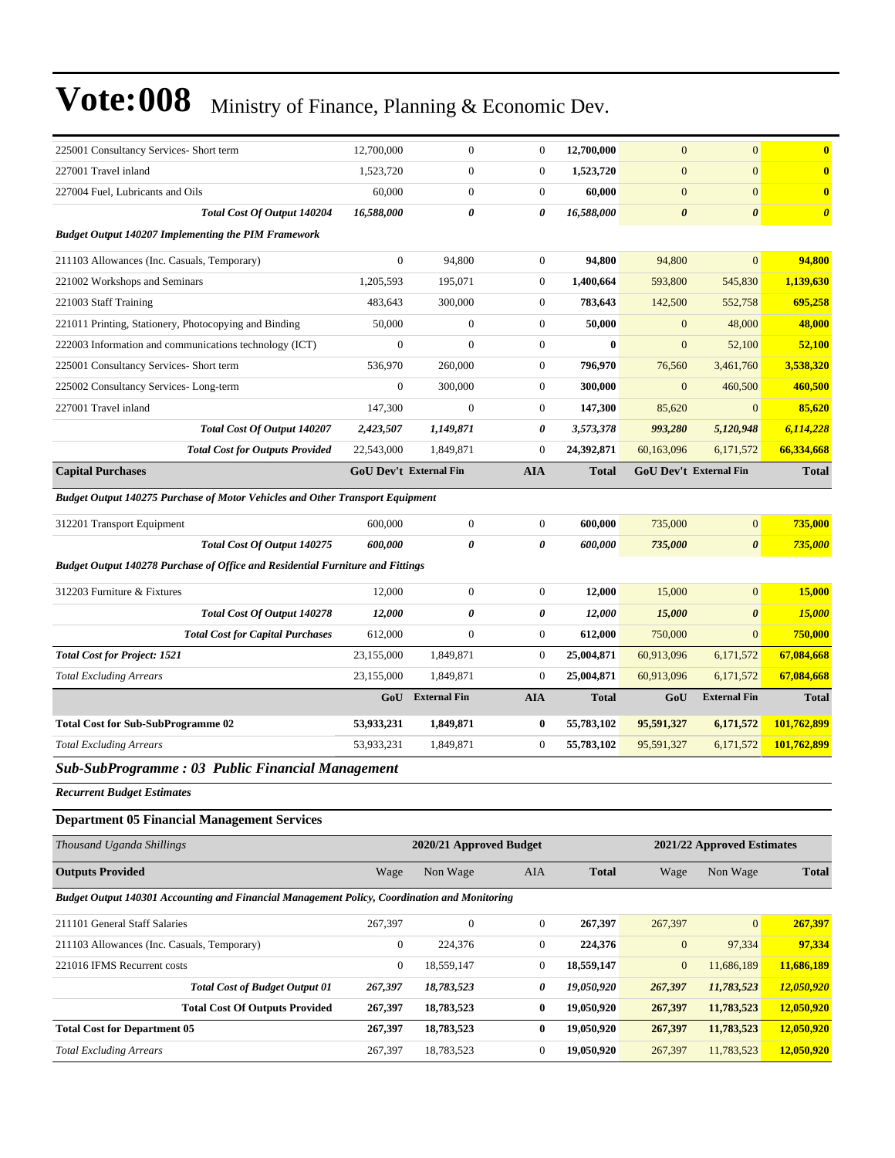| 225001 Consultancy Services- Short term                                                      | 12,700,000                    | $\mathbf{0}$            | $\boldsymbol{0}$ | 12,700,000   | $\mathbf{0}$          | $\mathbf{0}$               | $\bf{0}$              |
|----------------------------------------------------------------------------------------------|-------------------------------|-------------------------|------------------|--------------|-----------------------|----------------------------|-----------------------|
| 227001 Travel inland                                                                         | 1,523,720                     | $\boldsymbol{0}$        | $\boldsymbol{0}$ | 1,523,720    | $\mathbf{0}$          | $\mathbf{0}$               | $\mathbf{0}$          |
| 227004 Fuel, Lubricants and Oils                                                             | 60,000                        | $\mathbf{0}$            | $\boldsymbol{0}$ | 60,000       | $\boldsymbol{0}$      | $\mathbf{0}$               | $\mathbf{0}$          |
| Total Cost Of Output 140204                                                                  | 16,588,000                    | 0                       | 0                | 16,588,000   | $\boldsymbol{\theta}$ | $\boldsymbol{\theta}$      | $\boldsymbol{\theta}$ |
| <b>Budget Output 140207 Implementing the PIM Framework</b>                                   |                               |                         |                  |              |                       |                            |                       |
| 211103 Allowances (Inc. Casuals, Temporary)                                                  | $\boldsymbol{0}$              | 94,800                  | $\boldsymbol{0}$ | 94,800       | 94,800                | $\mathbf{0}$               | 94,800                |
| 221002 Workshops and Seminars                                                                | 1,205,593                     | 195,071                 | $\overline{0}$   | 1,400,664    | 593,800               | 545,830                    | 1,139,630             |
| 221003 Staff Training                                                                        | 483,643                       | 300,000                 | $\boldsymbol{0}$ | 783,643      | 142,500               | 552,758                    | 695,258               |
| 221011 Printing, Stationery, Photocopying and Binding                                        | 50,000                        | $\mathbf{0}$            | $\boldsymbol{0}$ | 50,000       | $\mathbf{0}$          | 48,000                     | 48,000                |
| 222003 Information and communications technology (ICT)                                       | $\overline{0}$                | $\mathbf{0}$            | $\boldsymbol{0}$ | $\bf{0}$     | $\mathbf{0}$          | 52,100                     | 52,100                |
| 225001 Consultancy Services- Short term                                                      | 536,970                       | 260,000                 | $\boldsymbol{0}$ | 796,970      | 76,560                | 3,461,760                  | 3,538,320             |
| 225002 Consultancy Services-Long-term                                                        | $\boldsymbol{0}$              | 300,000                 | $\boldsymbol{0}$ | 300,000      | $\mathbf{0}$          | 460,500                    | 460,500               |
| 227001 Travel inland                                                                         | 147,300                       | $\mathbf{0}$            | $\boldsymbol{0}$ | 147,300      | 85,620                | $\mathbf{0}$               | 85,620                |
| Total Cost Of Output 140207                                                                  | 2,423,507                     | 1,149,871               | 0                | 3,573,378    | 993,280               | 5,120,948                  | 6,114,228             |
| <b>Total Cost for Outputs Provided</b>                                                       | 22,543,000                    | 1,849,871               | $\boldsymbol{0}$ | 24,392,871   | 60,163,096            | 6,171,572                  | 66,334,668            |
| <b>Capital Purchases</b>                                                                     | <b>GoU Dev't External Fin</b> |                         | <b>AIA</b>       | Total        |                       | GoU Dev't External Fin     | <b>Total</b>          |
| Budget Output 140275 Purchase of Motor Vehicles and Other Transport Equipment                |                               |                         |                  |              |                       |                            |                       |
| 312201 Transport Equipment                                                                   | 600,000                       | $\boldsymbol{0}$        | $\boldsymbol{0}$ | 600,000      | 735,000               | $\mathbf{0}$               | 735,000               |
| Total Cost Of Output 140275                                                                  | 600,000                       | 0                       | 0                | 600,000      | 735,000               | $\boldsymbol{\theta}$      | 735,000               |
| Budget Output 140278 Purchase of Office and Residential Furniture and Fittings               |                               |                         |                  |              |                       |                            |                       |
| 312203 Furniture & Fixtures                                                                  | 12,000                        | $\boldsymbol{0}$        | $\boldsymbol{0}$ | 12,000       | 15,000                | $\overline{0}$             | 15,000                |
| Total Cost Of Output 140278                                                                  | 12,000                        | 0                       | 0                | 12,000       | 15,000                | $\boldsymbol{\theta}$      | 15,000                |
| <b>Total Cost for Capital Purchases</b>                                                      | 612,000                       | $\mathbf{0}$            | $\boldsymbol{0}$ | 612,000      | 750,000               | $\mathbf{0}$               | 750,000               |
| <b>Total Cost for Project: 1521</b>                                                          | 23,155,000                    | 1,849,871               | $\boldsymbol{0}$ | 25,004,871   | 60,913,096            | 6,171,572                  | 67,084,668            |
| <b>Total Excluding Arrears</b>                                                               | 23,155,000                    | 1,849,871               | $\boldsymbol{0}$ | 25,004,871   | 60,913,096            | 6,171,572                  | 67,084,668            |
|                                                                                              | GoU                           | <b>External Fin</b>     | <b>AIA</b>       | <b>Total</b> | GoU                   | <b>External Fin</b>        | <b>Total</b>          |
| <b>Total Cost for Sub-SubProgramme 02</b>                                                    | 53,933,231                    | 1,849,871               | $\bf{0}$         | 55,783,102   | 95,591,327            | 6,171,572                  | 101,762,899           |
| <b>Total Excluding Arrears</b>                                                               | 53,933,231                    | 1,849,871               | $\mathbf{0}$     | 55,783,102   | 95,591,327            | 6,171,572                  | 101,762,899           |
| <b>Sub-SubProgramme: 03 Public Financial Management</b>                                      |                               |                         |                  |              |                       |                            |                       |
| <b>Recurrent Budget Estimates</b>                                                            |                               |                         |                  |              |                       |                            |                       |
| <b>Department 05 Financial Management Services</b>                                           |                               |                         |                  |              |                       |                            |                       |
|                                                                                              |                               |                         |                  |              |                       |                            |                       |
| Thousand Uganda Shillings                                                                    |                               | 2020/21 Approved Budget |                  |              |                       | 2021/22 Approved Estimates |                       |
| <b>Outputs Provided</b>                                                                      | Wage                          | Non Wage                | AIA              | <b>Total</b> | Wage                  | Non Wage                   | <b>Total</b>          |
| Budget Output 140301 Accounting and Financial Management Policy, Coordination and Monitoring |                               |                         |                  |              |                       |                            |                       |
| 211101 General Staff Salaries                                                                | 267,397                       | $\boldsymbol{0}$        | $\boldsymbol{0}$ | 267,397      | 267,397               | $\mathbf{0}$               | 267,397               |
| 211103 Allowances (Inc. Casuals, Temporary)                                                  | $\boldsymbol{0}$              | 224,376                 | $\boldsymbol{0}$ | 224,376      | $\boldsymbol{0}$      | 97,334                     | 97,334                |
| 221016 IFMS Recurrent costs                                                                  | $\boldsymbol{0}$              | 18,559,147              | $\boldsymbol{0}$ | 18,559,147   | $\boldsymbol{0}$      | 11,686,189                 | 11,686,189            |
| <b>Total Cost of Budget Output 01</b>                                                        | 267,397                       | 18,783,523              | 0                | 19,050,920   | 267,397               | 11,783,523                 | 12,050,920            |
| <b>Total Cost Of Outputs Provided</b>                                                        | 267,397                       | 18,783,523              | $\bf{0}$         | 19,050,920   | 267,397               | 11,783,523                 | 12,050,920            |
| <b>Total Cost for Department 05</b>                                                          | 267,397                       | 18,783,523              | $\bf{0}$         | 19,050,920   | 267,397               | 11,783,523                 | 12,050,920            |
| <b>Total Excluding Arrears</b>                                                               | 267,397                       | 18,783,523              | $\boldsymbol{0}$ | 19,050,920   | 267,397               | 11,783,523                 | 12,050,920            |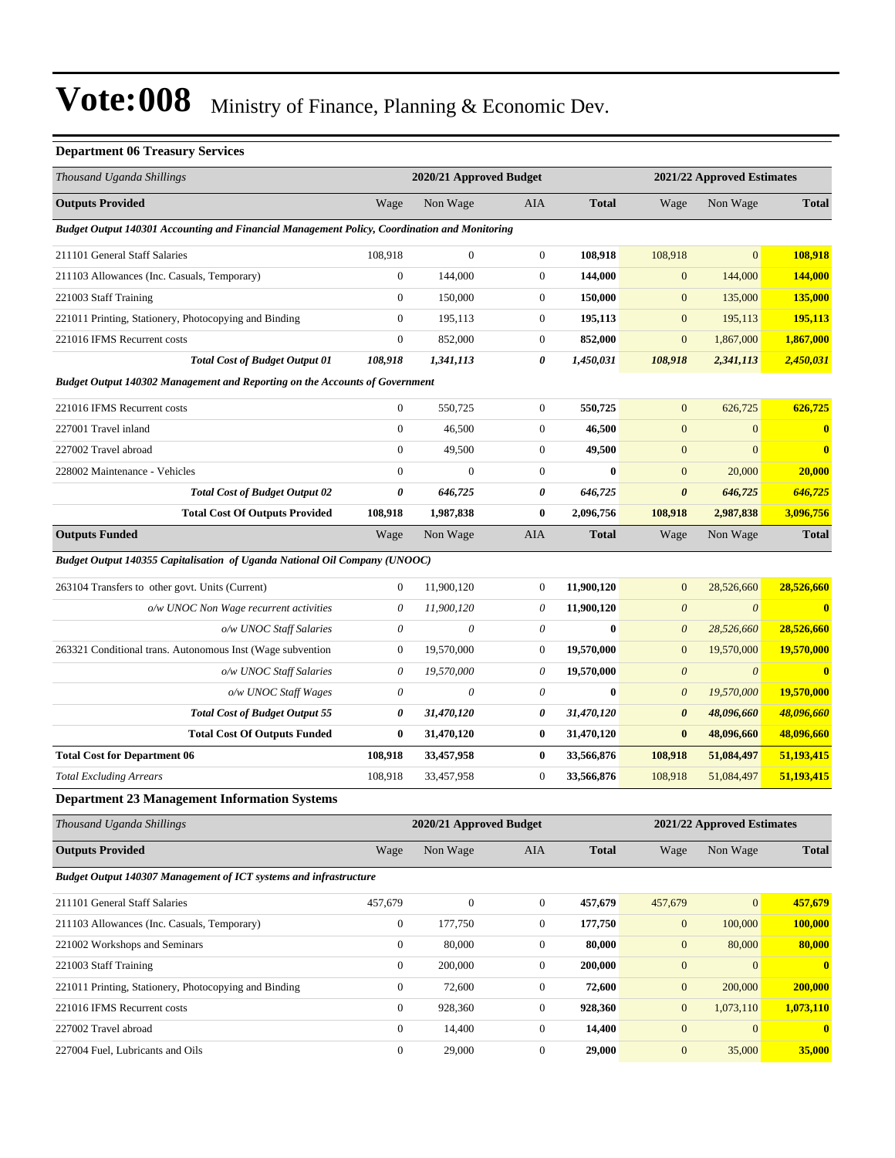#### **Department 06 Treasury Services**

| Thousand Uganda Shillings                                                                    |                       | 2020/21 Approved Budget |                  |              |                       | 2021/22 Approved Estimates |              |  |
|----------------------------------------------------------------------------------------------|-----------------------|-------------------------|------------------|--------------|-----------------------|----------------------------|--------------|--|
| <b>Outputs Provided</b>                                                                      | Wage                  | Non Wage                | AIA              | <b>Total</b> | Wage                  | Non Wage                   | <b>Total</b> |  |
| Budget Output 140301 Accounting and Financial Management Policy, Coordination and Monitoring |                       |                         |                  |              |                       |                            |              |  |
| 211101 General Staff Salaries                                                                | 108.918               | $\boldsymbol{0}$        | $\mathbf{0}$     | 108,918      | 108,918               | $\mathbf{0}$               | 108,918      |  |
| 211103 Allowances (Inc. Casuals, Temporary)                                                  | $\boldsymbol{0}$      | 144,000                 | $\boldsymbol{0}$ | 144,000      | $\mathbf{0}$          | 144,000                    | 144,000      |  |
| 221003 Staff Training                                                                        | $\boldsymbol{0}$      | 150,000                 | $\boldsymbol{0}$ | 150,000      | $\mathbf{0}$          | 135,000                    | 135,000      |  |
| 221011 Printing, Stationery, Photocopying and Binding                                        | $\boldsymbol{0}$      | 195,113                 | $\boldsymbol{0}$ | 195,113      | $\boldsymbol{0}$      | 195,113                    | 195,113      |  |
| 221016 IFMS Recurrent costs                                                                  | $\boldsymbol{0}$      | 852,000                 | $\boldsymbol{0}$ | 852,000      | $\boldsymbol{0}$      | 1,867,000                  | 1,867,000    |  |
| <b>Total Cost of Budget Output 01</b>                                                        | 108,918               | 1,341,113               | 0                | 1,450,031    | 108,918               | 2,341,113                  | 2,450,031    |  |
| Budget Output 140302 Management and Reporting on the Accounts of Government                  |                       |                         |                  |              |                       |                            |              |  |
| 221016 IFMS Recurrent costs                                                                  | $\boldsymbol{0}$      | 550,725                 | $\boldsymbol{0}$ | 550,725      | $\mathbf{0}$          | 626,725                    | 626,725      |  |
| 227001 Travel inland                                                                         | $\boldsymbol{0}$      | 46,500                  | $\boldsymbol{0}$ | 46,500       | $\boldsymbol{0}$      | $\mathbf{0}$               | $\bf{0}$     |  |
| 227002 Travel abroad                                                                         | $\mathbf{0}$          | 49,500                  | $\boldsymbol{0}$ | 49,500       | $\mathbf{0}$          | $\overline{0}$             | $\bf{0}$     |  |
| 228002 Maintenance - Vehicles                                                                | $\mathbf{0}$          | $\mathbf{0}$            | $\boldsymbol{0}$ | $\bf{0}$     | $\mathbf{0}$          | 20,000                     | 20,000       |  |
| <b>Total Cost of Budget Output 02</b>                                                        | 0                     | 646,725                 | 0                | 646,725      | $\boldsymbol{\theta}$ | 646,725                    | 646,725      |  |
| <b>Total Cost Of Outputs Provided</b>                                                        | 108,918               | 1,987,838               | $\bf{0}$         | 2,096,756    | 108,918               | 2,987,838                  | 3,096,756    |  |
| <b>Outputs Funded</b>                                                                        | Wage                  | Non Wage                | AIA              | <b>Total</b> | Wage                  | Non Wage                   | <b>Total</b> |  |
| Budget Output 140355 Capitalisation of Uganda National Oil Company (UNOOC)                   |                       |                         |                  |              |                       |                            |              |  |
| 263104 Transfers to other govt. Units (Current)                                              | $\boldsymbol{0}$      | 11,900,120              | $\mathbf{0}$     | 11,900,120   | $\boldsymbol{0}$      | 28,526,660                 | 28,526,660   |  |
| o/w UNOC Non Wage recurrent activities                                                       | $\boldsymbol{\theta}$ | 11,900,120              | 0                | 11,900,120   | $\boldsymbol{\theta}$ | $\theta$                   | $\bf{0}$     |  |
| o/w UNOC Staff Salaries                                                                      | $\boldsymbol{\theta}$ | 0                       | 0                | $\bf{0}$     | $\boldsymbol{\theta}$ | 28,526,660                 | 28,526,660   |  |
| 263321 Conditional trans. Autonomous Inst (Wage subvention                                   | $\boldsymbol{0}$      | 19,570,000              | $\boldsymbol{0}$ | 19,570,000   | $\boldsymbol{0}$      | 19,570,000                 | 19,570,000   |  |
| o/w UNOC Staff Salaries                                                                      | 0                     | 19,570,000              | 0                | 19,570,000   | $\boldsymbol{\theta}$ | $\boldsymbol{\theta}$      | $\bf{0}$     |  |
| o/w UNOC Staff Wages                                                                         | $\boldsymbol{\theta}$ | $\boldsymbol{\theta}$   | 0                | $\bf{0}$     | $\boldsymbol{\theta}$ | 19,570,000                 | 19,570,000   |  |
| <b>Total Cost of Budget Output 55</b>                                                        | 0                     | 31,470,120              | 0                | 31,470,120   | 0                     | 48,096,660                 | 48,096,660   |  |
| <b>Total Cost Of Outputs Funded</b>                                                          | $\bf{0}$              | 31,470,120              | $\bf{0}$         | 31,470,120   | $\bf{0}$              | 48,096,660                 | 48,096,660   |  |
| <b>Total Cost for Department 06</b>                                                          | 108,918               | 33,457,958              | $\bf{0}$         | 33,566,876   | 108,918               | 51,084,497                 | 51,193,415   |  |
| <b>Total Excluding Arrears</b>                                                               | 108,918               | 33,457,958              | $\boldsymbol{0}$ | 33,566,876   | 108,918               | 51,084,497                 | 51,193,415   |  |
| <b>Department 23 Management Information Systems</b>                                          |                       |                         |                  |              |                       |                            |              |  |
| Thousand Uganda Shillings                                                                    |                       | 2020/21 Approved Budget |                  |              |                       | 2021/22 Approved Estimates |              |  |
| <b>Outputs Provided</b>                                                                      | Wage                  | Non Wage                | AIA              | <b>Total</b> | Wage                  | Non Wage                   | <b>Total</b> |  |
| <b>Budget Output 140307 Management of ICT systems and infrastructure</b>                     |                       |                         |                  |              |                       |                            |              |  |
| 211101 General Staff Salaries                                                                | 457,679               | $\boldsymbol{0}$        | $\mathbf{0}$     | 457,679      | 457,679               | $\mathbf{0}$               | 457,679      |  |
| 211103 Allowances (Inc. Casuals, Temporary)                                                  | $\boldsymbol{0}$      | 177,750                 | $\boldsymbol{0}$ | 177,750      | $\boldsymbol{0}$      | 100,000                    | 100,000      |  |
| 221002 Workshops and Seminars                                                                | $\boldsymbol{0}$      | 80,000                  | $\boldsymbol{0}$ | 80,000       | $\boldsymbol{0}$      | 80,000                     | 80,000       |  |
| 221003 Staff Training                                                                        | $\boldsymbol{0}$      | 200,000                 | $\boldsymbol{0}$ | 200,000      | $\boldsymbol{0}$      | $\mathbf{0}$               | $\bf{0}$     |  |
| 221011 Printing, Stationery, Photocopying and Binding                                        | $\boldsymbol{0}$      | 72,600                  | $\boldsymbol{0}$ | 72,600       | $\boldsymbol{0}$      | 200,000                    | 200,000      |  |
| 221016 IFMS Recurrent costs                                                                  | $\boldsymbol{0}$      | 928,360                 | $\boldsymbol{0}$ | 928,360      | $\boldsymbol{0}$      | 1,073,110                  | 1,073,110    |  |
| 227002 Travel abroad                                                                         | $\boldsymbol{0}$      | 14,400                  | $\boldsymbol{0}$ | 14,400       | $\boldsymbol{0}$      | $\mathbf{0}$               | $\bf{0}$     |  |
| 227004 Fuel, Lubricants and Oils                                                             | $\boldsymbol{0}$      | 29,000                  | $\boldsymbol{0}$ | 29,000       | $\boldsymbol{0}$      | 35,000                     | 35,000       |  |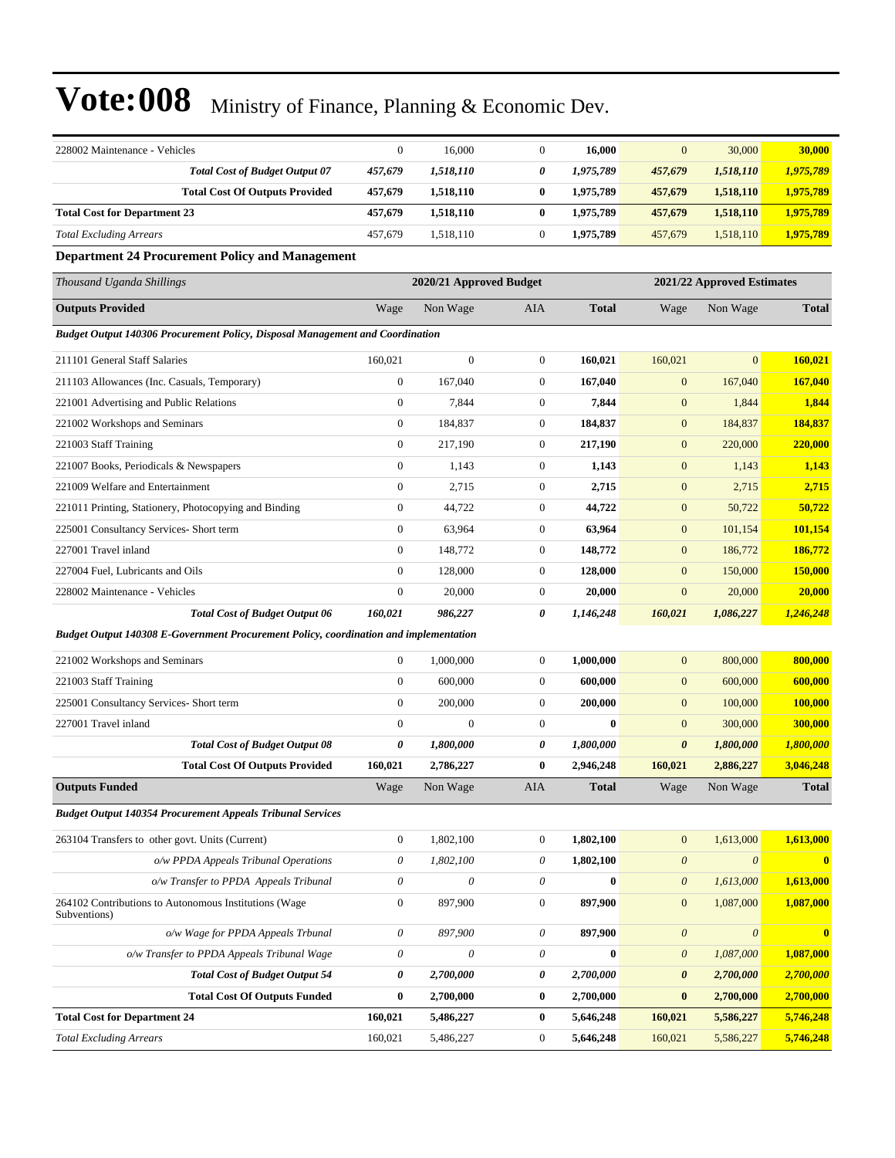| 228002 Maintenance - Vehicles                                                                | $\boldsymbol{0}$          | 16,000                    | $\boldsymbol{0}$      | 16,000           | $\mathbf{0}$              | 30,000                     | 30,000       |
|----------------------------------------------------------------------------------------------|---------------------------|---------------------------|-----------------------|------------------|---------------------------|----------------------------|--------------|
| <b>Total Cost of Budget Output 07</b>                                                        | 457,679                   | 1,518,110                 | 0                     | 1,975,789        | 457,679                   | 1,518,110                  | 1,975,789    |
| <b>Total Cost Of Outputs Provided</b>                                                        | 457,679                   | 1,518,110                 | $\bf{0}$              | 1,975,789        | 457,679                   | 1,518,110                  | 1,975,789    |
| <b>Total Cost for Department 23</b>                                                          | 457,679                   | 1,518,110                 | $\bf{0}$              | 1,975,789        | 457,679                   | 1,518,110                  | 1,975,789    |
| <b>Total Excluding Arrears</b>                                                               | 457,679                   | 1,518,110                 | $\boldsymbol{0}$      | 1,975,789        | 457,679                   | 1,518,110                  | 1,975,789    |
| <b>Department 24 Procurement Policy and Management</b>                                       |                           |                           |                       |                  |                           |                            |              |
| Thousand Uganda Shillings                                                                    |                           | 2020/21 Approved Budget   |                       |                  |                           | 2021/22 Approved Estimates |              |
| <b>Outputs Provided</b>                                                                      | Wage                      | Non Wage                  | AIA                   | <b>Total</b>     | Wage                      | Non Wage                   | <b>Total</b> |
| <b>Budget Output 140306 Procurement Policy, Disposal Management and Coordination</b>         |                           |                           |                       |                  |                           |                            |              |
| 211101 General Staff Salaries                                                                | 160,021                   | $\boldsymbol{0}$          | $\boldsymbol{0}$      | 160,021          | 160,021                   | $\boldsymbol{0}$           | 160,021      |
| 211103 Allowances (Inc. Casuals, Temporary)                                                  | $\boldsymbol{0}$          | 167,040                   | $\boldsymbol{0}$      | 167,040          | $\mathbf{0}$              | 167,040                    | 167,040      |
| 221001 Advertising and Public Relations                                                      | $\boldsymbol{0}$          | 7,844                     | $\mathbf{0}$          | 7,844            | $\mathbf{0}$              | 1,844                      | 1,844        |
| 221002 Workshops and Seminars                                                                | $\boldsymbol{0}$          | 184,837                   | $\mathbf{0}$          | 184,837          | $\boldsymbol{0}$          | 184,837                    | 184,837      |
| 221003 Staff Training                                                                        | $\boldsymbol{0}$          | 217,190                   | $\boldsymbol{0}$      | 217,190          | $\mathbf{0}$              | 220,000                    | 220,000      |
| 221007 Books, Periodicals & Newspapers                                                       | $\boldsymbol{0}$          | 1,143                     | $\boldsymbol{0}$      | 1,143            | $\boldsymbol{0}$          | 1,143                      | 1,143        |
| 221009 Welfare and Entertainment                                                             | $\boldsymbol{0}$          | 2,715                     | $\boldsymbol{0}$      | 2,715            | $\mathbf{0}$              | 2,715                      | 2,715        |
| 221011 Printing, Stationery, Photocopying and Binding                                        | $\boldsymbol{0}$          | 44,722                    | $\boldsymbol{0}$      | 44,722           | $\boldsymbol{0}$          | 50,722                     | 50,722       |
| 225001 Consultancy Services- Short term                                                      | $\boldsymbol{0}$          | 63,964                    | $\mathbf{0}$          | 63,964           | $\boldsymbol{0}$          | 101,154                    | 101,154      |
| 227001 Travel inland                                                                         | $\mathbf{0}$              | 148,772                   | $\boldsymbol{0}$      | 148,772          | $\mathbf{0}$              | 186,772                    | 186,772      |
| 227004 Fuel, Lubricants and Oils                                                             | $\boldsymbol{0}$          | 128,000                   | $\boldsymbol{0}$      | 128,000          | $\mathbf{0}$              | 150,000                    | 150,000      |
| 228002 Maintenance - Vehicles                                                                | $\boldsymbol{0}$          | 20,000                    | $\boldsymbol{0}$      | 20,000           | $\mathbf{0}$              | 20,000                     | 20,000       |
| Total Cost of Budget Output 06                                                               | 160,021                   | 986,227                   | 0                     | 1,146,248        | 160,021                   | 1,086,227                  | 1,246,248    |
| <b>Budget Output 140308 E-Government Procurement Policy, coordination and implementation</b> |                           |                           |                       |                  |                           |                            |              |
| 221002 Workshops and Seminars                                                                | $\boldsymbol{0}$          | 1,000,000                 | $\mathbf{0}$          | 1,000,000        | $\mathbf{0}$              | 800,000                    | 800,000      |
| 221003 Staff Training                                                                        | $\boldsymbol{0}$          | 600,000                   | $\boldsymbol{0}$      | 600,000          | $\boldsymbol{0}$          | 600,000                    | 600,000      |
| 225001 Consultancy Services- Short term                                                      | $\boldsymbol{0}$          | 200,000                   | $\mathbf{0}$          | 200,000          | $\boldsymbol{0}$          | 100,000                    | 100,000      |
| 227001 Travel inland                                                                         | $\boldsymbol{0}$          | $\mathbf{0}$              | $\mathbf{0}$          | $\bf{0}$         | $\mathbf{0}$              | 300,000                    | 300,000      |
| <b>Total Cost of Budget Output 08</b>                                                        | 0                         | 1,800,000                 | 0                     | 1,800,000        | 0                         | 1,800,000                  | 1,800,000    |
| <b>Total Cost Of Outputs Provided</b>                                                        | 160,021                   | 2,786,227                 | $\bf{0}$              | 2,946,248        | 160,021                   | 2,886,227                  | 3,046,248    |
| <b>Outputs Funded</b>                                                                        | Wage                      | Non Wage                  | AIA                   | <b>Total</b>     | Wage                      | Non Wage                   | <b>Total</b> |
| <b>Budget Output 140354 Procurement Appeals Tribunal Services</b>                            |                           |                           |                       |                  |                           |                            |              |
| 263104 Transfers to other govt. Units (Current)                                              | $\boldsymbol{0}$          | 1,802,100                 | $\mathbf{0}$          | 1,802,100        | $\boldsymbol{0}$          | 1,613,000                  | 1,613,000    |
| o/w PPDA Appeals Tribunal Operations                                                         | $\boldsymbol{\mathit{0}}$ | 1,802,100                 | $\boldsymbol{\theta}$ | 1,802,100        | $\boldsymbol{\mathit{0}}$ | $\boldsymbol{\theta}$      | $\mathbf{0}$ |
| o/w Transfer to PPDA Appeals Tribunal                                                        | $\boldsymbol{\mathit{0}}$ | $\theta$                  | 0                     | $\bf{0}$         | $\boldsymbol{\mathit{0}}$ | 1,613,000                  | 1,613,000    |
| 264102 Contributions to Autonomous Institutions (Wage<br>Subventions)                        | $\boldsymbol{0}$          | 897,900                   | $\boldsymbol{0}$      | 897,900          | $\boldsymbol{0}$          | 1,087,000                  | 1,087,000    |
| o/w Wage for PPDA Appeals Trbunal                                                            | $\boldsymbol{\mathit{0}}$ | 897,900                   | 0                     | 897,900          | $\boldsymbol{\mathit{0}}$ | $\boldsymbol{\theta}$      | $\bf{0}$     |
| o/w Transfer to PPDA Appeals Tribunal Wage                                                   | $\boldsymbol{\mathit{0}}$ | $\boldsymbol{\mathit{0}}$ | $\theta$              | $\boldsymbol{0}$ | $\boldsymbol{\mathit{0}}$ | 1,087,000                  | 1,087,000    |
| <b>Total Cost of Budget Output 54</b>                                                        | $\pmb{\theta}$            | 2,700,000                 | 0                     | 2,700,000        | 0                         | 2,700,000                  | 2,700,000    |
| <b>Total Cost Of Outputs Funded</b>                                                          | $\boldsymbol{0}$          | 2,700,000                 | $\bf{0}$              | 2,700,000        | $\bf{0}$                  | 2,700,000                  | 2,700,000    |
| <b>Total Cost for Department 24</b>                                                          | 160,021                   | 5,486,227                 | $\bf{0}$              | 5,646,248        | 160,021                   | 5,586,227                  | 5,746,248    |
| <b>Total Excluding Arrears</b>                                                               | 160,021                   | 5,486,227                 | $\boldsymbol{0}$      | 5,646,248        | 160,021                   | 5,586,227                  | 5,746,248    |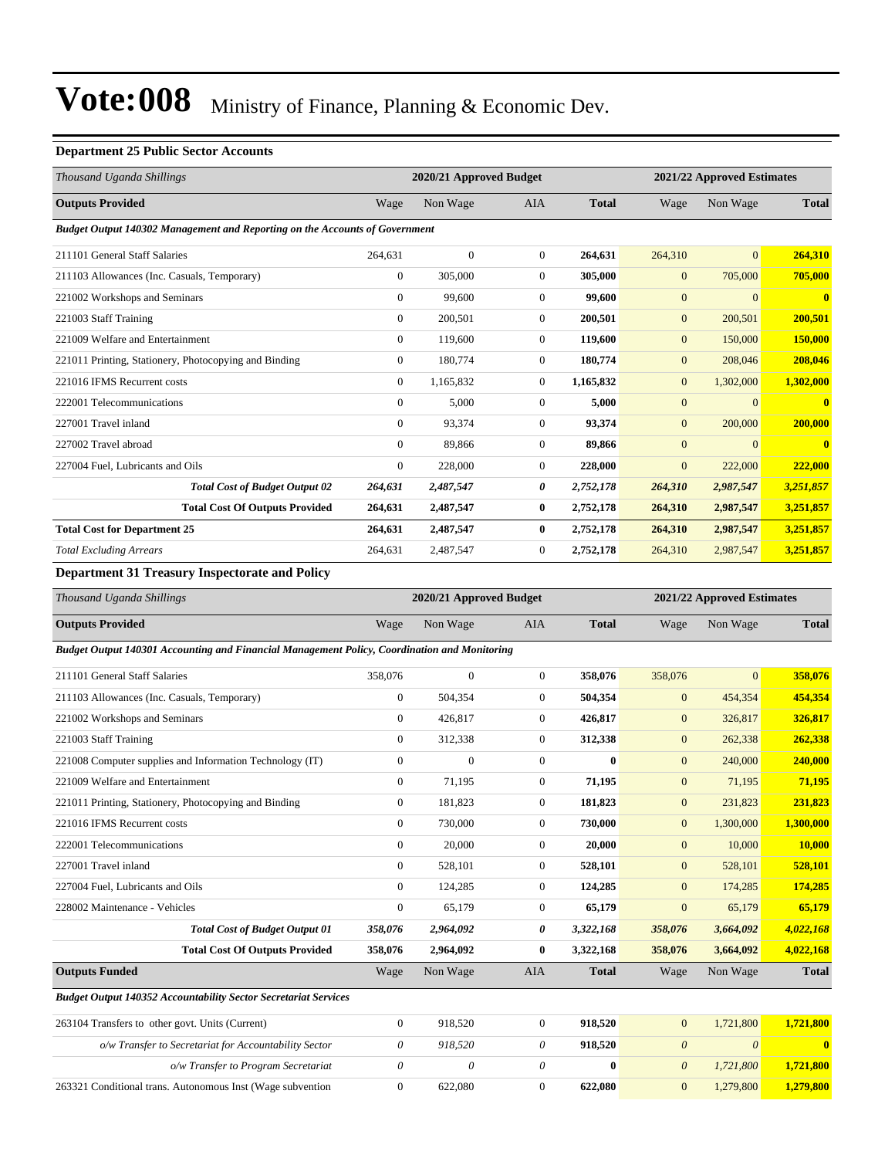#### **Department 25 Public Sector Accounts**

| Thousand Uganda Shillings                                                   |                | 2020/21 Approved Budget |                |              | 2021/22 Approved Estimates |                |                         |
|-----------------------------------------------------------------------------|----------------|-------------------------|----------------|--------------|----------------------------|----------------|-------------------------|
| <b>Outputs Provided</b>                                                     | Wage           | Non Wage                | <b>AIA</b>     | <b>Total</b> | Wage                       | Non Wage       | <b>Total</b>            |
| Budget Output 140302 Management and Reporting on the Accounts of Government |                |                         |                |              |                            |                |                         |
| 211101 General Staff Salaries                                               | 264,631        | $\mathbf{0}$            | $\mathbf{0}$   | 264,631      | 264,310                    | $\overline{0}$ | 264,310                 |
| 211103 Allowances (Inc. Casuals, Temporary)                                 | $\mathbf{0}$   | 305,000                 | $\Omega$       | 305,000      | $\mathbf{0}$               | 705,000        | 705,000                 |
| 221002 Workshops and Seminars                                               | $\mathbf{0}$   | 99,600                  | $\mathbf{0}$   | 99,600       | $\overline{0}$             | $\overline{0}$ | $\overline{\mathbf{0}}$ |
| 221003 Staff Training                                                       | $\mathbf{0}$   | 200,501                 | $\mathbf{0}$   | 200,501      | $\mathbf{0}$               | 200,501        | 200,501                 |
| 221009 Welfare and Entertainment                                            | $\mathbf{0}$   | 119,600                 | $\mathbf{0}$   | 119,600      | $\mathbf{0}$               | 150,000        | 150,000                 |
| 221011 Printing, Stationery, Photocopying and Binding                       | $\mathbf{0}$   | 180,774                 | $\mathbf{0}$   | 180,774      | $\mathbf{0}$               | 208,046        | 208,046                 |
| 221016 IFMS Recurrent costs                                                 | $\overline{0}$ | 1,165,832               | $\overline{0}$ | 1,165,832    | $\mathbf{0}$               | 1,302,000      | 1,302,000               |
| 222001 Telecommunications                                                   | $\overline{0}$ | 5,000                   | 0              | 5,000        | $\mathbf{0}$               | $\overline{0}$ | $\mathbf{0}$            |
| 227001 Travel inland                                                        | $\overline{0}$ | 93,374                  | 0              | 93,374       | $\mathbf{0}$               | 200,000        | 200,000                 |
| 227002 Travel abroad                                                        | $\mathbf{0}$   | 89.866                  | $\mathbf{0}$   | 89.866       | $\overline{0}$             | $\overline{0}$ | $\mathbf{0}$            |
| 227004 Fuel, Lubricants and Oils                                            | $\mathbf{0}$   | 228,000                 | $\mathbf{0}$   | 228,000      | $\mathbf{0}$               | 222,000        | 222,000                 |
| <b>Total Cost of Budget Output 02</b>                                       | 264,631        | 2,487,547               | 0              | 2,752,178    | 264,310                    | 2,987,547      | 3,251,857               |
| <b>Total Cost Of Outputs Provided</b>                                       | 264,631        | 2,487,547               | $\bf{0}$       | 2,752,178    | 264,310                    | 2,987,547      | 3,251,857               |
| <b>Total Cost for Department 25</b>                                         | 264,631        | 2,487,547               | $\bf{0}$       | 2,752,178    | 264,310                    | 2,987,547      | 3,251,857               |
| <b>Total Excluding Arrears</b>                                              | 264,631        | 2,487,547               | 0              | 2,752,178    | 264,310                    | 2,987,547      | 3,251,857               |

**Department 31 Treasury Inspectorate and Policy**

| Thousand Uganda Shillings                                                                    |              | 2020/21 Approved Budget |                |              |                       | 2021/22 Approved Estimates |              |  |  |
|----------------------------------------------------------------------------------------------|--------------|-------------------------|----------------|--------------|-----------------------|----------------------------|--------------|--|--|
| <b>Outputs Provided</b>                                                                      | Wage         | Non Wage                | AIA            | <b>Total</b> | Wage                  | Non Wage                   | <b>Total</b> |  |  |
| Budget Output 140301 Accounting and Financial Management Policy, Coordination and Monitoring |              |                         |                |              |                       |                            |              |  |  |
| 211101 General Staff Salaries                                                                | 358,076      | $\Omega$                | $\overline{0}$ | 358,076      | 358,076               | $\Omega$                   | 358,076      |  |  |
| 211103 Allowances (Inc. Casuals, Temporary)                                                  | $\mathbf{0}$ | 504,354                 | $\overline{0}$ | 504,354      | $\mathbf{0}$          | 454,354                    | 454,354      |  |  |
| 221002 Workshops and Seminars                                                                | $\Omega$     | 426,817                 | $\overline{0}$ | 426,817      | $\mathbf{0}$          | 326,817                    | 326,817      |  |  |
| 221003 Staff Training                                                                        | $\mathbf{0}$ | 312,338                 | $\overline{0}$ | 312,338      | $\mathbf{0}$          | 262,338                    | 262,338      |  |  |
| 221008 Computer supplies and Information Technology (IT)                                     | $\mathbf{0}$ | $\overline{0}$          | $\overline{0}$ | $\bf{0}$     | $\mathbf{0}$          | 240,000                    | 240,000      |  |  |
| 221009 Welfare and Entertainment                                                             | $\mathbf{0}$ | 71,195                  | $\overline{0}$ | 71,195       | $\mathbf{0}$          | 71,195                     | 71,195       |  |  |
| 221011 Printing, Stationery, Photocopying and Binding                                        | $\mathbf{0}$ | 181,823                 | $\overline{0}$ | 181,823      | $\mathbf{0}$          | 231,823                    | 231,823      |  |  |
| 221016 IFMS Recurrent costs                                                                  | $\Omega$     | 730,000                 | $\Omega$       | 730,000      | $\mathbf{0}$          | 1,300,000                  | 1,300,000    |  |  |
| 222001 Telecommunications                                                                    | $\mathbf{0}$ | 20,000                  | $\overline{0}$ | 20,000       | $\mathbf{0}$          | 10,000                     | 10,000       |  |  |
| 227001 Travel inland                                                                         | $\Omega$     | 528,101                 | $\overline{0}$ | 528,101      | $\mathbf{0}$          | 528,101                    | 528,101      |  |  |
| 227004 Fuel, Lubricants and Oils                                                             | $\Omega$     | 124,285                 | $\overline{0}$ | 124,285      | $\mathbf{0}$          | 174,285                    | 174,285      |  |  |
| 228002 Maintenance - Vehicles                                                                | $\mathbf{0}$ | 65,179                  | $\overline{0}$ | 65,179       | $\mathbf{0}$          | 65,179                     | 65,179       |  |  |
| <b>Total Cost of Budget Output 01</b>                                                        | 358,076      | 2,964,092               | 0              | 3,322,168    | 358,076               | 3,664,092                  | 4,022,168    |  |  |
| <b>Total Cost Of Outputs Provided</b>                                                        | 358,076      | 2,964,092               | 0              | 3,322,168    | 358,076               | 3,664,092                  | 4,022,168    |  |  |
| <b>Outputs Funded</b>                                                                        | Wage         | Non Wage                | <b>AIA</b>     | <b>Total</b> | Wage                  | Non Wage                   | <b>Total</b> |  |  |
| <b>Budget Output 140352 Accountability Sector Secretariat Services</b>                       |              |                         |                |              |                       |                            |              |  |  |
| 263104 Transfers to other govt. Units (Current)                                              | $\mathbf{0}$ | 918,520                 | $\overline{0}$ | 918,520      | $\mathbf{0}$          | 1,721,800                  | 1,721,800    |  |  |
| o/w Transfer to Secretariat for Accountability Sector                                        | $\theta$     | 918,520                 | 0              | 918,520      | $\boldsymbol{\theta}$ | $\theta$                   | $\mathbf{0}$ |  |  |
| o/w Transfer to Program Secretariat                                                          | $\theta$     | $\theta$                | 0              | $\bf{0}$     | $\boldsymbol{\theta}$ | 1,721,800                  | 1,721,800    |  |  |
| 263321 Conditional trans. Autonomous Inst (Wage subvention                                   | $\mathbf{0}$ | 622.080                 | $\mathbf{0}$   | 622.080      | $\mathbf{0}$          | 1,279,800                  | 1,279,800    |  |  |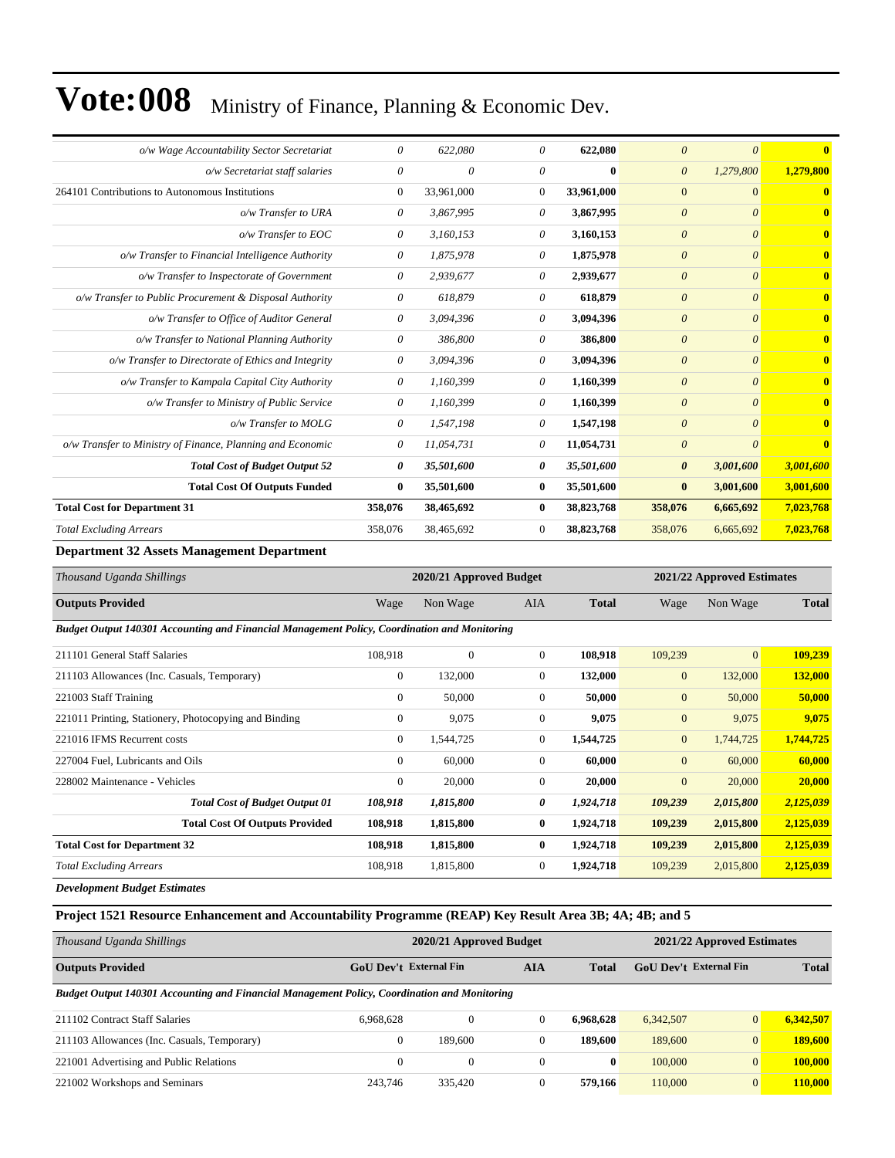| o/w Wage Accountability Sector Secretariat                 | 0              | 622,080    | $\theta$       | 622,080      | $\theta$              | $\theta$     | $\mathbf{0}$            |
|------------------------------------------------------------|----------------|------------|----------------|--------------|-----------------------|--------------|-------------------------|
| o/w Secretariat staff salaries                             | 0              | $\theta$   | $\theta$       | $\mathbf{0}$ | $\boldsymbol{\theta}$ | 1,279,800    | 1,279,800               |
| 264101 Contributions to Autonomous Institutions            | $\overline{0}$ | 33,961,000 | $\overline{0}$ | 33,961,000   | $\overline{0}$        | $\mathbf{0}$ | $\overline{\mathbf{0}}$ |
| o/w Transfer to URA                                        | 0              | 3,867,995  | 0              | 3,867,995    | $\boldsymbol{\theta}$ | $\theta$     | $\overline{\mathbf{0}}$ |
| o/w Transfer to EOC                                        | 0              | 3,160,153  | 0              | 3,160,153    | $\theta$              | $\theta$     | $\mathbf{0}$            |
| o/w Transfer to Financial Intelligence Authority           | 0              | 1,875,978  | $\theta$       | 1,875,978    | $\boldsymbol{\theta}$ | $\theta$     | $\bf{0}$                |
| o/w Transfer to Inspectorate of Government                 | 0              | 2,939,677  | $\theta$       | 2,939,677    | $\boldsymbol{\theta}$ | $\theta$     | $\overline{\mathbf{0}}$ |
| o/w Transfer to Public Procurement & Disposal Authority    | 0              | 618,879    | 0              | 618,879      | $\theta$              | $\theta$     | $\overline{\mathbf{0}}$ |
| o/w Transfer to Office of Auditor General                  | 0              | 3,094,396  | 0              | 3,094,396    | $\theta$              | $\theta$     | $\mathbf{0}$            |
| o/w Transfer to National Planning Authority                | 0              | 386,800    | $\theta$       | 386,800      | $\boldsymbol{\theta}$ | $\theta$     | $\bf{0}$                |
| o/w Transfer to Directorate of Ethics and Integrity        | 0              | 3,094,396  | $\theta$       | 3,094,396    | $\theta$              | $\theta$     | $\bf{0}$                |
| o/w Transfer to Kampala Capital City Authority             | 0              | 1,160,399  | 0              | 1,160,399    | $\theta$              | $\theta$     | $\overline{\mathbf{0}}$ |
| o/w Transfer to Ministry of Public Service                 | 0              | 1,160,399  | $\theta$       | 1,160,399    | $\theta$              | $\theta$     | $\mathbf{0}$            |
| o/w Transfer to MOLG                                       | 0              | 1,547,198  | $\theta$       | 1,547,198    | $\theta$              | $\theta$     | $\mathbf{0}$            |
| o/w Transfer to Ministry of Finance, Planning and Economic | 0              | 11,054,731 | 0              | 11,054,731   | $\boldsymbol{\theta}$ | $\theta$     | $\overline{\mathbf{0}}$ |
| <b>Total Cost of Budget Output 52</b>                      | 0              | 35,501,600 | 0              | 35,501,600   | 0                     | 3,001,600    | 3,001,600               |
| <b>Total Cost Of Outputs Funded</b>                        | $\bf{0}$       | 35,501,600 | $\bf{0}$       | 35,501,600   | $\bf{0}$              | 3,001,600    | 3,001,600               |
| <b>Total Cost for Department 31</b>                        | 358,076        | 38,465,692 | $\bf{0}$       | 38,823,768   | 358,076               | 6,665,692    | 7,023,768               |
| <b>Total Excluding Arrears</b>                             | 358,076        | 38,465,692 | $\Omega$       | 38,823,768   | 358,076               | 6,665,692    | 7,023,768               |
|                                                            |                |            |                |              |                       |              |                         |

#### **Department 32 Assets Management Department**

| Thousand Uganda Shillings | 2020/21 Approved Budget |          |     | 2021/22 Approved Estimates |      |          |              |
|---------------------------|-------------------------|----------|-----|----------------------------|------|----------|--------------|
| <b>Outputs Provided</b>   | Wage                    | Non Wage | AIA | <b>Total</b>               | Wage | Non Wage | <b>Total</b> |

*Budget Output 140301 Accounting and Financial Management Policy, Coordination and Monitoring*

| 211101 General Staff Salaries               |                                                       | 108,918        | $\boldsymbol{0}$ | $\Omega$       | 108,918   | 109,239        | $\mathbf{0}$ | 109.239   |
|---------------------------------------------|-------------------------------------------------------|----------------|------------------|----------------|-----------|----------------|--------------|-----------|
| 211103 Allowances (Inc. Casuals, Temporary) |                                                       | $\mathbf{0}$   | 132,000          | $\mathbf{0}$   | 132,000   | $\overline{0}$ | 132,000      | 132,000   |
| 221003 Staff Training                       |                                                       | $\overline{0}$ | 50,000           | $\Omega$       | 50,000    | $\mathbf{0}$   | 50,000       | 50,000    |
|                                             | 221011 Printing, Stationery, Photocopying and Binding | $\overline{0}$ | 9,075            | $\mathbf{0}$   | 9,075     | $\mathbf{0}$   | 9.075        | 9,075     |
| 221016 IFMS Recurrent costs                 |                                                       | $\mathbf{0}$   | 1,544,725        | $\mathbf{0}$   | 1,544,725 | $\overline{0}$ | 1,744,725    | 1,744,725 |
| 227004 Fuel, Lubricants and Oils            |                                                       | $\overline{0}$ | 60,000           | $\overline{0}$ | 60,000    | $\overline{0}$ | 60,000       | 60,000    |
| 228002 Maintenance - Vehicles               |                                                       | $\overline{0}$ | 20,000           | $\Omega$       | 20,000    | $\mathbf{0}$   | 20,000       | 20,000    |
|                                             | <b>Total Cost of Budget Output 01</b>                 | 108,918        | 1,815,800        | 0              | 1,924,718 | 109,239        | 2,015,800    | 2,125,039 |
|                                             | <b>Total Cost Of Outputs Provided</b>                 | 108,918        | 1,815,800        | $\bf{0}$       | 1,924,718 | 109,239        | 2,015,800    | 2,125,039 |
| <b>Total Cost for Department 32</b>         |                                                       | 108,918        | 1,815,800        | $\bf{0}$       | 1,924,718 | 109,239        | 2,015,800    | 2,125,039 |
| <b>Total Excluding Arrears</b>              |                                                       | 108,918        | 1,815,800        | $\overline{0}$ | 1,924,718 | 109,239        | 2,015,800    | 2,125,039 |
|                                             |                                                       |                |                  |                |           |                |              |           |

*Development Budget Estimates*

#### **Project 1521 Resource Enhancement and Accountability Programme (REAP) Key Result Area 3B; 4A; 4B; and 5**

| Thousand Uganda Shillings                                                                    |                        | 2020/21 Approved Budget |     | 2021/22 Approved Estimates |                               |                |              |
|----------------------------------------------------------------------------------------------|------------------------|-------------------------|-----|----------------------------|-------------------------------|----------------|--------------|
| <b>Outputs Provided</b>                                                                      | GoU Dev't External Fin |                         | AIA | Total                      | <b>GoU</b> Dev't External Fin |                | <b>Total</b> |
| Budget Output 140301 Accounting and Financial Management Policy, Coordination and Monitoring |                        |                         |     |                            |                               |                |              |
| 211102 Contract Staff Salaries                                                               | 6.968.628              | $\Omega$                |     | 6.968.628                  | 6,342,507                     | $\overline{0}$ | 6.342.507    |
| 211103 Allowances (Inc. Casuals, Temporary)                                                  | $\mathbf{0}$           | 189,600                 |     | 189,600                    | 189,600                       | $\overline{0}$ | 189,600      |
| 221001 Advertising and Public Relations                                                      | $\mathbf{0}$           | $\theta$                |     | $\mathbf{0}$               | 100,000                       | $\overline{0}$ | 100,000      |
| 221002 Workshops and Seminars                                                                | 243.746                | 335,420                 |     | 579,166                    | 110,000                       | $\overline{0}$ | 110,000      |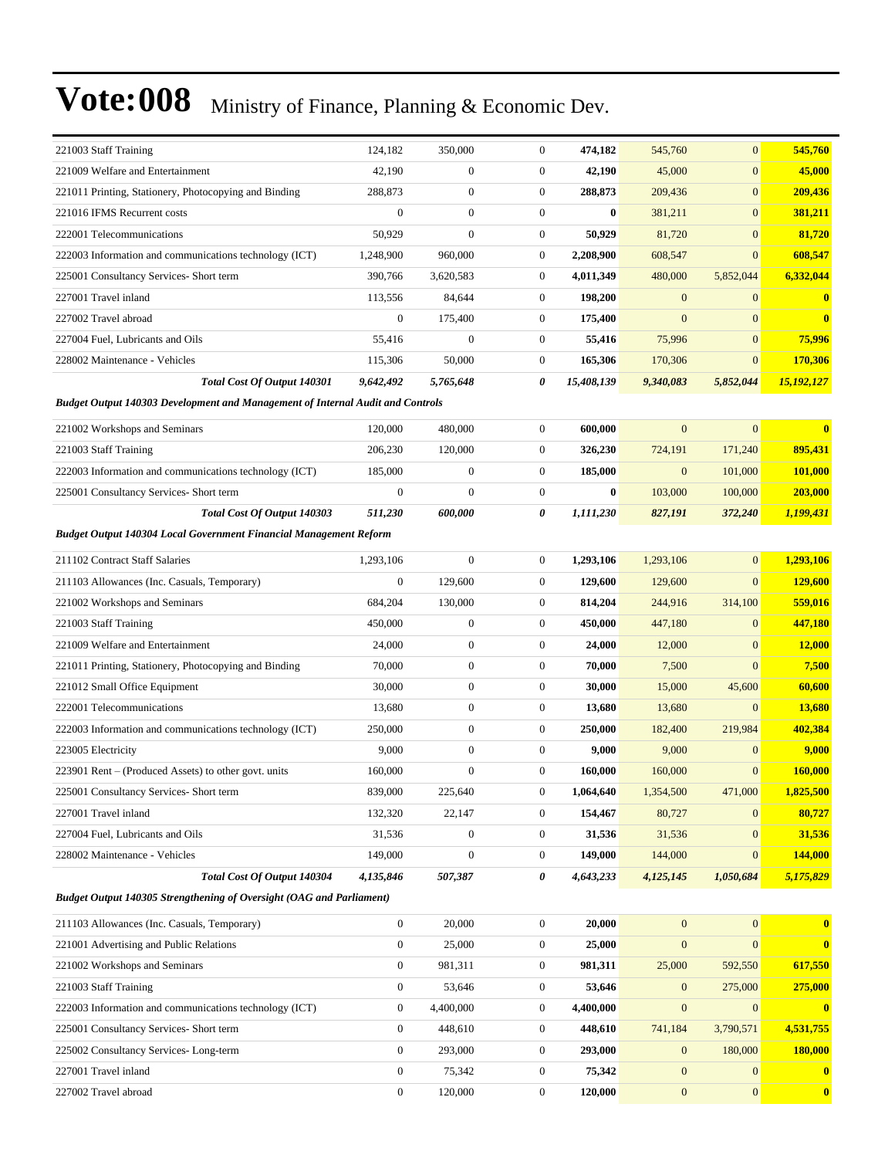| 221003 Staff Training                                                                 | 124,182          | 350,000          | $\mathbf{0}$     | 474,182    | 545,760          | $\mathbf{0}$     | 545,760        |
|---------------------------------------------------------------------------------------|------------------|------------------|------------------|------------|------------------|------------------|----------------|
| 221009 Welfare and Entertainment                                                      | 42,190           | $\boldsymbol{0}$ | $\boldsymbol{0}$ | 42,190     | 45,000           | $\mathbf{0}$     | 45,000         |
| 221011 Printing, Stationery, Photocopying and Binding                                 | 288,873          | $\boldsymbol{0}$ | $\mathbf{0}$     | 288,873    | 209,436          | $\mathbf{0}$     | 209,436        |
| 221016 IFMS Recurrent costs                                                           | $\boldsymbol{0}$ | $\boldsymbol{0}$ | $\boldsymbol{0}$ | 0          | 381,211          | $\mathbf{0}$     | 381,211        |
| 222001 Telecommunications                                                             | 50,929           | $\boldsymbol{0}$ | $\overline{0}$   | 50,929     | 81,720           | $\mathbf{0}$     | 81,720         |
| 222003 Information and communications technology (ICT)                                | 1,248,900        | 960,000          | 0                | 2,208,900  | 608,547          | $\mathbf{0}$     | 608,547        |
| 225001 Consultancy Services- Short term                                               | 390,766          | 3,620,583        | $\boldsymbol{0}$ | 4,011,349  | 480,000          | 5,852,044        | 6,332,044      |
| 227001 Travel inland                                                                  | 113,556          | 84,644           | $\mathbf{0}$     | 198,200    | $\mathbf{0}$     | $\mathbf{0}$     | $\bf{0}$       |
| 227002 Travel abroad                                                                  | $\boldsymbol{0}$ | 175,400          | $\mathbf{0}$     | 175,400    | $\overline{0}$   | $\mathbf{0}$     | $\bf{0}$       |
| 227004 Fuel, Lubricants and Oils                                                      | 55,416           | $\mathbf{0}$     | $\mathbf{0}$     | 55,416     | 75,996           | $\mathbf{0}$     | 75,996         |
| 228002 Maintenance - Vehicles                                                         | 115,306          | 50,000           | 0                | 165,306    | 170,306          | $\mathbf{0}$     | 170,306        |
| <b>Total Cost Of Output 140301</b>                                                    | 9,642,492        | 5,765,648        | 0                | 15,408,139 | 9,340,083        | 5,852,044        | 15,192,127     |
| <b>Budget Output 140303 Development and Management of Internal Audit and Controls</b> |                  |                  |                  |            |                  |                  |                |
| 221002 Workshops and Seminars                                                         | 120,000          | 480,000          | $\mathbf{0}$     | 600,000    | $\overline{0}$   | $\mathbf{0}$     | $\bf{0}$       |
| 221003 Staff Training                                                                 | 206,230          | 120,000          | $\mathbf{0}$     | 326,230    | 724,191          | 171,240          | 895,431        |
| 222003 Information and communications technology (ICT)                                | 185,000          | $\boldsymbol{0}$ | $\mathbf{0}$     | 185,000    | $\boldsymbol{0}$ | 101,000          | <b>101,000</b> |
| 225001 Consultancy Services- Short term                                               | $\boldsymbol{0}$ | $\boldsymbol{0}$ | 0                | 0          | 103,000          | 100,000          | 203,000        |
| <b>Total Cost Of Output 140303</b>                                                    | 511,230          | 600,000          | 0                | 1,111,230  | 827,191          | 372,240          | 1,199,431      |
| <b>Budget Output 140304 Local Government Financial Management Reform</b>              |                  |                  |                  |            |                  |                  |                |
|                                                                                       |                  |                  |                  |            |                  |                  |                |
| 211102 Contract Staff Salaries                                                        | 1,293,106        | $\boldsymbol{0}$ | $\mathbf{0}$     | 1,293,106  | 1,293,106        | $\mathbf{0}$     | 1,293,106      |
| 211103 Allowances (Inc. Casuals, Temporary)                                           | $\boldsymbol{0}$ | 129,600          | $\mathbf{0}$     | 129,600    | 129,600          | $\mathbf{0}$     | 129,600        |
| 221002 Workshops and Seminars                                                         | 684,204          | 130,000          | $\overline{0}$   | 814,204    | 244,916          | 314,100          | 559,016        |
| 221003 Staff Training                                                                 | 450,000          | $\boldsymbol{0}$ | 0                | 450,000    | 447,180          | $\mathbf{0}$     | 447,180        |
| 221009 Welfare and Entertainment                                                      | 24,000           | $\boldsymbol{0}$ | $\boldsymbol{0}$ | 24,000     | 12,000           | $\overline{0}$   | <b>12,000</b>  |
| 221011 Printing, Stationery, Photocopying and Binding                                 | 70,000           | $\boldsymbol{0}$ | $\mathbf{0}$     | 70,000     | 7,500            | $\mathbf{0}$     | 7,500          |
| 221012 Small Office Equipment                                                         | 30,000           | $\boldsymbol{0}$ | $\mathbf{0}$     | 30,000     | 15,000           | 45,600           | 60,600         |
| 222001 Telecommunications                                                             | 13,680           | $\boldsymbol{0}$ | $\mathbf{0}$     | 13,680     | 13,680           | $\mathbf{0}$     | 13,680         |
| 222003 Information and communications technology (ICT)                                | 250,000          | $\boldsymbol{0}$ | 0                | 250,000    | 182,400          | 219,984          | 402,384        |
| 223005 Electricity                                                                    | 9,000            | $\boldsymbol{0}$ | $\overline{0}$   | 9,000      | 9,000            | $\mathbf{0}$     | 9,000          |
| 223901 Rent – (Produced Assets) to other govt. units                                  | 160,000          | $\mathbf{0}$     | $\mathbf{0}$     | 160,000    | 160,000          | $\mathbf{0}$     | 160,000        |
| 225001 Consultancy Services- Short term                                               | 839,000          | 225,640          | 0                | 1,064,640  | 1,354,500        | 471,000          | 1,825,500      |
| 227001 Travel inland                                                                  | 132,320          | 22,147           | 0                | 154,467    | 80,727           | $\mathbf{0}$     | 80,727         |
| 227004 Fuel, Lubricants and Oils                                                      | 31,536           | $\boldsymbol{0}$ | 0                | 31,536     | 31,536           | $\mathbf{0}$     | 31,536         |
| 228002 Maintenance - Vehicles                                                         | 149,000          | $\boldsymbol{0}$ | $\boldsymbol{0}$ | 149,000    | 144,000          | $\boldsymbol{0}$ | 144,000        |
| Total Cost Of Output 140304                                                           | 4,135,846        | 507,387          | 0                | 4,643,233  | 4,125,145        | 1,050,684        | 5,175,829      |
| <b>Budget Output 140305 Strengthening of Oversight (OAG and Parliament)</b>           |                  |                  |                  |            |                  |                  |                |
| 211103 Allowances (Inc. Casuals, Temporary)                                           | $\boldsymbol{0}$ | 20,000           | $\boldsymbol{0}$ | 20,000     | $\mathbf{0}$     | $\mathbf{0}$     | $\bf{0}$       |
| 221001 Advertising and Public Relations                                               | $\boldsymbol{0}$ | 25,000           | $\boldsymbol{0}$ | 25,000     | $\mathbf{0}$     | $\mathbf{0}$     | $\bf{0}$       |
| 221002 Workshops and Seminars                                                         | 0                | 981,311          | 0                | 981,311    | 25,000           | 592,550          | 617,550        |
| 221003 Staff Training                                                                 | $\boldsymbol{0}$ | 53,646           | $\boldsymbol{0}$ | 53,646     | $\mathbf{0}$     | 275,000          | 275,000        |
| 222003 Information and communications technology (ICT)                                | $\boldsymbol{0}$ | 4,400,000        | $\mathbf{0}$     | 4,400,000  | $\boldsymbol{0}$ | $\boldsymbol{0}$ | $\bf{0}$       |
| 225001 Consultancy Services- Short term                                               | $\boldsymbol{0}$ | 448,610          | $\mathbf{0}$     | 448,610    | 741,184          | 3,790,571        | 4,531,755      |
| 225002 Consultancy Services-Long-term                                                 | $\boldsymbol{0}$ | 293,000          | $\boldsymbol{0}$ | 293,000    | $\mathbf{0}$     | 180,000          | <b>180,000</b> |
| 227001 Travel inland                                                                  | 0                | 75,342           | 0                | 75,342     | $\mathbf{0}$     | $\mathbf{0}$     | $\bf{0}$       |
| 227002 Travel abroad                                                                  | $\boldsymbol{0}$ | 120,000          | $\boldsymbol{0}$ | 120,000    | $\boldsymbol{0}$ | $\boldsymbol{0}$ | $\bf{0}$       |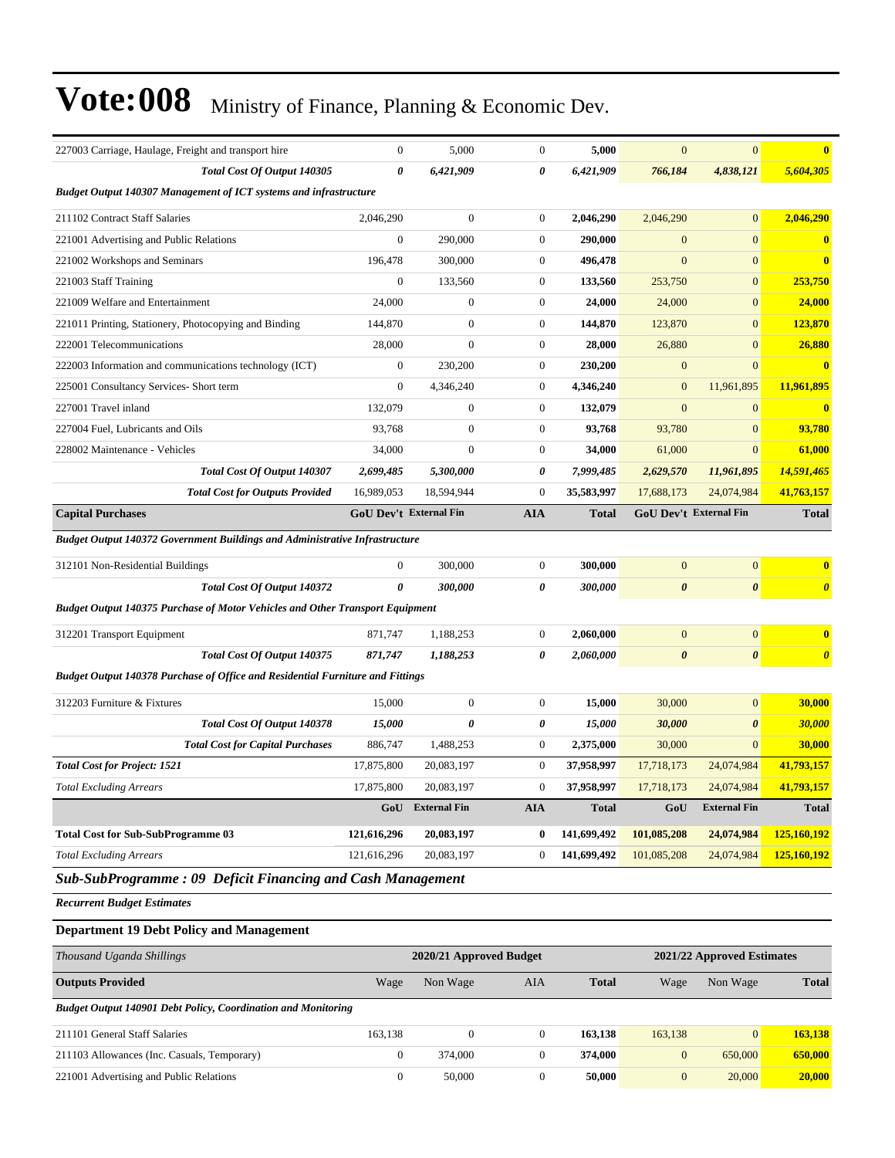| 227003 Carriage, Haulage, Freight and transport hire                                 | $\mathbf{0}$           | 5,000               | $\mathbf{0}$     | 5,000        | $\overline{0}$        | $\mathbf{0}$           | $\bf{0}$                |
|--------------------------------------------------------------------------------------|------------------------|---------------------|------------------|--------------|-----------------------|------------------------|-------------------------|
| Total Cost Of Output 140305                                                          | $\boldsymbol{\theta}$  | 6,421,909           | 0                | 6,421,909    | 766,184               | 4,838,121              | 5,604,305               |
| Budget Output 140307 Management of ICT systems and infrastructure                    |                        |                     |                  |              |                       |                        |                         |
| 211102 Contract Staff Salaries                                                       | 2,046,290              | $\boldsymbol{0}$    | $\boldsymbol{0}$ | 2,046,290    | 2,046,290             | $\overline{0}$         | 2,046,290               |
| 221001 Advertising and Public Relations                                              | $\boldsymbol{0}$       | 290,000             | $\boldsymbol{0}$ | 290,000      | $\mathbf{0}$          | $\mathbf{0}$           | $\bf{0}$                |
| 221002 Workshops and Seminars                                                        | 196,478                | 300,000             | $\boldsymbol{0}$ | 496,478      | $\mathbf{0}$          | $\mathbf{0}$           | $\bf{0}$                |
| 221003 Staff Training                                                                | $\mathbf{0}$           | 133,560             | $\boldsymbol{0}$ | 133,560      | 253,750               | $\mathbf{0}$           | 253,750                 |
| 221009 Welfare and Entertainment                                                     | 24,000                 | $\boldsymbol{0}$    | $\boldsymbol{0}$ | 24,000       | 24,000                | $\mathbf{0}$           | 24,000                  |
| 221011 Printing, Stationery, Photocopying and Binding                                | 144,870                | $\boldsymbol{0}$    | $\mathbf{0}$     | 144,870      | 123,870               | $\mathbf{0}$           | 123,870                 |
| 222001 Telecommunications                                                            | 28,000                 | $\mathbf{0}$        | $\boldsymbol{0}$ | 28,000       | 26,880                | $\mathbf{0}$           | 26,880                  |
| 222003 Information and communications technology (ICT)                               | $\mathbf{0}$           | 230,200             | $\overline{0}$   | 230,200      | $\boldsymbol{0}$      | $\Omega$               | $\overline{\mathbf{0}}$ |
| 225001 Consultancy Services- Short term                                              | $\mathbf{0}$           | 4,346,240           | $\overline{0}$   | 4,346,240    | $\mathbf{0}$          | 11,961,895             | 11,961,895              |
| 227001 Travel inland                                                                 | 132,079                | $\mathbf{0}$        | $\overline{0}$   | 132,079      | $\overline{0}$        | $\overline{0}$         | $\overline{\mathbf{0}}$ |
| 227004 Fuel, Lubricants and Oils                                                     | 93,768                 | $\mathbf{0}$        | $\overline{0}$   | 93,768       | 93,780                | $\mathbf{0}$           | 93,780                  |
| 228002 Maintenance - Vehicles                                                        | 34,000                 | $\mathbf{0}$        | $\boldsymbol{0}$ | 34,000       | 61,000                | $\mathbf{0}$           | 61,000                  |
| Total Cost Of Output 140307                                                          | 2,699,485              | 5,300,000           | 0                | 7,999,485    | 2,629,570             | 11,961,895             | 14,591,465              |
| <b>Total Cost for Outputs Provided</b>                                               | 16,989,053             | 18,594,944          | $\overline{0}$   | 35,583,997   | 17,688,173            | 24,074,984             | 41,763,157              |
| <b>Capital Purchases</b>                                                             | GoU Dev't External Fin |                     | <b>AIA</b>       | <b>Total</b> |                       | GoU Dev't External Fin | <b>Total</b>            |
| <b>Budget Output 140372 Government Buildings and Administrative Infrastructure</b>   |                        |                     |                  |              |                       |                        |                         |
| 312101 Non-Residential Buildings                                                     | $\boldsymbol{0}$       | 300,000             | $\mathbf{0}$     | 300,000      | $\mathbf{0}$          | $\mathbf{0}$           | $\mathbf{0}$            |
| Total Cost Of Output 140372                                                          | $\boldsymbol{\theta}$  | 300,000             | 0                | 300,000      | $\boldsymbol{\theta}$ | $\boldsymbol{\theta}$  | $\boldsymbol{\theta}$   |
| <b>Budget Output 140375 Purchase of Motor Vehicles and Other Transport Equipment</b> |                        |                     |                  |              |                       |                        |                         |
| 312201 Transport Equipment                                                           | 871,747                | 1,188,253           | $\overline{0}$   | 2,060,000    | $\overline{0}$        | $\overline{0}$         | $\bf{0}$                |
| Total Cost Of Output 140375                                                          | 871,747                | 1,188,253           | 0                | 2,060,000    | $\boldsymbol{\theta}$ | $\boldsymbol{\theta}$  | $\boldsymbol{\theta}$   |
| Budget Output 140378 Purchase of Office and Residential Furniture and Fittings       |                        |                     |                  |              |                       |                        |                         |
| 312203 Furniture & Fixtures                                                          | 15,000                 | $\boldsymbol{0}$    | $\mathbf{0}$     | 15,000       | 30,000                | $\overline{0}$         | 30,000                  |
| Total Cost Of Output 140378                                                          | 15,000                 | 0                   | 0                | 15,000       | 30,000                | $\boldsymbol{\theta}$  | 30,000                  |
| <b>Total Cost for Capital Purchases</b>                                              | 886,747                | 1,488,253           | $\boldsymbol{0}$ | 2,375,000    | 30,000                | $\mathbf{0}$           | 30,000                  |
| <b>Total Cost for Project: 1521</b>                                                  | 17,875,800             | 20,083,197          | $\boldsymbol{0}$ | 37,958,997   | 17,718,173            | 24,074,984             | 41,793,157              |
| <b>Total Excluding Arrears</b>                                                       | 17,875,800             | 20,083,197          | $\boldsymbol{0}$ | 37,958,997   | 17,718,173            | 24,074,984             | 41,793,157              |
|                                                                                      | GoU                    | <b>External Fin</b> | <b>AIA</b>       | <b>Total</b> | GoU                   | <b>External Fin</b>    | <b>Total</b>            |
| <b>Total Cost for Sub-SubProgramme 03</b>                                            | 121,616,296            | 20,083,197          | 0                | 141,699,492  | 101,085,208           | 24,074,984             | 125,160,192             |
| <b>Total Excluding Arrears</b>                                                       | 121,616,296            | 20,083,197          | $\boldsymbol{0}$ | 141,699,492  | 101,085,208           | 24,074,984             | 125,160,192             |
| <b>Sub-SubProgramme: 09 Deficit Financing and Cash Management</b>                    |                        |                     |                  |              |                       |                        |                         |

*Recurrent Budget Estimates*

#### **Department 19 Debt Policy and Management**

| Thousand Uganda Shillings                                            |              | 2020/21 Approved Budget |     |              | 2021/22 Approved Estimates |                |              |  |
|----------------------------------------------------------------------|--------------|-------------------------|-----|--------------|----------------------------|----------------|--------------|--|
| <b>Outputs Provided</b>                                              | Wage         | Non Wage                | AIA | <b>Total</b> | Wage                       | Non Wage       | <b>Total</b> |  |
| <b>Budget Output 140901 Debt Policy, Coordination and Monitoring</b> |              |                         |     |              |                            |                |              |  |
| 211101 General Staff Salaries                                        | 163.138      | 0                       |     | 163,138      | 163,138                    | $\overline{0}$ | 163,138      |  |
| 211103 Allowances (Inc. Casuals, Temporary)                          | $\mathbf{0}$ | 374,000                 |     | 374,000      | $\overline{0}$             | 650,000        | 650,000      |  |
| 221001 Advertising and Public Relations                              | $\mathbf{0}$ | 50,000                  |     | 50,000       | $\mathbf{0}$               | 20,000         | 20,000       |  |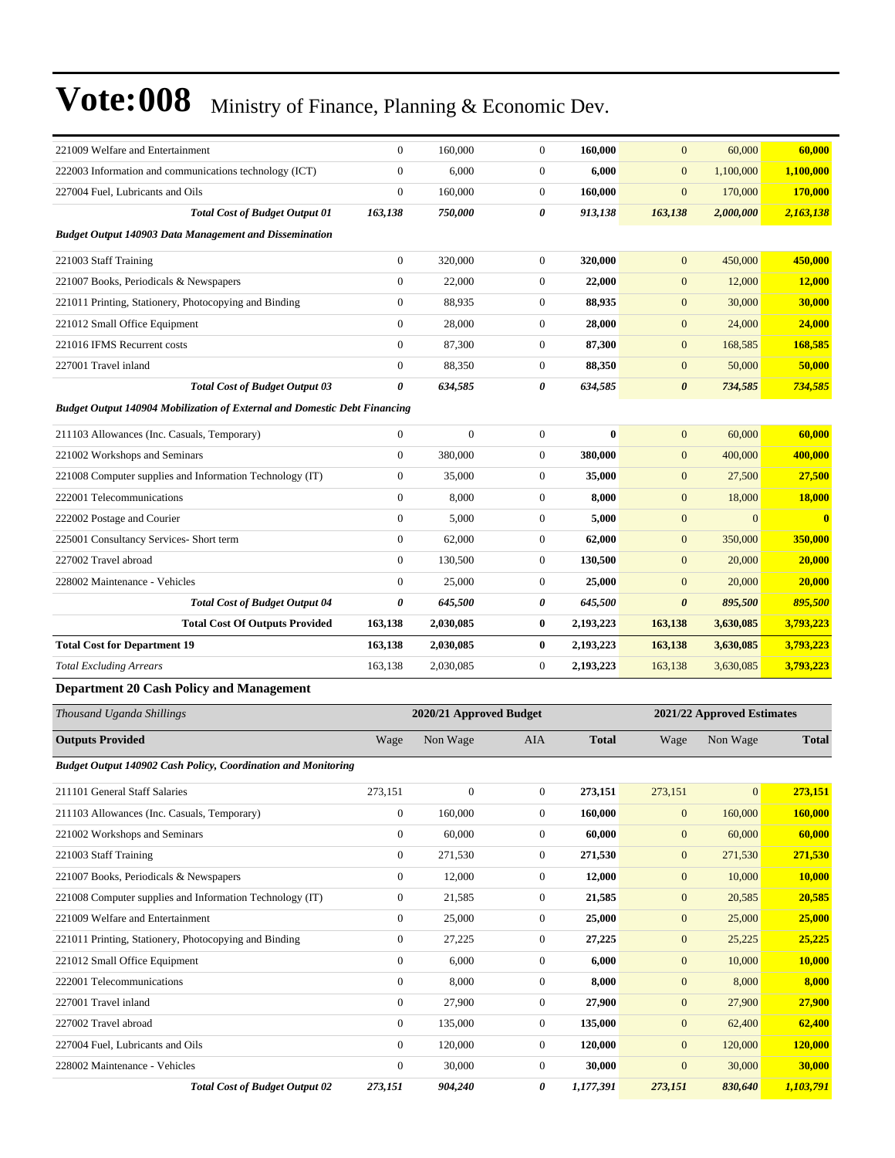| 221009 Welfare and Entertainment                                                 | $\mathbf{0}$          | 160,000                 | $\mathbf{0}$     | 160,000      | $\mathbf{0}$          | 60,000                     | 60,000        |
|----------------------------------------------------------------------------------|-----------------------|-------------------------|------------------|--------------|-----------------------|----------------------------|---------------|
| 222003 Information and communications technology (ICT)                           | $\mathbf{0}$          | 6,000                   | $\mathbf{0}$     | 6,000        | $\mathbf{0}$          | 1,100,000                  | 1,100,000     |
| 227004 Fuel, Lubricants and Oils                                                 | $\mathbf{0}$          | 160,000                 | $\mathbf{0}$     | 160,000      | $\mathbf{0}$          | 170,000                    | 170,000       |
| <b>Total Cost of Budget Output 01</b>                                            | 163,138               | 750,000                 | 0                | 913,138      | 163,138               | 2,000,000                  | 2,163,138     |
| <b>Budget Output 140903 Data Management and Dissemination</b>                    |                       |                         |                  |              |                       |                            |               |
| 221003 Staff Training                                                            | $\boldsymbol{0}$      | 320,000                 | $\mathbf{0}$     | 320,000      | $\mathbf{0}$          | 450,000                    | 450,000       |
| 221007 Books, Periodicals & Newspapers                                           | $\boldsymbol{0}$      | 22,000                  | 0                | 22,000       | $\mathbf{0}$          | 12,000                     | 12,000        |
| 221011 Printing, Stationery, Photocopying and Binding                            | $\mathbf{0}$          | 88,935                  | $\mathbf{0}$     | 88,935       | $\mathbf{0}$          | 30,000                     | 30,000        |
| 221012 Small Office Equipment                                                    | $\mathbf{0}$          | 28,000                  | $\boldsymbol{0}$ | 28,000       | $\mathbf{0}$          | 24,000                     | 24,000        |
| 221016 IFMS Recurrent costs                                                      | $\boldsymbol{0}$      | 87,300                  | 0                | 87,300       | $\mathbf{0}$          | 168,585                    | 168,585       |
| 227001 Travel inland                                                             | $\mathbf{0}$          | 88,350                  | $\mathbf{0}$     | 88,350       | $\boldsymbol{0}$      | 50,000                     | 50,000        |
| <b>Total Cost of Budget Output 03</b>                                            | $\boldsymbol{\theta}$ | 634,585                 | 0                | 634,585      | $\boldsymbol{\theta}$ | 734,585                    | 734,585       |
| <b>Budget Output 140904 Mobilization of External and Domestic Debt Financing</b> |                       |                         |                  |              |                       |                            |               |
| 211103 Allowances (Inc. Casuals, Temporary)                                      | $\boldsymbol{0}$      | $\boldsymbol{0}$        | $\mathbf{0}$     | $\bf{0}$     | $\mathbf{0}$          | 60,000                     | 60,000        |
| 221002 Workshops and Seminars                                                    | $\mathbf{0}$          | 380,000                 | $\mathbf{0}$     | 380,000      | $\mathbf{0}$          | 400,000                    | 400,000       |
| 221008 Computer supplies and Information Technology (IT)                         | $\mathbf{0}$          | 35,000                  | 0                | 35,000       | $\mathbf{0}$          | 27,500                     | 27,500        |
| 222001 Telecommunications                                                        | $\mathbf{0}$          | 8,000                   | 0                | 8,000        | $\mathbf{0}$          | 18,000                     | <b>18,000</b> |
| 222002 Postage and Courier                                                       | $\boldsymbol{0}$      | 5,000                   | 0                | 5,000        | $\mathbf{0}$          | $\boldsymbol{0}$           | $\bf{0}$      |
| 225001 Consultancy Services- Short term                                          | $\boldsymbol{0}$      | 62,000                  | $\mathbf{0}$     | 62,000       | $\mathbf{0}$          | 350,000                    | 350,000       |
| 227002 Travel abroad                                                             | $\mathbf{0}$          | 130,500                 | $\boldsymbol{0}$ | 130,500      | $\mathbf{0}$          | 20,000                     | 20,000        |
| 228002 Maintenance - Vehicles                                                    | $\mathbf{0}$          | 25,000                  | 0                | 25,000       | $\mathbf{0}$          | 20,000                     | 20,000        |
| <b>Total Cost of Budget Output 04</b>                                            | 0                     | 645,500                 | 0                | 645,500      | $\boldsymbol{\theta}$ | 895,500                    | 895,500       |
| <b>Total Cost Of Outputs Provided</b>                                            | 163,138               | 2,030,085               | 0                | 2,193,223    | 163,138               | 3,630,085                  | 3,793,223     |
| <b>Total Cost for Department 19</b>                                              | 163,138               | 2,030,085               | $\bf{0}$         | 2,193,223    | 163,138               | 3,630,085                  | 3,793,223     |
| <b>Total Excluding Arrears</b>                                                   | 163,138               | 2,030,085               | $\mathbf{0}$     | 2,193,223    | 163,138               | 3,630,085                  | 3,793,223     |
| <b>Department 20 Cash Policy and Management</b>                                  |                       |                         |                  |              |                       |                            |               |
| Thousand Uganda Shillings                                                        |                       | 2020/21 Approved Budget |                  |              |                       | 2021/22 Approved Estimates |               |
|                                                                                  |                       |                         |                  |              |                       |                            |               |
| <b>Outputs Provided</b>                                                          | Wage                  | Non Wage                | AIA              | <b>Total</b> | Wage                  | Non Wage                   | <b>Total</b>  |
| <b>Budget Output 140902 Cash Policy, Coordination and Monitoring</b>             |                       |                         |                  |              |                       |                            |               |
| 211101 General Staff Salaries                                                    | 273,151               | $\boldsymbol{0}$        | $\boldsymbol{0}$ | 273,151      | 273,151               | 0                          | 273,151       |
|                                                                                  |                       |                         |                  |              |                       |                            |               |
| 211103 Allowances (Inc. Casuals, Temporary)                                      | $\mathbf{0}$          | 160,000                 | $\mathbf{0}$     | 160,000      | $\mathbf{0}$          | 160,000                    | 160,000       |
| 221002 Workshops and Seminars                                                    | $\boldsymbol{0}$      | 60,000                  | $\boldsymbol{0}$ | 60,000       | $\mathbf{0}$          | 60,000                     | 60,000        |
| 221003 Staff Training                                                            | $\boldsymbol{0}$      | 271,530                 | $\boldsymbol{0}$ | 271,530      | $\mathbf{0}$          | 271,530                    | 271,530       |
| 221007 Books, Periodicals & Newspapers                                           | $\boldsymbol{0}$      | 12,000                  | $\boldsymbol{0}$ | 12,000       | $\mathbf{0}$          | 10,000                     | 10,000        |
| 221008 Computer supplies and Information Technology (IT)                         | $\boldsymbol{0}$      | 21,585                  | $\boldsymbol{0}$ | 21,585       | $\boldsymbol{0}$      | 20,585                     | 20,585        |
| 221009 Welfare and Entertainment                                                 | $\boldsymbol{0}$      | 25,000                  | $\boldsymbol{0}$ | 25,000       | $\mathbf{0}$          | 25,000                     | 25,000        |
| 221011 Printing, Stationery, Photocopying and Binding                            | $\boldsymbol{0}$      | 27,225                  | $\boldsymbol{0}$ | 27,225       | $\mathbf{0}$          | 25,225                     | 25,225        |
| 221012 Small Office Equipment                                                    | $\boldsymbol{0}$      | 6,000                   | $\boldsymbol{0}$ | 6,000        | $\mathbf{0}$          | 10,000                     | 10,000        |
| 222001 Telecommunications                                                        | $\boldsymbol{0}$      | 8,000                   | $\boldsymbol{0}$ | 8,000        | $\mathbf{0}$          | 8,000                      | 8,000         |
| 227001 Travel inland                                                             | $\boldsymbol{0}$      | 27,900                  | 0                | 27,900       | $\boldsymbol{0}$      | 27,900                     | 27,900        |
| 227002 Travel abroad                                                             | $\boldsymbol{0}$      | 135,000                 | $\boldsymbol{0}$ | 135,000      | $\mathbf{0}$          | 62,400                     | 62,400        |
| 227004 Fuel, Lubricants and Oils                                                 | $\mathbf{0}$          | 120,000                 | $\mathbf{0}$     | 120,000      | $\mathbf{0}$          | 120,000                    | 120,000       |
| 228002 Maintenance - Vehicles                                                    | $\mathbf{0}$          | 30,000                  | $\boldsymbol{0}$ | 30,000       | $\mathbf{0}$          | 30,000                     | 30,000        |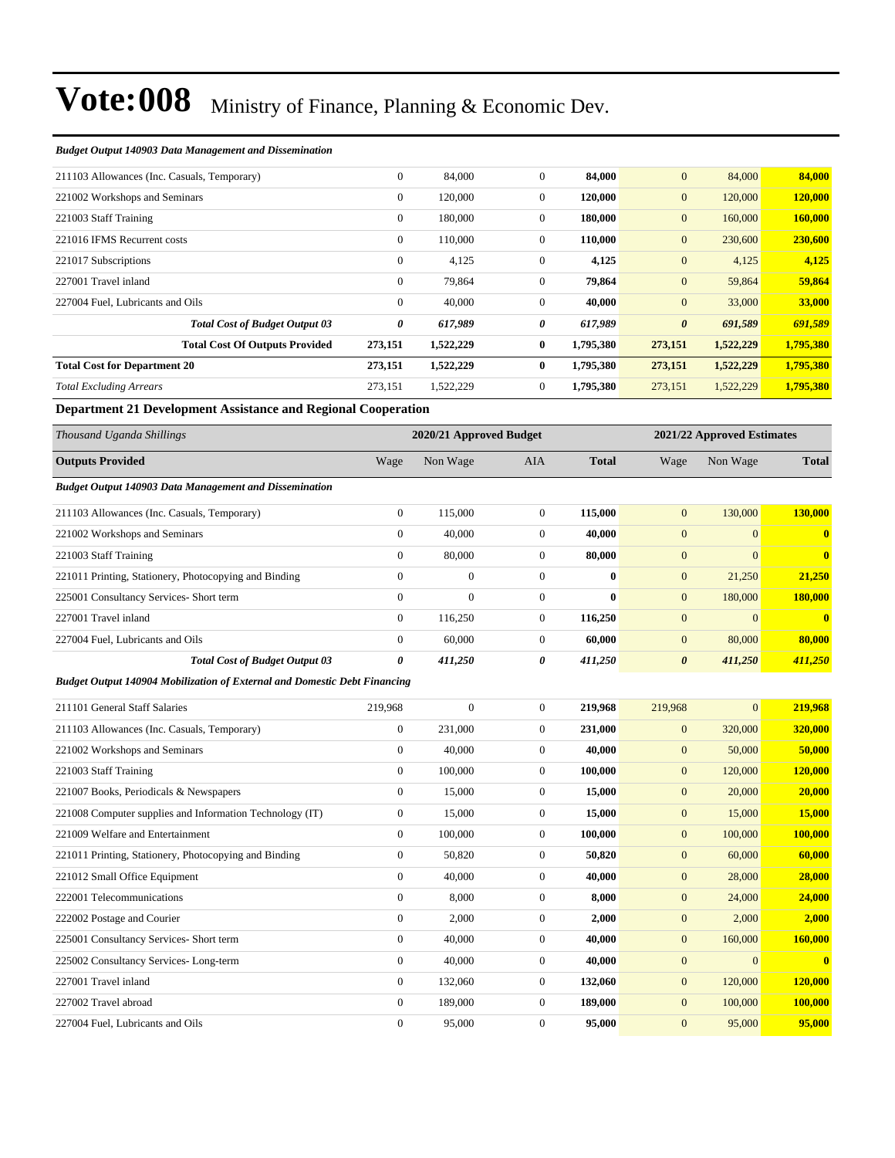| <b>Budget Output 140903 Data Management and Dissemination</b> |  |  |  |
|---------------------------------------------------------------|--|--|--|
|---------------------------------------------------------------|--|--|--|

| 211103 Allowances (Inc. Casuals, Temporary) | $\mathbf{0}$     | 84,000    | $\overline{0}$ | 84,000    | $\overline{0}$        | 84,000    | 84,000    |
|---------------------------------------------|------------------|-----------|----------------|-----------|-----------------------|-----------|-----------|
| 221002 Workshops and Seminars               | $\boldsymbol{0}$ | 120,000   | $\overline{0}$ | 120,000   | $\mathbf{0}$          | 120,000   | 120,000   |
| 221003 Staff Training                       | $\mathbf{0}$     | 180,000   | $\overline{0}$ | 180,000   | $\mathbf{0}$          | 160,000   | 160,000   |
| 221016 IFMS Recurrent costs                 | $\mathbf{0}$     | 110,000   | $\overline{0}$ | 110,000   | $\mathbf{0}$          | 230,600   | 230,600   |
| 221017 Subscriptions                        | $\boldsymbol{0}$ | 4,125     | $\overline{0}$ | 4,125     | $\mathbf{0}$          | 4,125     | 4,125     |
| 227001 Travel inland                        | $\mathbf{0}$     | 79,864    | $\theta$       | 79,864    | $\mathbf{0}$          | 59,864    | 59,864    |
| 227004 Fuel, Lubricants and Oils            | $\mathbf{0}$     | 40,000    | $\overline{0}$ | 40,000    | $\mathbf{0}$          | 33,000    | 33,000    |
| <b>Total Cost of Budget Output 03</b>       | 0                | 617,989   | 0              | 617,989   | $\boldsymbol{\theta}$ | 691,589   | 691,589   |
| <b>Total Cost Of Outputs Provided</b>       | 273,151          | 1,522,229 | $\bf{0}$       | 1,795,380 | 273,151               | 1,522,229 | 1,795,380 |
| <b>Total Cost for Department 20</b>         | 273,151          | 1,522,229 | $\bf{0}$       | 1,795,380 | 273,151               | 1,522,229 | 1,795,380 |
| <b>Total Excluding Arrears</b>              | 273,151          | 1,522,229 | $\overline{0}$ | 1,795,380 | 273,151               | 1,522,229 | 1,795,380 |

#### **Department 21 Development Assistance and Regional Cooperation**

| Thousand Uganda Shillings                                                 |                  | 2020/21 Approved Budget |                  |              | 2021/22 Approved Estimates |                |              |
|---------------------------------------------------------------------------|------------------|-------------------------|------------------|--------------|----------------------------|----------------|--------------|
| <b>Outputs Provided</b>                                                   | Wage             | Non Wage                | <b>AIA</b>       | <b>Total</b> | Wage                       | Non Wage       | <b>Total</b> |
| <b>Budget Output 140903 Data Management and Dissemination</b>             |                  |                         |                  |              |                            |                |              |
| 211103 Allowances (Inc. Casuals, Temporary)                               | $\overline{0}$   | 115,000                 | $\mathbf{0}$     | 115,000      | $\overline{0}$             | 130,000        | 130,000      |
| 221002 Workshops and Seminars                                             | $\boldsymbol{0}$ | 40,000                  | $\boldsymbol{0}$ | 40,000       | $\mathbf{0}$               | $\mathbf{0}$   | $\bf{0}$     |
| 221003 Staff Training                                                     | $\boldsymbol{0}$ | 80,000                  | $\overline{0}$   | 80,000       | $\mathbf{0}$               | $\overline{0}$ | $\bf{0}$     |
| 221011 Printing, Stationery, Photocopying and Binding                     | $\overline{0}$   | $\mathbf{0}$            | $\boldsymbol{0}$ | $\bf{0}$     | $\mathbf{0}$               | 21,250         | 21,250       |
| 225001 Consultancy Services- Short term                                   | $\overline{0}$   | $\mathbf{0}$            | $\overline{0}$   | $\bf{0}$     | $\mathbf{0}$               | 180,000        | 180,000      |
| 227001 Travel inland                                                      | $\boldsymbol{0}$ | 116,250                 | $\overline{0}$   | 116,250      | $\mathbf{0}$               | $\overline{0}$ | $\bf{0}$     |
| 227004 Fuel, Lubricants and Oils                                          | $\Omega$         | 60,000                  | $\overline{0}$   | 60,000       | $\overline{0}$             | 80,000         | 80,000       |
| <b>Total Cost of Budget Output 03</b>                                     | 0                | 411,250                 | 0                | 411,250      | $\boldsymbol{\theta}$      | 411,250        | 411,250      |
| Budget Output 140904 Mobilization of External and Domestic Debt Financing |                  |                         |                  |              |                            |                |              |
| 211101 General Staff Salaries                                             | 219,968          | $\boldsymbol{0}$        | $\overline{0}$   | 219,968      | 219,968                    | $\mathbf{0}$   | 219,968      |
| 211103 Allowances (Inc. Casuals, Temporary)                               | $\overline{0}$   | 231,000                 | $\mathbf{0}$     | 231,000      | $\mathbf{0}$               | 320,000        | 320,000      |
| 221002 Workshops and Seminars                                             | $\overline{0}$   | 40,000                  | $\overline{0}$   | 40,000       | $\mathbf{0}$               | 50,000         | 50,000       |
| 221003 Staff Training                                                     | $\overline{0}$   | 100,000                 | $\overline{0}$   | 100,000      | $\overline{0}$             | 120,000        | 120,000      |
| 221007 Books, Periodicals & Newspapers                                    | $\boldsymbol{0}$ | 15,000                  | $\boldsymbol{0}$ | 15,000       | $\mathbf{0}$               | 20,000         | 20,000       |
| 221008 Computer supplies and Information Technology (IT)                  | $\boldsymbol{0}$ | 15,000                  | $\overline{0}$   | 15,000       | $\mathbf{0}$               | 15,000         | 15,000       |
| 221009 Welfare and Entertainment                                          | $\boldsymbol{0}$ | 100,000                 | $\overline{0}$   | 100,000      | $\mathbf{0}$               | 100,000        | 100,000      |
| 221011 Printing, Stationery, Photocopying and Binding                     | $\overline{0}$   | 50,820                  | $\overline{0}$   | 50,820       | $\overline{0}$             | 60,000         | 60,000       |
| 221012 Small Office Equipment                                             | $\overline{0}$   | 40,000                  | $\overline{0}$   | 40,000       | $\mathbf{0}$               | 28,000         | 28,000       |
| 222001 Telecommunications                                                 | $\overline{0}$   | 8,000                   | $\overline{0}$   | 8,000        | $\overline{0}$             | 24,000         | 24,000       |
| 222002 Postage and Courier                                                | $\boldsymbol{0}$ | 2,000                   | $\overline{0}$   | 2,000        | $\mathbf{0}$               | 2,000          | 2,000        |
| 225001 Consultancy Services- Short term                                   | $\boldsymbol{0}$ | 40,000                  | $\overline{0}$   | 40,000       | $\mathbf{0}$               | 160,000        | 160,000      |
| 225002 Consultancy Services-Long-term                                     | $\boldsymbol{0}$ | 40,000                  | $\overline{0}$   | 40,000       | $\mathbf{0}$               | $\overline{0}$ | $\bf{0}$     |
| 227001 Travel inland                                                      | $\boldsymbol{0}$ | 132,060                 | $\boldsymbol{0}$ | 132,060      | $\mathbf{0}$               | 120,000        | 120,000      |
| 227002 Travel abroad                                                      | $\mathbf{0}$     | 189,000                 | $\overline{0}$   | 189,000      | $\overline{0}$             | 100,000        | 100,000      |

227004 Fuel, Lubricants and Oils 0 95,000 0 **95,000** 0 95,000 **95,000**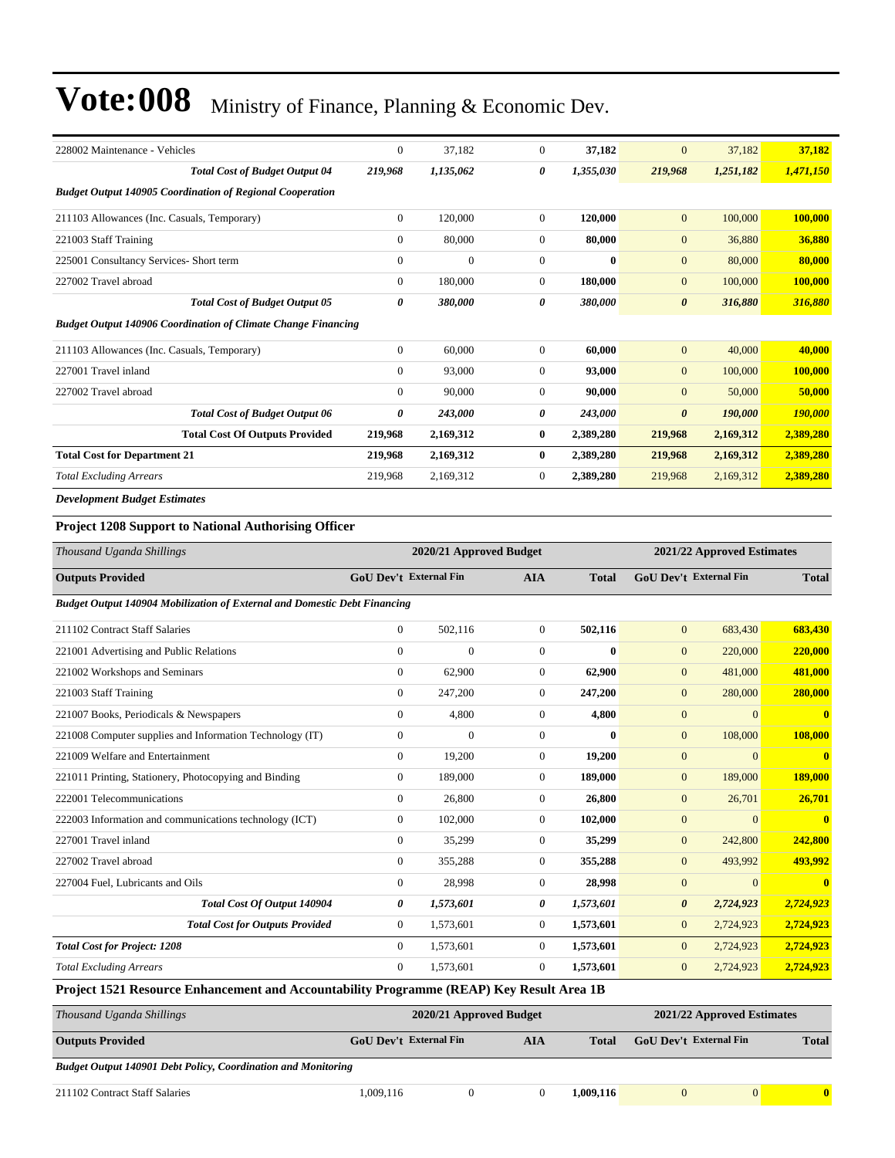| 228002 Maintenance - Vehicles                                                            | $\boldsymbol{0}$ | 37,182                                                                         | $\boldsymbol{0}$ | 37,182       | $\mathbf{0}$               | 37,182                     | 37,182                  |
|------------------------------------------------------------------------------------------|------------------|--------------------------------------------------------------------------------|------------------|--------------|----------------------------|----------------------------|-------------------------|
| <b>Total Cost of Budget Output 04</b>                                                    | 219,968          | 1.135.062                                                                      | 0                | 1,355,030    | 219,968                    | 1,251,182                  | 1,471,150               |
| <b>Budget Output 140905 Coordination of Regional Cooperation</b>                         |                  |                                                                                |                  |              |                            |                            |                         |
| 211103 Allowances (Inc. Casuals, Temporary)                                              | $\boldsymbol{0}$ | 120,000                                                                        | $\boldsymbol{0}$ | 120,000      | $\mathbf{0}$               | 100,000                    | 100,000                 |
| 221003 Staff Training                                                                    | $\boldsymbol{0}$ | 80,000                                                                         | $\boldsymbol{0}$ | 80,000       | $\mathbf{0}$               | 36,880                     | 36,880                  |
| 225001 Consultancy Services- Short term                                                  | $\mathbf{0}$     | $\overline{0}$                                                                 | $\boldsymbol{0}$ | $\bf{0}$     | $\mathbf{0}$               | 80,000                     | 80,000                  |
| 227002 Travel abroad                                                                     | $\boldsymbol{0}$ | 180,000                                                                        | $\boldsymbol{0}$ | 180,000      | $\mathbf{0}$               | 100,000                    | 100,000                 |
| <b>Total Cost of Budget Output 05</b>                                                    | 0                | 380,000                                                                        | 0                | 380,000      | $\boldsymbol{\theta}$      | 316,880                    | 316,880                 |
| <b>Budget Output 140906 Coordination of Climate Change Financing</b>                     |                  |                                                                                |                  |              |                            |                            |                         |
| 211103 Allowances (Inc. Casuals, Temporary)                                              | $\boldsymbol{0}$ | 60,000                                                                         | $\boldsymbol{0}$ | 60,000       | $\mathbf{0}$               | 40,000                     | 40,000                  |
| 227001 Travel inland                                                                     | $\mathbf{0}$     | 93,000                                                                         | $\boldsymbol{0}$ | 93,000       | $\mathbf{0}$               | 100,000                    | 100,000                 |
| 227002 Travel abroad                                                                     | $\mathbf{0}$     | 90,000                                                                         | $\boldsymbol{0}$ | 90,000       | $\boldsymbol{0}$           | 50,000                     | 50,000                  |
| <b>Total Cost of Budget Output 06</b>                                                    | 0                | 243,000                                                                        | 0                | 243,000      | $\boldsymbol{\theta}$      | 190,000                    | <b>190,000</b>          |
| <b>Total Cost Of Outputs Provided</b>                                                    | 219,968          | 2,169,312                                                                      | $\bf{0}$         | 2,389,280    | 219,968                    | 2,169,312                  | 2,389,280               |
| <b>Total Cost for Department 21</b>                                                      | 219,968          | 2,169,312                                                                      | $\bf{0}$         | 2,389,280    | 219,968                    | 2,169,312                  | 2,389,280               |
| <b>Total Excluding Arrears</b>                                                           | 219,968          | 2,169,312                                                                      | $\boldsymbol{0}$ | 2,389,280    | 219,968                    | 2,169,312                  | 2,389,280               |
| <b>Development Budget Estimates</b>                                                      |                  |                                                                                |                  |              |                            |                            |                         |
| <b>Project 1208 Support to National Authorising Officer</b>                              |                  |                                                                                |                  |              |                            |                            |                         |
| Thousand Uganda Shillings                                                                |                  | 2020/21 Approved Budget                                                        |                  |              | 2021/22 Approved Estimates |                            |                         |
| <b>Outputs Provided</b>                                                                  |                  | GoU Dev't External Fin<br>GoU Dev't External Fin<br><b>AIA</b><br><b>Total</b> |                  |              |                            |                            | <b>Total</b>            |
| <b>Budget Output 140904 Mobilization of External and Domestic Debt Financing</b>         |                  |                                                                                |                  |              |                            |                            |                         |
| 211102 Contract Staff Salaries                                                           | $\boldsymbol{0}$ | 502,116                                                                        | $\boldsymbol{0}$ | 502,116      | $\mathbf{0}$               | 683,430                    | 683,430                 |
| 221001 Advertising and Public Relations                                                  | $\mathbf{0}$     | $\overline{0}$                                                                 | $\boldsymbol{0}$ | $\mathbf{0}$ | $\mathbf{0}$               | 220,000                    | 220,000                 |
| 221002 Workshops and Seminars                                                            | $\boldsymbol{0}$ | 62,900                                                                         | $\boldsymbol{0}$ | 62,900       | $\mathbf{0}$               | 481,000                    | 481,000                 |
| 221003 Staff Training                                                                    | $\boldsymbol{0}$ | 247,200                                                                        | $\boldsymbol{0}$ | 247,200      | $\mathbf{0}$               | 280,000                    | 280,000                 |
| 221007 Books, Periodicals & Newspapers                                                   | $\boldsymbol{0}$ | 4,800                                                                          | $\boldsymbol{0}$ | 4,800        | $\mathbf{0}$               | $\overline{0}$             | $\bf{0}$                |
| 221008 Computer supplies and Information Technology (IT)                                 | $\mathbf{0}$     | $\overline{0}$                                                                 | $\boldsymbol{0}$ | $\mathbf{0}$ | $\mathbf{0}$               | 108,000                    | 108,000                 |
| 221009 Welfare and Entertainment                                                         | $\mathbf{0}$     | 19,200                                                                         | $\boldsymbol{0}$ | 19,200       | $\mathbf{0}$               | $\mathbf{0}$               | $\overline{\mathbf{0}}$ |
| 221011 Printing, Stationery, Photocopying and Binding                                    | $\boldsymbol{0}$ | 189,000                                                                        | $\boldsymbol{0}$ | 189,000      | $\mathbf{0}$               | 189,000                    | 189,000                 |
| 222001 Telecommunications                                                                | $\mathbf{0}$     | 26,800                                                                         | $\boldsymbol{0}$ | 26,800       | $\mathbf{0}$               | 26,701                     | 26,701                  |
| 222003 Information and communications technology (ICT)                                   | $\mathbf{0}$     | 102,000                                                                        | $\boldsymbol{0}$ | 102,000      | $\boldsymbol{0}$           | $\overline{0}$             | $\bf{0}$                |
| 227001 Travel inland                                                                     | $\boldsymbol{0}$ | 35,299                                                                         | $\boldsymbol{0}$ | 35,299       | $\boldsymbol{0}$           | 242,800                    | 242,800                 |
| 227002 Travel abroad                                                                     | $\boldsymbol{0}$ | 355,288                                                                        | $\boldsymbol{0}$ | 355,288      | $\mathbf{0}$               | 493,992                    | 493,992                 |
| 227004 Fuel, Lubricants and Oils                                                         | $\boldsymbol{0}$ | 28,998                                                                         | $\boldsymbol{0}$ | 28,998       | $\mathbf{0}$               | $\mathbf{0}$               | $\overline{\mathbf{0}}$ |
| Total Cost Of Output 140904                                                              | 0                | 1,573,601                                                                      | 0                | 1,573,601    | $\boldsymbol{\theta}$      | 2,724,923                  | 2,724,923               |
| <b>Total Cost for Outputs Provided</b>                                                   | $\boldsymbol{0}$ | 1,573,601                                                                      | 0                | 1,573,601    | $\mathbf{0}$               | 2,724,923                  | 2,724,923               |
| <b>Total Cost for Project: 1208</b>                                                      | $\boldsymbol{0}$ | 1,573,601                                                                      | $\boldsymbol{0}$ | 1,573,601    | $\mathbf{0}$               | 2,724,923                  | 2,724,923               |
| <b>Total Excluding Arrears</b>                                                           | $\boldsymbol{0}$ | 1,573,601                                                                      | $\boldsymbol{0}$ | 1,573,601    | $\mathbf{0}$               | 2,724,923                  | 2,724,923               |
| Project 1521 Resource Enhancement and Accountability Programme (REAP) Key Result Area 1B |                  |                                                                                |                  |              |                            |                            |                         |
| Thousand Uganda Shillings                                                                |                  | 2020/21 Approved Budget                                                        |                  |              |                            | 2021/22 Approved Estimates |                         |
|                                                                                          |                  |                                                                                |                  |              |                            |                            |                         |

| <b>Outputs Provided</b>                                              | <b>GoU</b> Dev't External Fin | AIA | Total     | <b>GoU Dev't External Fin</b> |          | <b>Total</b> |
|----------------------------------------------------------------------|-------------------------------|-----|-----------|-------------------------------|----------|--------------|
| <b>Budget Output 140901 Debt Policy, Coordination and Monitoring</b> |                               |     |           |                               |          |              |
| 211102 Contract Staff Salaries                                       | .009.116                      |     | 1.009.116 |                               | $\Omega$ | $\bf{0}$     |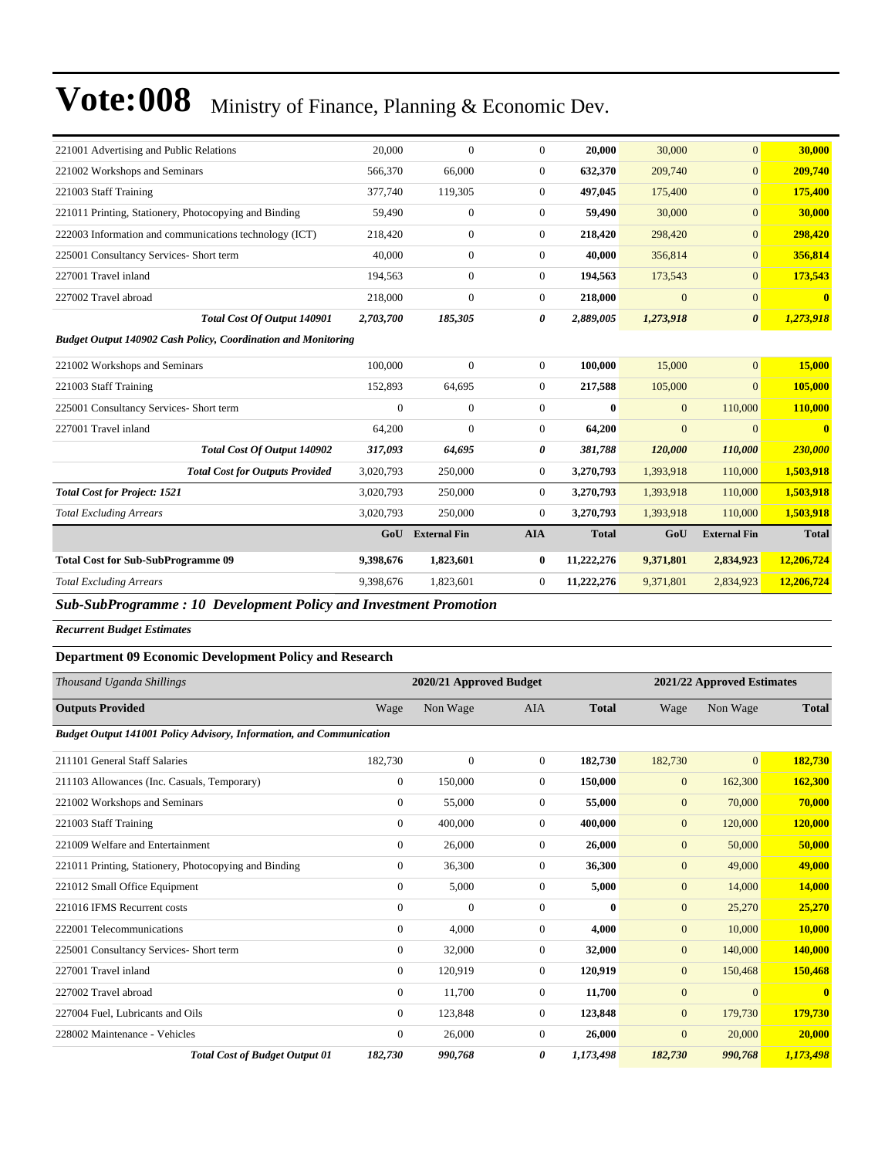| 221001 Advertising and Public Relations                                               | 20,000       | $\mathbf{0}$               | $\overline{0}$   | 20,000       | 30,000       | $\mathbf{0}$                | 30,000       |
|---------------------------------------------------------------------------------------|--------------|----------------------------|------------------|--------------|--------------|-----------------------------|--------------|
| 221002 Workshops and Seminars                                                         | 566,370      | 66,000                     | $\overline{0}$   | 632,370      | 209,740      | $\overline{0}$              | 209,740      |
| 221003 Staff Training                                                                 | 377,740      | 119,305                    | $\overline{0}$   | 497,045      | 175,400      | $\overline{0}$              | 175,400      |
| 221011 Printing, Stationery, Photocopying and Binding                                 | 59,490       | $\mathbf{0}$               | $\overline{0}$   | 59,490       | 30,000       | $\overline{0}$              | 30,000       |
| 222003 Information and communications technology (ICT)                                | 218,420      | $\mathbf{0}$               | $\overline{0}$   | 218,420      | 298,420      | $\overline{0}$              | 298,420      |
| 225001 Consultancy Services- Short term                                               | 40,000       | $\mathbf{0}$               | $\boldsymbol{0}$ | 40,000       | 356,814      | $\boldsymbol{0}$            | 356,814      |
| 227001 Travel inland                                                                  | 194,563      | $\mathbf{0}$               | $\overline{0}$   | 194,563      | 173,543      | $\mathbf{0}$                | 173,543      |
| 227002 Travel abroad                                                                  | 218,000      | $\mathbf{0}$               | $\overline{0}$   | 218,000      | $\mathbf{0}$ | $\overline{0}$              | $\bf{0}$     |
| <b>Total Cost Of Output 140901</b>                                                    | 2,703,700    | 185,305                    | 0                | 2,889,005    | 1,273,918    | $\boldsymbol{\theta}$       | 1,273,918    |
| <b>Budget Output 140902 Cash Policy, Coordination and Monitoring</b>                  |              |                            |                  |              |              |                             |              |
| 221002 Workshops and Seminars                                                         | 100,000      | $\mathbf{0}$               | $\overline{0}$   | 100,000      | 15,000       | $\mathbf{0}$                | 15,000       |
| 221003 Staff Training                                                                 | 152,893      | 64,695                     | $\theta$         | 217,588      | 105,000      | $\overline{0}$              | 105,000      |
| 225001 Consultancy Services- Short term                                               | $\mathbf{0}$ | $\mathbf{0}$               | $\overline{0}$   | $\mathbf{0}$ | $\mathbf{0}$ | 110,000                     | 110,000      |
| 227001 Travel inland                                                                  | 64,200       | $\mathbf{0}$               | $\boldsymbol{0}$ | 64,200       | $\mathbf{0}$ | $\mathbf{0}$                | $\bf{0}$     |
| Total Cost Of Output 140902                                                           | 317,093      | 64,695                     | 0                | 381,788      | 120,000      | 110,000                     | 230,000      |
| <b>Total Cost for Outputs Provided</b>                                                | 3,020,793    | 250,000                    | $\overline{0}$   | 3,270,793    | 1,393,918    | 110,000                     | 1,503,918    |
| <b>Total Cost for Project: 1521</b>                                                   | 3,020,793    | 250,000                    | $\overline{0}$   | 3,270,793    | 1,393,918    | 110,000                     | 1,503,918    |
| <b>Total Excluding Arrears</b>                                                        | 3,020,793    | 250,000                    | $\overline{0}$   | 3,270,793    | 1,393,918    | 110,000                     | 1,503,918    |
|                                                                                       | GoU          | <b>External Fin</b>        | <b>AIA</b>       | <b>Total</b> | GoU          | <b>External Fin</b>         | <b>Total</b> |
| <b>Total Cost for Sub-SubProgramme 09</b>                                             | 9,398,676    | 1,823,601                  | $\bf{0}$         | 11,222,276   | 9,371,801    | 2,834,923                   | 12,206,724   |
| <b>Total Excluding Arrears</b>                                                        | 9,398,676    | 1,823,601                  | $\overline{0}$   | 11,222,276   | 9,371,801    | 2,834,923                   | 12,206,724   |
| <b>Sub-SubProgramme: 10 Development Policy and Investment Promotion</b>               |              |                            |                  |              |              |                             |              |
| <b>Recurrent Budget Estimates</b>                                                     |              |                            |                  |              |              |                             |              |
| <b>Department 09 Economic Development Policy and Research</b>                         |              |                            |                  |              |              |                             |              |
| $T_{\text{beam}}$ $J_{\text{beam}}$ $J_{\text{m}}$ $C_{\text{b}}$ ; $B_{\text{beam}}$ |              | $2020/21$ Annuaried Dudget |                  |              |              | 2021/22 Annuaried Estimates |              |

| Thousand Uganda Shillings                                                   |                | 2020/21 Approved Budget |                |              |              | 2021/22 Approved Estimates |                         |  |
|-----------------------------------------------------------------------------|----------------|-------------------------|----------------|--------------|--------------|----------------------------|-------------------------|--|
| <b>Outputs Provided</b>                                                     | Wage           | Non Wage                | <b>AIA</b>     | <b>Total</b> | Wage         | Non Wage                   | <b>Total</b>            |  |
| <b>Budget Output 141001 Policy Advisory, Information, and Communication</b> |                |                         |                |              |              |                            |                         |  |
| 211101 General Staff Salaries                                               | 182,730        | $\mathbf{0}$            | $\overline{0}$ | 182,730      | 182,730      | $\mathbf{0}$               | 182,730                 |  |
| 211103 Allowances (Inc. Casuals, Temporary)                                 | $\mathbf{0}$   | 150,000                 | $\overline{0}$ | 150,000      | $\mathbf{0}$ | 162,300                    | 162,300                 |  |
| 221002 Workshops and Seminars                                               | $\mathbf{0}$   | 55,000                  | $\overline{0}$ | 55,000       | $\mathbf{0}$ | 70,000                     | 70,000                  |  |
| 221003 Staff Training                                                       | $\Omega$       | 400,000                 | $\Omega$       | 400,000      | $\mathbf{0}$ | 120,000                    | 120,000                 |  |
| 221009 Welfare and Entertainment                                            | $\mathbf{0}$   | 26,000                  | $\Omega$       | 26,000       | $\mathbf{0}$ | 50,000                     | 50,000                  |  |
| 221011 Printing, Stationery, Photocopying and Binding                       | $\mathbf{0}$   | 36,300                  | $\Omega$       | 36,300       | $\mathbf{0}$ | 49,000                     | 49,000                  |  |
| 221012 Small Office Equipment                                               | $\mathbf{0}$   | 5,000                   | $\overline{0}$ | 5,000        | $\mathbf{0}$ | 14,000                     | 14,000                  |  |
| 221016 IFMS Recurrent costs                                                 | $\mathbf{0}$   | $\overline{0}$          | $\overline{0}$ | $\bf{0}$     | $\mathbf{0}$ | 25,270                     | 25,270                  |  |
| 222001 Telecommunications                                                   | $\mathbf{0}$   | 4,000                   | $\overline{0}$ | 4,000        | $\mathbf{0}$ | 10,000                     | 10,000                  |  |
| 225001 Consultancy Services- Short term                                     | $\overline{0}$ | 32,000                  | 0              | 32,000       | $\mathbf{0}$ | 140,000                    | 140,000                 |  |
| 227001 Travel inland                                                        | $\overline{0}$ | 120,919                 | $\overline{0}$ | 120,919      | $\mathbf{0}$ | 150,468                    | 150,468                 |  |
| 227002 Travel abroad                                                        | $\overline{0}$ | 11,700                  | $\overline{0}$ | 11,700       | $\mathbf{0}$ | $\overline{0}$             | $\overline{\mathbf{0}}$ |  |
| 227004 Fuel, Lubricants and Oils                                            | $\overline{0}$ | 123,848                 | $\overline{0}$ | 123,848      | $\mathbf{0}$ | 179,730                    | 179,730                 |  |
| 228002 Maintenance - Vehicles                                               | $\overline{0}$ | 26,000                  | $\overline{0}$ | 26,000       | $\mathbf{0}$ | 20,000                     | 20,000                  |  |
| <b>Total Cost of Budget Output 01</b>                                       | 182,730        | 990,768                 | 0              | 1,173,498    | 182,730      | 990,768                    | 1,173,498               |  |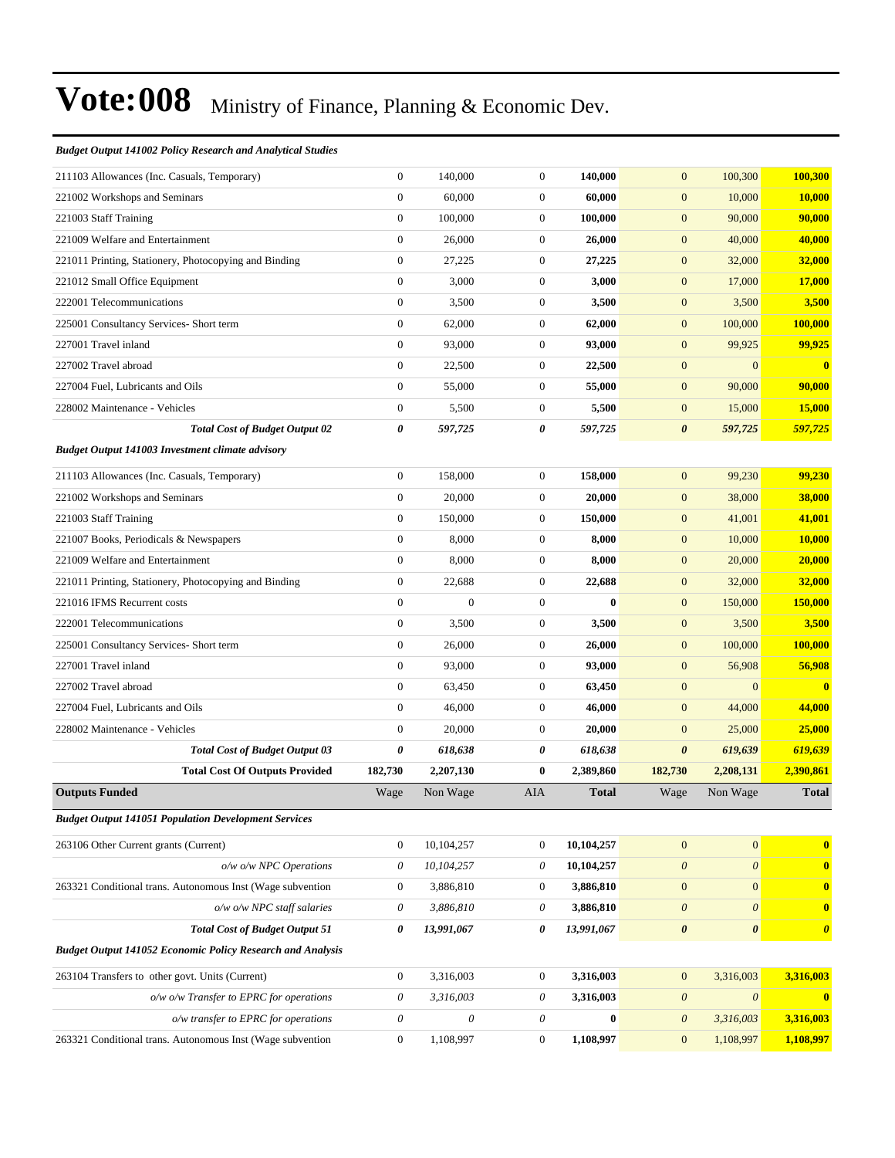#### *Budget Output 141002 Policy Research and Analytical Studies*

| 211103 Allowances (Inc. Casuals, Temporary)                       | $\boldsymbol{0}$          | 140,000                   | $\mathbf{0}$          | 140,000          | $\mathbf{0}$                              | 100,300                            | 100,300               |
|-------------------------------------------------------------------|---------------------------|---------------------------|-----------------------|------------------|-------------------------------------------|------------------------------------|-----------------------|
| 221002 Workshops and Seminars                                     | $\boldsymbol{0}$          | 60,000                    | $\mathbf{0}$          | 60,000           | $\mathbf{0}$                              | 10,000                             | 10,000                |
| 221003 Staff Training                                             | $\boldsymbol{0}$          | 100,000                   | $\mathbf{0}$          | 100,000          | $\mathbf{0}$                              | 90,000                             | 90,000                |
| 221009 Welfare and Entertainment                                  | $\boldsymbol{0}$          | 26,000                    | $\mathbf{0}$          | 26,000           | $\mathbf{0}$                              | 40,000                             | 40,000                |
| 221011 Printing, Stationery, Photocopying and Binding             | $\boldsymbol{0}$          | 27,225                    | $\mathbf{0}$          | 27,225           | $\mathbf{0}$                              | 32,000                             | 32,000                |
| 221012 Small Office Equipment                                     | $\boldsymbol{0}$          | 3,000                     | $\mathbf{0}$          | 3,000            | $\mathbf{0}$                              | 17,000                             | 17,000                |
| 222001 Telecommunications                                         | $\boldsymbol{0}$          | 3,500                     | $\mathbf{0}$          | 3,500            | $\boldsymbol{0}$                          | 3,500                              | 3,500                 |
| 225001 Consultancy Services- Short term                           | $\boldsymbol{0}$          | 62,000                    | $\mathbf{0}$          | 62,000           | $\boldsymbol{0}$                          | 100,000                            | 100,000               |
| 227001 Travel inland                                              | $\boldsymbol{0}$          | 93,000                    | $\mathbf{0}$          | 93,000           | $\mathbf{0}$                              | 99,925                             | 99,925                |
| 227002 Travel abroad                                              | $\boldsymbol{0}$          | 22,500                    | $\mathbf{0}$          | 22,500           | $\boldsymbol{0}$                          | $\overline{0}$                     | $\bf{0}$              |
| 227004 Fuel, Lubricants and Oils                                  | $\boldsymbol{0}$          | 55,000                    | $\mathbf{0}$          | 55,000           | $\mathbf{0}$                              | 90,000                             | 90,000                |
| 228002 Maintenance - Vehicles                                     | $\boldsymbol{0}$          | 5,500                     | $\mathbf{0}$          | 5,500            | $\mathbf{0}$                              | 15,000                             | 15,000                |
| <b>Total Cost of Budget Output 02</b>                             | 0                         | 597,725                   | 0                     | 597,725          | $\boldsymbol{\theta}$                     | 597,725                            | 597,725               |
| Budget Output 141003 Investment climate advisory                  |                           |                           |                       |                  |                                           |                                    |                       |
| 211103 Allowances (Inc. Casuals, Temporary)                       | $\boldsymbol{0}$          | 158,000                   | $\boldsymbol{0}$      | 158,000          | $\mathbf{0}$                              | 99,230                             | 99,230                |
| 221002 Workshops and Seminars                                     | $\boldsymbol{0}$          | 20,000                    | $\mathbf{0}$          | 20,000           | $\boldsymbol{0}$                          | 38,000                             | 38,000                |
| 221003 Staff Training                                             | $\boldsymbol{0}$          | 150,000                   | $\mathbf{0}$          | 150,000          | $\mathbf{0}$                              | 41,001                             | 41,001                |
| 221007 Books, Periodicals & Newspapers                            | $\boldsymbol{0}$          | 8,000                     | $\mathbf{0}$          | 8,000            | $\mathbf{0}$                              | 10,000                             | 10,000                |
| 221009 Welfare and Entertainment                                  | $\boldsymbol{0}$          | 8,000                     | $\mathbf{0}$          | 8,000            | $\mathbf{0}$                              | 20,000                             | 20,000                |
| 221011 Printing, Stationery, Photocopying and Binding             | $\boldsymbol{0}$          | 22,688                    | $\boldsymbol{0}$      | 22,688           | $\boldsymbol{0}$                          | 32,000                             | 32,000                |
| 221016 IFMS Recurrent costs                                       | $\boldsymbol{0}$          | $\mathbf{0}$              | $\mathbf{0}$          | $\bf{0}$         | $\boldsymbol{0}$                          | 150,000                            | 150,000               |
| 222001 Telecommunications                                         | $\boldsymbol{0}$          | 3,500                     | $\mathbf{0}$          | 3,500            | $\mathbf{0}$                              | 3,500                              | 3,500                 |
| 225001 Consultancy Services- Short term                           | $\boldsymbol{0}$          | 26,000                    | $\mathbf{0}$          | 26,000           | $\mathbf{0}$                              | 100,000                            | 100,000               |
| 227001 Travel inland                                              | $\boldsymbol{0}$          | 93,000                    | $\mathbf{0}$          | 93,000           | $\mathbf{0}$                              | 56,908                             | 56,908                |
| 227002 Travel abroad                                              | $\boldsymbol{0}$          | 63,450                    | $\boldsymbol{0}$      | 63,450           | $\boldsymbol{0}$                          | $\mathbf{0}$                       | $\bf{0}$              |
| 227004 Fuel, Lubricants and Oils                                  | $\boldsymbol{0}$          | 46,000                    | $\mathbf{0}$          | 46,000           | $\mathbf{0}$                              | 44,000                             | 44,000                |
| 228002 Maintenance - Vehicles                                     | $\boldsymbol{0}$          | 20,000                    | $\mathbf{0}$          | 20,000           | $\mathbf{0}$                              | 25,000                             | 25,000                |
| <b>Total Cost of Budget Output 03</b>                             | 0                         | 618,638                   | 0                     | 618,638          | $\boldsymbol{\theta}$                     | 619,639                            | 619,639               |
| <b>Total Cost Of Outputs Provided</b>                             | 182,730                   | 2,207,130                 | $\bf{0}$              | 2,389,860        | 182,730                                   | 2,208,131                          | 2,390,861             |
| <b>Outputs Funded</b>                                             | Wage                      | Non Wage                  | AIA                   | <b>Total</b>     | Wage                                      | Non Wage                           | <b>Total</b>          |
| <b>Budget Output 141051 Population Development Services</b>       |                           |                           |                       |                  |                                           |                                    |                       |
| 263106 Other Current grants (Current)                             | $\boldsymbol{0}$          | 10,104,257                | $\boldsymbol{0}$      | 10,104,257       | $\boldsymbol{0}$                          | $\boldsymbol{0}$                   | $\bf{0}$              |
| o/w o/w NPC Operations                                            | $\boldsymbol{\mathit{0}}$ | 10,104,257                | $\theta$              | 10,104,257       | $\boldsymbol{\mathit{0}}$                 | $\boldsymbol{\mathit{0}}$          | $\bf{0}$              |
| 263321 Conditional trans. Autonomous Inst (Wage subvention        | $\boldsymbol{0}$          | 3,886,810                 | $\boldsymbol{0}$      | 3,886,810        | $\boldsymbol{0}$                          | $\mathbf{0}$                       | $\bf{0}$              |
| $o/w$ $o/w$ NPC staff salaries                                    | $\boldsymbol{\mathit{0}}$ | 3,886,810                 | $\theta$              | 3,886,810        | $\boldsymbol{\theta}$                     | $\boldsymbol{\theta}$              | $\bf{0}$              |
| <b>Total Cost of Budget Output 51</b>                             | 0                         | 13,991,067                | 0                     | 13,991,067       | $\pmb{\theta}$                            | $\pmb{\theta}$                     | $\boldsymbol{\theta}$ |
| <b>Budget Output 141052 Economic Policy Research and Analysis</b> |                           |                           |                       |                  |                                           |                                    |                       |
| 263104 Transfers to other govt. Units (Current)                   | $\boldsymbol{0}$          | 3,316,003                 | $\boldsymbol{0}$      | 3,316,003        |                                           |                                    | 3,316,003             |
| o/w o/w Transfer to EPRC for operations                           | 0                         | 3,316,003                 | $\theta$              | 3,316,003        | $\boldsymbol{0}$<br>$\boldsymbol{\theta}$ | 3,316,003<br>$\boldsymbol{\theta}$ | $\boldsymbol{0}$      |
| o/w transfer to EPRC for operations                               | $\boldsymbol{\mathit{0}}$ | $\boldsymbol{\mathit{0}}$ | $\boldsymbol{\theta}$ | $\boldsymbol{0}$ | $\boldsymbol{\mathit{0}}$                 | 3,316,003                          | 3,316,003             |
| 263321 Conditional trans. Autonomous Inst (Wage subvention        | $\boldsymbol{0}$          | 1,108,997                 | $\boldsymbol{0}$      | 1,108,997        | $\mathbf{0}$                              | 1,108,997                          | 1,108,997             |
|                                                                   |                           |                           |                       |                  |                                           |                                    |                       |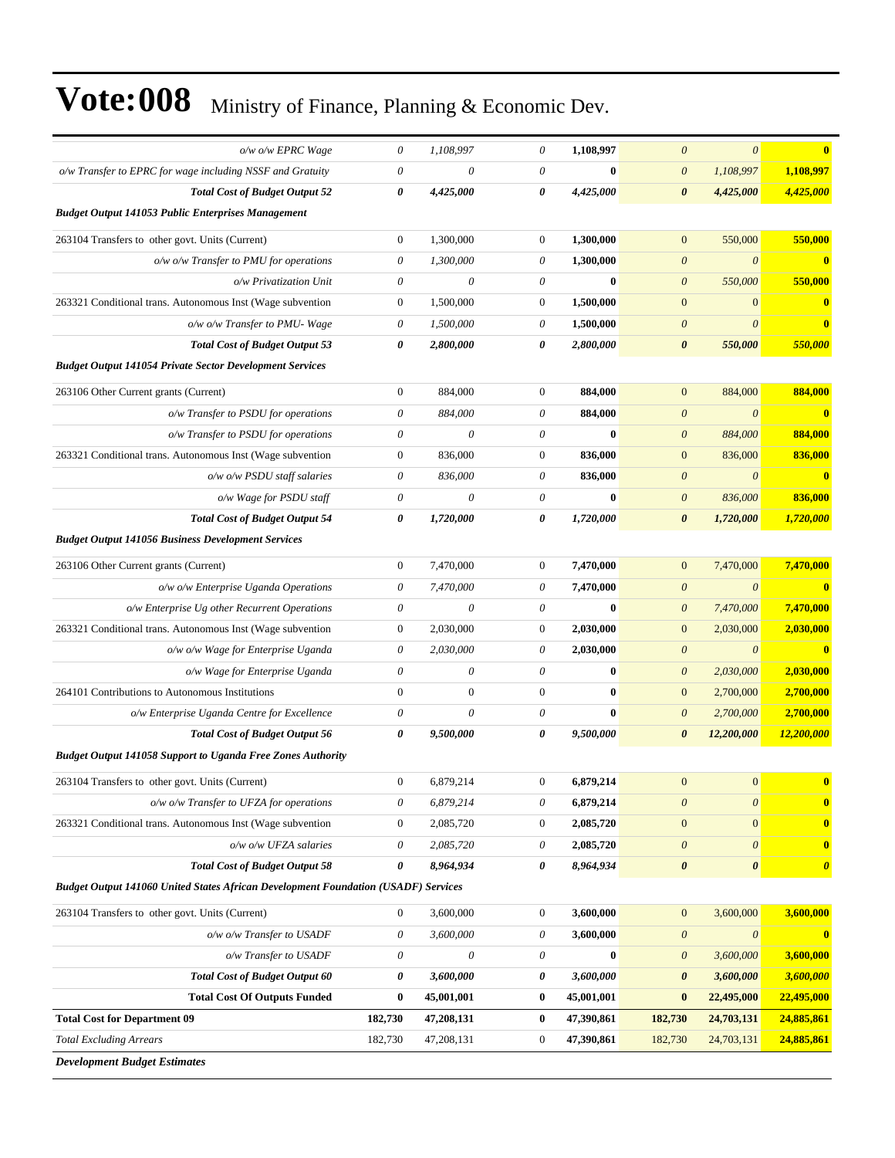| o/w o/w EPRC Wage                                                                         | 0                         | 1,108,997                 | $\theta$                  | 1,108,997    | $\boldsymbol{\theta}$               | $\theta$<br>$\overline{\mathbf{0}}$     |
|-------------------------------------------------------------------------------------------|---------------------------|---------------------------|---------------------------|--------------|-------------------------------------|-----------------------------------------|
| o/w Transfer to EPRC for wage including NSSF and Gratuity                                 | $\boldsymbol{\mathit{0}}$ | $\theta$                  | $\theta$                  | $\bf{0}$     | 1,108,997<br>$\theta$               | 1,108,997                               |
| <b>Total Cost of Budget Output 52</b>                                                     | 0                         | 4,425,000                 | 0                         | 4,425,000    | $\boldsymbol{\theta}$<br>4,425,000  | 4,425,000                               |
| <b>Budget Output 141053 Public Enterprises Management</b>                                 |                           |                           |                           |              |                                     |                                         |
| 263104 Transfers to other govt. Units (Current)                                           | $\boldsymbol{0}$          | 1,300,000                 | $\mathbf{0}$              | 1,300,000    | 550,000<br>$\mathbf{0}$             | 550,000                                 |
| $o/w$ o/w Transfer to PMU for operations                                                  | $\theta$                  | 1,300,000                 | $\theta$                  | 1,300,000    | $\boldsymbol{\theta}$               | $\boldsymbol{\theta}$<br>$\mathbf{0}$   |
| o/w Privatization Unit                                                                    | $\boldsymbol{\theta}$     | $\theta$                  | $\theta$                  | $\bf{0}$     | $\boldsymbol{\theta}$<br>550,000    | 550,000                                 |
| 263321 Conditional trans. Autonomous Inst (Wage subvention                                | $\boldsymbol{0}$          | 1,500,000                 | $\boldsymbol{0}$          | 1,500,000    | $\mathbf{0}$                        | $\mathbf{0}$<br>$\mathbf{0}$            |
| o/w o/w Transfer to PMU- Wage                                                             | 0                         | 1,500,000                 | $\boldsymbol{\theta}$     | 1,500,000    | $\boldsymbol{\theta}$               | $\theta$<br>$\mathbf{0}$                |
| <b>Total Cost of Budget Output 53</b>                                                     | 0                         | 2,800,000                 | 0                         | 2,800,000    | $\boldsymbol{\theta}$<br>550,000    | 550,000                                 |
| <b>Budget Output 141054 Private Sector Development Services</b>                           |                           |                           |                           |              |                                     |                                         |
| 263106 Other Current grants (Current)                                                     | $\boldsymbol{0}$          | 884,000                   | $\boldsymbol{0}$          | 884,000      | $\mathbf{0}$<br>884,000             | 884,000                                 |
| o/w Transfer to PSDU for operations                                                       | $\boldsymbol{\theta}$     | 884,000                   | $\theta$                  | 884,000      | $\boldsymbol{\theta}$               | $\boldsymbol{\theta}$<br>$\mathbf{0}$   |
| o/w Transfer to PSDU for operations                                                       | $\boldsymbol{\mathit{0}}$ | $\theta$                  | $\theta$                  | $\bf{0}$     | 884,000<br>$\boldsymbol{\theta}$    | 884,000                                 |
| 263321 Conditional trans. Autonomous Inst (Wage subvention                                | $\boldsymbol{0}$          | 836,000                   | $\boldsymbol{0}$          | 836,000      | $\mathbf{0}$<br>836,000             | 836,000                                 |
| $o/w$ $o/w$ PSDU staff salaries                                                           | $\boldsymbol{\mathit{0}}$ | 836,000                   | $\theta$                  | 836,000      | $\theta$                            | $\boldsymbol{\theta}$<br>$\mathbf{0}$   |
| o/w Wage for PSDU staff                                                                   | $\boldsymbol{\mathit{0}}$ | $\theta$                  | $\theta$                  | $\mathbf{0}$ | $\boldsymbol{\theta}$<br>836,000    | 836,000                                 |
| <b>Total Cost of Budget Output 54</b>                                                     | 0                         | 1,720,000                 | 0                         | 1,720,000    | 0<br>1,720,000                      | 1,720,000                               |
| <b>Budget Output 141056 Business Development Services</b>                                 |                           |                           |                           |              |                                     |                                         |
| 263106 Other Current grants (Current)                                                     | $\boldsymbol{0}$          | 7,470,000                 | $\boldsymbol{0}$          | 7,470,000    | 7,470,000<br>$\mathbf{0}$           | 7,470,000                               |
| o/w o/w Enterprise Uganda Operations                                                      | $\boldsymbol{\mathit{0}}$ | 7,470,000                 | $\boldsymbol{\theta}$     | 7,470,000    | $\boldsymbol{\theta}$               | $\theta$<br>$\bf{0}$                    |
| o/w Enterprise Ug other Recurrent Operations                                              | $\boldsymbol{\mathit{0}}$ | $\theta$                  | $\boldsymbol{\mathit{0}}$ | $\bf{0}$     | 7,470,000<br>$\theta$               | 7,470,000                               |
| 263321 Conditional trans. Autonomous Inst (Wage subvention                                | $\boldsymbol{0}$          | 2,030,000                 | $\boldsymbol{0}$          | 2,030,000    | $\mathbf{0}$<br>2,030,000           | 2,030,000                               |
| o/w o/w Wage for Enterprise Uganda                                                        | $\theta$                  | 2,030,000                 | $\theta$                  | 2,030,000    | $\boldsymbol{\theta}$               | $\bf{0}$<br>$\theta$                    |
| o/w Wage for Enterprise Uganda                                                            | $\boldsymbol{\mathit{0}}$ | $\theta$                  | $\theta$                  | $\bf{0}$     | 2,030,000<br>$\boldsymbol{\theta}$  | 2,030,000                               |
| 264101 Contributions to Autonomous Institutions                                           | $\boldsymbol{0}$          | $\mathbf{0}$              | $\boldsymbol{0}$          | $\bf{0}$     | $\boldsymbol{0}$<br>2,700,000       | 2,700,000                               |
| o/w Enterprise Uganda Centre for Excellence                                               | $\boldsymbol{\mathit{0}}$ | $\theta$                  | $\boldsymbol{\mathit{0}}$ | $\bf{0}$     | $\boldsymbol{\theta}$<br>2,700,000  | 2,700,000                               |
| <b>Total Cost of Budget Output 56</b>                                                     | 0                         | 9,500,000                 | 0                         | 9,500,000    | $\boldsymbol{\theta}$<br>12,200,000 | 12,200,000                              |
| <b>Budget Output 141058 Support to Uganda Free Zones Authority</b>                        |                           |                           |                           |              |                                     |                                         |
| 263104 Transfers to other govt. Units (Current)                                           | $\boldsymbol{0}$          | 6,879,214                 | $\mathbf{0}$              | 6,879,214    | $\overline{0}$                      | $\mathbf{0}$<br>$\bf{0}$                |
| o/w o/w Transfer to UFZA for operations                                                   | $\boldsymbol{\mathit{0}}$ | 6,879,214                 | $\boldsymbol{\mathit{0}}$ | 6,879,214    | $\boldsymbol{\theta}$               | $\boldsymbol{\theta}$<br>$\bf{0}$       |
| 263321 Conditional trans. Autonomous Inst (Wage subvention                                | $\boldsymbol{0}$          | 2,085,720                 | 0                         | 2,085,720    | $\mathbf{0}$                        | $\mathbf{0}$<br>$\bf{0}$                |
| o/w o/w UFZA salaries                                                                     | 0                         | 2,085,720                 | 0                         | 2,085,720    | $\boldsymbol{\theta}$               | $\theta$<br>$\mathbf{0}$                |
| <b>Total Cost of Budget Output 58</b>                                                     | 0                         | 8,964,934                 | 0                         | 8,964,934    | $\pmb{\theta}$                      | $\pmb{\theta}$<br>$\boldsymbol{\theta}$ |
| <b>Budget Output 141060 United States African Development Foundation (USADF) Services</b> |                           |                           |                           |              |                                     |                                         |
| 263104 Transfers to other govt. Units (Current)                                           | $\boldsymbol{0}$          | 3,600,000                 | $\boldsymbol{0}$          | 3,600,000    | $\boldsymbol{0}$<br>3,600,000       | 3,600,000                               |
| o/w o/w Transfer to USADF                                                                 | $\boldsymbol{\mathit{0}}$ | 3,600,000                 | $\boldsymbol{\mathit{0}}$ | 3,600,000    | $\boldsymbol{\theta}$               | $\boldsymbol{\theta}$<br>$\mathbf{0}$   |
| o/w Transfer to USADF                                                                     | 0                         | $\boldsymbol{\mathit{0}}$ | 0                         | $\bf{0}$     | 3,600,000<br>$\theta$               | 3,600,000                               |
| <b>Total Cost of Budget Output 60</b>                                                     | 0                         | 3,600,000                 | 0                         | 3,600,000    | $\boldsymbol{\theta}$<br>3,600,000  | 3,600,000                               |
| <b>Total Cost Of Outputs Funded</b>                                                       | $\bf{0}$                  | 45,001,001                | $\bf{0}$                  | 45,001,001   | $\bf{0}$<br>22,495,000              | 22,495,000                              |
| <b>Total Cost for Department 09</b>                                                       | 182,730                   | 47,208,131                | $\bf{0}$                  | 47,390,861   | 182,730<br>24,703,131               | 24,885,861                              |
| <b>Total Excluding Arrears</b>                                                            | 182,730                   | 47,208,131                | $\boldsymbol{0}$          | 47,390,861   | 182,730<br>24,703,131               | 24,885,861                              |
| <b>Development Budget Estimates</b>                                                       |                           |                           |                           |              |                                     |                                         |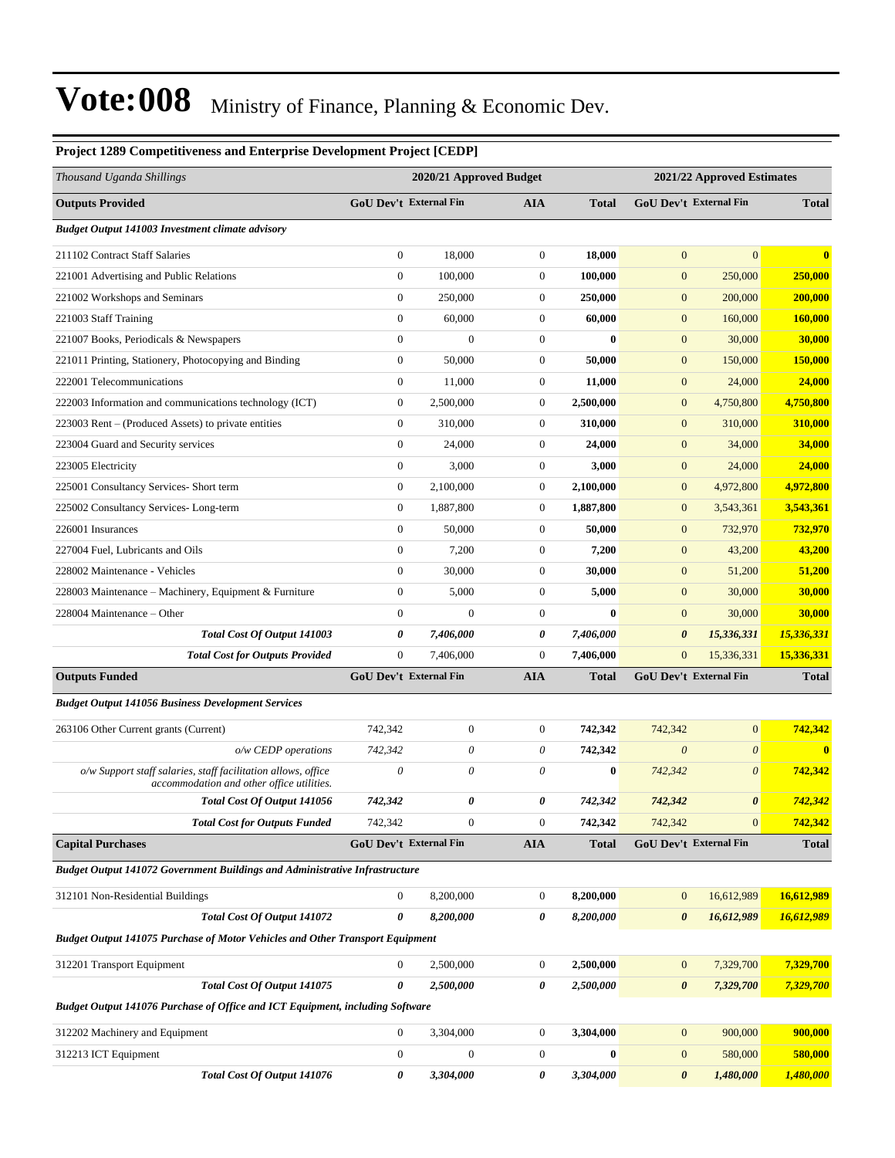| Project 1289 Competitiveness and Enterprise Development Project [CEDP]                                     |                               |                         |                  |              |                       |                               |              |  |
|------------------------------------------------------------------------------------------------------------|-------------------------------|-------------------------|------------------|--------------|-----------------------|-------------------------------|--------------|--|
| Thousand Uganda Shillings                                                                                  |                               | 2020/21 Approved Budget |                  |              |                       | 2021/22 Approved Estimates    |              |  |
| <b>Outputs Provided</b>                                                                                    | <b>GoU Dev't External Fin</b> |                         | <b>AIA</b>       | <b>Total</b> |                       | <b>GoU Dev't External Fin</b> | <b>Total</b> |  |
| <b>Budget Output 141003 Investment climate advisory</b>                                                    |                               |                         |                  |              |                       |                               |              |  |
| 211102 Contract Staff Salaries                                                                             | $\boldsymbol{0}$              | 18,000                  | $\overline{0}$   | 18,000       | $\boldsymbol{0}$      | $\mathbf{0}$                  | $\bf{0}$     |  |
| 221001 Advertising and Public Relations                                                                    | $\boldsymbol{0}$              | 100,000                 | $\boldsymbol{0}$ | 100,000      | $\boldsymbol{0}$      | 250,000                       | 250,000      |  |
| 221002 Workshops and Seminars                                                                              | $\boldsymbol{0}$              | 250,000                 | $\boldsymbol{0}$ | 250,000      | $\mathbf{0}$          | 200,000                       | 200,000      |  |
| 221003 Staff Training                                                                                      | $\mathbf{0}$                  | 60,000                  | $\boldsymbol{0}$ | 60,000       | $\boldsymbol{0}$      | 160,000                       | 160,000      |  |
| 221007 Books, Periodicals & Newspapers                                                                     | $\boldsymbol{0}$              | $\boldsymbol{0}$        | $\boldsymbol{0}$ | $\bf{0}$     | $\boldsymbol{0}$      | 30,000                        | 30,000       |  |
| 221011 Printing, Stationery, Photocopying and Binding                                                      | $\boldsymbol{0}$              | 50,000                  | $\boldsymbol{0}$ | 50,000       | $\boldsymbol{0}$      | 150,000                       | 150,000      |  |
| 222001 Telecommunications                                                                                  | $\mathbf{0}$                  | 11,000                  | $\boldsymbol{0}$ | 11,000       | $\boldsymbol{0}$      | 24,000                        | 24,000       |  |
| 222003 Information and communications technology (ICT)                                                     | $\boldsymbol{0}$              | 2,500,000               | 0                | 2,500,000    | $\mathbf{0}$          | 4,750,800                     | 4,750,800    |  |
| 223003 Rent – (Produced Assets) to private entities                                                        | $\mathbf{0}$                  | 310,000                 | $\boldsymbol{0}$ | 310,000      | $\mathbf{0}$          | 310,000                       | 310,000      |  |
| 223004 Guard and Security services                                                                         | $\boldsymbol{0}$              | 24,000                  | $\boldsymbol{0}$ | 24,000       | $\mathbf{0}$          | 34,000                        | 34,000       |  |
| 223005 Electricity                                                                                         | $\boldsymbol{0}$              | 3,000                   | $\boldsymbol{0}$ | 3,000        | $\boldsymbol{0}$      | 24,000                        | 24,000       |  |
| 225001 Consultancy Services- Short term                                                                    | $\mathbf{0}$                  | 2,100,000               | $\boldsymbol{0}$ | 2,100,000    | $\boldsymbol{0}$      | 4,972,800                     | 4,972,800    |  |
| 225002 Consultancy Services-Long-term                                                                      | $\boldsymbol{0}$              | 1,887,800               | $\boldsymbol{0}$ | 1,887,800    | $\mathbf{0}$          | 3,543,361                     | 3,543,361    |  |
| 226001 Insurances                                                                                          | $\mathbf{0}$                  | 50,000                  | $\boldsymbol{0}$ | 50,000       | $\mathbf{0}$          | 732,970                       | 732,970      |  |
| 227004 Fuel, Lubricants and Oils                                                                           | $\boldsymbol{0}$              | 7,200                   | $\mathbf{0}$     | 7,200        | $\mathbf{0}$          | 43,200                        | 43,200       |  |
| 228002 Maintenance - Vehicles                                                                              | $\boldsymbol{0}$              | 30,000                  | $\boldsymbol{0}$ | 30,000       | $\boldsymbol{0}$      | 51,200                        | 51,200       |  |
| 228003 Maintenance – Machinery, Equipment & Furniture                                                      | $\mathbf{0}$                  | 5,000                   | $\boldsymbol{0}$ | 5,000        | $\boldsymbol{0}$      | 30,000                        | 30,000       |  |
| 228004 Maintenance – Other                                                                                 | $\boldsymbol{0}$              | $\mathbf{0}$            | $\boldsymbol{0}$ | $\bf{0}$     | $\mathbf{0}$          | 30,000                        | 30,000       |  |
| Total Cost Of Output 141003                                                                                | 0                             | 7,406,000               | 0                | 7,406,000    | $\boldsymbol{\theta}$ | 15,336,331                    | 15,336,331   |  |
| <b>Total Cost for Outputs Provided</b>                                                                     | $\mathbf{0}$                  | 7,406,000               | $\boldsymbol{0}$ | 7,406,000    | $\mathbf{0}$          | 15,336,331                    | 15,336,331   |  |
| <b>Outputs Funded</b>                                                                                      | <b>GoU Dev't External Fin</b> |                         | <b>AIA</b>       | <b>Total</b> |                       | GoU Dev't External Fin        | <b>Total</b> |  |
| <b>Budget Output 141056 Business Development Services</b>                                                  |                               |                         |                  |              |                       |                               |              |  |
| 263106 Other Current grants (Current)                                                                      | 742,342                       | $\boldsymbol{0}$        | $\mathbf{0}$     | 742,342      | 742,342               | $\mathbf{0}$                  | 742,342      |  |
| o/w CEDP operations                                                                                        | 742,342                       | 0                       | 0                | 742,342      | $\boldsymbol{0}$      | $\boldsymbol{\theta}$         | $\mathbf{0}$ |  |
| o/w Support staff salaries, staff facilitation allows, office<br>accommodation and other office utilities. | $\theta$                      | $\theta$                | 0                | $\bf{0}$     | 742,342               | $\theta$                      | 742,342      |  |
| Total Cost Of Output 141056                                                                                | 742,342                       | 0                       | 0                | 742,342      | 742,342               | $\boldsymbol{\theta}$         | 742,342      |  |
| <b>Total Cost for Outputs Funded</b>                                                                       | 742,342                       | $\boldsymbol{0}$        | $\boldsymbol{0}$ | 742,342      | 742,342               | $\mathbf{0}$                  | 742,342      |  |
| <b>Capital Purchases</b>                                                                                   | GoU Dev't External Fin        |                         | <b>AIA</b>       | <b>Total</b> |                       | GoU Dev't External Fin        | <b>Total</b> |  |
| Budget Output 141072 Government Buildings and Administrative Infrastructure                                |                               |                         |                  |              |                       |                               |              |  |
| 312101 Non-Residential Buildings                                                                           | $\boldsymbol{0}$              | 8,200,000               | $\mathbf{0}$     | 8,200,000    | $\boldsymbol{0}$      | 16,612,989                    | 16,612,989   |  |
| Total Cost Of Output 141072                                                                                | $\boldsymbol{\theta}$         | 8.200.000               | 0                | 8,200,000    | $\pmb{\theta}$        | 16,612,989                    | 16,612,989   |  |
| Budget Output 141075 Purchase of Motor Vehicles and Other Transport Equipment                              |                               |                         |                  |              |                       |                               |              |  |
| 312201 Transport Equipment                                                                                 | $\boldsymbol{0}$              | 2,500,000               | $\overline{0}$   | 2,500,000    | $\mathbf{0}$          | 7,329,700                     | 7,329,700    |  |
| Total Cost Of Output 141075                                                                                | 0                             | 2,500,000               | 0                | 2,500,000    | $\pmb{\theta}$        | 7,329,700                     | 7,329,700    |  |
| Budget Output 141076 Purchase of Office and ICT Equipment, including Software                              |                               |                         |                  |              |                       |                               |              |  |
| 312202 Machinery and Equipment                                                                             | $\boldsymbol{0}$              | 3,304,000               | 0                | 3,304,000    | $\boldsymbol{0}$      | 900,000                       | 900,000      |  |
| 312213 ICT Equipment                                                                                       | $\bf{0}$                      | $\boldsymbol{0}$        | $\boldsymbol{0}$ | $\bf{0}$     | $\mathbf{0}$          | 580,000                       | 580,000      |  |
| Total Cost Of Output 141076                                                                                | 0                             | 3,304,000               | 0                | 3,304,000    | $\pmb{\theta}$        | 1,480,000                     | 1,480,000    |  |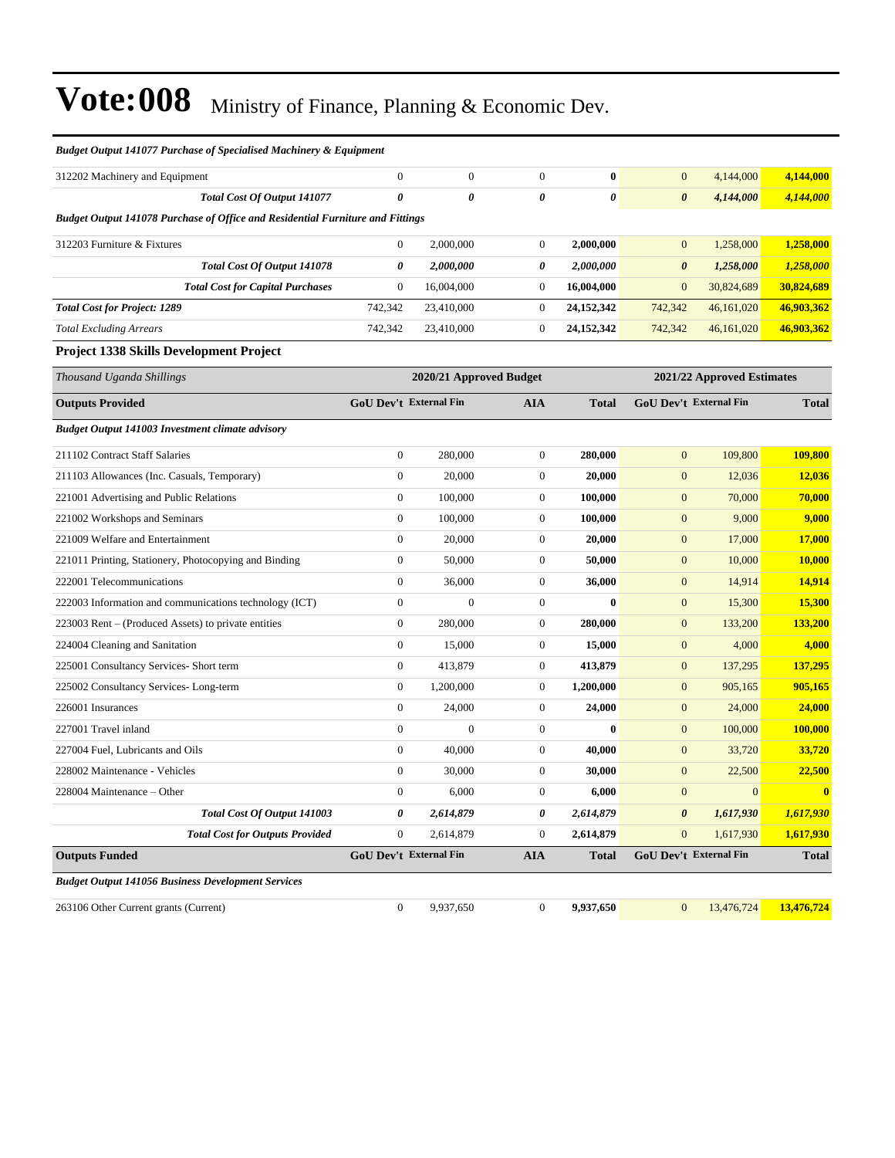| <b>Budget Output 141077 Purchase of Specialised Machinery &amp; Equipment</b>  |                               |                         |                  |              |                       |                               |                |
|--------------------------------------------------------------------------------|-------------------------------|-------------------------|------------------|--------------|-----------------------|-------------------------------|----------------|
| 312202 Machinery and Equipment                                                 | $\boldsymbol{0}$              | $\boldsymbol{0}$        | $\boldsymbol{0}$ | $\bf{0}$     | $\boldsymbol{0}$      | 4,144,000                     | 4,144,000      |
| Total Cost Of Output 141077                                                    | $\boldsymbol{\theta}$         | 0                       | 0                | 0            | $\boldsymbol{\theta}$ | 4,144,000                     | 4,144,000      |
| Budget Output 141078 Purchase of Office and Residential Furniture and Fittings |                               |                         |                  |              |                       |                               |                |
| 312203 Furniture & Fixtures                                                    | $\boldsymbol{0}$              | 2,000,000               | $\boldsymbol{0}$ | 2,000,000    | $\mathbf{0}$          | 1,258,000                     | 1,258,000      |
| Total Cost Of Output 141078                                                    | 0                             | 2,000,000               | 0                | 2,000,000    | 0                     | 1,258,000                     | 1,258,000      |
| <b>Total Cost for Capital Purchases</b>                                        | $\mathbf{0}$                  | 16,004,000              | $\boldsymbol{0}$ | 16,004,000   | $\mathbf{0}$          | 30,824,689                    | 30,824,689     |
| <b>Total Cost for Project: 1289</b>                                            | 742,342                       | 23,410,000              | $\boldsymbol{0}$ | 24, 152, 342 | 742,342               | 46,161,020                    | 46,903,362     |
| <b>Total Excluding Arrears</b>                                                 | 742,342                       | 23,410,000              | $\boldsymbol{0}$ | 24, 152, 342 | 742,342               | 46,161,020                    | 46,903,362     |
| Project 1338 Skills Development Project                                        |                               |                         |                  |              |                       |                               |                |
| Thousand Uganda Shillings                                                      |                               | 2020/21 Approved Budget |                  |              |                       | 2021/22 Approved Estimates    |                |
| <b>Outputs Provided</b>                                                        | <b>GoU Dev't External Fin</b> |                         | <b>AIA</b>       | <b>Total</b> |                       | <b>GoU Dev't External Fin</b> | <b>Total</b>   |
| <b>Budget Output 141003 Investment climate advisory</b>                        |                               |                         |                  |              |                       |                               |                |
| 211102 Contract Staff Salaries                                                 | $\boldsymbol{0}$              | 280,000                 | $\boldsymbol{0}$ | 280,000      | $\mathbf{0}$          | 109,800                       | 109,800        |
| 211103 Allowances (Inc. Casuals, Temporary)                                    | $\boldsymbol{0}$              | 20,000                  | $\boldsymbol{0}$ | 20,000       | $\mathbf{0}$          | 12,036                        | 12,036         |
| 221001 Advertising and Public Relations                                        | $\boldsymbol{0}$              | 100,000                 | $\boldsymbol{0}$ | 100,000      | $\boldsymbol{0}$      | 70,000                        | 70,000         |
| 221002 Workshops and Seminars                                                  | $\boldsymbol{0}$              | 100,000                 | $\boldsymbol{0}$ | 100,000      | $\boldsymbol{0}$      | 9,000                         | 9,000          |
| 221009 Welfare and Entertainment                                               | $\boldsymbol{0}$              | 20,000                  | $\boldsymbol{0}$ | 20,000       | $\mathbf{0}$          | 17,000                        | 17,000         |
| 221011 Printing, Stationery, Photocopying and Binding                          | $\boldsymbol{0}$              | 50,000                  | $\boldsymbol{0}$ | 50,000       | $\boldsymbol{0}$      | 10,000                        | 10,000         |
| 222001 Telecommunications                                                      | $\boldsymbol{0}$              | 36,000                  | $\boldsymbol{0}$ | 36,000       | $\mathbf{0}$          | 14,914                        | 14,914         |
| 222003 Information and communications technology (ICT)                         | $\boldsymbol{0}$              | $\overline{0}$          | $\boldsymbol{0}$ | $\bf{0}$     | $\boldsymbol{0}$      | 15,300                        | 15,300         |
| 223003 Rent – (Produced Assets) to private entities                            | $\boldsymbol{0}$              | 280,000                 | $\boldsymbol{0}$ | 280,000      | $\boldsymbol{0}$      | 133,200                       | 133,200        |
| 224004 Cleaning and Sanitation                                                 | $\boldsymbol{0}$              | 15,000                  | $\boldsymbol{0}$ | 15,000       | $\mathbf{0}$          | 4,000                         | 4,000          |
| 225001 Consultancy Services- Short term                                        | $\boldsymbol{0}$              | 413,879                 | $\boldsymbol{0}$ | 413,879      | $\boldsymbol{0}$      | 137,295                       | 137,295        |
| 225002 Consultancy Services-Long-term                                          | $\boldsymbol{0}$              | 1,200,000               | $\boldsymbol{0}$ | 1,200,000    | $\mathbf{0}$          | 905,165                       | 905,165        |
| 226001 Insurances                                                              | $\boldsymbol{0}$              | 24,000                  | $\boldsymbol{0}$ | 24,000       | $\boldsymbol{0}$      | 24,000                        | 24,000         |
| 227001 Travel inland                                                           | $\mathbf{0}$                  | $\mathbf{0}$            | $\boldsymbol{0}$ | 0            | $\boldsymbol{0}$      | 100,000                       | <b>100,000</b> |
| 227004 Fuel, Lubricants and Oils                                               | $\boldsymbol{0}$              | 40,000                  | $\boldsymbol{0}$ | 40,000       | $\mathbf{0}$          | 33,720                        | 33,720         |
| 228002 Maintenance - Vehicles                                                  | $\mathbf{0}$                  | 30,000                  | $\boldsymbol{0}$ | 30,000       | $\mathbf{0}$          | 22,500                        | 22,500         |
| 228004 Maintenance – Other                                                     | $\mathbf{0}$                  | 6,000                   | $\mathbf{0}$     | 6,000        | $\overline{0}$        | $\mathbf{0}$                  | $\mathbf{0}$   |
| <b>Total Cost Of Output 141003</b>                                             | 0                             | 2,614,879               | 0                | 2,614,879    | 0                     | 1,617,930                     | 1,617,930      |
| <b>Total Cost for Outputs Provided</b>                                         | $\boldsymbol{0}$              | 2,614,879               | $\boldsymbol{0}$ | 2,614,879    | $\boldsymbol{0}$      | 1,617,930                     | 1,617,930      |
| <b>Outputs Funded</b>                                                          | <b>GoU Dev't External Fin</b> |                         | <b>AIA</b>       | <b>Total</b> |                       | <b>GoU Dev't External Fin</b> | <b>Total</b>   |
| <b>Budget Output 141056 Business Development Services</b>                      |                               |                         |                  |              |                       |                               |                |
| 263106 Other Current grants (Current)                                          | $\boldsymbol{0}$              | 9,937,650               | $\boldsymbol{0}$ | 9,937,650    | $\mathbf{0}$          | 13,476,724                    | 13,476,724     |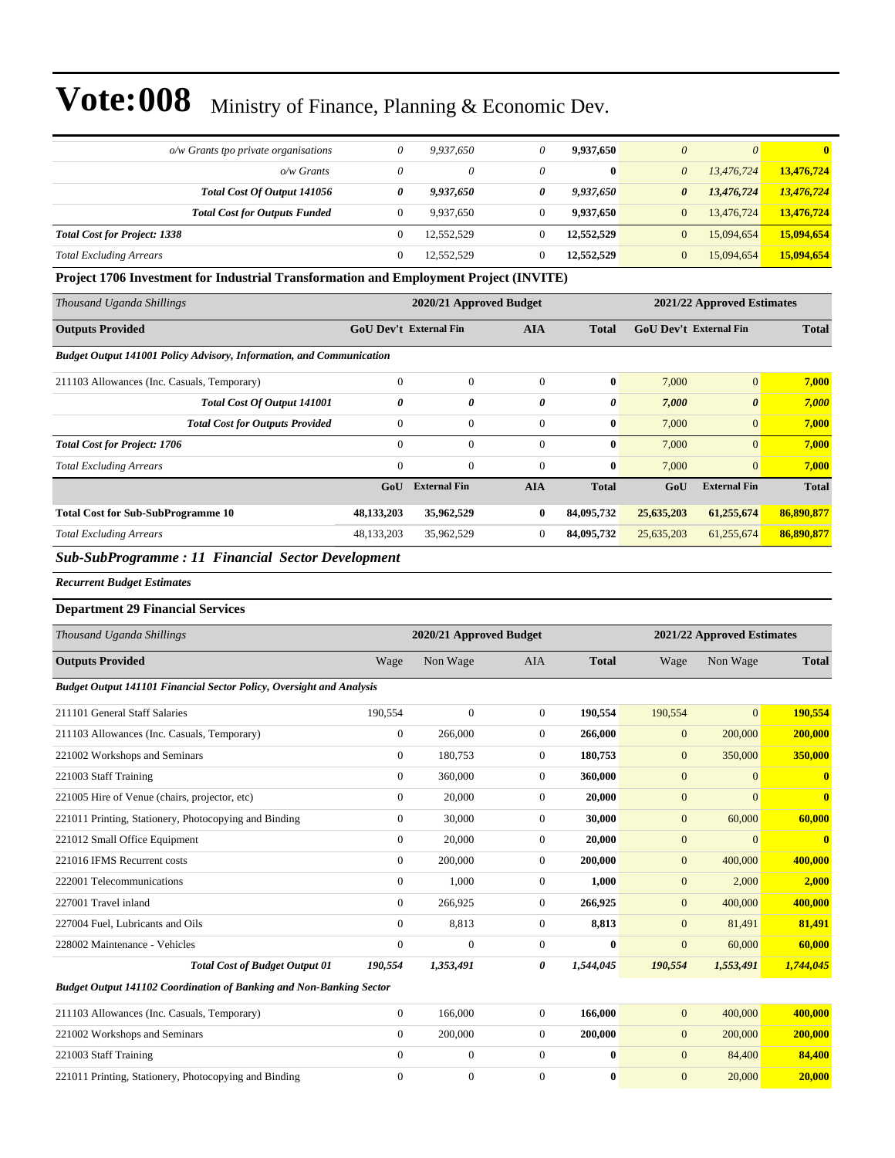| $o/w$ Grants tpo private organisations | 0        | 9.937.650  |          | 9.937.650  | $\theta$<br>$\theta$         | $\mathbf{0}$ |
|----------------------------------------|----------|------------|----------|------------|------------------------------|--------------|
| $o/w$ Grants                           | $\theta$ | 0          | $\theta$ | $\bf{0}$   | 13.476.724<br>$\theta$       | 13,476,724   |
| Total Cost Of Output 141056            | 0        | 9,937,650  | 0        | 9,937,650  | 13,476,724<br>0              | 13,476,724   |
| <b>Total Cost for Outputs Funded</b>   | 0        | 9.937.650  |          | 9.937.650  | 13,476,724<br>$\mathbf{0}$   | 13,476,724   |
| <b>Total Cost for Project: 1338</b>    | $\Omega$ | 12,552,529 |          | 12,552,529 | 15,094,654<br>$\mathbf{0}$   | 15,094,654   |
| <b>Total Excluding Arrears</b>         | 0        | 12.552.529 |          | 12,552,529 | $\overline{0}$<br>15,094,654 | 15,094,654   |

**Project 1706 Investment for Industrial Transformation and Employment Project (INVITE)**

| Thousand Uganda Shillings                                                   |                |                               | 2020/21 Approved Budget<br>2021/22 Approved Estimates |              |                               |                       |              |  |
|-----------------------------------------------------------------------------|----------------|-------------------------------|-------------------------------------------------------|--------------|-------------------------------|-----------------------|--------------|--|
| <b>Outputs Provided</b>                                                     |                | <b>GoU Dev't External Fin</b> | <b>AIA</b>                                            | <b>Total</b> | <b>GoU Dev't External Fin</b> |                       | <b>Total</b> |  |
| <b>Budget Output 141001 Policy Advisory, Information, and Communication</b> |                |                               |                                                       |              |                               |                       |              |  |
| 211103 Allowances (Inc. Casuals, Temporary)                                 | $\mathbf{0}$   | $\boldsymbol{0}$              | $\Omega$                                              | $\bf{0}$     | 7,000                         | $\overline{0}$        | 7,000        |  |
| Total Cost Of Output 141001                                                 | 0              | 0                             | 0                                                     | 0            | 7,000                         | $\boldsymbol{\theta}$ | 7,000        |  |
| <b>Total Cost for Outputs Provided</b>                                      | $\mathbf{0}$   | $\Omega$                      | $\Omega$                                              | $\bf{0}$     | 7,000                         | $\overline{0}$        | 7,000        |  |
| <b>Total Cost for Project: 1706</b>                                         | $\overline{0}$ | $\Omega$                      | $\Omega$                                              | $\bf{0}$     | 7,000                         | $\overline{0}$        | 7,000        |  |
| <b>Total Excluding Arrears</b>                                              | $\mathbf{0}$   | $\mathbf{0}$                  | $\mathbf{0}$                                          | $\bf{0}$     | 7,000                         | $\overline{0}$        | 7,000        |  |
|                                                                             | GoU            | <b>External Fin</b>           | AIA                                                   | <b>Total</b> | GoU                           | <b>External Fin</b>   | <b>Total</b> |  |
| <b>Total Cost for Sub-SubProgramme 10</b>                                   | 48,133,203     | 35,962,529                    | $\bf{0}$                                              | 84,095,732   | 25,635,203                    | 61,255,674            | 86,890,877   |  |
| <b>Total Excluding Arrears</b>                                              | 48, 133, 203   | 35,962,529                    | $\overline{0}$                                        | 84,095,732   | 25,635,203                    | 61,255,674            | 86,890,877   |  |
| <b>Sub SubDreamma</b> , 11 Eingneigh Sector Development                     |                |                               |                                                       |              |                               |                       |              |  |

*Sub-SubProgramme : 11 Financial Sector Development*

*Recurrent Budget Estimates*

#### **Department 29 Financial Services**

| Thousand Uganda Shillings                                            |                | 2020/21 Approved Budget |                | 2021/22 Approved Estimates |                  |              |              |
|----------------------------------------------------------------------|----------------|-------------------------|----------------|----------------------------|------------------|--------------|--------------|
| <b>Outputs Provided</b>                                              | Wage           | Non Wage                | <b>AIA</b>     | <b>Total</b>               | Wage             | Non Wage     | <b>Total</b> |
| Budget Output 141101 Financial Sector Policy, Oversight and Analysis |                |                         |                |                            |                  |              |              |
| 211101 General Staff Salaries                                        | 190,554        | $\mathbf{0}$            | $\overline{0}$ | 190.554                    | 190,554          | $\Omega$     | 190,554      |
| 211103 Allowances (Inc. Casuals, Temporary)                          | $\overline{0}$ | 266,000                 | $\Omega$       | 266,000                    | $\boldsymbol{0}$ | 200,000      | 200,000      |
| 221002 Workshops and Seminars                                        | $\overline{0}$ | 180,753                 | $\mathbf{0}$   | 180,753                    | $\mathbf{0}$     | 350,000      | 350,000      |
| 221003 Staff Training                                                | $\Omega$       | 360,000                 | $\Omega$       | 360,000                    | $\overline{0}$   | $\Omega$     | $\mathbf{0}$ |
| 221005 Hire of Venue (chairs, projector, etc)                        | $\mathbf{0}$   | 20,000                  | $\mathbf{0}$   | 20,000                     | $\overline{0}$   | $\Omega$     | $\bf{0}$     |
| 221011 Printing, Stationery, Photocopying and Binding                | $\overline{0}$ | 30,000                  | $\mathbf{0}$   | 30,000                     | $\mathbf{0}$     | 60,000       | 60,000       |
| 221012 Small Office Equipment                                        | $\overline{0}$ | 20,000                  | $\mathbf{0}$   | 20,000                     | $\overline{0}$   | $\mathbf{0}$ | $\bf{0}$     |
| 221016 IFMS Recurrent costs                                          | $\overline{0}$ | 200,000                 | $\Omega$       | 200,000                    | $\mathbf{0}$     | 400,000      | 400,000      |
| 222001 Telecommunications                                            | $\overline{0}$ | 1,000                   | $\mathbf{0}$   | 1,000                      | $\boldsymbol{0}$ | 2,000        | 2,000        |
| 227001 Travel inland                                                 | $\overline{0}$ | 266,925                 | $\mathbf{0}$   | 266,925                    | $\boldsymbol{0}$ | 400,000      | 400,000      |
| 227004 Fuel, Lubricants and Oils                                     | $\overline{0}$ | 8,813                   | $\mathbf{0}$   | 8,813                      | $\mathbf{0}$     | 81,491       | 81,491       |
| 228002 Maintenance - Vehicles                                        | $\theta$       | $\Omega$                | $\Omega$       | $\bf{0}$                   | $\Omega$         | 60,000       | 60,000       |
| <b>Total Cost of Budget Output 01</b>                                | 190,554        | 1,353,491               | 0              | 1,544,045                  | 190,554          | 1,553,491    | 1,744,045    |
| Budget Output 141102 Coordination of Banking and Non-Banking Sector  |                |                         |                |                            |                  |              |              |
| 211103 Allowances (Inc. Casuals, Temporary)                          | $\overline{0}$ | 166,000                 | $\mathbf{0}$   | 166,000                    | $\overline{0}$   | 400,000      | 400,000      |
| 221002 Workshops and Seminars                                        | $\overline{0}$ | 200,000                 | $\Omega$       | 200,000                    | $\mathbf{0}$     | 200,000      | 200,000      |
| 221003 Staff Training                                                | $\mathbf{0}$   | $\mathbf{0}$            | $\Omega$       | $\bf{0}$                   | $\overline{0}$   | 84,400       | 84,400       |
| 221011 Printing, Stationery, Photocopying and Binding                | $\theta$       | $\mathbf{0}$            | $\mathbf{0}$   | $\mathbf{0}$               | $\overline{0}$   | 20,000       | 20,000       |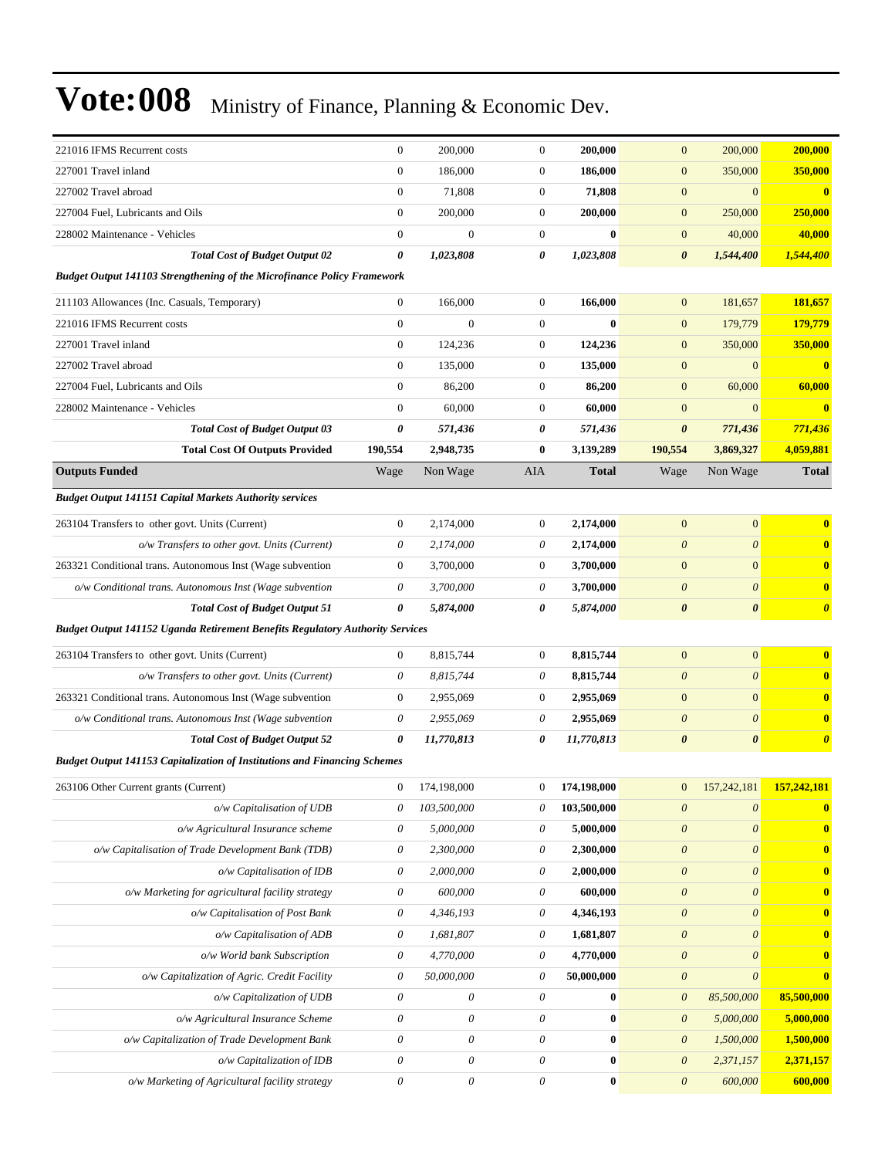| 221016 IFMS Recurrent costs                                                          | $\mathbf{0}$              | 200,000               | $\boldsymbol{0}$      | 200,000      | $\mathbf{0}$              | 200,000                   | 200,000               |
|--------------------------------------------------------------------------------------|---------------------------|-----------------------|-----------------------|--------------|---------------------------|---------------------------|-----------------------|
| 227001 Travel inland                                                                 | $\overline{0}$            | 186,000               | $\boldsymbol{0}$      | 186,000      | $\boldsymbol{0}$          | 350,000                   | 350,000               |
| 227002 Travel abroad                                                                 | $\mathbf{0}$              | 71,808                | $\boldsymbol{0}$      | 71,808       | $\mathbf{0}$              | $\Omega$                  | $\mathbf{0}$          |
| 227004 Fuel, Lubricants and Oils                                                     | $\boldsymbol{0}$          | 200,000               | $\boldsymbol{0}$      | 200,000      | $\mathbf{0}$              | 250,000                   | 250,000               |
| 228002 Maintenance - Vehicles                                                        | $\mathbf{0}$              | $\theta$              | $\boldsymbol{0}$      | $\bf{0}$     | $\boldsymbol{0}$          | 40,000                    | 40,000                |
| <b>Total Cost of Budget Output 02</b>                                                | 0                         | 1,023,808             | 0                     | 1,023,808    | $\boldsymbol{\theta}$     | 1,544,400                 | 1,544,400             |
| <b>Budget Output 141103 Strengthening of the Microfinance Policy Framework</b>       |                           |                       |                       |              |                           |                           |                       |
| 211103 Allowances (Inc. Casuals, Temporary)                                          | $\overline{0}$            | 166,000               | $\boldsymbol{0}$      | 166,000      | $\mathbf{0}$              | 181,657                   | 181,657               |
| 221016 IFMS Recurrent costs                                                          | $\overline{0}$            | $\theta$              | $\boldsymbol{0}$      | $\bf{0}$     | $\mathbf{0}$              | 179,779                   | 179,779               |
| 227001 Travel inland                                                                 | $\overline{0}$            | 124,236               | $\boldsymbol{0}$      | 124,236      | $\mathbf{0}$              | 350,000                   | 350,000               |
| 227002 Travel abroad                                                                 | $\mathbf{0}$              | 135,000               | $\boldsymbol{0}$      | 135,000      | $\mathbf{0}$              | $\Omega$                  |                       |
| 227004 Fuel, Lubricants and Oils                                                     | $\mathbf{0}$              | 86,200                | $\boldsymbol{0}$      | 86,200       | $\mathbf{0}$              | 60,000                    | 60,000                |
| 228002 Maintenance - Vehicles                                                        | $\overline{0}$            | 60,000                | $\boldsymbol{0}$      | 60,000       | $\boldsymbol{0}$          | $\mathbf{0}$              | $\bf{0}$              |
| <b>Total Cost of Budget Output 03</b>                                                | 0                         | 571,436               | 0                     | 571,436      | $\boldsymbol{\theta}$     | 771,436                   | 771,436               |
| <b>Total Cost Of Outputs Provided</b>                                                | 190,554                   | 2,948,735             | $\bf{0}$              | 3,139,289    | 190,554                   | 3,869,327                 | 4,059,881             |
| <b>Outputs Funded</b>                                                                | Wage                      | Non Wage              | AIA                   | <b>Total</b> | Wage                      | Non Wage                  | <b>Total</b>          |
| <b>Budget Output 141151 Capital Markets Authority services</b>                       |                           |                       |                       |              |                           |                           |                       |
| 263104 Transfers to other govt. Units (Current)                                      | $\overline{0}$            | 2,174,000             | $\boldsymbol{0}$      | 2,174,000    | $\mathbf{0}$              | $\mathbf{0}$              | $\bf{0}$              |
| o/w Transfers to other govt. Units (Current)                                         | 0                         | 2,174,000             | 0                     | 2,174,000    | $\boldsymbol{\theta}$     | $\theta$                  | $\bf{0}$              |
| 263321 Conditional trans. Autonomous Inst (Wage subvention                           | $\mathbf{0}$              | 3,700,000             | $\boldsymbol{0}$      | 3,700,000    | $\mathbf{0}$              | $\mathbf{0}$              | $\bf{0}$              |
| o/w Conditional trans. Autonomous Inst (Wage subvention                              | 0                         | 3,700,000             | $\theta$              | 3,700,000    | $\boldsymbol{\theta}$     | $\theta$                  | $\bf{0}$              |
| <b>Total Cost of Budget Output 51</b>                                                | 0                         | 5,874,000             | $\boldsymbol{\theta}$ | 5,874,000    | $\boldsymbol{\theta}$     | $\boldsymbol{\theta}$     | $\boldsymbol{\theta}$ |
| <b>Budget Output 141152 Uganda Retirement Benefits Regulatory Authority Services</b> |                           |                       |                       |              |                           |                           |                       |
| 263104 Transfers to other govt. Units (Current)                                      | $\overline{0}$            | 8,815,744             | $\boldsymbol{0}$      | 8,815,744    | $\mathbf{0}$              | $\mathbf{0}$              | $\mathbf{0}$          |
| o/w Transfers to other govt. Units (Current)                                         | 0                         | 8,815,744             | $\theta$              | 8,815,744    | $\theta$                  | $\theta$                  | $\bf{0}$              |
| 263321 Conditional trans. Autonomous Inst (Wage subvention                           | $\boldsymbol{0}$          | 2,955,069             | $\mathbf{0}$          | 2,955,069    | $\mathbf{0}$              | $\mathbf{0}$              | $\bf{0}$              |
| o/w Conditional trans. Autonomous Inst (Wage subvention                              | 0                         | 2,955,069             | $\theta$              | 2,955,069    | $\boldsymbol{\theta}$     | $\theta$                  | $\bf{0}$              |
| <b>Total Cost of Budget Output 52</b>                                                | 0                         | 11,770,813            | 0                     | 11,770,813   | $\boldsymbol{\theta}$     | $\boldsymbol{\theta}$     | $\boldsymbol{\theta}$ |
| Budget Output 141153 Capitalization of Institutions and Financing Schemes            |                           |                       |                       |              |                           |                           |                       |
| 263106 Other Current grants (Current)                                                | $\boldsymbol{0}$          | 174,198,000           | $\theta$              | 174,198,000  | $\mathbf{0}$              | 157,242,181               | <u>157,242,181</u>    |
| o/w Capitalisation of UDB                                                            | $\theta$                  | 103,500,000           | $\theta$              | 103,500,000  | $\theta$                  | $\boldsymbol{\theta}$     | $\bf{0}$              |
| o/w Agricultural Insurance scheme                                                    | $\boldsymbol{\theta}$     | 5,000,000             | $\boldsymbol{\theta}$ | 5,000,000    | $\boldsymbol{\mathit{0}}$ | $\boldsymbol{\mathit{0}}$ | $\boldsymbol{0}$      |
| o/w Capitalisation of Trade Development Bank (TDB)                                   | $\boldsymbol{\theta}$     | 2,300,000             | $\theta$              | 2,300,000    | $\boldsymbol{\theta}$     | $\boldsymbol{0}$          | $\bf{0}$              |
| o/w Capitalisation of IDB                                                            | $\theta$                  | 2,000,000             | $\theta$              | 2,000,000    | $\boldsymbol{\theta}$     | $\boldsymbol{\theta}$     | $\boldsymbol{0}$      |
| o/w Marketing for agricultural facility strategy                                     | $\boldsymbol{\mathit{0}}$ | 600,000               | $\theta$              | 600,000      | $\boldsymbol{\mathit{0}}$ | $\boldsymbol{\theta}$     | $\boldsymbol{0}$      |
| o/w Capitalisation of Post Bank                                                      | $\boldsymbol{\theta}$     | 4,346,193             | $\theta$              | 4,346,193    | $\boldsymbol{\theta}$     | $\boldsymbol{\theta}$     | $\bf{0}$              |
| o/w Capitalisation of ADB                                                            | $\theta$                  | 1,681,807             | $\boldsymbol{\theta}$ | 1,681,807    | $\boldsymbol{\mathit{0}}$ | $\boldsymbol{\theta}$     | $\boldsymbol{0}$      |
| o/w World bank Subscription                                                          | 0                         | 4,770,000             | $\theta$              | 4,770,000    | $\boldsymbol{\mathit{0}}$ | $\boldsymbol{0}$          | $\bf{0}$              |
| o/w Capitalization of Agric. Credit Facility                                         | $\boldsymbol{\mathit{0}}$ | 50,000,000            | $\theta$              | 50,000,000   | $\boldsymbol{\theta}$     | $\boldsymbol{\theta}$     | $\bf{0}$              |
| o/w Capitalization of UDB                                                            | $\boldsymbol{\mathit{0}}$ | $\boldsymbol{\theta}$ | $\boldsymbol{\theta}$ | $\bf{0}$     | $\boldsymbol{\mathit{0}}$ | 85,500,000                | 85,500,000            |
| o/w Agricultural Insurance Scheme                                                    | $\boldsymbol{\theta}$     | $\theta$              | $\theta$              | $\bf{0}$     | $\boldsymbol{\mathit{0}}$ | 5,000,000                 | 5,000,000             |
| o/w Capitalization of Trade Development Bank                                         | $\boldsymbol{\theta}$     | $\boldsymbol{\theta}$ | $\boldsymbol{\theta}$ | $\pmb{0}$    | $\boldsymbol{\mathit{0}}$ | 1,500,000                 | 1,500,000             |
| o/w Capitalization of IDB                                                            | $\theta$                  | $\theta$              | $\theta$              | $\bf{0}$     | $\boldsymbol{\mathit{0}}$ | 2,371,157                 | 2,371,157             |
| o/w Marketing of Agricultural facility strategy                                      | $\boldsymbol{\mathit{0}}$ | $\boldsymbol{\theta}$ | $\boldsymbol{\theta}$ | $\pmb{0}$    | $\boldsymbol{\theta}$     | 600,000                   | 600,000               |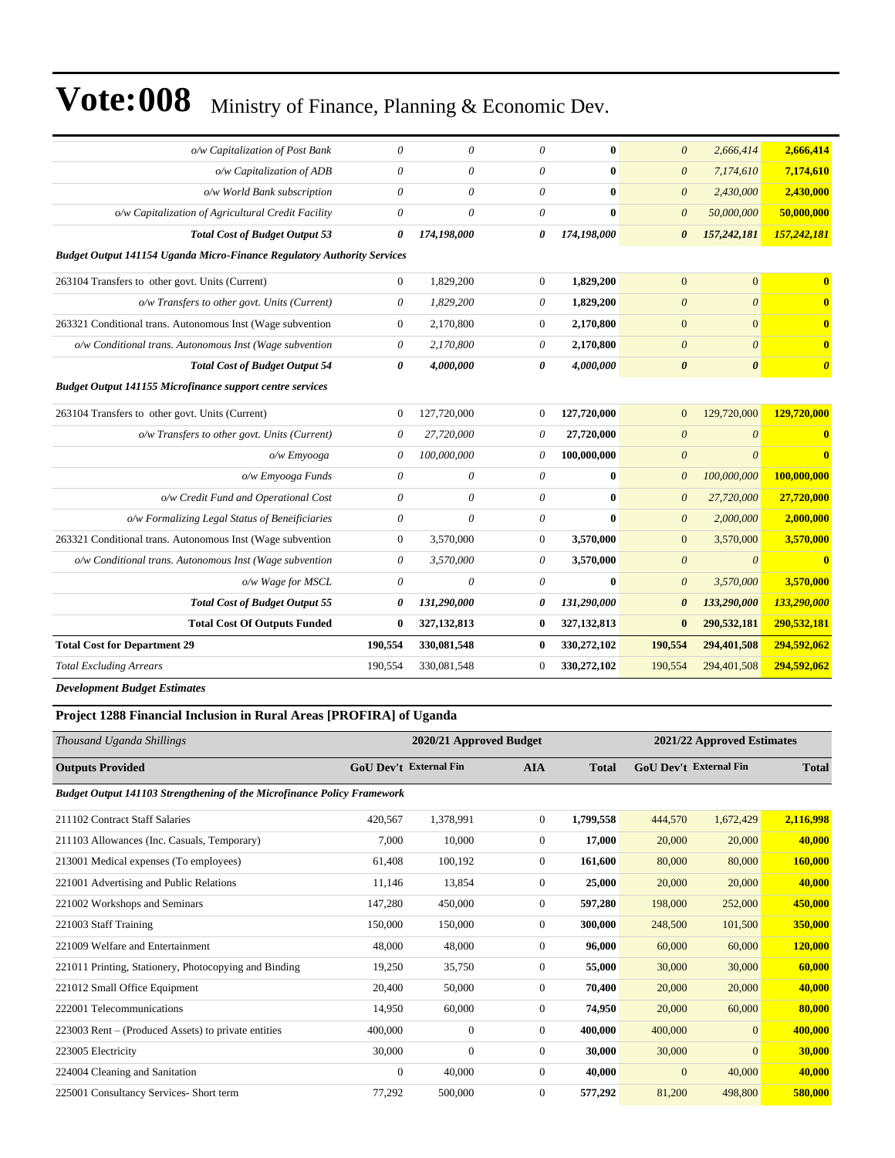| o/w Capitalization of Post Bank                                                | 0                     | 0             | 0                     | $\mathbf{0}$  | $\theta$              | 2,666,414             | 2,666,414               |
|--------------------------------------------------------------------------------|-----------------------|---------------|-----------------------|---------------|-----------------------|-----------------------|-------------------------|
| o/w Capitalization of ADB                                                      | $\theta$              | 0             | $\theta$              | $\bf{0}$      | $\boldsymbol{\theta}$ | 7,174,610             | 7,174,610               |
| o/w World Bank subscription                                                    | 0                     | 0             | $\boldsymbol{\theta}$ | $\bf{0}$      | $\boldsymbol{\theta}$ | 2,430,000             | 2,430,000               |
| o/w Capitalization of Agricultural Credit Facility                             | $\theta$              | $\theta$      | $\theta$              | $\bf{0}$      | $\boldsymbol{\theta}$ | 50,000,000            | 50,000,000              |
| <b>Total Cost of Budget Output 53</b>                                          | 0                     | 174,198,000   | 0                     | 174,198,000   | $\boldsymbol{\theta}$ | 157,242,181           | 157,242,181             |
| <b>Budget Output 141154 Uganda Micro-Finance Regulatory Authority Services</b> |                       |               |                       |               |                       |                       |                         |
| 263104 Transfers to other govt. Units (Current)                                | $\overline{0}$        | 1,829,200     | $\theta$              | 1,829,200     | $\mathbf{0}$          | $\mathbf{0}$          | $\mathbf{0}$            |
| o/w Transfers to other govt. Units (Current)                                   | 0                     | 1,829,200     | $\theta$              | 1,829,200     | $\boldsymbol{\theta}$ | $\theta$              | $\mathbf{0}$            |
| 263321 Conditional trans. Autonomous Inst (Wage subvention                     | $\boldsymbol{0}$      | 2,170,800     | $\mathbf{0}$          | 2,170,800     | $\mathbf{0}$          | $\overline{0}$        | $\mathbf{0}$            |
| o/w Conditional trans. Autonomous Inst (Wage subvention                        | 0                     | 2,170,800     | $\theta$              | 2,170,800     | $\boldsymbol{\theta}$ | $\boldsymbol{\theta}$ | $\mathbf{0}$            |
| <b>Total Cost of Budget Output 54</b>                                          | 0                     | 4,000,000     | 0                     | 4,000,000     | $\boldsymbol{\theta}$ | $\boldsymbol{\theta}$ | $\boldsymbol{\theta}$   |
| <b>Budget Output 141155 Microfinance support centre services</b>               |                       |               |                       |               |                       |                       |                         |
| 263104 Transfers to other govt. Units (Current)                                | $\bf{0}$              | 127,720,000   | $\overline{0}$        | 127,720,000   | $\mathbf{0}$          | 129,720,000           | 129,720,000             |
| o/w Transfers to other govt. Units (Current)                                   | $\theta$              | 27,720,000    | $\theta$              | 27,720,000    | $\overline{0}$        | $\theta$              | $\mathbf{0}$            |
| o/w Emvooga                                                                    | 0                     | 100,000,000   | 0                     | 100,000,000   | $\theta$              | $\theta$              | $\overline{\mathbf{0}}$ |
| o/w Emyooga Funds                                                              | $\theta$              | $\theta$      | $\theta$              | $\mathbf{0}$  | $\boldsymbol{\theta}$ | 100,000,000           | 100,000,000             |
| o/w Credit Fund and Operational Cost                                           | 0                     | 0             | $\theta$              | $\mathbf{0}$  | $\boldsymbol{\theta}$ | 27,720,000            | 27,720,000              |
| o/w Formalizing Legal Status of Beneificiaries                                 | $\boldsymbol{\theta}$ | 0             | $\theta$              | $\bf{0}$      | $\boldsymbol{\theta}$ | 2,000,000             | 2,000,000               |
| 263321 Conditional trans. Autonomous Inst (Wage subvention                     | 0                     | 3,570,000     | $\mathbf{0}$          | 3,570,000     | $\mathbf{0}$          | 3,570,000             | 3,570,000               |
| o/w Conditional trans. Autonomous Inst (Wage subvention                        | 0                     | 3,570,000     | $\theta$              | 3,570,000     | $\boldsymbol{\theta}$ | $\theta$              | $\mathbf{0}$            |
| o/w Wage for MSCL                                                              | $\theta$              | $\theta$      | $\theta$              | $\mathbf{0}$  | $\theta$              | 3,570,000             | 3.570.000               |
| <b>Total Cost of Budget Output 55</b>                                          | 0                     | 131,290,000   | 0                     | 131,290,000   | $\boldsymbol{\theta}$ | 133,290,000           | 133,290,000             |
| <b>Total Cost Of Outputs Funded</b>                                            | $\bf{0}$              | 327, 132, 813 | $\bf{0}$              | 327, 132, 813 | $\bf{0}$              | 290,532,181           | 290,532,181             |
| <b>Total Cost for Department 29</b>                                            | 190,554               | 330,081,548   | $\bf{0}$              | 330,272,102   | 190,554               | 294,401,508           | 294,592,062             |
| <b>Total Excluding Arrears</b>                                                 | 190,554               | 330,081,548   | $\overline{0}$        | 330,272,102   | 190,554               | 294,401,508           | 294,592,062             |
|                                                                                |                       |               |                       |               |                       |                       |                         |

*Development Budget Estimates*

#### **Project 1288 Financial Inclusion in Rural Areas [PROFIRA] of Uganda**

| Thousand Uganda Shillings                                                      |              | 2020/21 Approved Budget |                |              |                        | 2021/22 Approved Estimates |              |
|--------------------------------------------------------------------------------|--------------|-------------------------|----------------|--------------|------------------------|----------------------------|--------------|
| <b>Outputs Provided</b>                                                        |              | GoU Dev't External Fin  | <b>AIA</b>     | <b>Total</b> | GoU Dev't External Fin |                            | <b>Total</b> |
| <b>Budget Output 141103 Strengthening of the Microfinance Policy Framework</b> |              |                         |                |              |                        |                            |              |
| 211102 Contract Staff Salaries                                                 | 420.567      | 1.378.991               | $\overline{0}$ | 1,799,558    | 444,570                | 1,672,429                  | 2,116,998    |
| 211103 Allowances (Inc. Casuals, Temporary)                                    | 7,000        | 10,000                  | $\overline{0}$ | 17,000       | 20,000                 | 20,000                     | 40,000       |
| 213001 Medical expenses (To employees)                                         | 61,408       | 100,192                 | $\overline{0}$ | 161,600      | 80,000                 | 80,000                     | 160,000      |
| 221001 Advertising and Public Relations                                        | 11,146       | 13,854                  | $\Omega$       | 25,000       | 20,000                 | 20,000                     | 40,000       |
| 221002 Workshops and Seminars                                                  | 147,280      | 450,000                 | $\overline{0}$ | 597,280      | 198,000                | 252,000                    | 450,000      |
| 221003 Staff Training                                                          | 150,000      | 150,000                 | $\overline{0}$ | 300,000      | 248,500                | 101,500                    | 350,000      |
| 221009 Welfare and Entertainment                                               | 48,000       | 48,000                  | $\overline{0}$ | 96,000       | 60,000                 | 60,000                     | 120,000      |
| 221011 Printing, Stationery, Photocopying and Binding                          | 19,250       | 35,750                  | $\overline{0}$ | 55,000       | 30,000                 | 30,000                     | 60,000       |
| 221012 Small Office Equipment                                                  | 20,400       | 50,000                  | $\overline{0}$ | 70,400       | 20,000                 | 20,000                     | 40,000       |
| 222001 Telecommunications                                                      | 14,950       | 60,000                  | $\theta$       | 74,950       | 20,000                 | 60,000                     | 80,000       |
| 223003 Rent – (Produced Assets) to private entities                            | 400,000      | $\overline{0}$          | $\overline{0}$ | 400,000      | 400,000                | $\overline{0}$             | 400,000      |
| 223005 Electricity                                                             | 30,000       | $\overline{0}$          | $\theta$       | 30,000       | 30,000                 | $\overline{0}$             | 30,000       |
| 224004 Cleaning and Sanitation                                                 | $\mathbf{0}$ | 40,000                  | $\theta$       | 40,000       | $\overline{0}$         | 40,000                     | 40,000       |
| 225001 Consultancy Services- Short term                                        | 77,292       | 500,000                 | $\mathbf{0}$   | 577,292      | 81,200                 | 498,800                    | 580,000      |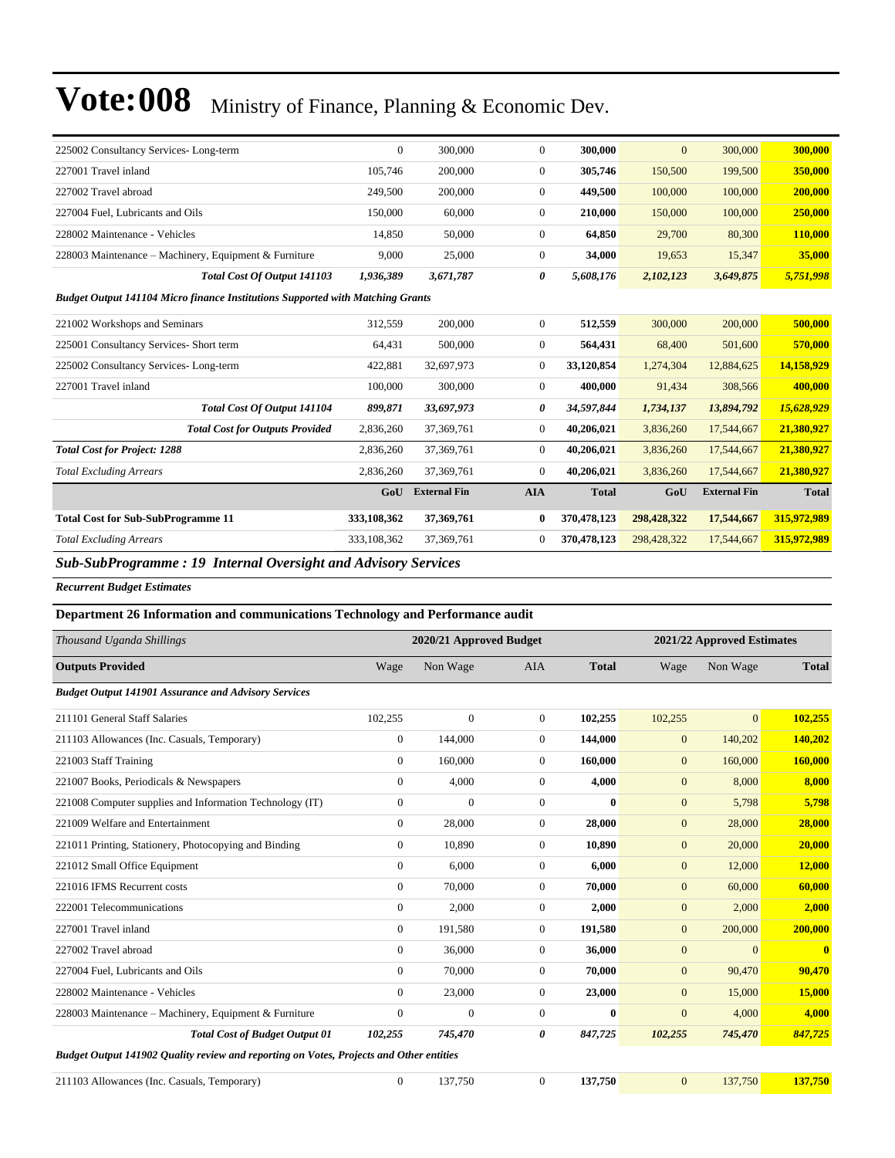| 225002 Consultancy Services-Long-term                                                            | $\overline{0}$                                      | 300,000             | $\overline{0}$ | 300,000      | $\overline{0}$ | 300,000             | 300,000      |
|--------------------------------------------------------------------------------------------------|-----------------------------------------------------|---------------------|----------------|--------------|----------------|---------------------|--------------|
| 227001 Travel inland                                                                             | 105,746                                             | 200,000             | $\overline{0}$ | 305,746      | 150,500        | 199,500             | 350,000      |
| 227002 Travel abroad                                                                             | 249,500                                             | 200,000             | $\overline{0}$ | 449,500      | 100,000        | 100,000             | 200,000      |
| 227004 Fuel, Lubricants and Oils                                                                 | 150,000                                             | 60,000              | $\overline{0}$ | 210,000      | 150,000        | 100,000             | 250,000      |
| 228002 Maintenance - Vehicles                                                                    | 14.850                                              | 50,000              | $\overline{0}$ | 64,850       | 29,700         | 80,300              | 110,000      |
| 228003 Maintenance – Machinery, Equipment & Furniture                                            | 9.000                                               | 25,000              | $\overline{0}$ | 34,000       | 19,653         | 15,347              | 35,000       |
| Total Cost Of Output 141103                                                                      | 1,936,389                                           | 3,671,787           | 0              | 5,608,176    | 2,102,123      | 3,649,875           | 5,751,998    |
| <b>Budget Output 141104 Micro finance Institutions Supported with Matching Grants</b>            |                                                     |                     |                |              |                |                     |              |
| 221002 Workshops and Seminars                                                                    | 312,559                                             | 200,000             | $\overline{0}$ | 512,559      | 300,000        | 200,000             | 500,000      |
| 225001 Consultancy Services- Short term                                                          | 64,431                                              | 500,000             | $\overline{0}$ | 564,431      | 68,400         | 501,600             | 570,000      |
| 225002 Consultancy Services-Long-term                                                            | 422,881                                             | 32,697,973          | $\overline{0}$ | 33,120,854   | 1,274,304      | 12,884,625          | 14,158,929   |
| 227001 Travel inland                                                                             | 100,000                                             | 300,000             | 0              | 400,000      | 91,434         | 308,566             | 400,000      |
| Total Cost Of Output 141104                                                                      | 899,871                                             | 33,697,973          | 0              | 34,597,844   | 1,734,137      | 13,894,792          | 15,628,929   |
| <b>Total Cost for Outputs Provided</b>                                                           | 2,836,260                                           | 37,369,761          | $\overline{0}$ | 40,206,021   | 3,836,260      | 17,544,667          | 21,380,927   |
| <b>Total Cost for Project: 1288</b>                                                              | 2,836,260                                           | 37,369,761          | $\Omega$       | 40,206,021   | 3,836,260      | 17,544,667          | 21,380,927   |
| <b>Total Excluding Arrears</b>                                                                   | 2,836,260                                           | 37,369,761          | $\overline{0}$ | 40,206,021   | 3,836,260      | 17,544,667          | 21,380,927   |
|                                                                                                  | GoU                                                 | <b>External Fin</b> | <b>AIA</b>     | <b>Total</b> | GoU            | <b>External Fin</b> | <b>Total</b> |
| <b>Total Cost for Sub-SubProgramme 11</b>                                                        | 333,108,362                                         | 37,369,761          | $\bf{0}$       | 370,478,123  | 298,428,322    | 17,544,667          | 315,972,989  |
| <b>Total Excluding Arrears</b>                                                                   | 333,108,362                                         | 37, 369, 761        | $\Omega$       | 370,478,123  | 298,428,322    | 17,544,667          | 315,972,989  |
| $\mathbf{10}$ $\mathbf{1}$<br>$C1 C1 D2$<br>$\mathbf{1}$ $\mathbf{0}$<br>$\cdot$ $\cdot$ $\cdot$ | $\mathbf{1}$ $\mathbf{1}$ $\mathbf{1}$ $\mathbf{1}$ |                     |                |              |                |                     |              |

*Sub-SubProgramme : 19 Internal Oversight and Advisory Services* 

*Recurrent Budget Estimates*

#### **Department 26 Information and communications Technology and Performance audit**

| Thousand Uganda Shillings                                                               |                  | 2020/21 Approved Budget |                |              |                  | 2021/22 Approved Estimates |                         |
|-----------------------------------------------------------------------------------------|------------------|-------------------------|----------------|--------------|------------------|----------------------------|-------------------------|
| <b>Outputs Provided</b>                                                                 | Wage             | Non Wage                | <b>AIA</b>     | <b>Total</b> | Wage             | Non Wage                   | <b>Total</b>            |
| <b>Budget Output 141901 Assurance and Advisory Services</b>                             |                  |                         |                |              |                  |                            |                         |
| 211101 General Staff Salaries                                                           | 102,255          | $\mathbf{0}$            | $\overline{0}$ | 102,255      | 102,255          | $\overline{0}$             | 102,255                 |
| 211103 Allowances (Inc. Casuals, Temporary)                                             | $\mathbf{0}$     | 144,000                 | $\overline{0}$ | 144,000      | $\mathbf{0}$     | 140,202                    | 140,202                 |
| 221003 Staff Training                                                                   | $\overline{0}$   | 160,000                 | $\Omega$       | 160,000      | $\overline{0}$   | 160,000                    | 160,000                 |
| 221007 Books, Periodicals & Newspapers                                                  | $\overline{0}$   | 4,000                   | $\overline{0}$ | 4,000        | $\mathbf{0}$     | 8,000                      | 8,000                   |
| 221008 Computer supplies and Information Technology (IT)                                | $\boldsymbol{0}$ | $\mathbf{0}$            | $\overline{0}$ | $\mathbf{0}$ | $\mathbf{0}$     | 5,798                      | 5,798                   |
| 221009 Welfare and Entertainment                                                        | $\Omega$         | 28,000                  | $\Omega$       | 28,000       | $\mathbf{0}$     | 28,000                     | 28,000                  |
| 221011 Printing, Stationery, Photocopying and Binding                                   | $\Omega$         | 10,890                  | $\Omega$       | 10,890       | $\mathbf{0}$     | 20,000                     | 20,000                  |
| 221012 Small Office Equipment                                                           | $\overline{0}$   | 6.000                   | $\overline{0}$ | 6.000        | $\mathbf{0}$     | 12,000                     | 12,000                  |
| 221016 IFMS Recurrent costs                                                             | $\overline{0}$   | 70,000                  | $\overline{0}$ | 70.000       | $\boldsymbol{0}$ | 60,000                     | 60,000                  |
| 222001 Telecommunications                                                               | $\overline{0}$   | 2,000                   | $\overline{0}$ | 2,000        | $\overline{0}$   | 2,000                      | 2,000                   |
| 227001 Travel inland                                                                    | $\Omega$         | 191,580                 | $\overline{0}$ | 191,580      | $\boldsymbol{0}$ | 200,000                    | 200,000                 |
| 227002 Travel abroad                                                                    | $\overline{0}$   | 36,000                  | $\overline{0}$ | 36,000       | $\boldsymbol{0}$ | $\overline{0}$             | $\overline{\mathbf{0}}$ |
| 227004 Fuel, Lubricants and Oils                                                        | $\overline{0}$   | 70,000                  | $\overline{0}$ | 70,000       | $\boldsymbol{0}$ | 90,470                     | 90,470                  |
| 228002 Maintenance - Vehicles                                                           | $\overline{0}$   | 23,000                  | $\overline{0}$ | 23,000       | $\overline{0}$   | 15,000                     | 15,000                  |
| 228003 Maintenance - Machinery, Equipment & Furniture                                   | $\Omega$         | $\mathbf{0}$            | $\Omega$       | $\mathbf{0}$ | $\overline{0}$   | 4,000                      | 4,000                   |
| <b>Total Cost of Budget Output 01</b>                                                   | 102,255          | 745,470                 | 0              | 847,725      | 102,255          | 745,470                    | 847,725                 |
| Budget Output 141902 Quality review and reporting on Votes, Projects and Other entities |                  |                         |                |              |                  |                            |                         |

| 211103 Allowances (Inc. Casuals, Temporary) |  | 127.750 |  | 137.750 |  | 137.750 | 137.750 |
|---------------------------------------------|--|---------|--|---------|--|---------|---------|
|---------------------------------------------|--|---------|--|---------|--|---------|---------|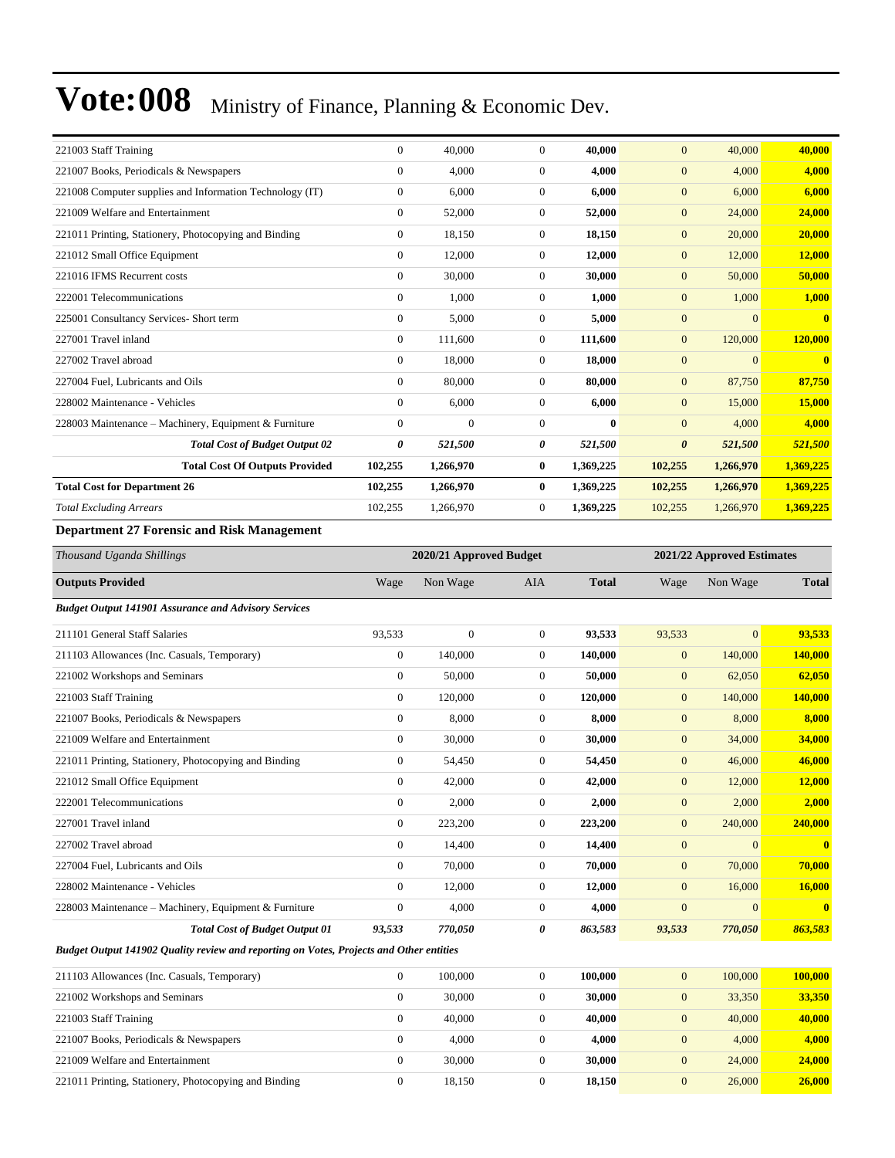| 221003 Staff Training                                       | $\mathbf{0}$     | 40,000                  | $\overline{0}$   | 40,000       | $\mathbf{0}$          | 40,000                     | 40,000       |
|-------------------------------------------------------------|------------------|-------------------------|------------------|--------------|-----------------------|----------------------------|--------------|
| 221007 Books, Periodicals & Newspapers                      | $\boldsymbol{0}$ | 4,000                   | $\boldsymbol{0}$ | 4,000        | $\mathbf{0}$          | 4,000                      | 4,000        |
| 221008 Computer supplies and Information Technology (IT)    | $\mathbf{0}$     | 6,000                   | $\overline{0}$   | 6,000        | $\mathbf{0}$          | 6,000                      | 6,000        |
| 221009 Welfare and Entertainment                            | $\boldsymbol{0}$ | 52,000                  | $\boldsymbol{0}$ | 52,000       | $\boldsymbol{0}$      | 24,000                     | 24,000       |
| 221011 Printing, Stationery, Photocopying and Binding       | $\mathbf{0}$     | 18,150                  | $\boldsymbol{0}$ | 18,150       | $\mathbf{0}$          | 20,000                     | 20,000       |
| 221012 Small Office Equipment                               | $\boldsymbol{0}$ | 12,000                  | $\boldsymbol{0}$ | 12,000       | $\mathbf{0}$          | 12,000                     | 12,000       |
| 221016 IFMS Recurrent costs                                 | $\mathbf{0}$     | 30,000                  | $\boldsymbol{0}$ | 30,000       | $\mathbf{0}$          | 50,000                     | 50,000       |
| 222001 Telecommunications                                   | $\boldsymbol{0}$ | 1,000                   | $\boldsymbol{0}$ | 1,000        | $\mathbf{0}$          | 1,000                      | 1,000        |
| 225001 Consultancy Services- Short term                     | $\mathbf{0}$     | 5,000                   | $\boldsymbol{0}$ | 5,000        | $\mathbf{0}$          | $\overline{0}$             | $\bf{0}$     |
| 227001 Travel inland                                        | $\boldsymbol{0}$ | 111,600                 | $\boldsymbol{0}$ | 111,600      | $\mathbf{0}$          | 120,000                    | 120,000      |
| 227002 Travel abroad                                        | $\mathbf{0}$     | 18,000                  | $\overline{0}$   | 18,000       | $\mathbf{0}$          | $\Omega$                   | $\mathbf{0}$ |
| 227004 Fuel, Lubricants and Oils                            | $\mathbf{0}$     | 80,000                  | $\boldsymbol{0}$ | 80,000       | $\boldsymbol{0}$      | 87,750                     | 87,750       |
| 228002 Maintenance - Vehicles                               | $\mathbf{0}$     | 6,000                   | $\boldsymbol{0}$ | 6,000        | $\mathbf{0}$          | 15,000                     | 15,000       |
| 228003 Maintenance - Machinery, Equipment & Furniture       | $\boldsymbol{0}$ | $\overline{0}$          | $\boldsymbol{0}$ | $\bf{0}$     | $\mathbf{0}$          | 4,000                      | 4,000        |
| <b>Total Cost of Budget Output 02</b>                       | 0                | 521,500                 | 0                | 521,500      | $\boldsymbol{\theta}$ | 521,500                    | 521,500      |
| <b>Total Cost Of Outputs Provided</b>                       | 102,255          | 1,266,970               | $\bf{0}$         | 1,369,225    | 102,255               | 1,266,970                  | 1,369,225    |
| <b>Total Cost for Department 26</b>                         | 102,255          | 1,266,970               | $\bf{0}$         | 1,369,225    | 102,255               | 1,266,970                  | 1,369,225    |
| <b>Total Excluding Arrears</b>                              | 102,255          | 1,266,970               | $\boldsymbol{0}$ | 1,369,225    | 102,255               | 1,266,970                  | 1,369,225    |
| <b>Department 27 Forensic and Risk Management</b>           |                  |                         |                  |              |                       |                            |              |
| Thousand Uganda Shillings                                   |                  | 2020/21 Approved Budget |                  |              |                       | 2021/22 Approved Estimates |              |
| <b>Outputs Provided</b>                                     | Wage             | Non Wage                | AIA              | <b>Total</b> | Wage                  | Non Wage                   | <b>Total</b> |
| <b>Budget Output 141901 Assurance and Advisory Services</b> |                  |                         |                  |              |                       |                            |              |
| 211101 General Staff Salaries                               | 93,533           | $\overline{0}$          | $\boldsymbol{0}$ | 93,533       | 93,533                | $\overline{0}$             | 93,533       |
| 211103 Allowances (Inc. Casuals, Temporary)                 | $\boldsymbol{0}$ | 140,000                 | $\boldsymbol{0}$ | 140,000      | $\mathbf{0}$          | 140,000                    | 140,000      |
| 221002 Workshops and Seminars                               | $\mathbf{0}$     | 50,000                  | $\boldsymbol{0}$ | 50,000       | $\mathbf{0}$          | 62,050                     | 62,050       |
| 221003 Staff Training                                       | $\mathbf{0}$     | 120,000                 | $\overline{0}$   | 120,000      | $\mathbf{0}$          | 140,000                    | 140,000      |
| 221007 Books, Periodicals & Newspapers                      | $\mathbf{0}$     | 8,000                   | $\boldsymbol{0}$ | 8,000        | $\mathbf{0}$          | 8,000                      | 8,000        |
| 221009 Welfare and Entertainment                            | $\mathbf{0}$     | 30,000                  | $\boldsymbol{0}$ | 30,000       | $\mathbf{0}$          | 34,000                     | 34,000       |
| 221011 Printing, Stationery, Photocopying and Binding       | $\boldsymbol{0}$ | 54,450                  | $\boldsymbol{0}$ | 54,450       | $\mathbf{0}$          | 46,000                     | 46,000       |
| 221012 Small Office Equipment                               | $\mathbf{0}$     | 42,000                  | $\overline{0}$   | 42,000       | $\overline{0}$        | 12,000                     | 12,000       |
|                                                             |                  |                         |                  |              |                       |                            |              |

222001 Telecommunications 0 2,000 0 **2,000** 0 2,000 **2,000** 227001 Travel inland 0 223,200 0 **223,200** 0 240,000 **240,000** 227002 Travel abroad 0 14,400 0 **14,400** 0 0 **0** 227004 Fuel, Lubricants and Oils 0 70,000 0 **70,000** 0 70,000 **70,000** 228002 Maintenance - Vehicles 0 12,000 0 **12,000** 0 16,000 **16,000** 228003 Maintenance ±Machinery, Equipment & Furniture 0 4,000 0 **4,000** 0 0 **0** *Total Cost of Budget Output 01 93,533 770,050 0 863,583 93,533 770,050 863,583*

*Budget Output 141902 Quality review and reporting on Votes, Projects and Other entities*

| 211103 Allowances (Inc. Casuals, Temporary)           | 100,000 | 100.000 | 100,000 | 100,000 |
|-------------------------------------------------------|---------|---------|---------|---------|
| 221002 Workshops and Seminars                         | 30,000  | 30,000  | 33,350  | 33.350  |
| 221003 Staff Training                                 | 40,000  | 40,000  | 40,000  | 40,000  |
| 221007 Books, Periodicals & Newspapers                | 4.000   | 4.000   | 4,000   | 4,000   |
| 221009 Welfare and Entertainment                      | 30,000  | 30,000  | 24,000  | 24,000  |
| 221011 Printing, Stationery, Photocopying and Binding | 18.150  | 18.150  | 26,000  | 26,000  |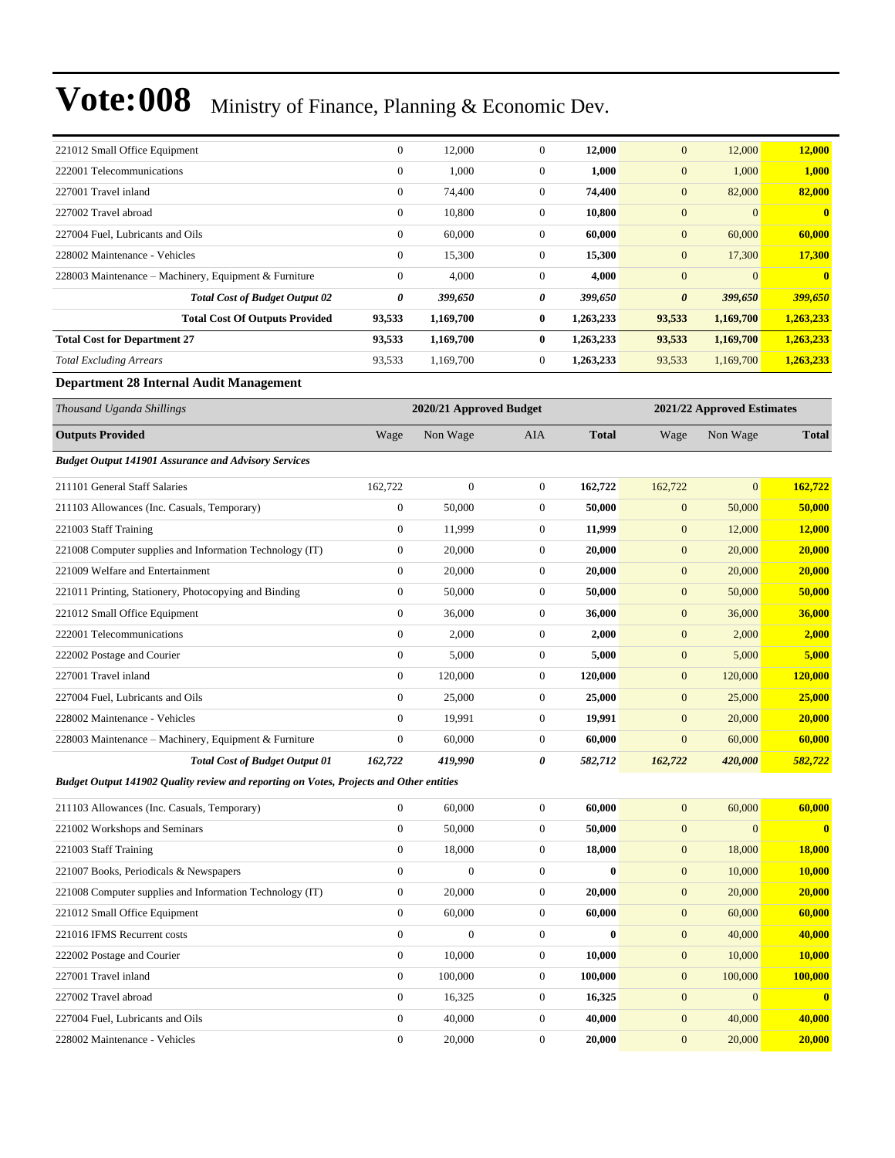| 221012 Small Office Equipment                         | $\overline{0}$ | 12,000    | $\mathbf{0}$ | 12,000    | $\mathbf{0}$          | 12,000         | 12,000       |
|-------------------------------------------------------|----------------|-----------|--------------|-----------|-----------------------|----------------|--------------|
| 222001 Telecommunications                             | $\mathbf{0}$   | 1,000     | $\mathbf{0}$ | 1,000     | $\mathbf{0}$          | 1,000          | 1,000        |
| 227001 Travel inland                                  | $\overline{0}$ | 74,400    | $\mathbf{0}$ | 74,400    | $\boldsymbol{0}$      | 82,000         | 82,000       |
| 227002 Travel abroad                                  | $\overline{0}$ | 10,800    | $\mathbf{0}$ | 10,800    | $\mathbf{0}$          | $\overline{0}$ | $\mathbf{0}$ |
| 227004 Fuel, Lubricants and Oils                      | $\mathbf{0}$   | 60,000    | $\mathbf{0}$ | 60,000    | $\mathbf{0}$          | 60,000         | 60,000       |
| 228002 Maintenance - Vehicles                         | $\overline{0}$ | 15,300    | $\mathbf{0}$ | 15,300    | $\mathbf{0}$          | 17,300         | 17,300       |
| 228003 Maintenance – Machinery, Equipment & Furniture | $\overline{0}$ | 4,000     | $\mathbf{0}$ | 4,000     | $\mathbf{0}$          | $\overline{0}$ | $\mathbf{0}$ |
| <b>Total Cost of Budget Output 02</b>                 | 0              | 399,650   | 0            | 399,650   | $\boldsymbol{\theta}$ | 399,650        | 399,650      |
| <b>Total Cost Of Outputs Provided</b>                 | 93,533         | 1,169,700 | $\bf{0}$     | 1,263,233 | 93,533                | 1,169,700      | 1,263,233    |
| <b>Total Cost for Department 27</b>                   | 93,533         | 1,169,700 | $\mathbf{0}$ | 1,263,233 | 93,533                | 1,169,700      | 1,263,233    |
| <b>Total Excluding Arrears</b>                        | 93,533         | 1,169,700 | $\mathbf{0}$ | 1,263,233 | 93,533                | 1,169,700      | 1,263,233    |

#### **Department 28 Internal Audit Management**

| Thousand Uganda Shillings                                                               |                  | 2020/21 Approved Budget |                  |              | 2021/22 Approved Estimates |                |              |  |
|-----------------------------------------------------------------------------------------|------------------|-------------------------|------------------|--------------|----------------------------|----------------|--------------|--|
| <b>Outputs Provided</b>                                                                 | Wage             | Non Wage                | <b>AIA</b>       | <b>Total</b> | Wage                       | Non Wage       | <b>Total</b> |  |
| <b>Budget Output 141901 Assurance and Advisory Services</b>                             |                  |                         |                  |              |                            |                |              |  |
| 211101 General Staff Salaries                                                           | 162,722          | $\boldsymbol{0}$        | $\theta$         | 162,722      | 162,722                    | $\overline{0}$ | 162,722      |  |
| 211103 Allowances (Inc. Casuals, Temporary)                                             | $\boldsymbol{0}$ | 50,000                  | $\theta$         | 50,000       | $\mathbf{0}$               | 50,000         | 50,000       |  |
| 221003 Staff Training                                                                   | $\mathbf{0}$     | 11,999                  | $\theta$         | 11,999       | $\mathbf{0}$               | 12,000         | 12,000       |  |
| 221008 Computer supplies and Information Technology (IT)                                | $\overline{0}$   | 20,000                  | $\theta$         | 20,000       | $\mathbf{0}$               | 20,000         | 20,000       |  |
| 221009 Welfare and Entertainment                                                        | $\overline{0}$   | 20,000                  | $\boldsymbol{0}$ | 20,000       | $\mathbf{0}$               | 20,000         | 20,000       |  |
| 221011 Printing, Stationery, Photocopying and Binding                                   | $\overline{0}$   | 50,000                  | $\overline{0}$   | 50,000       | $\mathbf{0}$               | 50,000         | 50,000       |  |
| 221012 Small Office Equipment                                                           | $\overline{0}$   | 36,000                  | $\overline{0}$   | 36,000       | $\mathbf{0}$               | 36,000         | 36,000       |  |
| 222001 Telecommunications                                                               | $\mathbf{0}$     | 2,000                   | $\overline{0}$   | 2,000        | $\mathbf{0}$               | 2,000          | 2,000        |  |
| 222002 Postage and Courier                                                              | $\mathbf{0}$     | 5,000                   | $\theta$         | 5,000        | $\mathbf{0}$               | 5,000          | 5,000        |  |
| 227001 Travel inland                                                                    | $\mathbf{0}$     | 120,000                 | $\theta$         | 120,000      | $\mathbf{0}$               | 120,000        | 120,000      |  |
| 227004 Fuel, Lubricants and Oils                                                        | $\overline{0}$   | 25,000                  | $\theta$         | 25,000       | $\mathbf{0}$               | 25,000         | 25,000       |  |
| 228002 Maintenance - Vehicles                                                           | $\mathbf{0}$     | 19,991                  | $\theta$         | 19,991       | $\mathbf{0}$               | 20,000         | 20,000       |  |
| 228003 Maintenance - Machinery, Equipment & Furniture                                   | $\mathbf{0}$     | 60,000                  | $\overline{0}$   | 60,000       | $\overline{0}$             | 60,000         | 60,000       |  |
| <b>Total Cost of Budget Output 01</b>                                                   | 162,722          | 419,990                 | 0                | 582,712      | 162,722                    | 420,000        | 582,722      |  |
| Budget Output 141902 Quality review and reporting on Votes, Projects and Other entities |                  |                         |                  |              |                            |                |              |  |
| 211103 Allowances (Inc. Casuals, Temporary)                                             | $\overline{0}$   | 60,000                  | $\overline{0}$   | 60,000       | $\mathbf{0}$               | 60,000         | 60,000       |  |
| 221002 Workshops and Seminars                                                           | $\overline{0}$   | 50,000                  | $\overline{0}$   | 50,000       | $\mathbf{0}$               | $\Omega$       | $\bf{0}$     |  |
| 221003 Staff Training                                                                   | $\overline{0}$   | 18,000                  | $\overline{0}$   | 18,000       | $\boldsymbol{0}$           | 18,000         | 18,000       |  |
| 221007 Books, Periodicals & Newspapers                                                  | $\overline{0}$   | $\mathbf{0}$            | $\theta$         | $\bf{0}$     | $\overline{0}$             | 10,000         | 10,000       |  |
| 221008 Computer supplies and Information Technology (IT)                                | $\mathbf{0}$     | 20,000                  | $\theta$         | 20.000       | $\overline{0}$             | 20,000         | 20,000       |  |

221012 Small Office Equipment 0 60,000 0 **60,000** 0 60,000 **60,000** 221016 IFMS Recurrent costs 0 0 0 **0** 0 40,000 **40,000** 222002 Postage and Courier 0 10,000 0 **10,000** 0 10,000 **10,000** 227001 Travel inland 0 100,000 0 **100,000** 0 100,000 **100,000** 227002 Travel abroad 0 16,325 0 **16,325** 0 0 **0** 227004 Fuel, Lubricants and Oils 0 40,000 0 **40,000** 0 40,000 **40,000** 228002 Maintenance - Vehicles 0 20,000 0 **20,000** 0 20,000 **20,000**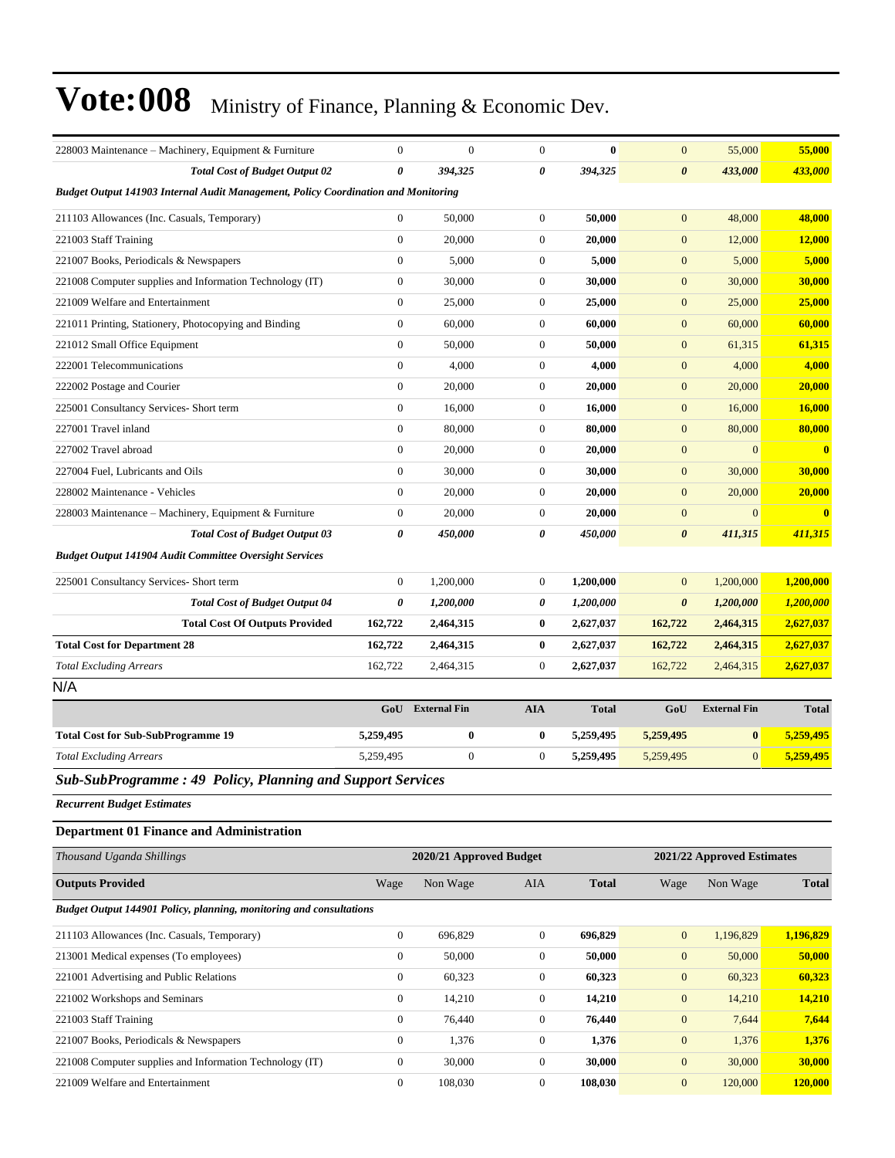| 228003 Maintenance – Machinery, Equipment & Furniture                              | $\mathbf{0}$     | $\mathbf{0}$            | $\boldsymbol{0}$ | $\bf{0}$     | $\mathbf{0}$          | 55,000                     | 55,000        |
|------------------------------------------------------------------------------------|------------------|-------------------------|------------------|--------------|-----------------------|----------------------------|---------------|
| <b>Total Cost of Budget Output 02</b>                                              | 0                | 394,325                 | 0                | 394,325      | $\boldsymbol{\theta}$ | 433,000                    | 433,000       |
| Budget Output 141903 Internal Audit Management, Policy Coordination and Monitoring |                  |                         |                  |              |                       |                            |               |
| 211103 Allowances (Inc. Casuals, Temporary)                                        | $\overline{0}$   | 50,000                  | $\boldsymbol{0}$ | 50,000       | $\mathbf{0}$          | 48,000                     | 48,000        |
| 221003 Staff Training                                                              | $\boldsymbol{0}$ | 20,000                  | $\boldsymbol{0}$ | 20,000       | $\mathbf{0}$          | 12,000                     | 12,000        |
| 221007 Books, Periodicals & Newspapers                                             | $\boldsymbol{0}$ | 5,000                   | $\boldsymbol{0}$ | 5,000        | $\mathbf{0}$          | 5,000                      | 5,000         |
| 221008 Computer supplies and Information Technology (IT)                           | $\boldsymbol{0}$ | 30,000                  | 0                | 30,000       | $\mathbf{0}$          | 30,000                     | 30,000        |
| 221009 Welfare and Entertainment                                                   | $\boldsymbol{0}$ | 25,000                  | $\boldsymbol{0}$ | 25,000       | $\mathbf{0}$          | 25,000                     | 25,000        |
| 221011 Printing, Stationery, Photocopying and Binding                              | $\boldsymbol{0}$ | 60,000                  | $\boldsymbol{0}$ | 60,000       | $\mathbf{0}$          | 60,000                     | 60,000        |
| 221012 Small Office Equipment                                                      | $\boldsymbol{0}$ | 50,000                  | 0                | 50,000       | $\mathbf{0}$          | 61,315                     | 61,315        |
| 222001 Telecommunications                                                          | $\boldsymbol{0}$ | 4,000                   | $\boldsymbol{0}$ | 4,000        | $\mathbf{0}$          | 4,000                      | 4,000         |
| 222002 Postage and Courier                                                         | $\boldsymbol{0}$ | 20,000                  | $\boldsymbol{0}$ | 20,000       | $\mathbf{0}$          | 20,000                     | 20,000        |
| 225001 Consultancy Services- Short term                                            | $\boldsymbol{0}$ | 16,000                  | $\boldsymbol{0}$ | 16,000       | $\mathbf{0}$          | 16,000                     | 16,000        |
| 227001 Travel inland                                                               | $\mathbf{0}$     | 80,000                  | $\boldsymbol{0}$ | 80,000       | $\mathbf{0}$          | 80,000                     | 80,000        |
| 227002 Travel abroad                                                               | $\boldsymbol{0}$ | 20,000                  | $\boldsymbol{0}$ | 20,000       | $\mathbf{0}$          | $\overline{0}$             | $\bf{0}$      |
| 227004 Fuel, Lubricants and Oils                                                   | $\boldsymbol{0}$ | 30,000                  | $\boldsymbol{0}$ | 30,000       | $\mathbf{0}$          | 30,000                     | 30,000        |
| 228002 Maintenance - Vehicles                                                      | $\boldsymbol{0}$ | 20,000                  | $\boldsymbol{0}$ | 20,000       | $\mathbf{0}$          | 20,000                     | 20,000        |
| 228003 Maintenance - Machinery, Equipment & Furniture                              | $\boldsymbol{0}$ | 20,000                  | $\boldsymbol{0}$ | 20,000       | $\mathbf{0}$          | $\overline{0}$             | $\bf{0}$      |
| <b>Total Cost of Budget Output 03</b>                                              | 0                | 450,000                 | 0                | 450,000      | $\boldsymbol{\theta}$ | 411,315                    | 411,315       |
| <b>Budget Output 141904 Audit Committee Oversight Services</b>                     |                  |                         |                  |              |                       |                            |               |
| 225001 Consultancy Services- Short term                                            | $\boldsymbol{0}$ | 1,200,000               | $\boldsymbol{0}$ | 1,200,000    | $\mathbf{0}$          | 1,200,000                  | 1,200,000     |
| <b>Total Cost of Budget Output 04</b>                                              | 0                | 1,200,000               | 0                | 1,200,000    | $\boldsymbol{\theta}$ | 1,200,000                  | 1,200,000     |
| <b>Total Cost Of Outputs Provided</b>                                              | 162,722          | 2,464,315               | $\bf{0}$         | 2,627,037    | 162,722               | 2,464,315                  | 2,627,037     |
| <b>Total Cost for Department 28</b>                                                | 162,722          | 2,464,315               | 0                | 2,627,037    | 162,722               | 2,464,315                  | 2,627,037     |
| <b>Total Excluding Arrears</b>                                                     | 162,722          | 2,464,315               | $\boldsymbol{0}$ | 2,627,037    | 162,722               | 2,464,315                  | 2,627,037     |
| N/A                                                                                |                  |                         |                  |              |                       |                            |               |
|                                                                                    | GoU              | <b>External Fin</b>     | <b>AIA</b>       | <b>Total</b> | GoU                   | <b>External Fin</b>        | <b>Total</b>  |
| <b>Total Cost for Sub-SubProgramme 19</b>                                          | 5,259,495        | $\bf{0}$                | 0                | 5,259,495    | 5,259,495             | $\bf{0}$                   | 5,259,495     |
| <b>Total Excluding Arrears</b>                                                     | 5,259,495        | $\boldsymbol{0}$        | $\mathbf{0}$     | 5,259,495    | 5,259,495             | $\mathbf{0}$               | 5,259,495     |
| Sub-SubProgramme: 49 Policy, Planning and Support Services                         |                  |                         |                  |              |                       |                            |               |
| <b>Recurrent Budget Estimates</b>                                                  |                  |                         |                  |              |                       |                            |               |
| <b>Department 01 Finance and Administration</b>                                    |                  |                         |                  |              |                       |                            |               |
|                                                                                    |                  |                         |                  |              |                       |                            |               |
| Thousand Uganda Shillings                                                          |                  | 2020/21 Approved Budget |                  |              |                       | 2021/22 Approved Estimates |               |
| <b>Outputs Provided</b>                                                            | Wage             | Non Wage                | <b>AIA</b>       | <b>Total</b> | Wage                  | Non Wage                   | <b>Total</b>  |
| <b>Budget Output 144901 Policy, planning, monitoring and consultations</b>         |                  |                         |                  |              |                       |                            |               |
| 211103 Allowances (Inc. Casuals, Temporary)                                        | $\boldsymbol{0}$ | 696,829                 | $\boldsymbol{0}$ | 696,829      | $\mathbf{0}$          | 1,196,829                  | 1,196,829     |
| 213001 Medical expenses (To employees)                                             | $\boldsymbol{0}$ | 50,000                  | $\boldsymbol{0}$ | 50,000       | $\mathbf{0}$          | 50,000                     | 50,000        |
| 221001 Advertising and Public Relations                                            | $\boldsymbol{0}$ | 60,323                  | $\boldsymbol{0}$ | 60,323       | $\mathbf{0}$          | 60,323                     | 60,323        |
| 221002 Workshops and Seminars                                                      | $\boldsymbol{0}$ | 14,210                  | $\boldsymbol{0}$ | 14,210       | $\mathbf{0}$          | 14,210                     | <b>14,210</b> |
| 221003 Staff Training                                                              | $\boldsymbol{0}$ | 76,440                  | $\boldsymbol{0}$ | 76,440       | $\boldsymbol{0}$      | 7,644                      | 7,644         |
| 221007 Books, Periodicals & Newspapers                                             | $\boldsymbol{0}$ | 1,376                   | $\boldsymbol{0}$ | 1,376        | $\boldsymbol{0}$      | 1,376                      | 1,376         |
| 221008 Computer supplies and Information Technology (IT)                           | $\boldsymbol{0}$ | 30,000                  | 0                | 30,000       | $\mathbf{0}$          | 30,000                     | 30,000        |
| 221009 Welfare and Entertainment                                                   | $\boldsymbol{0}$ | 108,030                 | $\boldsymbol{0}$ | 108,030      | $\mathbf{0}$          | 120,000                    | 120,000       |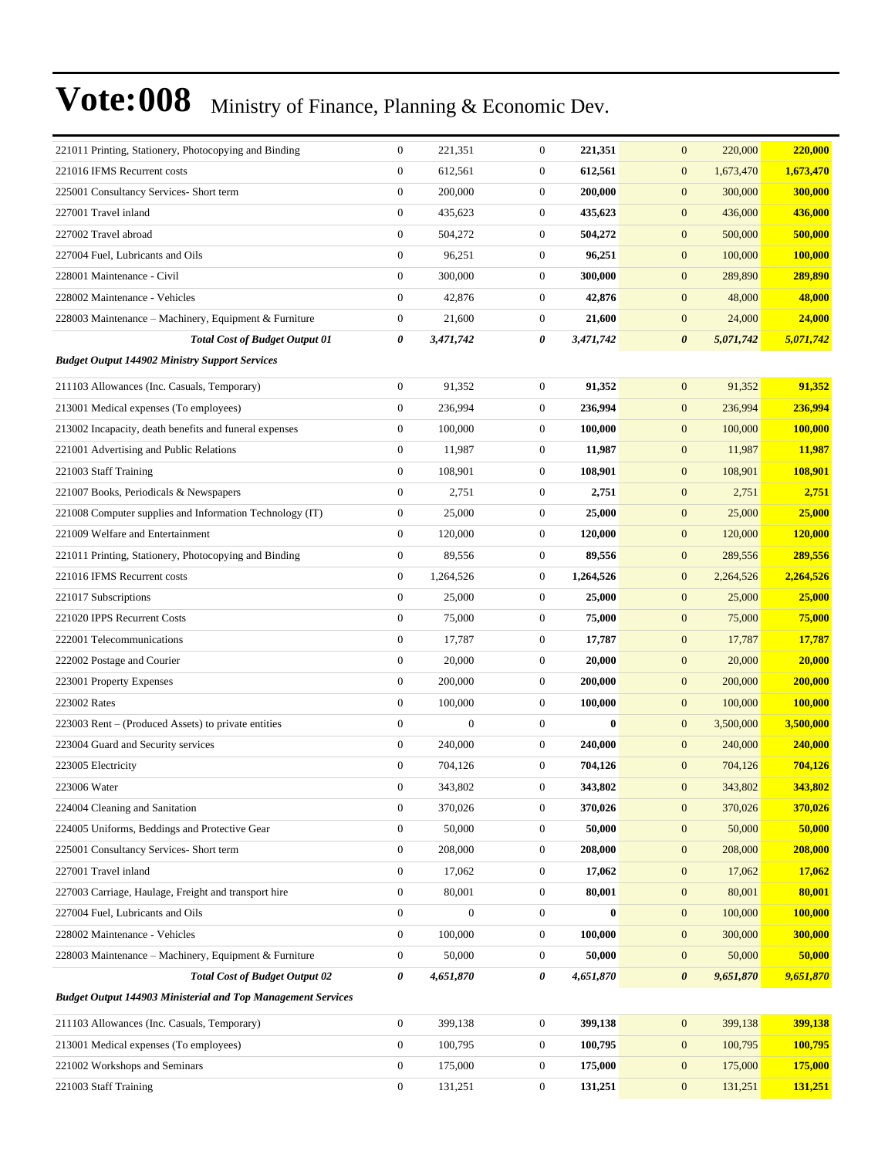| 221011 Printing, Stationery, Photocopying and Binding               | $\boldsymbol{0}$      | 221,351        | $\boldsymbol{0}$ | 221,351   | 220,000<br>$\mathbf{0}$            | 220,000   |
|---------------------------------------------------------------------|-----------------------|----------------|------------------|-----------|------------------------------------|-----------|
| 221016 IFMS Recurrent costs                                         | $\boldsymbol{0}$      | 612,561        | $\boldsymbol{0}$ | 612,561   | $\boldsymbol{0}$<br>1,673,470      | 1,673,470 |
| 225001 Consultancy Services- Short term                             | $\boldsymbol{0}$      | 200,000        | $\boldsymbol{0}$ | 200,000   | $\boldsymbol{0}$<br>300,000        | 300,000   |
| 227001 Travel inland                                                | $\boldsymbol{0}$      | 435,623        | $\boldsymbol{0}$ | 435,623   | $\boldsymbol{0}$<br>436,000        | 436,000   |
| 227002 Travel abroad                                                | $\boldsymbol{0}$      | 504,272        | $\boldsymbol{0}$ | 504,272   | $\mathbf{0}$<br>500,000            | 500,000   |
| 227004 Fuel, Lubricants and Oils                                    | $\boldsymbol{0}$      | 96,251         | $\boldsymbol{0}$ | 96,251    | 100,000<br>$\mathbf{0}$            | 100,000   |
| 228001 Maintenance - Civil                                          | $\boldsymbol{0}$      | 300,000        | $\boldsymbol{0}$ | 300,000   | $\boldsymbol{0}$<br>289,890        | 289,890   |
| 228002 Maintenance - Vehicles                                       | $\boldsymbol{0}$      | 42,876         | $\boldsymbol{0}$ | 42,876    | $\mathbf{0}$<br>48,000             | 48,000    |
| 228003 Maintenance – Machinery, Equipment & Furniture               | $\boldsymbol{0}$      | 21,600         | $\boldsymbol{0}$ | 21,600    | $\boldsymbol{0}$<br>24,000         | 24,000    |
| <b>Total Cost of Budget Output 01</b>                               | 0                     | 3,471,742      | 0                | 3,471,742 | $\boldsymbol{\theta}$<br>5,071,742 | 5,071,742 |
| <b>Budget Output 144902 Ministry Support Services</b>               |                       |                |                  |           |                                    |           |
| 211103 Allowances (Inc. Casuals, Temporary)                         | $\boldsymbol{0}$      | 91,352         | $\boldsymbol{0}$ | 91,352    | $\boldsymbol{0}$<br>91,352         | 91,352    |
| 213001 Medical expenses (To employees)                              | $\boldsymbol{0}$      | 236,994        | $\boldsymbol{0}$ | 236,994   | $\boldsymbol{0}$<br>236,994        | 236,994   |
| 213002 Incapacity, death benefits and funeral expenses              | $\boldsymbol{0}$      | 100,000        | $\boldsymbol{0}$ | 100,000   | $\mathbf{0}$<br>100,000            | 100,000   |
| 221001 Advertising and Public Relations                             | $\boldsymbol{0}$      | 11,987         | $\boldsymbol{0}$ | 11,987    | 11,987<br>$\mathbf{0}$             | 11,987    |
| 221003 Staff Training                                               | $\mathbf{0}$          | 108,901        | $\boldsymbol{0}$ | 108,901   | $\mathbf{0}$<br>108,901            | 108,901   |
| 221007 Books, Periodicals & Newspapers                              | $\boldsymbol{0}$      | 2,751          | $\boldsymbol{0}$ | 2,751     | 2,751<br>$\mathbf{0}$              | 2,751     |
| 221008 Computer supplies and Information Technology (IT)            | $\boldsymbol{0}$      | 25,000         | $\boldsymbol{0}$ | 25,000    | $\boldsymbol{0}$<br>25,000         | 25,000    |
| 221009 Welfare and Entertainment                                    | $\boldsymbol{0}$      | 120,000        | $\boldsymbol{0}$ | 120,000   | $\boldsymbol{0}$<br>120,000        | 120,000   |
| 221011 Printing, Stationery, Photocopying and Binding               | $\boldsymbol{0}$      | 89,556         | $\boldsymbol{0}$ | 89,556    | $\mathbf{0}$<br>289,556            | 289,556   |
| 221016 IFMS Recurrent costs                                         | $\boldsymbol{0}$      | 1,264,526      | $\boldsymbol{0}$ | 1,264,526 | 2,264,526<br>$\mathbf{0}$          | 2,264,526 |
| 221017 Subscriptions                                                | $\boldsymbol{0}$      | 25,000         | $\boldsymbol{0}$ | 25,000    | 25,000<br>$\mathbf{0}$             | 25,000    |
| 221020 IPPS Recurrent Costs                                         | $\boldsymbol{0}$      | 75,000         | $\boldsymbol{0}$ | 75,000    | $\boldsymbol{0}$<br>75,000         | 75,000    |
| 222001 Telecommunications                                           | $\boldsymbol{0}$      | 17,787         | $\boldsymbol{0}$ | 17,787    | $\boldsymbol{0}$<br>17,787         | 17,787    |
| 222002 Postage and Courier                                          | $\boldsymbol{0}$      | 20,000         | $\boldsymbol{0}$ | 20,000    | 20,000<br>$\mathbf{0}$             | 20,000    |
| 223001 Property Expenses                                            | $\boldsymbol{0}$      | 200,000        | $\boldsymbol{0}$ | 200,000   | $\boldsymbol{0}$<br>200,000        | 200,000   |
| 223002 Rates                                                        | $\boldsymbol{0}$      | 100,000        | $\boldsymbol{0}$ | 100,000   | 100,000<br>$\mathbf{0}$            | 100,000   |
| 223003 Rent – (Produced Assets) to private entities                 | $\boldsymbol{0}$      | $\overline{0}$ | $\boldsymbol{0}$ | $\bf{0}$  | $\mathbf{0}$<br>3,500,000          | 3,500,000 |
| 223004 Guard and Security services                                  | $\boldsymbol{0}$      | 240,000        | $\boldsymbol{0}$ | 240,000   | $\boldsymbol{0}$<br>240,000        | 240,000   |
| 223005 Electricity                                                  | $\boldsymbol{0}$      | 704,126        | $\boldsymbol{0}$ | 704,126   | 704,126<br>$\mathbf{0}$            | 704,126   |
| 223006 Water                                                        | $\mathbf{0}$          | 343,802        | $\mathbf{0}$     | 343,802   | $\mathbf{0}$<br>343,802            | 343,802   |
| 224004 Cleaning and Sanitation                                      | $\boldsymbol{0}$      | 370,026        | $\boldsymbol{0}$ | 370,026   | $\boldsymbol{0}$<br>370,026        | 370,026   |
| 224005 Uniforms, Beddings and Protective Gear                       | $\boldsymbol{0}$      | 50,000         | $\boldsymbol{0}$ | 50,000    | $\boldsymbol{0}$<br>50,000         | 50,000    |
| 225001 Consultancy Services- Short term                             | $\boldsymbol{0}$      | 208,000        | $\boldsymbol{0}$ | 208,000   | $\mathbf{0}$<br>208,000            | 208,000   |
| 227001 Travel inland                                                | $\boldsymbol{0}$      | 17,062         | $\boldsymbol{0}$ | 17,062    | $\mathbf{0}$<br>17,062             | 17,062    |
| 227003 Carriage, Haulage, Freight and transport hire                | $\boldsymbol{0}$      | 80,001         | $\boldsymbol{0}$ | 80,001    | $\mathbf{0}$<br>80,001             | 80,001    |
| 227004 Fuel, Lubricants and Oils                                    | $\boldsymbol{0}$      | $\mathbf{0}$   | $\boldsymbol{0}$ | $\bf{0}$  | 100,000<br>$\mathbf{0}$            | 100,000   |
| 228002 Maintenance - Vehicles                                       | $\boldsymbol{0}$      | 100,000        | $\boldsymbol{0}$ | 100,000   | $\boldsymbol{0}$<br>300,000        | 300,000   |
| 228003 Maintenance - Machinery, Equipment & Furniture               | $\boldsymbol{0}$      | 50,000         | $\boldsymbol{0}$ | 50,000    | 50,000<br>$\boldsymbol{0}$         | 50,000    |
| <b>Total Cost of Budget Output 02</b>                               | $\boldsymbol{\theta}$ | 4,651,870      | 0                | 4,651,870 | $\boldsymbol{\theta}$<br>9,651,870 | 9,651,870 |
| <b>Budget Output 144903 Ministerial and Top Management Services</b> |                       |                |                  |           |                                    |           |
| 211103 Allowances (Inc. Casuals, Temporary)                         | $\boldsymbol{0}$      | 399,138        | $\boldsymbol{0}$ | 399,138   | $\mathbf{0}$<br>399,138            | 399,138   |
| 213001 Medical expenses (To employees)                              | $\boldsymbol{0}$      | 100,795        | $\boldsymbol{0}$ | 100,795   | 100,795<br>$\mathbf{0}$            | 100,795   |
| 221002 Workshops and Seminars                                       | $\boldsymbol{0}$      | 175,000        | $\boldsymbol{0}$ | 175,000   | $\boldsymbol{0}$<br>175,000        | 175,000   |
| 221003 Staff Training                                               | $\boldsymbol{0}$      | 131,251        | $\boldsymbol{0}$ | 131,251   | $\mathbf{0}$<br>131,251            | 131,251   |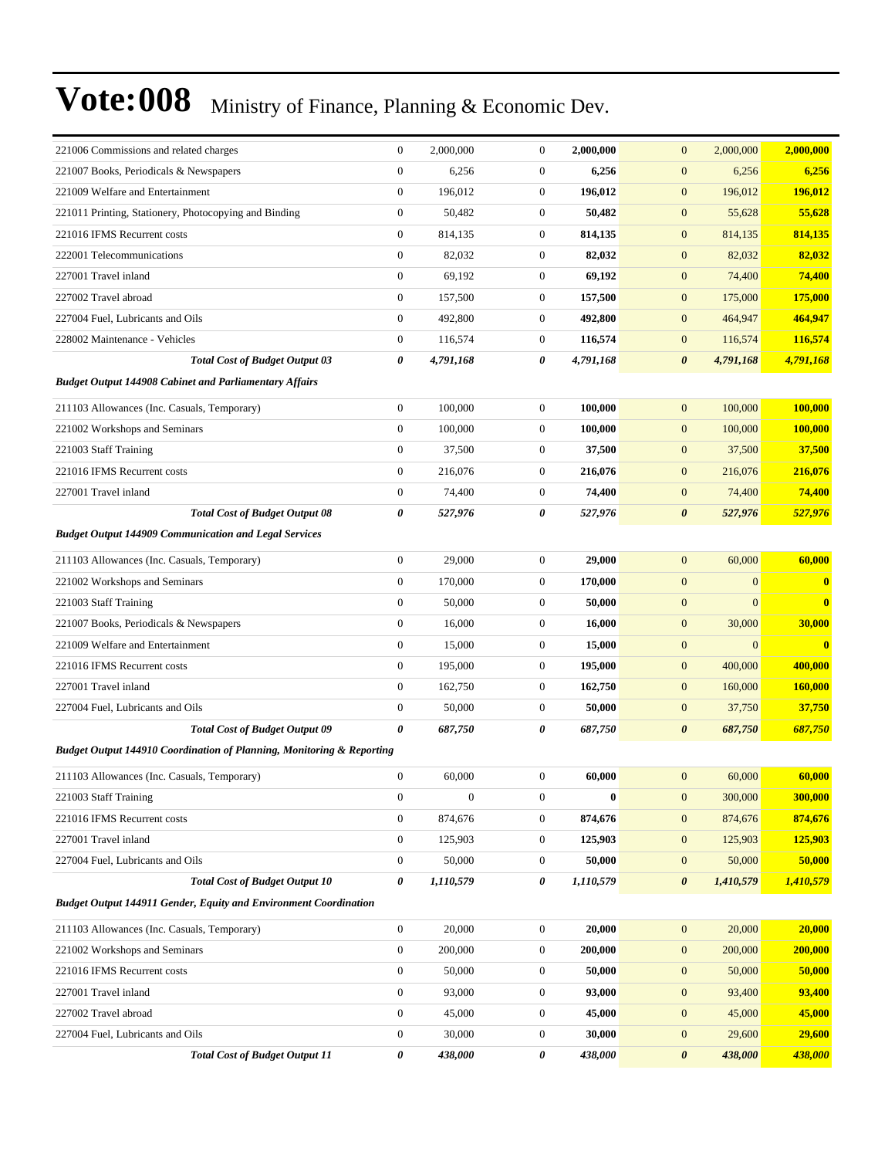| 221006 Commissions and related charges                                           | $\boldsymbol{0}$ | 2,000,000        | $\boldsymbol{0}$ | 2,000,000 | $\mathbf{0}$<br>2,000,000          | 2,000,000      |
|----------------------------------------------------------------------------------|------------------|------------------|------------------|-----------|------------------------------------|----------------|
| 221007 Books, Periodicals & Newspapers                                           | $\boldsymbol{0}$ | 6,256            | $\boldsymbol{0}$ | 6,256     | $\boldsymbol{0}$<br>6,256          | 6,256          |
| 221009 Welfare and Entertainment                                                 | $\boldsymbol{0}$ | 196,012          | $\boldsymbol{0}$ | 196,012   | $\boldsymbol{0}$<br>196,012        | 196,012        |
| 221011 Printing, Stationery, Photocopying and Binding                            | $\boldsymbol{0}$ | 50,482           | $\boldsymbol{0}$ | 50,482    | $\mathbf{0}$<br>55,628             | 55,628         |
| 221016 IFMS Recurrent costs                                                      | $\mathbf{0}$     | 814,135          | $\boldsymbol{0}$ | 814,135   | $\boldsymbol{0}$<br>814,135        | 814,135        |
| 222001 Telecommunications                                                        | $\boldsymbol{0}$ | 82,032           | $\boldsymbol{0}$ | 82,032    | 82,032<br>$\mathbf{0}$             | 82,032         |
| 227001 Travel inland                                                             | $\boldsymbol{0}$ | 69,192           | $\boldsymbol{0}$ | 69,192    | $\boldsymbol{0}$<br>74,400         | 74,400         |
| 227002 Travel abroad                                                             | $\boldsymbol{0}$ | 157,500          | $\boldsymbol{0}$ | 157,500   | $\boldsymbol{0}$<br>175,000        | 175,000        |
| 227004 Fuel, Lubricants and Oils                                                 | $\boldsymbol{0}$ | 492,800          | $\boldsymbol{0}$ | 492,800   | $\boldsymbol{0}$<br>464,947        | 464,947        |
| 228002 Maintenance - Vehicles                                                    | $\boldsymbol{0}$ | 116,574          | $\boldsymbol{0}$ | 116,574   | $\mathbf{0}$<br>116,574            | 116,574        |
| <b>Total Cost of Budget Output 03</b>                                            | 0                | 4,791,168        | 0                | 4,791,168 | $\boldsymbol{\theta}$<br>4,791,168 | 4,791,168      |
| <b>Budget Output 144908 Cabinet and Parliamentary Affairs</b>                    |                  |                  |                  |           |                                    |                |
| 211103 Allowances (Inc. Casuals, Temporary)                                      | $\boldsymbol{0}$ | 100,000          | $\boldsymbol{0}$ | 100,000   | $\mathbf{0}$<br>100,000            | 100,000        |
| 221002 Workshops and Seminars                                                    | $\boldsymbol{0}$ | 100,000          | $\boldsymbol{0}$ | 100,000   | $\mathbf{0}$<br>100,000            | 100,000        |
| 221003 Staff Training                                                            | $\boldsymbol{0}$ | 37,500           | $\boldsymbol{0}$ | 37,500    | $\mathbf{0}$<br>37,500             | 37,500         |
| 221016 IFMS Recurrent costs                                                      | $\boldsymbol{0}$ | 216,076          | $\boldsymbol{0}$ | 216,076   | $\boldsymbol{0}$<br>216,076        | 216,076        |
| 227001 Travel inland                                                             | $\boldsymbol{0}$ | 74,400           | $\boldsymbol{0}$ | 74,400    | 74,400<br>$\mathbf{0}$             | 74,400         |
| <b>Total Cost of Budget Output 08</b>                                            | 0                | 527,976          | 0                | 527,976   | $\boldsymbol{\theta}$<br>527,976   | 527,976        |
| <b>Budget Output 144909 Communication and Legal Services</b>                     |                  |                  |                  |           |                                    |                |
| 211103 Allowances (Inc. Casuals, Temporary)                                      | $\mathbf{0}$     | 29,000           | $\boldsymbol{0}$ | 29,000    | $\mathbf{0}$<br>60,000             | 60,000         |
| 221002 Workshops and Seminars                                                    | $\boldsymbol{0}$ | 170,000          | $\boldsymbol{0}$ | 170,000   | $\overline{0}$<br>$\mathbf{0}$     | $\bf{0}$       |
| 221003 Staff Training                                                            | $\boldsymbol{0}$ | 50,000           | $\boldsymbol{0}$ | 50,000    | $\boldsymbol{0}$<br>$\overline{0}$ | $\bf{0}$       |
| 221007 Books, Periodicals & Newspapers                                           | $\boldsymbol{0}$ | 16,000           | $\boldsymbol{0}$ | 16,000    | 30,000<br>$\mathbf{0}$             | 30,000         |
| 221009 Welfare and Entertainment                                                 | $\boldsymbol{0}$ | 15,000           | $\boldsymbol{0}$ | 15,000    | $\boldsymbol{0}$<br>$\overline{0}$ | $\bf{0}$       |
| 221016 IFMS Recurrent costs                                                      | $\boldsymbol{0}$ | 195,000          | $\boldsymbol{0}$ | 195,000   | $\boldsymbol{0}$<br>400,000        | 400,000        |
| 227001 Travel inland                                                             | $\boldsymbol{0}$ | 162,750          | $\boldsymbol{0}$ | 162,750   | 160,000<br>$\mathbf{0}$            | 160,000        |
| 227004 Fuel, Lubricants and Oils                                                 | $\boldsymbol{0}$ | 50,000           | $\boldsymbol{0}$ | 50,000    | $\mathbf{0}$<br>37,750             | 37,750         |
| <b>Total Cost of Budget Output 09</b>                                            | 0                | 687,750          | 0                | 687,750   | 687,750<br>$\boldsymbol{\theta}$   | 687,750        |
| <b>Budget Output 144910 Coordination of Planning, Monitoring &amp; Reporting</b> |                  |                  |                  |           |                                    |                |
| 211103 Allowances (Inc. Casuals, Temporary)                                      | $\boldsymbol{0}$ | 60,000           | $\boldsymbol{0}$ | 60,000    | $\mathbf{0}$<br>60,000             | 60,000         |
| 221003 Staff Training                                                            | $\boldsymbol{0}$ | $\boldsymbol{0}$ | 0                | $\bf{0}$  | $\mathbf{0}$<br>300,000            | <b>300,000</b> |
| 221016 IFMS Recurrent costs                                                      | $\boldsymbol{0}$ | 874,676          | $\boldsymbol{0}$ | 874,676   | $\mathbf{0}$<br>874,676            | 874,676        |
| 227001 Travel inland                                                             | $\overline{0}$   | 125,903          | $\boldsymbol{0}$ | 125,903   | $\mathbf{0}$<br>125,903            | 125,903        |
| 227004 Fuel, Lubricants and Oils                                                 | $\overline{0}$   | 50,000           | 0                | 50,000    | 50,000<br>$\mathbf{0}$             | 50,000         |
| <b>Total Cost of Budget Output 10</b>                                            | 0                | 1,110,579        | 0                | 1,110,579 | $\boldsymbol{\theta}$<br>1,410,579 | 1,410,579      |
| <b>Budget Output 144911 Gender, Equity and Environment Coordination</b>          |                  |                  |                  |           |                                    |                |
| 211103 Allowances (Inc. Casuals, Temporary)                                      | $\overline{0}$   | 20,000           | $\boldsymbol{0}$ | 20,000    | $\mathbf{0}$<br>20,000             | 20,000         |
| 221002 Workshops and Seminars                                                    | $\boldsymbol{0}$ | 200,000          | $\boldsymbol{0}$ | 200,000   | $\mathbf{0}$<br>200,000            | 200,000        |
| 221016 IFMS Recurrent costs                                                      | $\mathbf{0}$     | 50,000           | $\boldsymbol{0}$ | 50,000    | 50,000<br>$\mathbf{0}$             | 50,000         |
| 227001 Travel inland                                                             | $\overline{0}$   | 93,000           | $\boldsymbol{0}$ | 93,000    | 93,400<br>$\mathbf{0}$             | 93,400         |
| 227002 Travel abroad                                                             | $\boldsymbol{0}$ | 45,000           | $\boldsymbol{0}$ | 45,000    | $\boldsymbol{0}$<br>45,000         | 45,000         |
| 227004 Fuel, Lubricants and Oils                                                 | $\overline{0}$   | 30,000           | $\boldsymbol{0}$ | 30,000    | $\boldsymbol{0}$<br>29,600         | 29,600         |
| <b>Total Cost of Budget Output 11</b>                                            | 0                | 438,000          | 0                | 438,000   | $\boldsymbol{\theta}$<br>438,000   | 438,000        |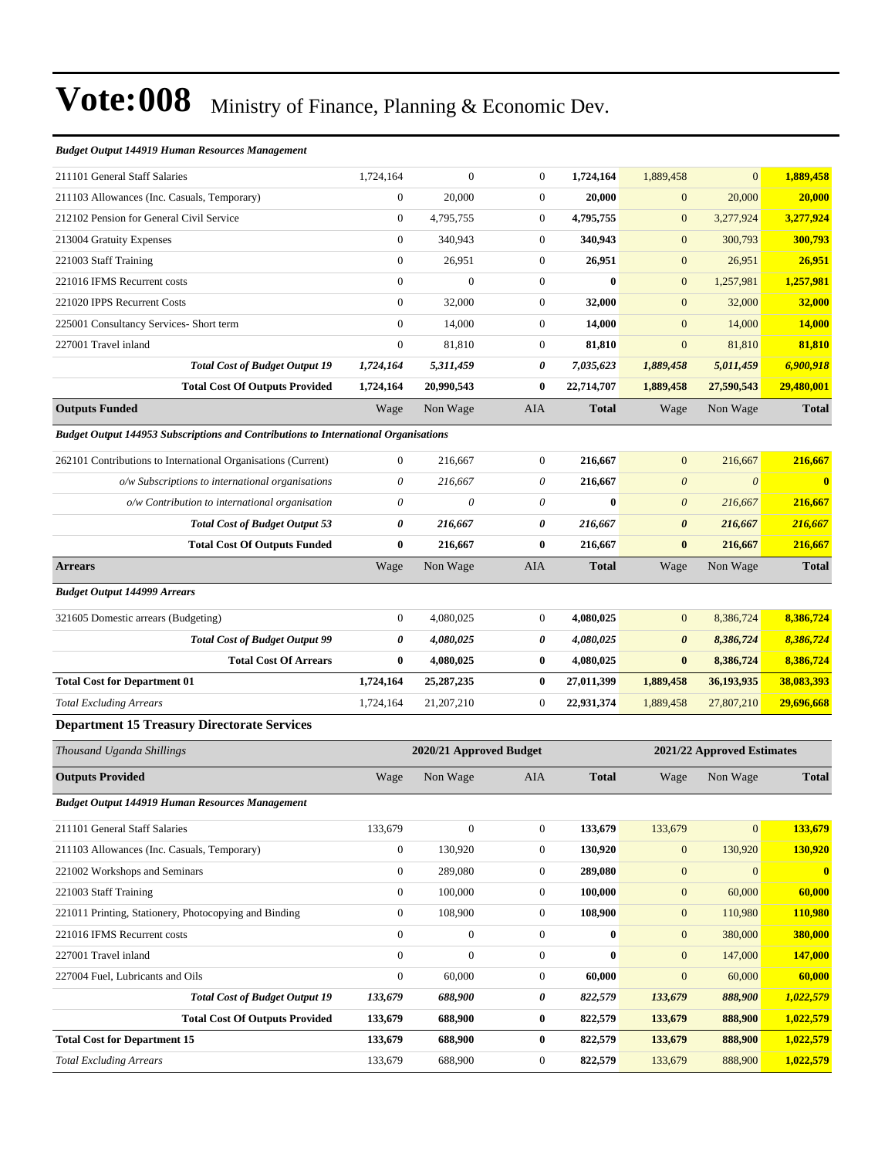#### *Budget Output 144919 Human Resources Management*

| 211101 General Staff Salaries                                                       | 1,724,164        | $\mathbf{0}$            | $\boldsymbol{0}$ | 1,724,164    | 1,889,458             | $\mathbf{0}$               | 1,889,458               |
|-------------------------------------------------------------------------------------|------------------|-------------------------|------------------|--------------|-----------------------|----------------------------|-------------------------|
| 211103 Allowances (Inc. Casuals, Temporary)                                         | $\boldsymbol{0}$ | 20,000                  | $\boldsymbol{0}$ | 20,000       | $\mathbf{0}$          | 20,000                     | 20,000                  |
| 212102 Pension for General Civil Service                                            | $\boldsymbol{0}$ | 4,795,755               | $\boldsymbol{0}$ | 4,795,755    | $\mathbf{0}$          | 3,277,924                  | 3,277,924               |
| 213004 Gratuity Expenses                                                            | $\mathbf{0}$     | 340,943                 | $\boldsymbol{0}$ | 340,943      | $\mathbf{0}$          | 300,793                    | 300,793                 |
| 221003 Staff Training                                                               | $\mathbf{0}$     | 26,951                  | $\boldsymbol{0}$ | 26,951       | $\mathbf{0}$          | 26,951                     | 26,951                  |
| 221016 IFMS Recurrent costs                                                         | $\mathbf{0}$     | $\mathbf{0}$            | $\boldsymbol{0}$ | $\bf{0}$     | $\mathbf{0}$          | 1,257,981                  | 1,257,981               |
| 221020 IPPS Recurrent Costs                                                         | $\boldsymbol{0}$ | 32,000                  | $\boldsymbol{0}$ | 32,000       | $\mathbf{0}$          | 32,000                     | 32,000                  |
| 225001 Consultancy Services- Short term                                             | $\mathbf{0}$     | 14,000                  | $\boldsymbol{0}$ | 14,000       | $\mathbf{0}$          | 14,000                     | 14,000                  |
| 227001 Travel inland                                                                | $\overline{0}$   | 81,810                  | $\boldsymbol{0}$ | 81,810       | $\mathbf{0}$          | 81,810                     | 81,810                  |
| <b>Total Cost of Budget Output 19</b>                                               | 1,724,164        | 5,311,459               | 0                | 7,035,623    | 1,889,458             | 5,011,459                  | 6,900,918               |
| <b>Total Cost Of Outputs Provided</b>                                               | 1,724,164        | 20,990,543              | $\bf{0}$         | 22,714,707   | 1,889,458             | 27,590,543                 | 29,480,001              |
| <b>Outputs Funded</b>                                                               | Wage             | Non Wage                | AIA              | <b>Total</b> | Wage                  | Non Wage                   | <b>Total</b>            |
| Budget Output 144953 Subscriptions and Contributions to International Organisations |                  |                         |                  |              |                       |                            |                         |
| 262101 Contributions to International Organisations (Current)                       | $\mathbf{0}$     | 216,667                 | $\boldsymbol{0}$ | 216,667      | $\mathbf{0}$          | 216,667                    | 216,667                 |
| o/w Subscriptions to international organisations                                    | $\theta$         | 216,667                 | 0                | 216,667      | $\boldsymbol{\theta}$ | $\boldsymbol{\theta}$      | $\overline{\mathbf{0}}$ |
| o/w Contribution to international organisation                                      | $\theta$         | $\theta$                | $\theta$         | $\bf{0}$     | $\boldsymbol{\theta}$ | 216,667                    | 216,667                 |
| <b>Total Cost of Budget Output 53</b>                                               | 0                | 216,667                 | 0                | 216,667      | $\boldsymbol{\theta}$ | 216,667                    | 216,667                 |
| <b>Total Cost Of Outputs Funded</b>                                                 | $\bf{0}$         | 216,667                 | $\bf{0}$         | 216,667      | $\bf{0}$              | 216,667                    | 216,667                 |
| <b>Arrears</b>                                                                      | Wage             | Non Wage                | AIA              | <b>Total</b> | Wage                  | Non Wage                   | <b>Total</b>            |
| <b>Budget Output 144999 Arrears</b>                                                 |                  |                         |                  |              |                       |                            |                         |
| 321605 Domestic arrears (Budgeting)                                                 | $\boldsymbol{0}$ | 4,080,025               | $\boldsymbol{0}$ | 4,080,025    | $\mathbf{0}$          | 8,386,724                  | 8,386,724               |
| <b>Total Cost of Budget Output 99</b>                                               | 0                | 4,080,025               | 0                | 4,080,025    | $\boldsymbol{\theta}$ | 8,386,724                  | 8,386,724               |
| <b>Total Cost Of Arrears</b>                                                        | $\bf{0}$         | 4,080,025               | $\bf{0}$         | 4,080,025    | $\bf{0}$              | 8,386,724                  | 8,386,724               |
| <b>Total Cost for Department 01</b>                                                 | 1,724,164        | 25, 287, 235            | $\bf{0}$         | 27,011,399   | 1,889,458             | 36,193,935                 | 38,083,393              |
| <b>Total Excluding Arrears</b>                                                      | 1,724,164        | 21,207,210              | $\boldsymbol{0}$ | 22,931,374   | 1,889,458             | 27,807,210                 | 29,696,668              |
| <b>Department 15 Treasury Directorate Services</b>                                  |                  |                         |                  |              |                       |                            |                         |
| Thousand Uganda Shillings                                                           |                  | 2020/21 Approved Budget |                  |              |                       | 2021/22 Approved Estimates |                         |
| <b>Outputs Provided</b>                                                             | Wage             | Non Wage                | AIA              | <b>Total</b> | Wage                  | Non Wage                   | <b>Total</b>            |
| <b>Budget Output 144919 Human Resources Management</b>                              |                  |                         |                  |              |                       |                            |                         |
| 211101 General Staff Salaries                                                       | 133,679          | $\boldsymbol{0}$        | $\boldsymbol{0}$ | 133,679      | 133,679               | $\mathbf{0}$               | 133,679                 |
| 211103 Allowances (Inc. Casuals, Temporary)                                         | $\boldsymbol{0}$ | 130,920                 | $\boldsymbol{0}$ | 130,920      | $\mathbf{0}$          | 130,920                    | 130,920                 |
| 221002 Workshops and Seminars                                                       | $\mathbf{0}$     | 289,080                 | $\boldsymbol{0}$ | 289,080      | $\boldsymbol{0}$      | $\mathbf{0}$               | $\mathbf{0}$            |
| 221003 Staff Training                                                               | $\boldsymbol{0}$ | 100,000                 | $\boldsymbol{0}$ | 100,000      | $\mathbf{0}$          | 60,000                     | 60,000                  |
| 221011 Printing, Stationery, Photocopying and Binding                               | $\boldsymbol{0}$ | 108,900                 | $\boldsymbol{0}$ | 108,900      | $\boldsymbol{0}$      | 110,980                    | 110,980                 |
| 221016 IFMS Recurrent costs                                                         | $\boldsymbol{0}$ | $\boldsymbol{0}$        | $\boldsymbol{0}$ | $\bf{0}$     | $\mathbf{0}$          | 380,000                    | 380,000                 |
| 227001 Travel inland                                                                | $\boldsymbol{0}$ | $\boldsymbol{0}$        | $\boldsymbol{0}$ | $\bf{0}$     | $\mathbf{0}$          | 147,000                    | 147,000                 |
| 227004 Fuel, Lubricants and Oils                                                    | $\boldsymbol{0}$ | 60,000                  | $\boldsymbol{0}$ | 60,000       | $\boldsymbol{0}$      | 60,000                     | 60,000                  |
| <b>Total Cost of Budget Output 19</b>                                               | 133,679          | 688,900                 | 0                | 822,579      | 133,679               | 888,900                    | 1,022,579               |
| <b>Total Cost Of Outputs Provided</b>                                               | 133,679          | 688,900                 | 0                | 822,579      | 133,679               | 888,900                    | 1,022,579               |
| <b>Total Cost for Department 15</b>                                                 | 133,679          | 688,900                 | $\boldsymbol{0}$ | 822,579      | 133,679               | 888,900                    | 1,022,579               |
| <b>Total Excluding Arrears</b>                                                      | 133,679          | 688,900                 | $\boldsymbol{0}$ | 822,579      | 133,679               | 888,900                    | 1,022,579               |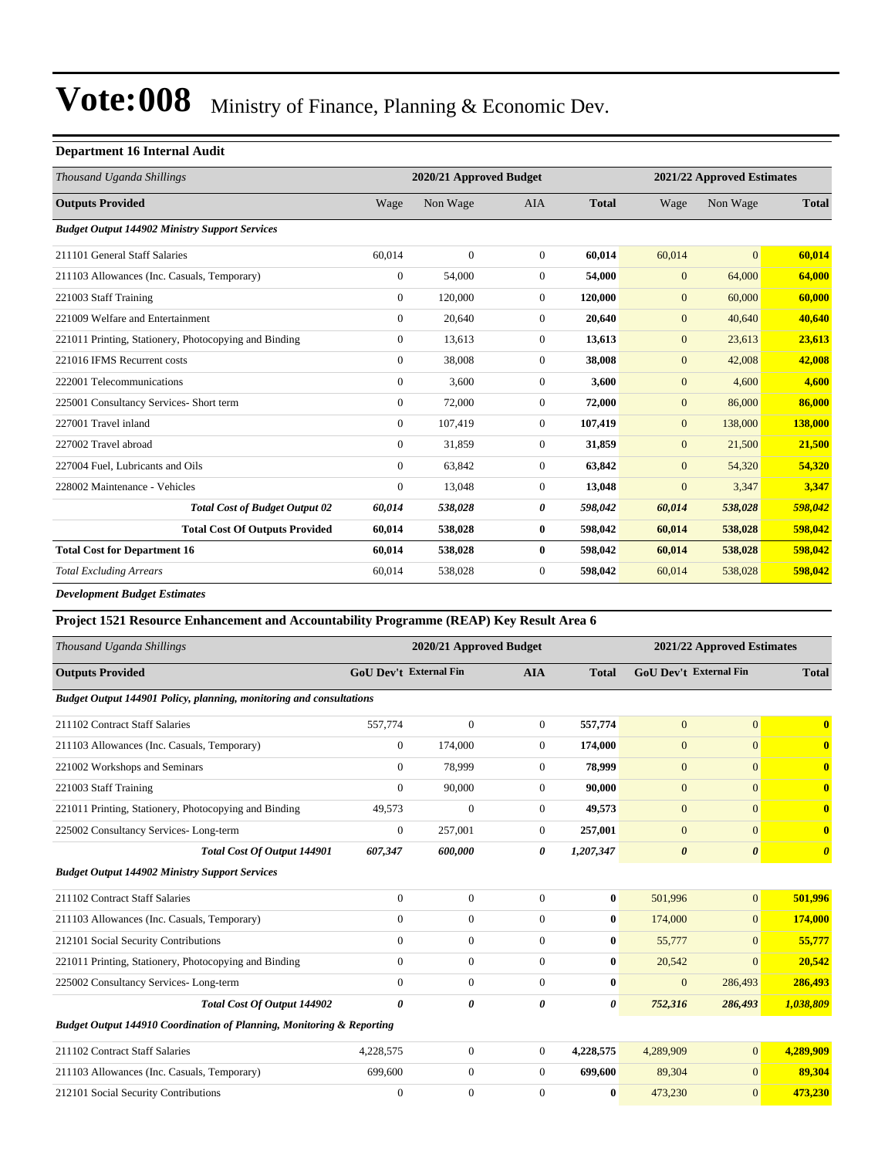#### **Department 16 Internal Audit**

|                                                       | 2020/21 Approved Budget |              |                |              | 2021/22 Approved Estimates |                |              |  |  |
|-------------------------------------------------------|-------------------------|--------------|----------------|--------------|----------------------------|----------------|--------------|--|--|
| Thousand Uganda Shillings                             |                         |              |                |              |                            |                |              |  |  |
| <b>Outputs Provided</b>                               | Wage                    | Non Wage     | <b>AIA</b>     | <b>Total</b> | Wage                       | Non Wage       | <b>Total</b> |  |  |
| <b>Budget Output 144902 Ministry Support Services</b> |                         |              |                |              |                            |                |              |  |  |
| 211101 General Staff Salaries                         | 60.014                  | $\mathbf{0}$ | $\overline{0}$ | 60.014       | 60.014                     | $\overline{0}$ | 60,014       |  |  |
| 211103 Allowances (Inc. Casuals, Temporary)           | $\overline{0}$          | 54,000       | $\overline{0}$ | 54,000       | $\mathbf{0}$               | 64,000         | 64,000       |  |  |
| 221003 Staff Training                                 | $\mathbf{0}$            | 120,000      | $\overline{0}$ | 120,000      | $\mathbf{0}$               | 60,000         | 60,000       |  |  |
| 221009 Welfare and Entertainment                      | $\mathbf{0}$            | 20,640       | $\overline{0}$ | 20,640       | $\mathbf{0}$               | 40,640         | 40,640       |  |  |
| 221011 Printing, Stationery, Photocopying and Binding | $\overline{0}$          | 13,613       | $\Omega$       | 13,613       | $\mathbf{0}$               | 23,613         | 23,613       |  |  |
| 221016 IFMS Recurrent costs                           | $\Omega$                | 38,008       | $\Omega$       | 38,008       | $\mathbf{0}$               | 42,008         | 42,008       |  |  |
| 222001 Telecommunications                             | $\overline{0}$          | 3.600        | $\overline{0}$ | 3,600        | $\mathbf{0}$               | 4,600          | 4.600        |  |  |
| 225001 Consultancy Services- Short term               | $\mathbf{0}$            | 72,000       | $\overline{0}$ | 72,000       | $\mathbf{0}$               | 86,000         | 86,000       |  |  |
| 227001 Travel inland                                  | $\mathbf{0}$            | 107,419      | $\overline{0}$ | 107,419      | $\mathbf{0}$               | 138,000        | 138,000      |  |  |
| 227002 Travel abroad                                  | $\Omega$                | 31,859       | $\overline{0}$ | 31,859       | $\mathbf{0}$               | 21,500         | 21,500       |  |  |
| 227004 Fuel, Lubricants and Oils                      | $\Omega$                | 63,842       | $\Omega$       | 63,842       | $\mathbf{0}$               | 54,320         | 54,320       |  |  |
| 228002 Maintenance - Vehicles                         | $\mathbf{0}$            | 13,048       | $\overline{0}$ | 13,048       | $\mathbf{0}$               | 3,347          | 3,347        |  |  |
| <b>Total Cost of Budget Output 02</b>                 | 60,014                  | 538,028      | 0              | 598,042      | 60,014                     | 538,028        | 598,042      |  |  |
| <b>Total Cost Of Outputs Provided</b>                 | 60,014                  | 538,028      | $\bf{0}$       | 598,042      | 60,014                     | 538,028        | 598,042      |  |  |
| <b>Total Cost for Department 16</b>                   | 60,014                  | 538,028      | $\bf{0}$       | 598,042      | 60,014                     | 538,028        | 598,042      |  |  |
| <b>Total Excluding Arrears</b>                        | 60,014                  | 538,028      | 0              | 598,042      | 60,014                     | 538,028        | 598,042      |  |  |
|                                                       |                         |              |                |              |                            |                |              |  |  |

*Development Budget Estimates*

| Project 1521 Resource Enhancement and Accountability Programme (REAP) Key Result Area 6 |                        |                         |                |              |                       |                            |                       |  |
|-----------------------------------------------------------------------------------------|------------------------|-------------------------|----------------|--------------|-----------------------|----------------------------|-----------------------|--|
| Thousand Uganda Shillings                                                               |                        | 2020/21 Approved Budget |                |              |                       | 2021/22 Approved Estimates |                       |  |
| <b>Outputs Provided</b>                                                                 | GoU Dev't External Fin |                         | <b>AIA</b>     | <b>Total</b> |                       | GoU Dev't External Fin     | <b>Total</b>          |  |
| Budget Output 144901 Policy, planning, monitoring and consultations                     |                        |                         |                |              |                       |                            |                       |  |
| 211102 Contract Staff Salaries                                                          | 557,774                | $\mathbf{0}$            | $\overline{0}$ | 557,774      | $\Omega$              | $\mathbf{0}$               | $\mathbf{0}$          |  |
| 211103 Allowances (Inc. Casuals, Temporary)                                             | $\overline{0}$         | 174,000                 | $\Omega$       | 174,000      | $\overline{0}$        | $\Omega$                   | $\bf{0}$              |  |
| 221002 Workshops and Seminars                                                           | $\Omega$               | 78,999                  | $\overline{0}$ | 78,999       | $\mathbf{0}$          | $\Omega$                   | $\bf{0}$              |  |
| 221003 Staff Training                                                                   | $\Omega$               | 90,000                  | $\Omega$       | 90,000       | $\overline{0}$        | $\Omega$                   | $\mathbf{0}$          |  |
| 221011 Printing, Stationery, Photocopying and Binding                                   | 49,573                 | $\mathbf{0}$            | $\overline{0}$ | 49,573       | $\mathbf{0}$          | $\Omega$                   | $\mathbf{0}$          |  |
| 225002 Consultancy Services-Long-term                                                   | $\boldsymbol{0}$       | 257,001                 | $\overline{0}$ | 257,001      | $\overline{0}$        | $\Omega$                   | $\bf{0}$              |  |
| <b>Total Cost Of Output 144901</b>                                                      | 607,347                | 600,000                 | 0              | 1,207,347    | $\boldsymbol{\theta}$ | $\boldsymbol{\theta}$      | $\boldsymbol{\theta}$ |  |
| <b>Budget Output 144902 Ministry Support Services</b>                                   |                        |                         |                |              |                       |                            |                       |  |
| 211102 Contract Staff Salaries                                                          | $\overline{0}$         | $\overline{0}$          | $\theta$       | $\bf{0}$     | 501,996               | $\mathbf{0}$               | 501,996               |  |
| 211103 Allowances (Inc. Casuals, Temporary)                                             | $\overline{0}$         | $\boldsymbol{0}$        | $\Omega$       | $\bf{0}$     | 174,000               | $\mathbf{0}$               | 174,000               |  |
| 212101 Social Security Contributions                                                    | $\overline{0}$         | $\boldsymbol{0}$        | $\overline{0}$ | $\bf{0}$     | 55,777                | $\mathbf{0}$               | 55,777                |  |
| 221011 Printing, Stationery, Photocopying and Binding                                   | $\mathbf{0}$           | $\mathbf{0}$            | $\Omega$       | 0            | 20,542                | $\Omega$                   | 20,542                |  |
| 225002 Consultancy Services-Long-term                                                   | $\Omega$               | $\mathbf{0}$            | $\Omega$       | $\bf{0}$     | $\mathbf{0}$          | 286,493                    | 286,493               |  |
| Total Cost Of Output 144902                                                             | 0                      | 0                       | 0              | 0            | 752,316               | 286,493                    | 1,038,809             |  |
| Budget Output 144910 Coordination of Planning, Monitoring & Reporting                   |                        |                         |                |              |                       |                            |                       |  |
| 211102 Contract Staff Salaries                                                          | 4,228,575              | $\overline{0}$          | $\Omega$       | 4,228,575    | 4,289,909             | $\Omega$                   | 4,289,909             |  |
| 211103 Allowances (Inc. Casuals, Temporary)                                             | 699,600                | $\mathbf{0}$            | $\Omega$       | 699,600      | 89,304                | $\Omega$                   | 89,304                |  |
| 212101 Social Security Contributions                                                    | $\mathbf{0}$           | $\mathbf{0}$            | $\Omega$       | $\bf{0}$     | 473,230               | $\mathbf{0}$               | 473,230               |  |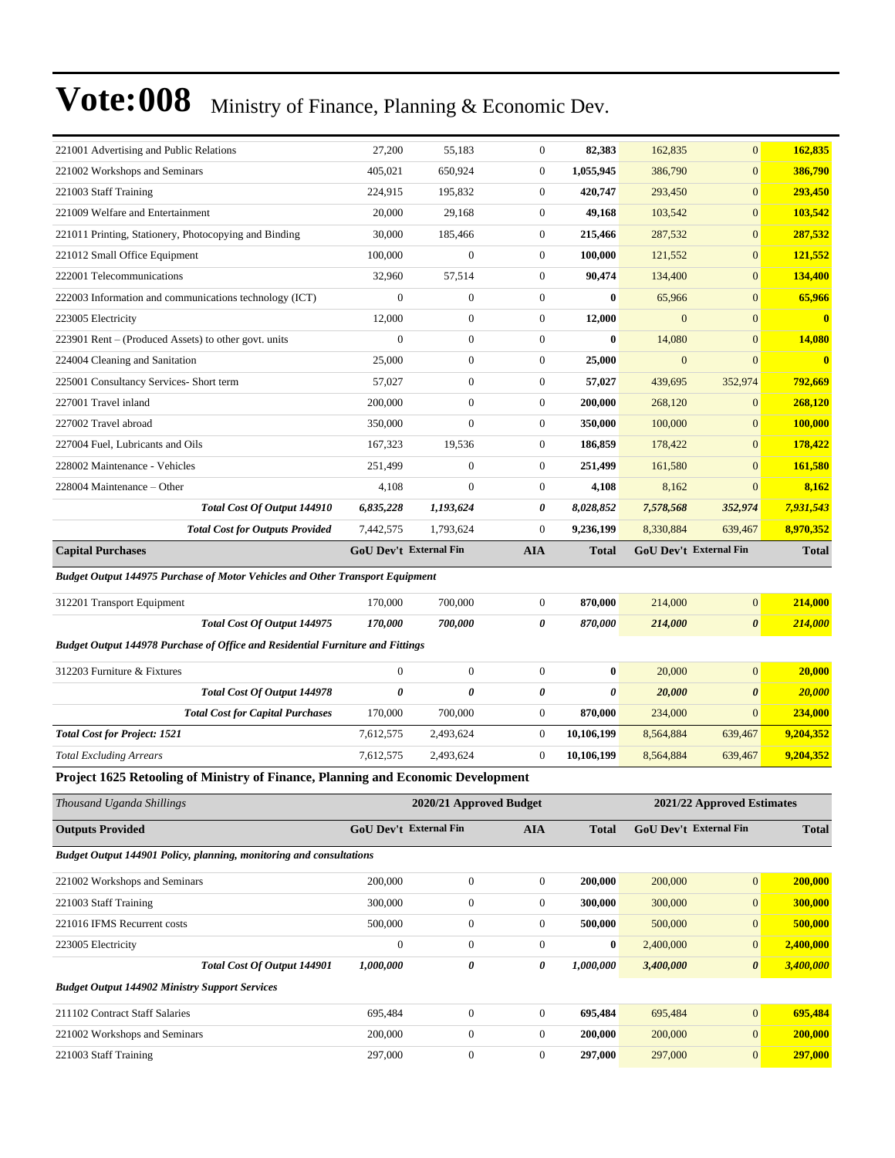| 221001 Advertising and Public Relations                                              | 27,200                        | 55,183                  | $\boldsymbol{0}$ | 82,383       | 162,835                    | $\mathbf{0}$           | 162,835       |  |
|--------------------------------------------------------------------------------------|-------------------------------|-------------------------|------------------|--------------|----------------------------|------------------------|---------------|--|
| 221002 Workshops and Seminars                                                        | 405,021                       | 650,924                 | $\boldsymbol{0}$ | 1,055,945    | 386,790                    | $\mathbf{0}$           | 386,790       |  |
| 221003 Staff Training                                                                | 224,915                       | 195,832                 | $\boldsymbol{0}$ | 420,747      | 293,450                    | $\boldsymbol{0}$       | 293,450       |  |
| 221009 Welfare and Entertainment                                                     | 20,000                        | 29,168                  | $\boldsymbol{0}$ | 49,168       | 103,542                    | $\mathbf{0}$           | 103,542       |  |
| 221011 Printing, Stationery, Photocopying and Binding                                | 30,000                        | 185,466                 | $\boldsymbol{0}$ | 215,466      | 287,532                    | $\mathbf{0}$           | 287,532       |  |
| 221012 Small Office Equipment                                                        | 100,000                       | $\mathbf{0}$            | $\boldsymbol{0}$ | 100,000      | 121,552                    | $\mathbf{0}$           | 121,552       |  |
| 222001 Telecommunications                                                            | 32,960                        | 57,514                  | $\boldsymbol{0}$ | 90,474       | 134,400                    | $\mathbf{0}$           | 134,400       |  |
| 222003 Information and communications technology (ICT)                               | $\mathbf{0}$                  | $\boldsymbol{0}$        | $\boldsymbol{0}$ | $\bf{0}$     | 65,966                     | $\boldsymbol{0}$       | 65,966        |  |
| 223005 Electricity                                                                   | 12,000                        | $\boldsymbol{0}$        | $\boldsymbol{0}$ | 12,000       | $\mathbf{0}$               | $\mathbf{0}$           | $\mathbf{0}$  |  |
| 223901 Rent – (Produced Assets) to other govt. units                                 | $\mathbf{0}$                  | $\boldsymbol{0}$        | $\boldsymbol{0}$ | $\bf{0}$     | 14,080                     | $\mathbf{0}$           | 14,080        |  |
| 224004 Cleaning and Sanitation                                                       | 25,000                        | $\boldsymbol{0}$        | $\boldsymbol{0}$ | 25,000       | $\mathbf{0}$               | $\mathbf{0}$           | $\mathbf{0}$  |  |
| 225001 Consultancy Services- Short term                                              | 57,027                        | $\boldsymbol{0}$        | $\boldsymbol{0}$ | 57,027       | 439,695                    | 352,974                | 792,669       |  |
| 227001 Travel inland                                                                 | 200,000                       | $\boldsymbol{0}$        | $\boldsymbol{0}$ | 200,000      | 268,120                    | $\mathbf{0}$           | 268,120       |  |
| 227002 Travel abroad                                                                 | 350,000                       | $\boldsymbol{0}$        | $\boldsymbol{0}$ | 350,000      | 100,000                    | $\mathbf{0}$           | 100,000       |  |
| 227004 Fuel, Lubricants and Oils                                                     | 167,323                       | 19,536                  | $\boldsymbol{0}$ | 186,859      | 178,422                    | $\mathbf{0}$           | 178,422       |  |
| 228002 Maintenance - Vehicles                                                        | 251,499                       | $\boldsymbol{0}$        | $\boldsymbol{0}$ | 251,499      | 161,580                    | $\mathbf{0}$           | 161,580       |  |
| 228004 Maintenance - Other                                                           | 4,108                         | $\boldsymbol{0}$        | $\boldsymbol{0}$ | 4,108        | 8,162                      | $\mathbf{0}$           | 8,162         |  |
| Total Cost Of Output 144910                                                          | 6,835,228                     | 1,193,624               | 0                | 8,028,852    | 7,578,568                  | 352,974                | 7,931,543     |  |
| <b>Total Cost for Outputs Provided</b>                                               | 7,442,575                     | 1,793,624               | $\boldsymbol{0}$ | 9,236,199    | 8,330,884                  | 639,467                | 8,970,352     |  |
| <b>Capital Purchases</b>                                                             | <b>GoU Dev't External Fin</b> |                         | <b>AIA</b>       | <b>Total</b> |                            | GoU Dev't External Fin | <b>Total</b>  |  |
| <b>Budget Output 144975 Purchase of Motor Vehicles and Other Transport Equipment</b> |                               |                         |                  |              |                            |                        |               |  |
| 312201 Transport Equipment                                                           | 170,000                       | 700,000                 | $\boldsymbol{0}$ | 870,000      | 214,000                    | $\boldsymbol{0}$       | 214,000       |  |
| Total Cost Of Output 144975                                                          | 170,000                       | 700,000                 | 0                | 870,000      | 214,000                    | $\pmb{\theta}$         | 214,000       |  |
| Budget Output 144978 Purchase of Office and Residential Furniture and Fittings       |                               |                         |                  |              |                            |                        |               |  |
| 312203 Furniture & Fixtures                                                          | $\mathbf{0}$                  | $\boldsymbol{0}$        | $\boldsymbol{0}$ | $\bf{0}$     | 20,000                     | $\boldsymbol{0}$       | 20,000        |  |
| Total Cost Of Output 144978                                                          | $\boldsymbol{\theta}$         | 0                       | 0                | 0            | 20,000                     | $\boldsymbol{\theta}$  | <b>20,000</b> |  |
| <b>Total Cost for Capital Purchases</b>                                              | 170,000                       | 700,000                 | $\boldsymbol{0}$ | 870,000      | 234,000                    | $\mathbf{0}$           | 234,000       |  |
| <b>Total Cost for Project: 1521</b>                                                  | 7,612,575                     | 2,493,624               | $\boldsymbol{0}$ | 10,106,199   | 8,564,884                  | 639,467                | 9,204,352     |  |
| <b>Total Excluding Arrears</b>                                                       | 7,612,575                     | 2,493,624               | $\boldsymbol{0}$ | 10,106,199   | 8,564,884                  | 639,467                | 9,204,352     |  |
| Project 1625 Retooling of Ministry of Finance, Planning and Economic Development     |                               |                         |                  |              |                            |                        |               |  |
| Thousand Uganda Shillings                                                            |                               | 2020/21 Approved Budget |                  |              | 2021/22 Approved Estimates |                        |               |  |
| <b>Outputs Provided</b>                                                              | <b>GoU Dev't External Fin</b> |                         | <b>AIA</b>       | <b>Total</b> | GoU Dev't External Fin     |                        | <b>Total</b>  |  |
| Budget Output 144901 Policy, planning, monitoring and consultations                  |                               |                         |                  |              |                            |                        |               |  |
| 221002 Workshops and Seminars                                                        | 200,000                       | $\boldsymbol{0}$        | $\boldsymbol{0}$ | 200,000      | 200,000                    | $\boldsymbol{0}$       | 200,000       |  |
| 221003 Staff Training                                                                | 300,000                       | $\boldsymbol{0}$        | $\boldsymbol{0}$ | 300,000      | 300,000                    | $\boldsymbol{0}$       | 300,000       |  |
| 221016 IFMS Recurrent costs                                                          | 500,000                       | $\boldsymbol{0}$        | $\boldsymbol{0}$ | 500,000      | 500,000                    | $\boldsymbol{0}$       | 500,000       |  |
| 223005 Electricity                                                                   | $\boldsymbol{0}$              | $\boldsymbol{0}$        | $\boldsymbol{0}$ | $\bf{0}$     | 2,400,000                  | $\mathbf{0}$           | 2,400,000     |  |
| Total Cost Of Output 144901                                                          | 1,000,000                     | 0                       | 0                | 1,000,000    | 3,400,000                  | 0                      | 3,400,000     |  |
| <b>Budget Output 144902 Ministry Support Services</b>                                |                               |                         |                  |              |                            |                        |               |  |
| 211102 Contract Staff Salaries                                                       | 695,484                       | $\boldsymbol{0}$        | $\boldsymbol{0}$ | 695,484      | 695,484                    | $\boldsymbol{0}$       | 695,484       |  |
| 221002 Workshops and Seminars                                                        | 200,000                       | $\boldsymbol{0}$        | $\boldsymbol{0}$ | 200,000      | 200,000                    | $\boldsymbol{0}$       | 200,000       |  |
|                                                                                      |                               |                         |                  |              |                            |                        |               |  |
| 221003 Staff Training                                                                | 297,000                       | $\boldsymbol{0}$        | $\boldsymbol{0}$ | 297,000      | 297,000                    | $\boldsymbol{0}$       | 297,000       |  |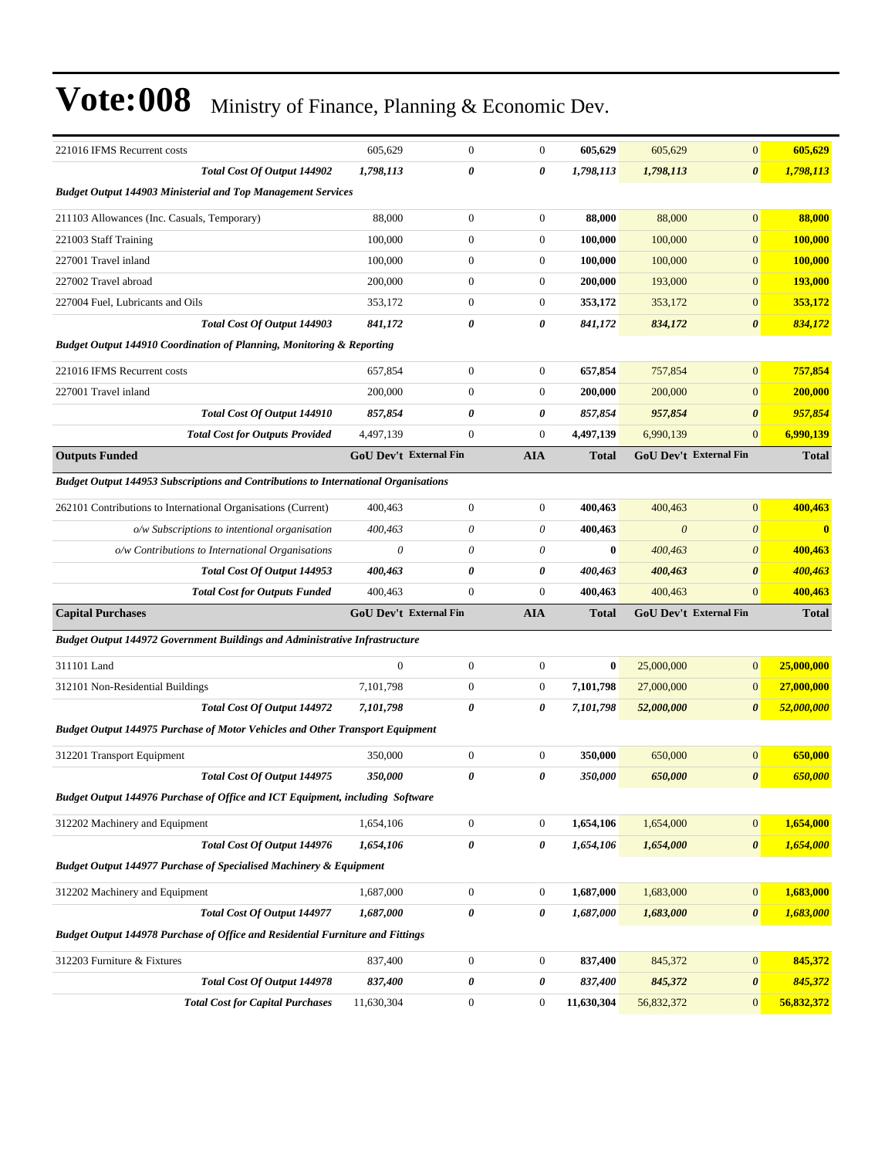| 221016 IFMS Recurrent costs                                                           | 605,629                       | $\mathbf{0}$     | $\mathbf{0}$          | 605,629      | 605,629    | $\mathbf{0}$           | 605,629        |
|---------------------------------------------------------------------------------------|-------------------------------|------------------|-----------------------|--------------|------------|------------------------|----------------|
| Total Cost Of Output 144902                                                           | 1,798,113                     | 0                | $\boldsymbol{\theta}$ | 1,798,113    | 1,798,113  | $\boldsymbol{\theta}$  | 1,798,113      |
| <b>Budget Output 144903 Ministerial and Top Management Services</b>                   |                               |                  |                       |              |            |                        |                |
| 211103 Allowances (Inc. Casuals, Temporary)                                           | 88,000                        | $\mathbf{0}$     | $\boldsymbol{0}$      | 88,000       | 88,000     | $\mathbf{0}$           | 88,000         |
| 221003 Staff Training                                                                 | 100,000                       | $\mathbf{0}$     | $\boldsymbol{0}$      | 100,000      | 100,000    | $\mathbf{0}$           | 100,000        |
| 227001 Travel inland                                                                  | 100,000                       | $\mathbf{0}$     | $\boldsymbol{0}$      | 100,000      | 100,000    | $\mathbf{0}$           | <b>100,000</b> |
| 227002 Travel abroad                                                                  | 200,000                       | $\mathbf{0}$     | $\boldsymbol{0}$      | 200,000      | 193,000    | $\mathbf{0}$           | 193,000        |
| 227004 Fuel, Lubricants and Oils                                                      | 353,172                       | $\mathbf{0}$     | $\boldsymbol{0}$      | 353,172      | 353,172    | $\mathbf{0}$           | 353,172        |
| Total Cost Of Output 144903                                                           | 841,172                       | 0                | 0                     | 841,172      | 834,172    | $\boldsymbol{\theta}$  | 834,172        |
| <b>Budget Output 144910 Coordination of Planning, Monitoring &amp; Reporting</b>      |                               |                  |                       |              |            |                        |                |
| 221016 IFMS Recurrent costs                                                           | 657,854                       | $\mathbf{0}$     | $\boldsymbol{0}$      | 657,854      | 757,854    | $\mathbf{0}$           | 757,854        |
| 227001 Travel inland                                                                  | 200,000                       | $\mathbf{0}$     | $\boldsymbol{0}$      | 200,000      | 200,000    | $\mathbf{0}$           | 200,000        |
| Total Cost Of Output 144910                                                           | 857,854                       | 0                | 0                     | 857,854      | 957,854    | $\boldsymbol{\theta}$  | 957,854        |
| <b>Total Cost for Outputs Provided</b>                                                | 4,497,139                     | $\mathbf{0}$     | $\boldsymbol{0}$      | 4,497,139    | 6.990.139  | $\Omega$               | 6,990,139      |
| <b>Outputs Funded</b>                                                                 | <b>GoU Dev't External Fin</b> |                  | <b>AIA</b>            | <b>Total</b> |            | GoU Dev't External Fin | <b>Total</b>   |
| Budget Output 144953 Subscriptions and Contributions to International Organisations   |                               |                  |                       |              |            |                        |                |
| 262101 Contributions to International Organisations (Current)                         | 400,463                       | $\mathbf{0}$     | $\boldsymbol{0}$      | 400,463      | 400,463    | $\mathbf{0}$           | 400,463        |
| o/w Subscriptions to intentional organisation                                         | 400,463                       | $\theta$         | $\theta$              | 400,463      | $\theta$   | $\boldsymbol{\theta}$  |                |
| o/w Contributions to International Organisations                                      | 0                             | $\theta$         | $\theta$              | $\bf{0}$     | 400,463    | $\boldsymbol{\theta}$  | 400,463        |
| Total Cost Of Output 144953                                                           | 400,463                       | 0                | 0                     | 400,463      | 400,463    | $\boldsymbol{\theta}$  | 400,463        |
| <b>Total Cost for Outputs Funded</b>                                                  | 400,463                       | $\mathbf{0}$     | $\mathbf{0}$          | 400,463      | 400,463    | $\Omega$               | 400,463        |
| <b>Capital Purchases</b>                                                              | GoU Dev't External Fin        |                  | <b>AIA</b>            | <b>Total</b> |            | GoU Dev't External Fin | <b>Total</b>   |
| Budget Output 144972 Government Buildings and Administrative Infrastructure           |                               |                  |                       |              |            |                        |                |
| 311101 Land                                                                           | $\Omega$                      | $\mathbf{0}$     | $\boldsymbol{0}$      | $\bf{0}$     | 25,000,000 | $\mathbf{0}$           | 25,000,000     |
| 312101 Non-Residential Buildings                                                      | 7,101,798                     | $\mathbf{0}$     | $\boldsymbol{0}$      | 7,101,798    | 27,000,000 | $\mathbf{0}$           | 27,000,000     |
| <b>Total Cost Of Output 144972</b>                                                    | 7,101,798                     | 0                | 0                     | 7,101,798    | 52,000,000 | $\boldsymbol{\theta}$  | 52,000,000     |
| <b>Budget Output 144975 Purchase of Motor Vehicles and Other Transport Equipment</b>  |                               |                  |                       |              |            |                        |                |
|                                                                                       |                               |                  |                       |              |            |                        |                |
| 312201 Transport Equipment                                                            | 350,000                       | $\mathbf{0}$     | $\boldsymbol{0}$      | 350,000      | 650,000    | $\mathbf{0}$           | 650,000        |
| Total Cost Of Output 144975                                                           | 350,000                       | 0                | 0                     | 350,000      | 650,000    | $\boldsymbol{\theta}$  | 650,000        |
| Budget Output 144976 Purchase of Office and ICT Equipment, including Software         |                               |                  |                       |              |            |                        |                |
| 312202 Machinery and Equipment                                                        | 1,654,106                     | $\boldsymbol{0}$ | $\boldsymbol{0}$      | 1,654,106    | 1,654,000  | $\mathbf{0}$           | 1,654,000      |
| Total Cost Of Output 144976                                                           | 1,654,106                     | $\pmb{\theta}$   | 0                     | 1,654,106    | 1,654,000  | $\boldsymbol{\theta}$  | 1,654,000      |
| Budget Output 144977 Purchase of Specialised Machinery & Equipment                    |                               |                  |                       |              |            |                        |                |
| 312202 Machinery and Equipment                                                        | 1,687,000                     | $\boldsymbol{0}$ | $\mathbf{0}$          | 1,687,000    | 1,683,000  | $\mathbf{0}$           | 1,683,000      |
| Total Cost Of Output 144977                                                           | 1,687,000                     | $\pmb{\theta}$   | $\pmb{\theta}$        | 1,687,000    | 1,683,000  | $\boldsymbol{\theta}$  | 1,683,000      |
| <b>Budget Output 144978 Purchase of Office and Residential Furniture and Fittings</b> |                               |                  |                       |              |            |                        |                |
| 312203 Furniture & Fixtures                                                           | 837,400                       | $\boldsymbol{0}$ | $\boldsymbol{0}$      | 837,400      | 845,372    | $\mathbf{0}$           | 845,372        |
| Total Cost Of Output 144978                                                           | 837,400                       | 0                | 0                     | 837,400      | 845,372    | $\pmb{\theta}$         | 845,372        |
| <b>Total Cost for Capital Purchases</b>                                               | 11,630,304                    | $\boldsymbol{0}$ | $\boldsymbol{0}$      | 11,630,304   | 56,832,372 | $\mathbf{0}$           | 56,832,372     |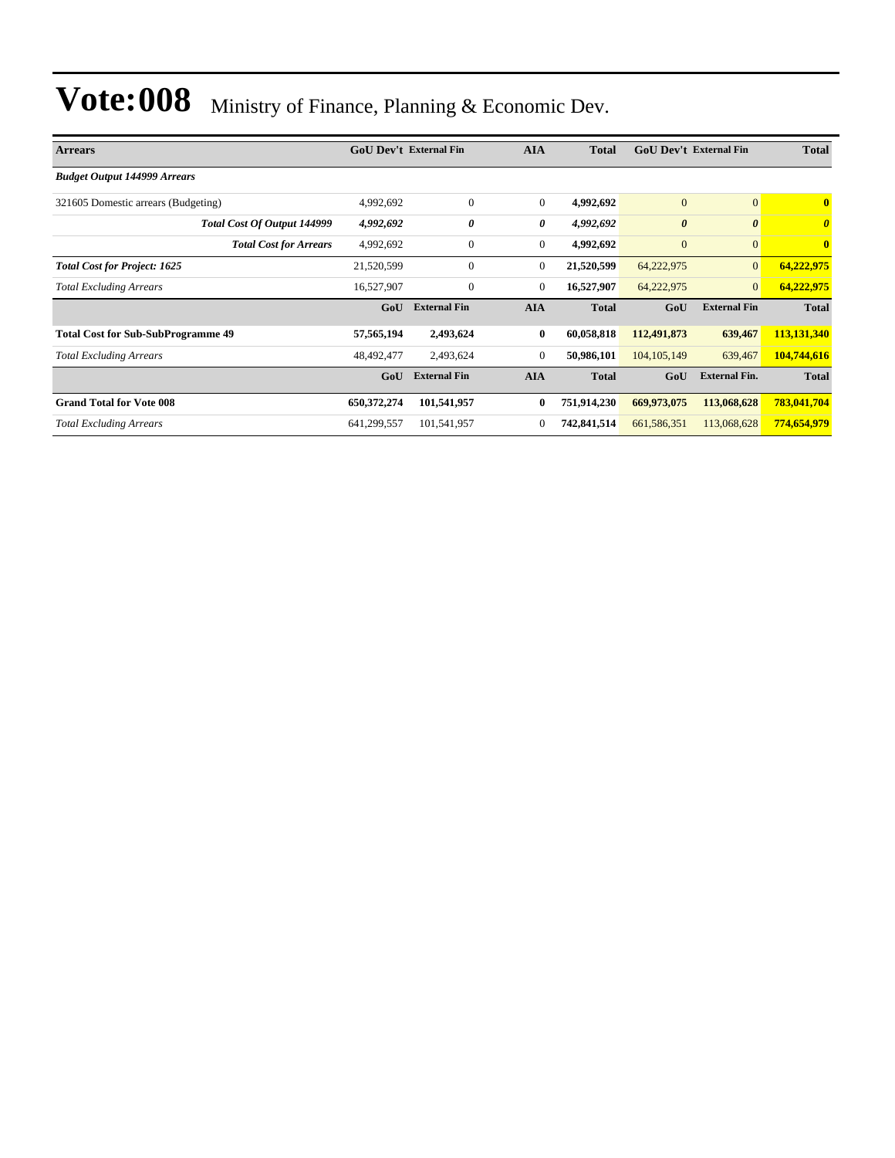| <b>Arrears</b>                            | <b>GoU Dev't External Fin</b> |                     | <b>AIA</b>       | <b>Total</b> |                       | <b>GoU Dev't External Fin</b> |                         |
|-------------------------------------------|-------------------------------|---------------------|------------------|--------------|-----------------------|-------------------------------|-------------------------|
| <b>Budget Output 144999 Arrears</b>       |                               |                     |                  |              |                       |                               |                         |
| 321605 Domestic arrears (Budgeting)       | 4,992,692                     | $\mathbf{0}$        | $\boldsymbol{0}$ | 4,992,692    | $\mathbf{0}$          | $\overline{0}$                | $\overline{\mathbf{0}}$ |
| Total Cost Of Output 144999               | 4,992,692                     | 0                   | 0                | 4,992,692    | $\boldsymbol{\theta}$ | $\boldsymbol{\theta}$         | $\boldsymbol{\theta}$   |
| <b>Total Cost for Arrears</b>             | 4,992,692                     | $\mathbf{0}$        | $\mathbf{0}$     | 4,992,692    | $\mathbf{0}$          | $\mathbf{0}$                  | $\bf{0}$                |
| <b>Total Cost for Project: 1625</b>       | 21,520,599                    | $\mathbf{0}$        | $\mathbf{0}$     | 21,520,599   | 64,222,975            | $\mathbf{0}$                  | 64,222,975              |
| <b>Total Excluding Arrears</b>            | 16,527,907                    | $\mathbf{0}$        | $\theta$         | 16,527,907   | 64,222,975            | $\mathbf{0}$                  | 64,222,975              |
|                                           | GoU                           | <b>External Fin</b> | <b>AIA</b>       | <b>Total</b> | GoU                   | <b>External Fin</b>           | <b>Total</b>            |
| <b>Total Cost for Sub-SubProgramme 49</b> | 57,565,194                    | 2,493,624           | $\bf{0}$         | 60,058,818   | 112,491,873           | 639,467                       | 113,131,340             |
| <b>Total Excluding Arrears</b>            | 48,492,477                    | 2,493,624           | $\mathbf{0}$     | 50,986,101   | 104, 105, 149         | 639,467                       | 104,744,616             |
|                                           | GoU                           | <b>External Fin</b> | <b>AIA</b>       | <b>Total</b> | GoU                   | <b>External Fin.</b>          | <b>Total</b>            |
| <b>Grand Total for Vote 008</b>           | 650,372,274                   | 101,541,957         | 0                | 751,914,230  | 669,973,075           | 113,068,628                   | 783,041,704             |
| <b>Total Excluding Arrears</b>            | 641,299,557                   | 101,541,957         | $\mathbf{0}$     | 742,841,514  | 661, 586, 351         | 113,068,628                   | 774,654,979             |